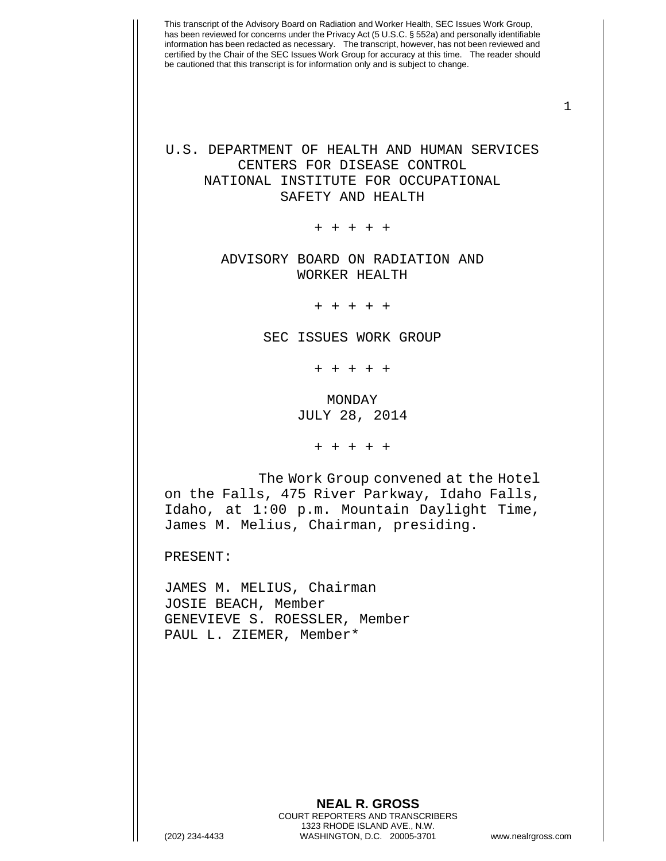1

## U.S. DEPARTMENT OF HEALTH AND HUMAN SERVICES CENTERS FOR DISEASE CONTROL NATIONAL INSTITUTE FOR OCCUPATIONAL SAFETY AND HEALTH

+ + + + +

## ADVISORY BOARD ON RADIATION AND WORKER HEALTH

+ + + + +

SEC ISSUES WORK GROUP

+ + + + +

MONDAY JULY 28, 2014

+ + + + +

The Work Group convened at the Hotel on the Falls, 475 River Parkway, Idaho Falls, Idaho, at 1:00 p.m. Mountain Daylight Time, James M. Melius, Chairman, presiding.

PRESENT:

JAMES M. MELIUS, Chairman JOSIE BEACH, Member GENEVIEVE S. ROESSLER, Member PAUL L. ZIEMER, Member\*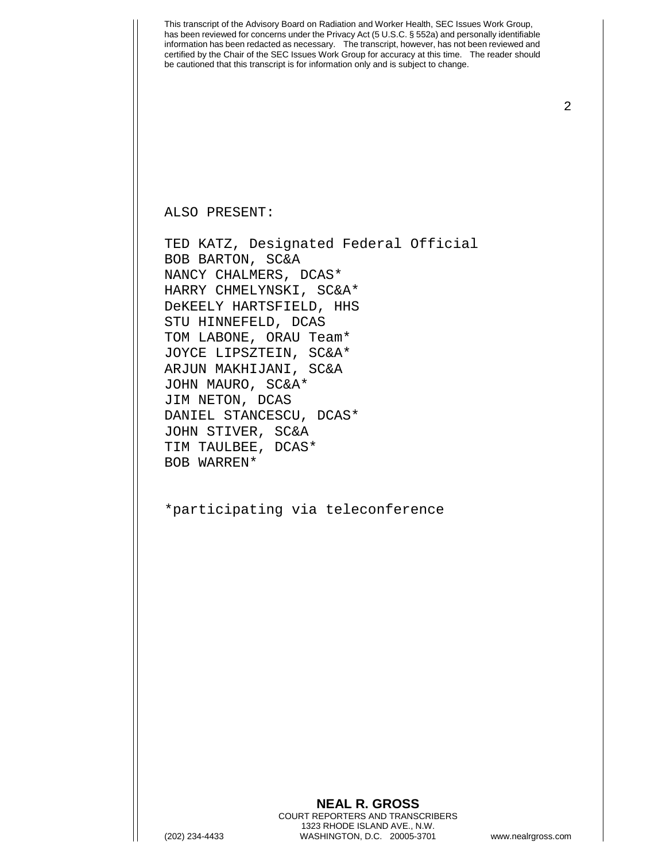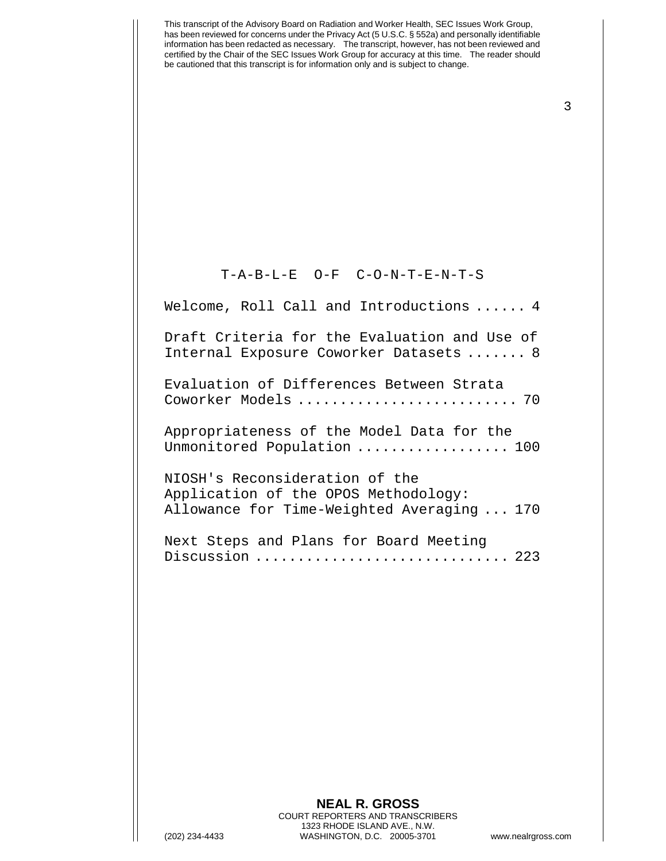3

## T-A-B-L-E O-F C-O-N-T-E-N-T-S

Welcome, Roll Call and Introductions ...... 4

Draft Criteria for the Evaluation and Use of Internal Exposure Coworker Datasets ....... 8

Evaluation of Differences Between Strata Coworker Models .......................... 70

Appropriateness of the Model Data for the Unmonitored Population .................. 100

NIOSH's Reconsideration of the Application of the OPOS Methodology: Allowance for Time-Weighted Averaging ... 170

Next Steps and Plans for Board Meeting Discussion .................................. 223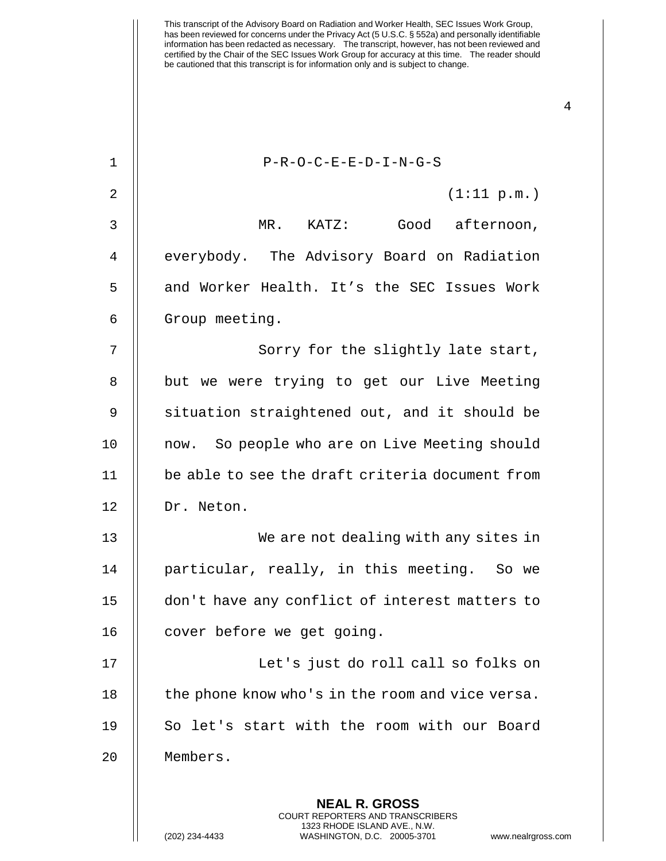This transcript of the Advisory Board on Radiation and Worker Health, SEC Issues Work Group, has been reviewed for concerns under the Privacy Act (5 U.S.C. § 552a) and personally identifiable information has been redacted as necessary. The transcript, however, has not been reviewed and certified by the Chair of the SEC Issues Work Group for accuracy at this time. The reader should be cautioned that this transcript is for information only and is subject to change. 1 || P-R-O-C-E-E-D-I-N-G-S 2  $\parallel$  (1:11 p.m.) 3 MR. KATZ: Good afternoon, 4 | everybody. The Advisory Board on Radiation 5 || and Worker Health. It's the SEC Issues Work 6 | Group meeting. 7 || Sorry for the slightly late start, 8 || but we were trying to get our Live Meeting 9 Situation straightened out, and it should be 10 || now. So people who are on Live Meeting should 11 be able to see the draft criteria document from 12 || Dr. Neton. 13 || We are not dealing with any sites in 14 || particular, really, in this meeting. So we 15 don't have any conflict of interest matters to 16 | cover before we get going. 17 || Let's just do roll call so folks on 18  $\parallel$  the phone know who's in the room and vice versa. 19 || So let's start with the room with our Board 20 Members.

> **NEAL R. GROSS** COURT REPORTERS AND TRANSCRIBERS 1323 RHODE ISLAND AVE., N.W.

(202) 234-4433 WASHINGTON, D.C. 20005-3701 www.nealrgross.com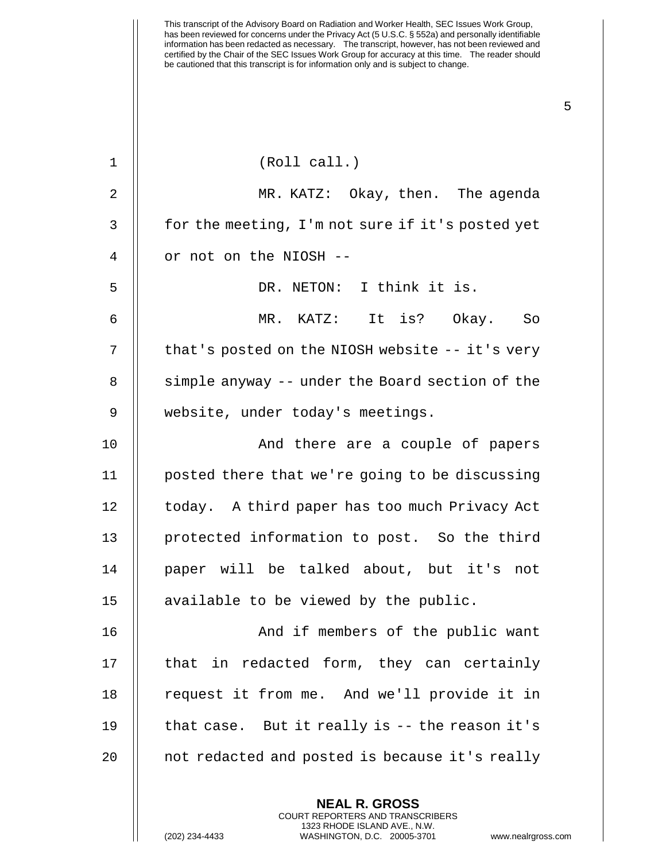| $\mathbf 1$ | (Roll call.)                                      |
|-------------|---------------------------------------------------|
| 2           | MR. KATZ: Okay, then. The agenda                  |
| 3           | for the meeting, I'm not sure if it's posted yet  |
| 4           | or not on the NIOSH --                            |
| 5           | DR. NETON: I think it is.                         |
| 6           | MR. KATZ: It is? Okay. So                         |
| 7           | that's posted on the NIOSH website $-$ -it's very |
| 8           | simple anyway -- under the Board section of the   |
| 9           | website, under today's meetings.                  |
| 10          | And there are a couple of papers                  |
| 11          | posted there that we're going to be discussing    |
| 12          | today. A third paper has too much Privacy Act     |
| 13          | protected information to post. So the third       |
| 14          | paper will be talked about, but it's not          |
| 15          | available to be viewed by the public.             |
| 16          | And if members of the public want                 |
| 17          | that in redacted form, they can certainly         |
| 18          | request it from me. And we'll provide it in       |
| 19          | that case. But it really is $-$ - the reason it's |
| 20          | not redacted and posted is because it's really    |
|             | <b>NEAL R. GROSS</b>                              |

COURT REPORTERS AND TRANSCRIBERS 1323 RHODE ISLAND AVE., N.W.

(202) 234-4433 WASHINGTON, D.C. 20005-3701 www.nealrgross.com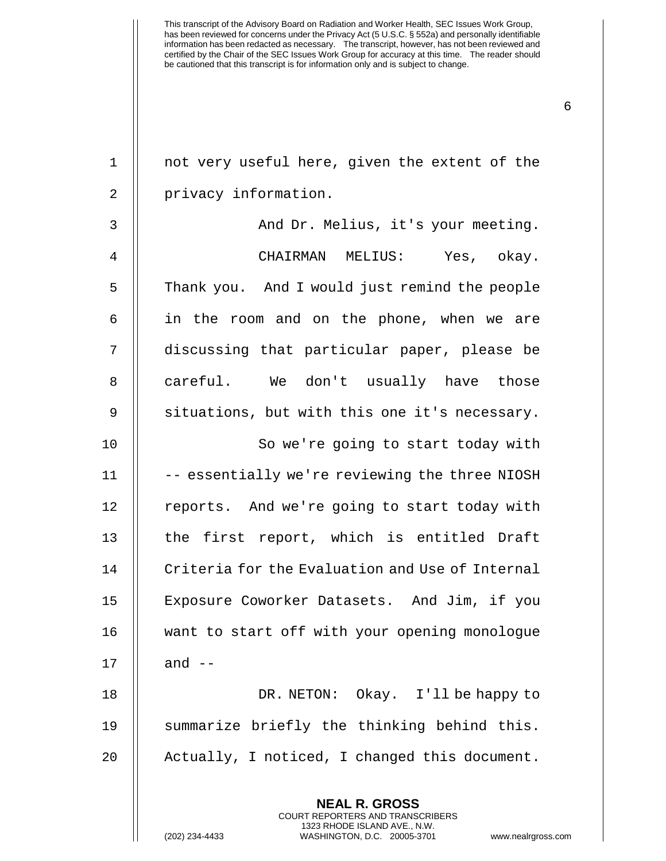| $\mathbf 1$    | not very useful here, given the extent of the            |
|----------------|----------------------------------------------------------|
| $\overline{2}$ | privacy information.                                     |
| 3              | And Dr. Melius, it's your meeting.                       |
| 4              | CHAIRMAN MELIUS: Yes, okay.                              |
| 5              | Thank you. And I would just remind the people            |
| 6              | in the room and on the phone, when we are                |
| 7              | discussing that particular paper, please be              |
| 8              | careful. We don't usually have those                     |
| 9              | situations, but with this one it's necessary.            |
| 10             | So we're going to start today with                       |
| 11             | -- essentially we're reviewing the three NIOSH           |
| 12             | reports. And we're going to start today with             |
| 13             | the first report, which is entitled Draft                |
| 14             | Criteria for the Evaluation and Use of Internal          |
| 15             | Exposure Coworker Datasets. And Jim, if you              |
| 16             | want to start off with your opening monologue            |
| 17             | and $--$                                                 |
| 18             | DR. NETON: Okay. I'll be happy to                        |
| 19             | summarize briefly the thinking behind this.              |
| 20             | Actually, I noticed, I changed this document.            |
|                | <b>NEAL R. GROSS</b><br>COURT REPORTERS AND TRANSCRIBERS |

1323 RHODE ISLAND AVE., N.W.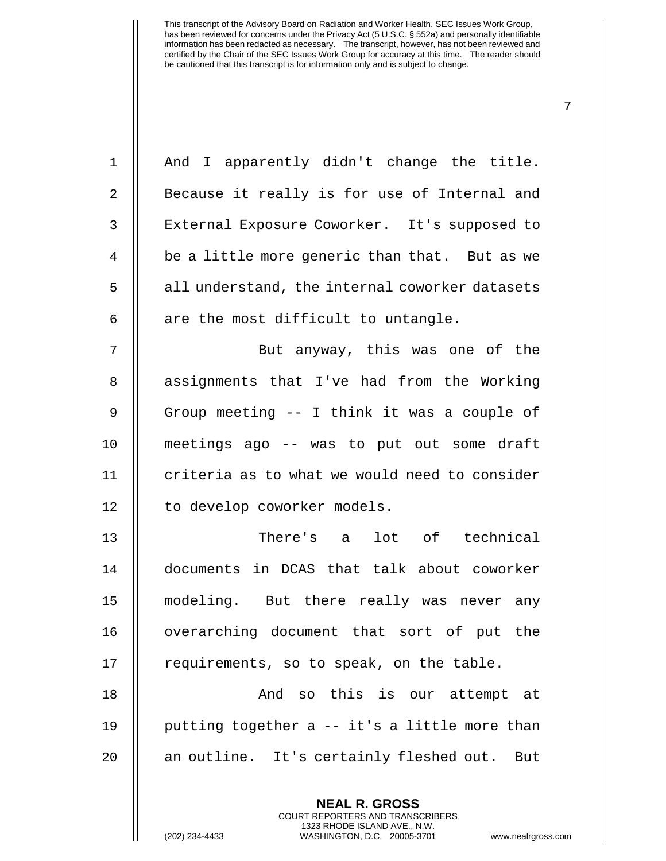| $\mathbf 1$    | And I apparently didn't change the title.      |
|----------------|------------------------------------------------|
| 2              | Because it really is for use of Internal and   |
| 3              | External Exposure Coworker. It's supposed to   |
| $\overline{4}$ | be a little more generic than that. But as we  |
| 5              | all understand, the internal coworker datasets |
| 6              | are the most difficult to untangle.            |
| 7              | But anyway, this was one of the                |
| 8              | assignments that I've had from the Working     |
| $\mathsf 9$    | Group meeting -- I think it was a couple of    |
| 10             | meetings ago -- was to put out some draft      |
| 11             | criteria as to what we would need to consider  |
| 12             | to develop coworker models.                    |
| 13             | There's a lot of technical                     |
| 14             | documents in DCAS that talk about coworker     |
| 15             | modeling. But there really was never any       |
| 16             | overarching document that sort of put the      |
| 17             | requirements, so to speak, on the table.       |
| 18             | And so this is our attempt at                  |
| 19             | putting together a -- it's a little more than  |
| 20             | an outline. It's certainly fleshed out. But    |
|                |                                                |
|                | <b>NEAL R. GROSS</b>                           |

COURT REPORTERS AND TRANSCRIBERS 1323 RHODE ISLAND AVE., N.W.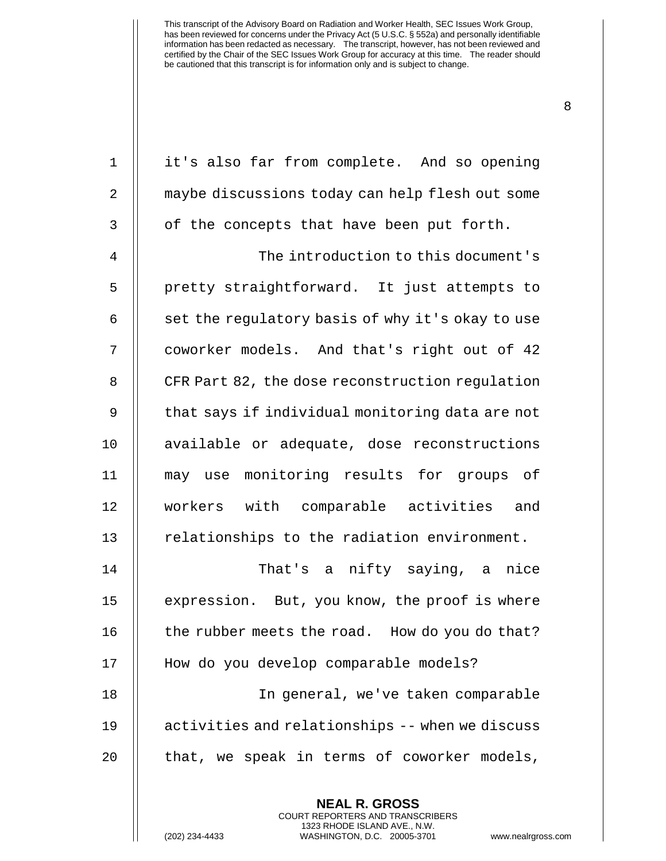1 | it's also far from complete. And so opening maybe discussions today can help flesh out some | of the concepts that have been put forth. The introduction to this document's 5 || pretty straightforward. It just attempts to  $\parallel$  set the regulatory basis of why it's okay to use 7 || coworker models. And that's right out of 42 8 | CFR Part 82, the dose reconstruction regulation  $\parallel$  that says if individual monitoring data are not 10 || available or adequate, dose reconstructions may use monitoring results for groups of workers with comparable activities and | relationships to the radiation environment. That's a nifty saying, a nice 15 | expression. But, you know, the proof is where  $\parallel$  the rubber meets the road. How do you do that? 17 || How do you develop comparable models? In general, we've taken comparable activities and relationships -- when we discuss  $\parallel$  that, we speak in terms of coworker models,

> **NEAL R. GROSS** COURT REPORTERS AND TRANSCRIBERS 1323 RHODE ISLAND AVE., N.W.

(202) 234-4433 WASHINGTON, D.C. 20005-3701 www.nealrgross.com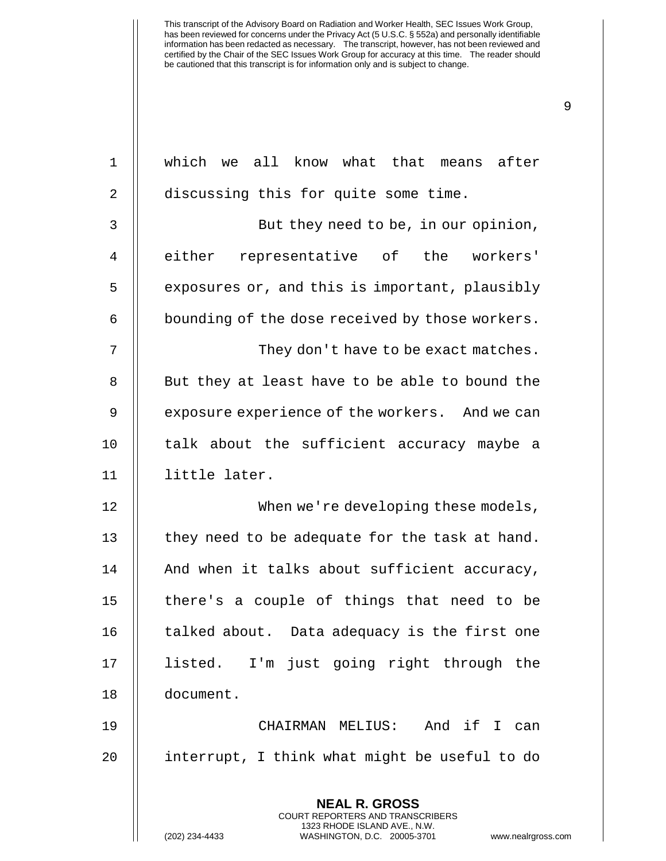| $\mathbf 1$    | which we all know what that means after                                                                                                                            |
|----------------|--------------------------------------------------------------------------------------------------------------------------------------------------------------------|
| 2              | discussing this for quite some time.                                                                                                                               |
| 3              | But they need to be, in our opinion,                                                                                                                               |
| $\overline{4}$ | either representative of the workers'                                                                                                                              |
| 5              | exposures or, and this is important, plausibly                                                                                                                     |
| 6              | bounding of the dose received by those workers.                                                                                                                    |
| 7              | They don't have to be exact matches.                                                                                                                               |
| 8              | But they at least have to be able to bound the                                                                                                                     |
| 9              | exposure experience of the workers. And we can                                                                                                                     |
| 10             | talk about the sufficient accuracy maybe a                                                                                                                         |
| 11             | little later.                                                                                                                                                      |
| 12             | When we're developing these models,                                                                                                                                |
| 13             | they need to be adequate for the task at hand.                                                                                                                     |
| 14             | And when it talks about sufficient accuracy,                                                                                                                       |
| 15             | there's a couple of things that need to be                                                                                                                         |
| 16             | talked about. Data adequacy is the first one                                                                                                                       |
| 17             | listed. I'm just going right through the                                                                                                                           |
| 18             | document.                                                                                                                                                          |
| 19             | CHAIRMAN MELIUS:<br>And if I<br>can                                                                                                                                |
| 20             | interrupt, I think what might be useful to do                                                                                                                      |
|                | <b>NEAL R. GROSS</b><br><b>COURT REPORTERS AND TRANSCRIBERS</b><br>1323 RHODE ISLAND AVE., N.W.<br>(202) 234-4433<br>WASHINGTON, D.C. 20005-3701<br>www.nealrgross |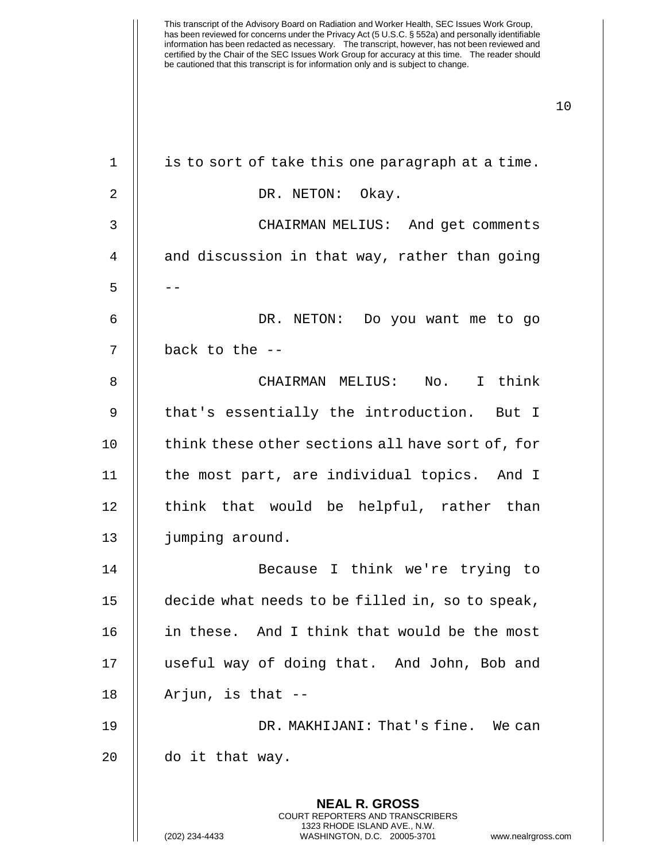| 1  | is to sort of take this one paragraph at a time.                                                                                                                   |
|----|--------------------------------------------------------------------------------------------------------------------------------------------------------------------|
| 2  | DR. NETON: Okay.                                                                                                                                                   |
| 3  | CHAIRMAN MELIUS: And get comments                                                                                                                                  |
| 4  | and discussion in that way, rather than going                                                                                                                      |
| 5  |                                                                                                                                                                    |
| 6  | DR. NETON: Do you want me to go                                                                                                                                    |
| 7  | back to the --                                                                                                                                                     |
| 8  | CHAIRMAN MELIUS: No. I think                                                                                                                                       |
| 9  | that's essentially the introduction. But I                                                                                                                         |
| 10 | think these other sections all have sort of, for                                                                                                                   |
| 11 | the most part, are individual topics. And I                                                                                                                        |
| 12 | think that would be helpful, rather than                                                                                                                           |
| 13 | jumping around.                                                                                                                                                    |
| 14 | Because I think we're trying to                                                                                                                                    |
| 15 | decide what needs to be filled in, so to speak,                                                                                                                    |
| 16 | in these. And I think that would be the most                                                                                                                       |
| 17 | useful way of doing that. And John, Bob and                                                                                                                        |
| 18 | Arjun, is that --                                                                                                                                                  |
| 19 | DR. MAKHIJANI: That's fine. We can                                                                                                                                 |
| 20 | do it that way.                                                                                                                                                    |
|    | <b>NEAL R. GROSS</b><br><b>COURT REPORTERS AND TRANSCRIBERS</b><br>1323 RHODE ISLAND AVE., N.W.<br>(202) 234-4433<br>WASHINGTON, D.C. 20005-3701<br>www.nealrgross |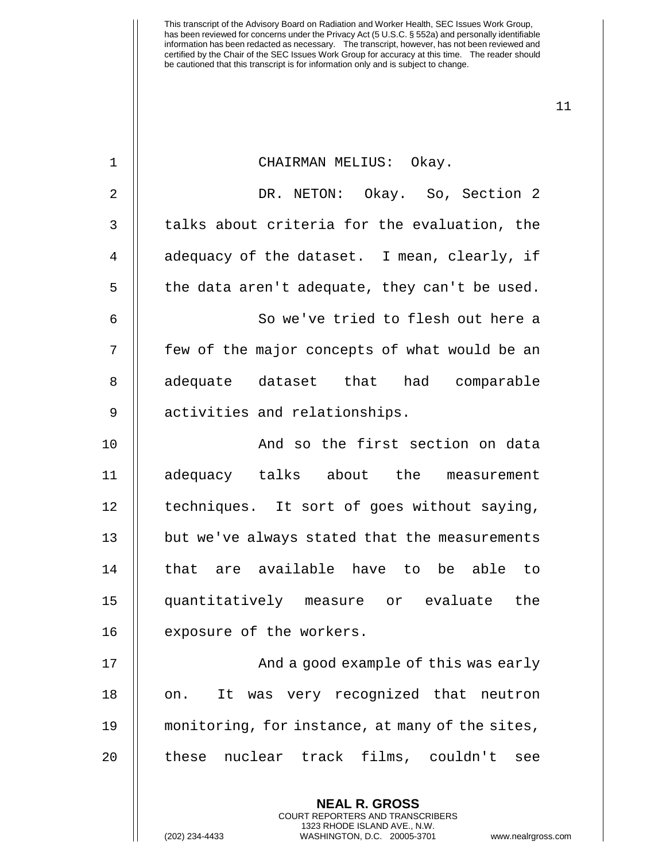| $\mathbf 1$ | CHAIRMAN MELIUS: Okay.                                                                                                                                             |
|-------------|--------------------------------------------------------------------------------------------------------------------------------------------------------------------|
| 2           | DR. NETON: Okay. So, Section 2                                                                                                                                     |
| 3           | talks about criteria for the evaluation, the                                                                                                                       |
| 4           | adequacy of the dataset. I mean, clearly, if                                                                                                                       |
| 5           | the data aren't adequate, they can't be used.                                                                                                                      |
| 6           | So we've tried to flesh out here a                                                                                                                                 |
| 7           | few of the major concepts of what would be an                                                                                                                      |
| 8           | adequate dataset that had comparable                                                                                                                               |
| 9           | activities and relationships.                                                                                                                                      |
| 10          | And so the first section on data                                                                                                                                   |
| 11          | adequacy talks about the measurement                                                                                                                               |
| 12          | techniques. It sort of goes without saying,                                                                                                                        |
| 13          | but we've always stated that the measurements                                                                                                                      |
| 14          | that are available have to be able to                                                                                                                              |
| 15          | quantitatively measure or evaluate<br>the                                                                                                                          |
| 16          | exposure of the workers.                                                                                                                                           |
| 17          | And a good example of this was early                                                                                                                               |
| 18          | It was very recognized that neutron<br>on.                                                                                                                         |
| 19          | monitoring, for instance, at many of the sites,                                                                                                                    |
| 20          | these nuclear track films, couldn't<br>see                                                                                                                         |
|             | <b>NEAL R. GROSS</b><br><b>COURT REPORTERS AND TRANSCRIBERS</b><br>1323 RHODE ISLAND AVE., N.W.<br>(202) 234-4433<br>WASHINGTON, D.C. 20005-3701<br>www.nealrgross |

(202) 234-4433 WASHINGTON, D.C. 20005-3701 www.nealrgross.com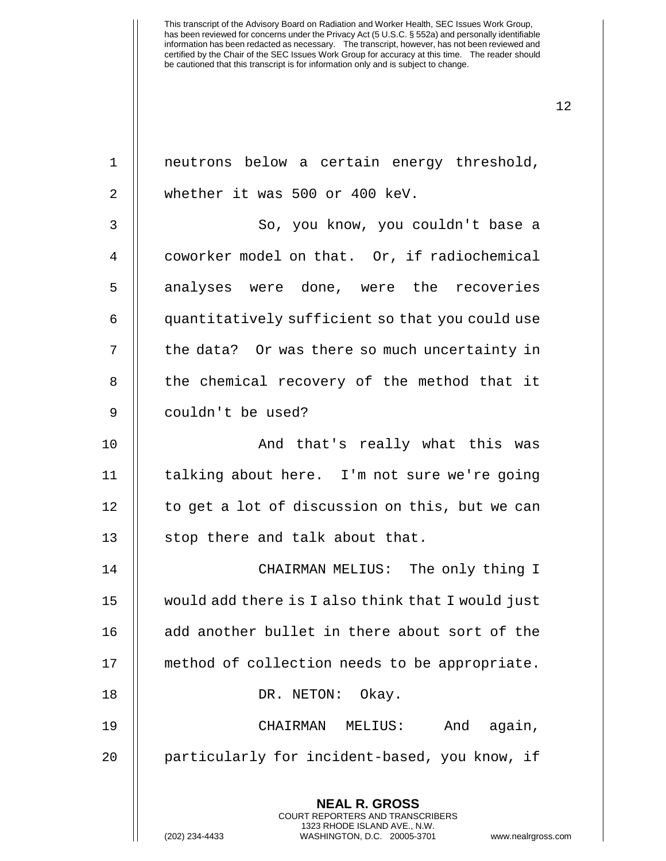**NEAL R. GROSS** COURT REPORTERS AND TRANSCRIBERS 1 || neutrons below a certain energy threshold, 2 whether it was 500 or 400 keV. 3 || So, you know, you couldn't base a 4 || coworker model on that. Or, if radiochemical 5 || analyses were done, were the recoveries 6 | quantitatively sufficient so that you could use 7 | the data? Or was there so much uncertainty in 8 || the chemical recovery of the method that it 9 || couldn't be used? 10 || And that's really what this was 11 || talking about here. I'm not sure we're going 12 | to get a lot of discussion on this, but we can 13 || stop there and talk about that. 14 CHAIRMAN MELIUS: The only thing I 15 would add there is I also think that I would just 16 || add another bullet in there about sort of the 17 || method of collection needs to be appropriate. 18 || DR. NETON: Okay. 19 CHAIRMAN MELIUS: And again, 20 || particularly for incident-based, you know, if

> 1323 RHODE ISLAND AVE., N.W. (202) 234-4433 WASHINGTON, D.C. 20005-3701 www.nealrgross.com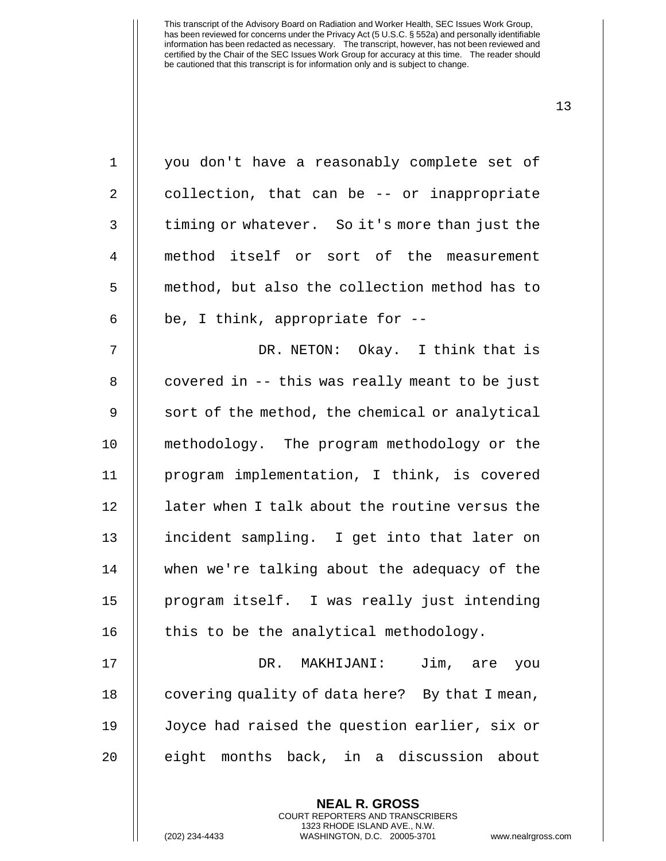| $\mathbf 1$ | you don't have a reasonably complete set of    |
|-------------|------------------------------------------------|
| 2           | collection, that can be -- or inappropriate    |
| $\mathsf 3$ | timing or whatever. So it's more than just the |
| 4           | method itself or sort of the measurement       |
| 5           | method, but also the collection method has to  |
| 6           | be, I think, appropriate for $-$ -             |
| 7           | DR. NETON: Okay. I think that is               |
| $\, 8$      | covered in -- this was really meant to be just |
| $\mathsf 9$ | sort of the method, the chemical or analytical |
| 10          | methodology. The program methodology or the    |
| 11          | program implementation, I think, is covered    |
| 12          | later when I talk about the routine versus the |
| 13          | incident sampling. I get into that later on    |
| 14          | when we're talking about the adequacy of the   |
| 15          | program itself. I was really just intending    |
| 16          | this to be the analytical methodology.         |
| 17          | DR.<br>Jim, are<br>MAKHIJANI:<br>you           |
| 18          | covering quality of data here? By that I mean, |
| 19          | Joyce had raised the question earlier, six or  |
| 20          | eight months back, in a discussion about       |
|             |                                                |

**NEAL R. GROSS** COURT REPORTERS AND TRANSCRIBERS 1323 RHODE ISLAND AVE., N.W.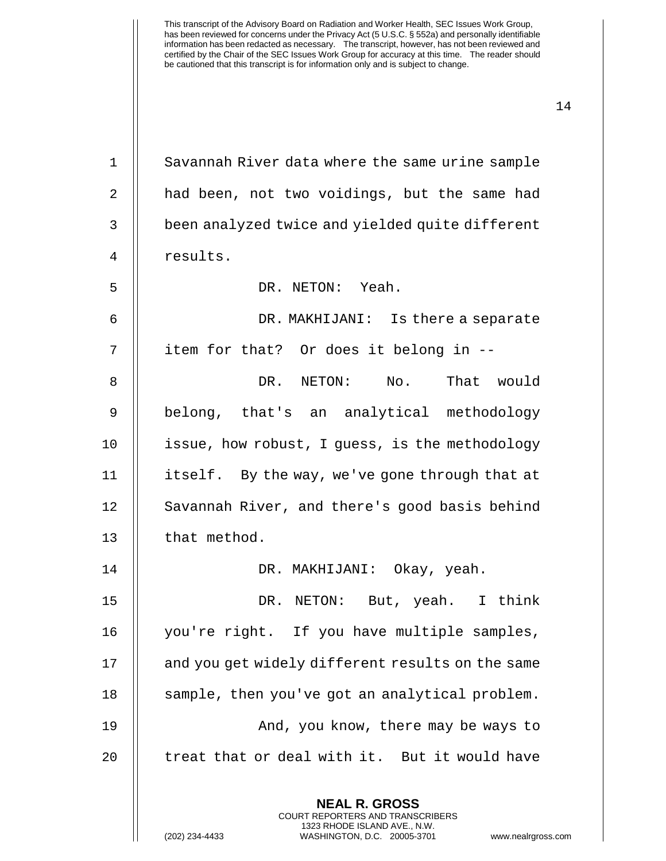**NEAL R. GROSS** 1 | Savannah River data where the same urine sample 2 | had been, not two voidings, but the same had 3 | been analyzed twice and yielded quite different 4 | results. 5 DR. NETON: Yeah. 6 DR. MAKHIJANI: Is there a separate 7 || item for that? Or does it belong in --8 DR. NETON: No. That would 9 || belong, that's an analytical methodology 10 issue, how robust, I guess, is the methodology 11 | itself. By the way, we've gone through that at 12 | Savannah River, and there's good basis behind 13 | that method. 14 DR. MAKHIJANI: Okay, yeah. 15 DR. NETON: But, yeah. I think 16 || you're right. If you have multiple samples, 17 | and you get widely different results on the same 18 | sample, then you've got an analytical problem. 19 And, you know, there may be ways to 20  $\parallel$  treat that or deal with it. But it would have

> COURT REPORTERS AND TRANSCRIBERS 1323 RHODE ISLAND AVE., N.W.

(202) 234-4433 WASHINGTON, D.C. 20005-3701 www.nealrgross.com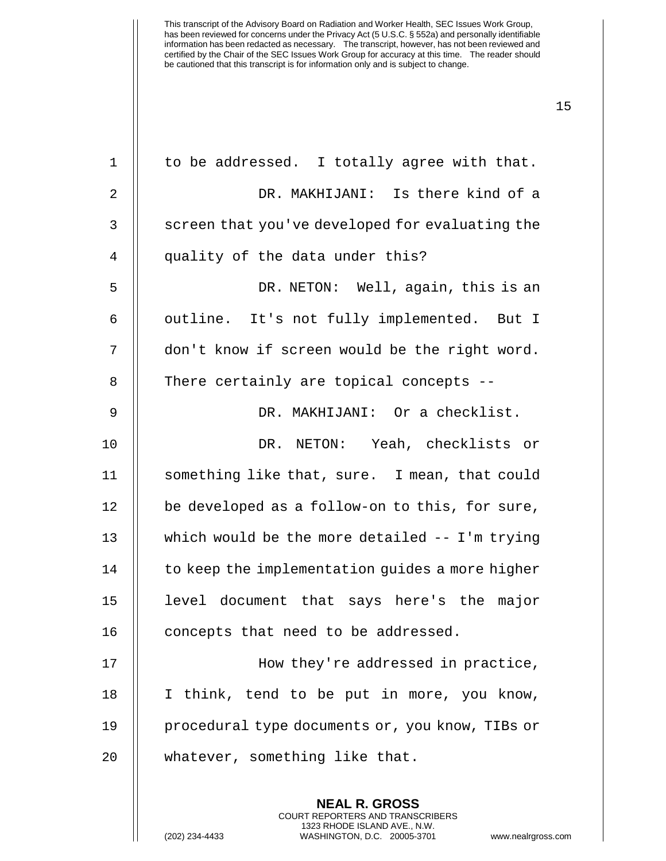| $1\,$          | to be addressed. I totally agree with that.     |
|----------------|-------------------------------------------------|
| 2              | DR. MAKHIJANI: Is there kind of a               |
| 3              | screen that you've developed for evaluating the |
| $\overline{4}$ | quality of the data under this?                 |
| 5              | DR. NETON: Well, again, this is an              |
| 6              | outline. It's not fully implemented. But I      |
| 7              | don't know if screen would be the right word.   |
| 8              | There certainly are topical concepts --         |
| $\mathsf 9$    | DR. MAKHIJANI: Or a checklist.                  |
| 10             | DR. NETON: Yeah, checklists or                  |
| 11             | something like that, sure. I mean, that could   |
| 12             | be developed as a follow-on to this, for sure,  |
| 13             | which would be the more detailed -- I'm trying  |
| 14             | to keep the implementation guides a more higher |
| 15             | level document that says here's the major       |
| 16             | concepts that need to be addressed.             |
| 17             | How they're addressed in practice,              |
| 18             | I think, tend to be put in more, you know,      |
| 19             | procedural type documents or, you know, TIBs or |
| 20             | whatever, something like that.                  |
|                |                                                 |

**NEAL R. GROSS** COURT REPORTERS AND TRANSCRIBERS 1323 RHODE ISLAND AVE., N.W.

(202) 234-4433 WASHINGTON, D.C. 20005-3701 www.nealrgross.com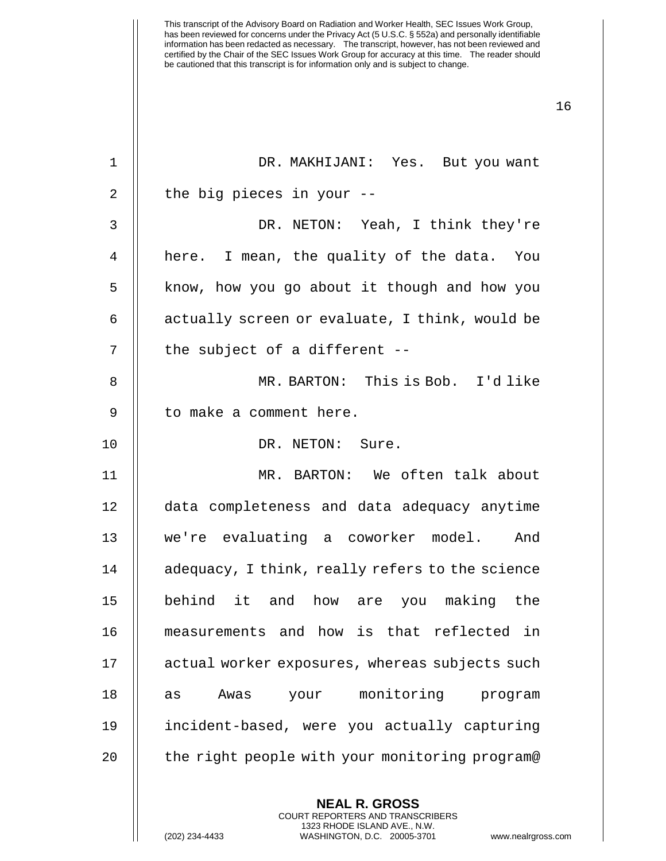1 DR. MAKHIJANI: Yes. But you want  $2 \parallel$  the big pieces in your --3 DR. NETON: Yeah, I think they're 4 || here. I mean, the quality of the data. You 5 | know, how you go about it though and how you 6  $\parallel$  actually screen or evaluate, I think, would be  $7$  | the subject of a different  $-$ 8 MR. BARTON: This is Bob. I'd like 9 | to make a comment here. 10 || DR. NETON: Sure. 11 MR. BARTON: We often talk about 12 data completeness and data adequacy anytime 13 we're evaluating a coworker model. And 14 | adequacy, I think, really refers to the science 15 behind it and how are you making the 16 measurements and how is that reflected in 17 | actual worker exposures, whereas subjects such 18 || as Awas your monitoring program 19 incident-based, were you actually capturing 20 || the right people with your monitoring program@

> **NEAL R. GROSS** COURT REPORTERS AND TRANSCRIBERS 1323 RHODE ISLAND AVE., N.W.

(202) 234-4433 WASHINGTON, D.C. 20005-3701 www.nealrgross.com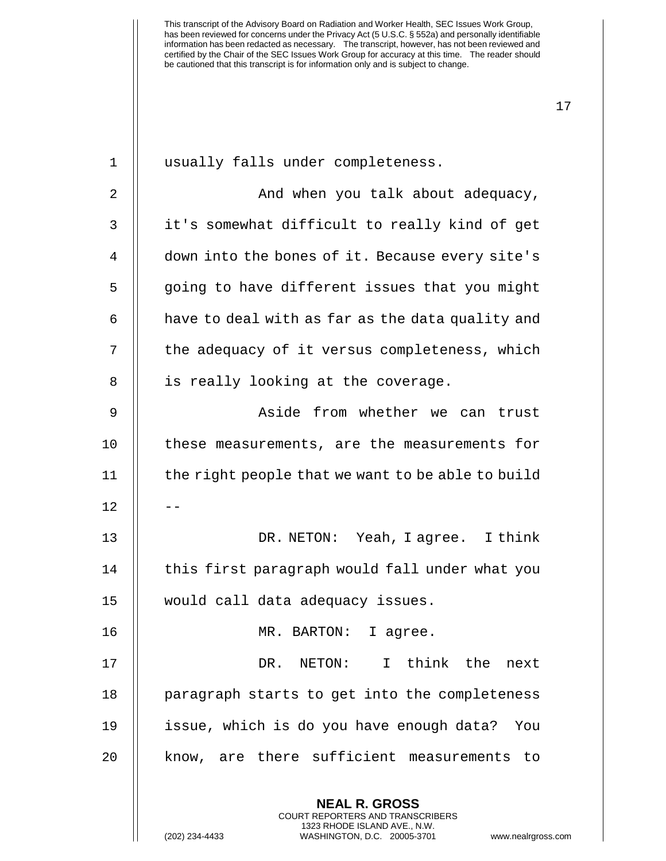| 1  | usually falls under completeness.                                                                                                                           |
|----|-------------------------------------------------------------------------------------------------------------------------------------------------------------|
| 2  | And when you talk about adequacy,                                                                                                                           |
| 3  | it's somewhat difficult to really kind of get                                                                                                               |
| 4  | down into the bones of it. Because every site's                                                                                                             |
| 5  | going to have different issues that you might                                                                                                               |
| 6  | have to deal with as far as the data quality and                                                                                                            |
| 7  | the adequacy of it versus completeness, which                                                                                                               |
| 8  | is really looking at the coverage.                                                                                                                          |
| 9  | Aside from whether we can trust                                                                                                                             |
| 10 | these measurements, are the measurements for                                                                                                                |
| 11 | the right people that we want to be able to build                                                                                                           |
| 12 |                                                                                                                                                             |
| 13 | DR. NETON: Yeah, I agree. I think                                                                                                                           |
| 14 | this first paragraph would fall under what you                                                                                                              |
| 15 | would call data adequacy issues.                                                                                                                            |
| 16 | MR.<br>BARTON: I agree                                                                                                                                      |
| 17 | DR. NETON: I think the next                                                                                                                                 |
| 18 | paragraph starts to get into the completeness                                                                                                               |
| 19 | issue, which is do you have enough data?<br>You                                                                                                             |
| 20 | know, are there sufficient measurements<br>to                                                                                                               |
|    | <b>NEAL R. GROSS</b><br>COURT REPORTERS AND TRANSCRIBERS<br>1323 RHODE ISLAND AVE., N.W.<br>WASHINGTON, D.C. 20005-3701<br>(202) 234-4433<br>www.nealrgross |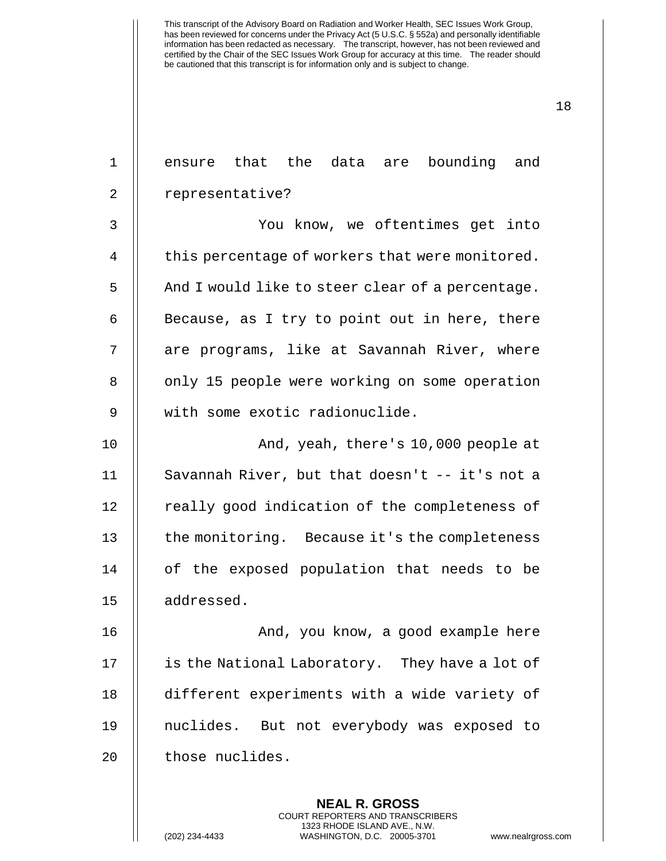| $\mathbf 1$    | ensure that the data are bounding and            |
|----------------|--------------------------------------------------|
| $\overline{2}$ | representative?                                  |
| 3              | You know, we oftentimes get into                 |
| $\overline{4}$ | this percentage of workers that were monitored.  |
| 5              | And I would like to steer clear of a percentage. |
| 6              | Because, as I try to point out in here, there    |
| 7              | are programs, like at Savannah River, where      |
| 8              | only 15 people were working on some operation    |
| 9              | with some exotic radionuclide.                   |
| 10             | And, yeah, there's 10,000 people at              |
| 11             | Savannah River, but that doesn't -- it's not a   |
| 12             | really good indication of the completeness of    |
| 13             | the monitoring. Because it's the completeness    |
| 14             | of the exposed population that needs to be       |
| 15             | addressed.                                       |
| 16             | And, you know, a good example here               |
| 17             | is the National Laboratory. They have a lot of   |
| 18             | different experiments with a wide variety of     |
| 19             | nuclides. But not everybody was exposed to       |
| 20             | those nuclides.                                  |
|                |                                                  |

**NEAL R. GROSS** COURT REPORTERS AND TRANSCRIBERS 1323 RHODE ISLAND AVE., N.W.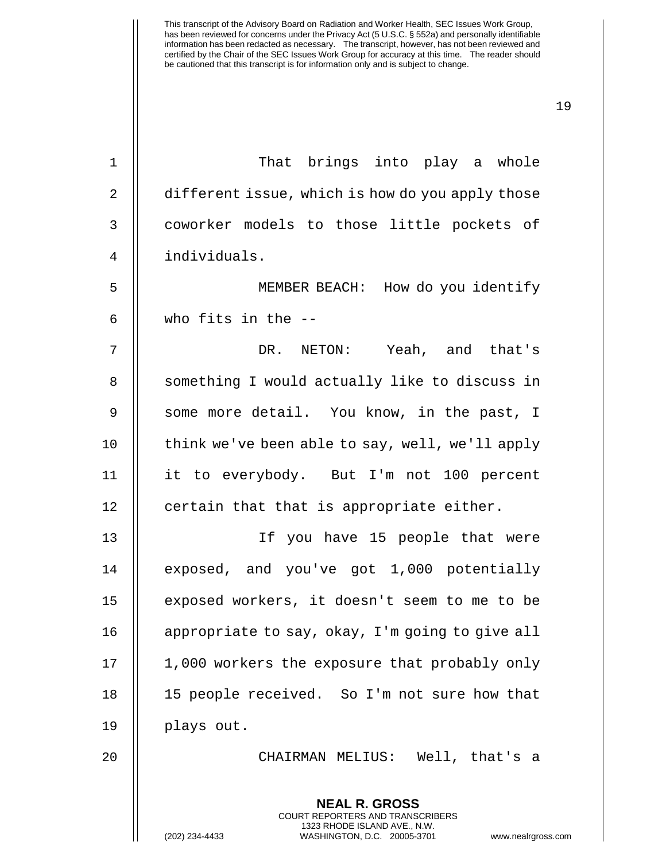19

**NEAL R. GROSS** COURT REPORTERS AND TRANSCRIBERS 1 That brings into play a whole 2 | different issue, which is how do you apply those 3 | coworker models to those little pockets of 4 individuals. 5 MEMBER BEACH: How do you identify  $6$   $\parallel$  who fits in the  $-$ 7 DR. NETON: Yeah, and that's 8 || something I would actually like to discuss in 9 || some more detail. You know, in the past, I 10 | think we've been able to say, well, we'll apply 11 it to everybody. But I'm not 100 percent 12 | certain that that is appropriate either. 13 If you have 15 people that were 14 || exposed, and you've got 1,000 potentially 15 exposed workers, it doesn't seem to me to be 16 | appropriate to say, okay, I'm going to give all 17 || 1,000 workers the exposure that probably only 18 || 15 people received. So I'm not sure how that 19 plays out. 20 CHAIRMAN MELIUS: Well, that's a

1323 RHODE ISLAND AVE., N.W.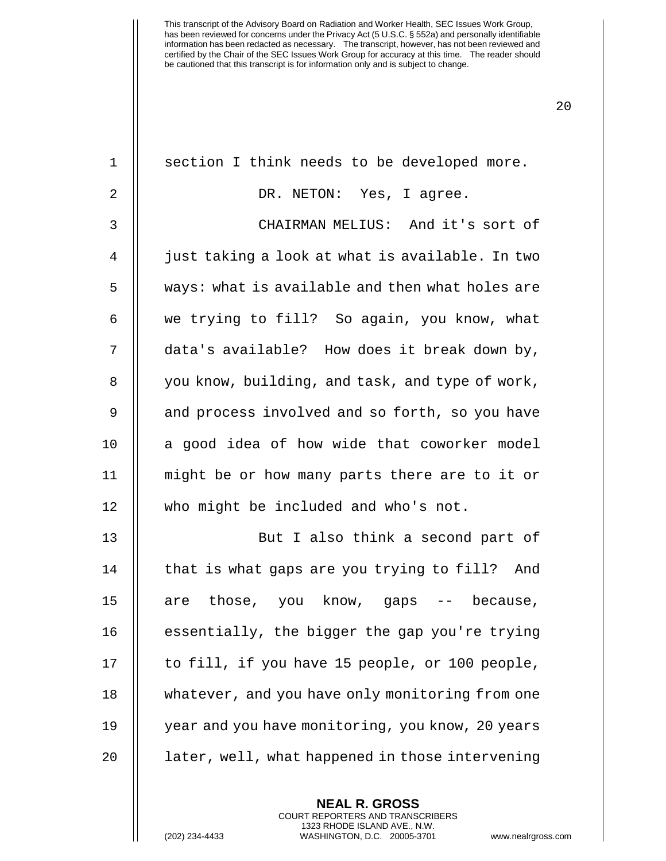| $\mathbf 1$    | section I think needs to be developed more.      |
|----------------|--------------------------------------------------|
| $\overline{2}$ | DR. NETON: Yes, I agree.                         |
| 3              | CHAIRMAN MELIUS: And it's sort of                |
| 4              | just taking a look at what is available. In two  |
| 5              | ways: what is available and then what holes are  |
| 6              | we trying to fill? So again, you know, what      |
| 7              | data's available? How does it break down by,     |
| 8              | you know, building, and task, and type of work,  |
| 9              | and process involved and so forth, so you have   |
| 10             | a good idea of how wide that coworker model      |
| 11             | might be or how many parts there are to it or    |
| 12             | who might be included and who's not.             |
| 13             | But I also think a second part of                |
| 14             | that is what gaps are you trying to fill? And    |
| 15             | those, you know, gaps -- because,<br>are         |
| 16             | essentially, the bigger the gap you're trying    |
| 17             | to fill, if you have 15 people, or 100 people,   |
| 18             | whatever, and you have only monitoring from one  |
| 19             | year and you have monitoring, you know, 20 years |
| 20             | later, well, what happened in those intervening  |
|                | <b>NEAL R. GROSS</b>                             |

COURT REPORTERS AND TRANSCRIBERS 1323 RHODE ISLAND AVE., N.W.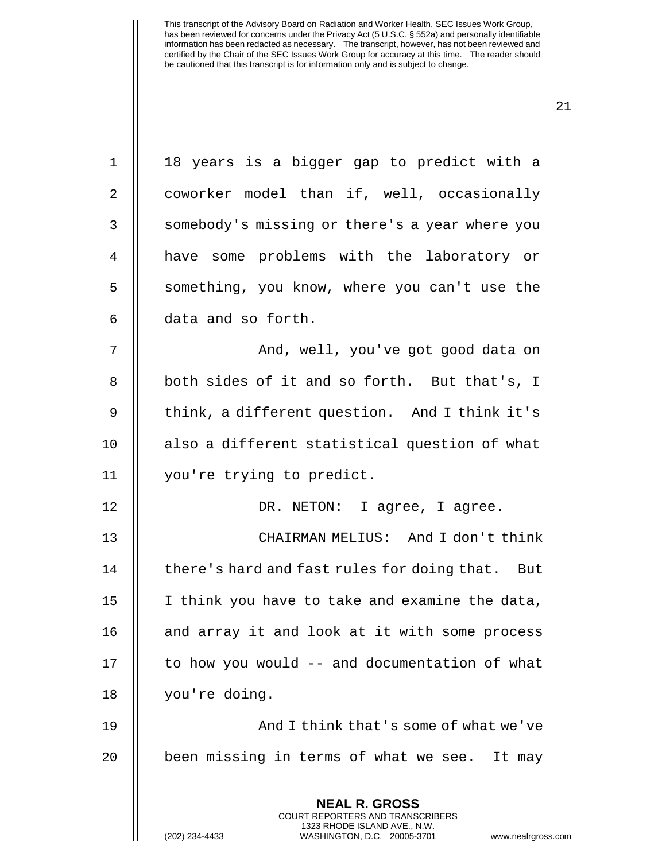| $\mathbf 1$ | 18 years is a bigger gap to predict with a                                                                                                                  |
|-------------|-------------------------------------------------------------------------------------------------------------------------------------------------------------|
| 2           | coworker model than if, well, occasionally                                                                                                                  |
| 3           | somebody's missing or there's a year where you                                                                                                              |
| 4           | have some problems with the laboratory or                                                                                                                   |
| 5           | something, you know, where you can't use the                                                                                                                |
| 6           | data and so forth.                                                                                                                                          |
| 7           | And, well, you've got good data on                                                                                                                          |
| 8           | both sides of it and so forth. But that's, I                                                                                                                |
| 9           | think, a different question. And I think it's                                                                                                               |
| 10          | also a different statistical question of what                                                                                                               |
| 11          | you're trying to predict.                                                                                                                                   |
| 12          | DR. NETON: I agree, I agree.                                                                                                                                |
| 13          | CHAIRMAN MELIUS: And I don't think                                                                                                                          |
| 14          | there's hard and fast rules for doing that. But                                                                                                             |
| 15          | I think you have to take and examine the data,                                                                                                              |
| 16          | and array it and look at it with some process                                                                                                               |
| 17          | to how you would -- and documentation of what                                                                                                               |
| 18          | you're doing.                                                                                                                                               |
| 19          | And I think that's some of what we've                                                                                                                       |
| 20          | been missing in terms of what we see. It may                                                                                                                |
|             | <b>NEAL R. GROSS</b><br>COURT REPORTERS AND TRANSCRIBERS<br>1323 RHODE ISLAND AVE., N.W.<br>(202) 234-4433<br>WASHINGTON, D.C. 20005-3701<br>www.nealrgross |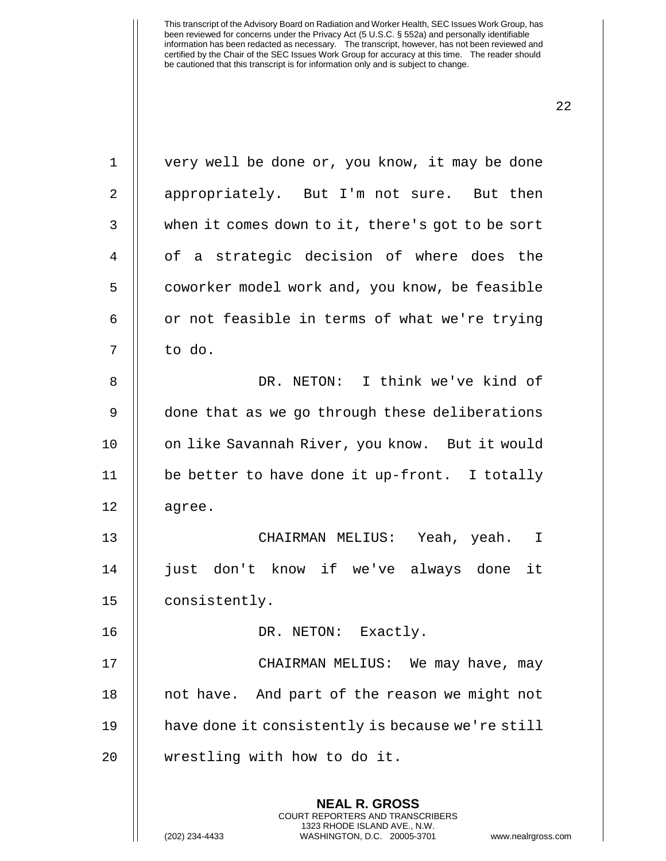**NEAL R. GROSS** 1 || very well be done or, you know, it may be done 2 | appropriately. But I'm not sure. But then 3 when it comes down to it, there's got to be sort 4 || of a strategic decision of where does the 5 | coworker model work and, you know, be feasible  $6 \parallel$  or not feasible in terms of what we're trying  $7 \parallel$  to do. 8 DR. NETON: I think we've kind of 9 || done that as we go through these deliberations 10 || on like Savannah River, you know. But it would 11  $\parallel$  be better to have done it up-front. I totally  $12$  | agree. 13 CHAIRMAN MELIUS: Yeah, yeah. I 14 just don't know if we've always done it 15 || consistently. 16 || DR. NETON: Exactly. 17 CHAIRMAN MELIUS: We may have, may 18 || not have. And part of the reason we might not 19 | have done it consistently is because we're still 20 | wrestling with how to do it.

> COURT REPORTERS AND TRANSCRIBERS 1323 RHODE ISLAND AVE., N.W.

22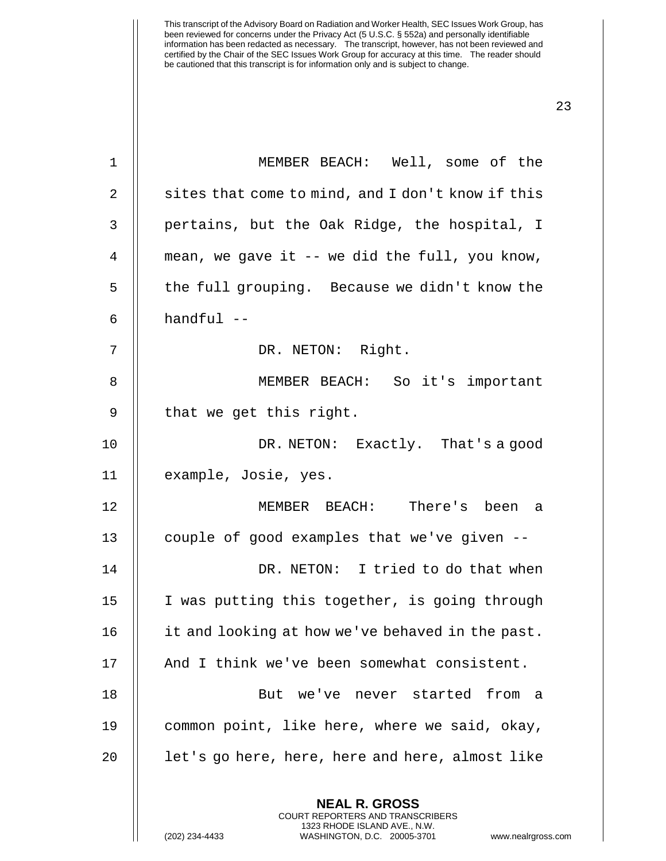| $\mathbf 1$    | MEMBER BEACH: Well, some of the                                                                                                                              |
|----------------|--------------------------------------------------------------------------------------------------------------------------------------------------------------|
| $\overline{2}$ | sites that come to mind, and I don't know if this                                                                                                            |
| 3              | pertains, but the Oak Ridge, the hospital, I                                                                                                                 |
| 4              | mean, we gave it -- we did the full, you know,                                                                                                               |
| 5              | the full grouping. Because we didn't know the                                                                                                                |
| 6              | $handful$ --                                                                                                                                                 |
| 7              | DR. NETON: Right.                                                                                                                                            |
| 8              | MEMBER BEACH: So it's important                                                                                                                              |
| 9              | that we get this right.                                                                                                                                      |
| 10             | DR. NETON: Exactly. That's a good                                                                                                                            |
| 11             | example, Josie, yes.                                                                                                                                         |
| 12             | MEMBER BEACH: There's been a                                                                                                                                 |
| 13             | couple of good examples that we've given --                                                                                                                  |
| 14             | DR. NETON: I tried to do that when                                                                                                                           |
| 15             | I was putting this together, is going through                                                                                                                |
| 16             | it and looking at how we've behaved in the past.                                                                                                             |
| 17             | And I think we've been somewhat consistent.                                                                                                                  |
| 18             | But we've never started from a                                                                                                                               |
| 19             | common point, like here, where we said, okay,                                                                                                                |
| 20             | let's go here, here, here and here, almost like                                                                                                              |
|                | <b>NEAL R. GROSS</b><br>COURT REPORTERS AND TRANSCRIBERS<br>1323 RHODE ISLAND AVE., N.W.<br>(202) 234-4433<br>WASHINGTON, D.C. 20005-3701<br>www.nealrgross. |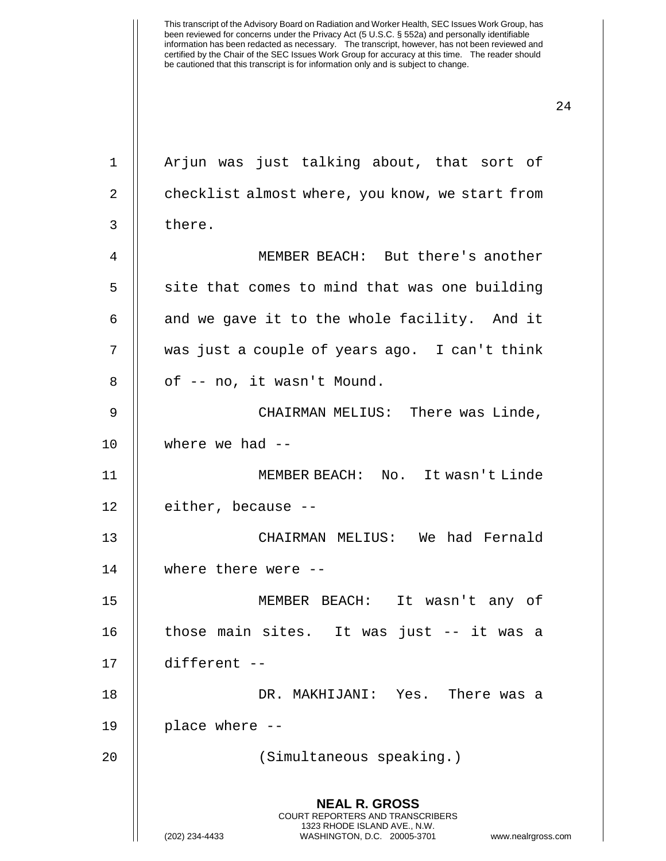**NEAL R. GROSS** COURT REPORTERS AND TRANSCRIBERS 1323 RHODE ISLAND AVE., N.W. 1 || Arjun was just talking about, that sort of 2 | checklist almost where, you know, we start from 3 l there. MEMBER BEACH: But there's another  $\parallel$  site that comes to mind that was one building || and we gave it to the whole facility. And it was just a couple of years ago. I can't think  $8 \parallel$  of  $-$  no, it wasn't Mound. CHAIRMAN MELIUS: There was Linde, where we had -- MEMBER BEACH: No. It wasn't Linde 12 | either, because -- CHAIRMAN MELIUS: We had Fernald where there were -- MEMBER BEACH: It wasn't any of | those main sites. It was just  $-$  it was a different -- DR. MAKHIJANI: Yes. There was a place where -- (Simultaneous speaking.)

(202) 234-4433 WASHINGTON, D.C. 20005-3701 www.nealrgross.com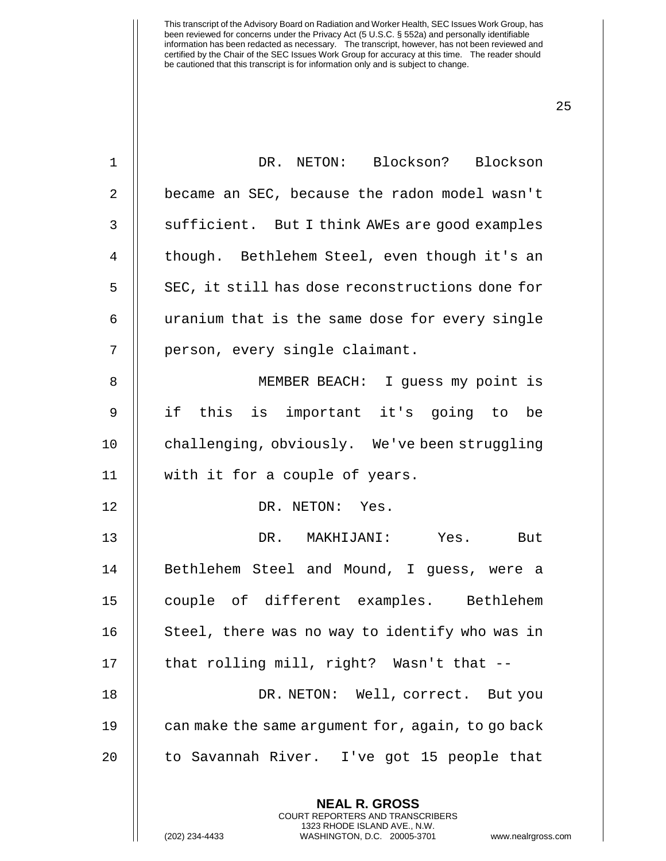| $\mathbf 1$  | DR. NETON: Blockson? Blockson                                                                                                                                   |
|--------------|-----------------------------------------------------------------------------------------------------------------------------------------------------------------|
| 2            | became an SEC, because the radon model wasn't                                                                                                                   |
| $\mathsf{3}$ | sufficient. But I think AWEs are good examples                                                                                                                  |
| 4            | though. Bethlehem Steel, even though it's an                                                                                                                    |
| 5            | SEC, it still has dose reconstructions done for                                                                                                                 |
| 6            | uranium that is the same dose for every single                                                                                                                  |
| 7            | person, every single claimant.                                                                                                                                  |
| 8            | MEMBER BEACH: I guess my point is                                                                                                                               |
| $\mathsf 9$  | if this is important it's going to be                                                                                                                           |
| 10           | challenging, obviously. We've been struggling                                                                                                                   |
| 11           | with it for a couple of years.                                                                                                                                  |
| 12           | DR. NETON: Yes.                                                                                                                                                 |
| 13           | DR. MAKHIJANI: Yes. But                                                                                                                                         |
| 14           | Bethlehem Steel and Mound, I guess, were a                                                                                                                      |
| 15           | couple of different examples. Bethlehem                                                                                                                         |
| 16           | Steel, there was no way to identify who was in                                                                                                                  |
| 17           | that rolling mill, right? Wasn't that --                                                                                                                        |
| 18           | DR. NETON: Well, correct. But you                                                                                                                               |
| 19           | can make the same argument for, again, to go back                                                                                                               |
| 20           | to Savannah River. I've got 15 people that                                                                                                                      |
|              | <b>NEAL R. GROSS</b><br>COURT REPORTERS AND TRANSCRIBERS<br>1323 RHODE ISLAND AVE., N.W.<br>(202) 234-4433<br>WASHINGTON, D.C. 20005-3701<br>www.nealrgross.com |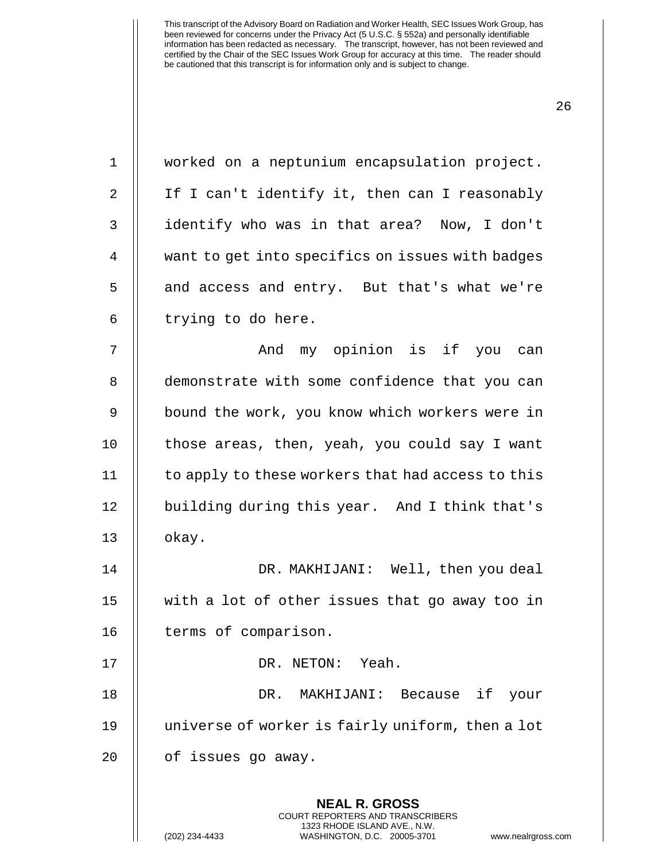| $\mathbf 1$    | worked on a neptunium encapsulation project.                                                                                                                |
|----------------|-------------------------------------------------------------------------------------------------------------------------------------------------------------|
| 2              | If I can't identify it, then can I reasonably                                                                                                               |
| 3              | identify who was in that area? Now, I don't                                                                                                                 |
| $\overline{4}$ | want to get into specifics on issues with badges                                                                                                            |
| 5              | and access and entry. But that's what we're                                                                                                                 |
| 6              | trying to do here.                                                                                                                                          |
| 7              | And my opinion is if you can                                                                                                                                |
| 8              | demonstrate with some confidence that you can                                                                                                               |
| 9              | bound the work, you know which workers were in                                                                                                              |
| 10             | those areas, then, yeah, you could say I want                                                                                                               |
| 11             | to apply to these workers that had access to this                                                                                                           |
| 12             | building during this year. And I think that's                                                                                                               |
| 13             | okay.                                                                                                                                                       |
| 14             | DR. MAKHIJANI: Well, then you deal                                                                                                                          |
| 15             | with a lot of other issues that go away too in                                                                                                              |
| 16             | terms of comparison.                                                                                                                                        |
| 17             | DR. NETON: Yeah.                                                                                                                                            |
| 18             | if<br>DR.<br>MAKHIJANI: Because<br>your                                                                                                                     |
| 19             | universe of worker is fairly uniform, then a lot                                                                                                            |
| 20             | of issues go away.                                                                                                                                          |
|                | <b>NEAL R. GROSS</b><br>COURT REPORTERS AND TRANSCRIBERS<br>1323 RHODE ISLAND AVE., N.W.<br>(202) 234-4433<br>WASHINGTON, D.C. 20005-3701<br>www.nealrgross |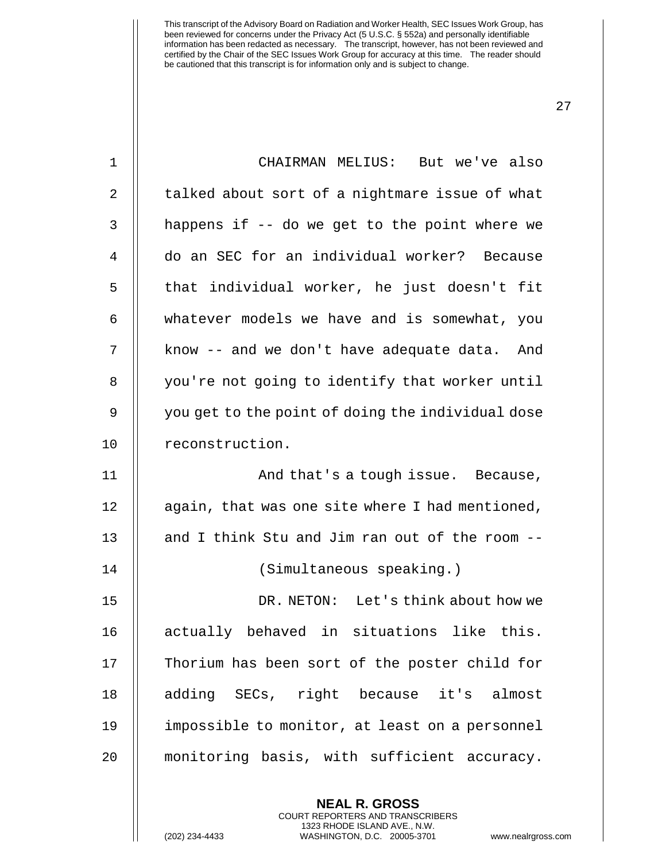| $\mathbf 1$ | CHAIRMAN MELIUS: But we've also                   |
|-------------|---------------------------------------------------|
| 2           | talked about sort of a nightmare issue of what    |
| 3           | happens if -- do we get to the point where we     |
| 4           | do an SEC for an individual worker? Because       |
| 5           | that individual worker, he just doesn't fit       |
| 6           | whatever models we have and is somewhat, you      |
| 7           | know -- and we don't have adequate data. And      |
| 8           | you're not going to identify that worker until    |
| 9           | you get to the point of doing the individual dose |
| 10          | reconstruction.                                   |
| 11          | And that's a tough issue. Because,                |
|             |                                                   |
| 12          | again, that was one site where I had mentioned,   |
| 13          | and I think Stu and Jim ran out of the room --    |
| 14          | (Simultaneous speaking.)                          |
| 15          | DR. NETON: Let's think about how we               |
| 16          | actually behaved in situations like this.         |
| 17          | Thorium has been sort of the poster child for     |
| 18          | adding SECs, right because it's almost            |
| 19          | impossible to monitor, at least on a personnel    |
| 20          | monitoring basis, with sufficient accuracy.       |

**NEAL R. GROSS** COURT REPORTERS AND TRANSCRIBERS 1323 RHODE ISLAND AVE., N.W.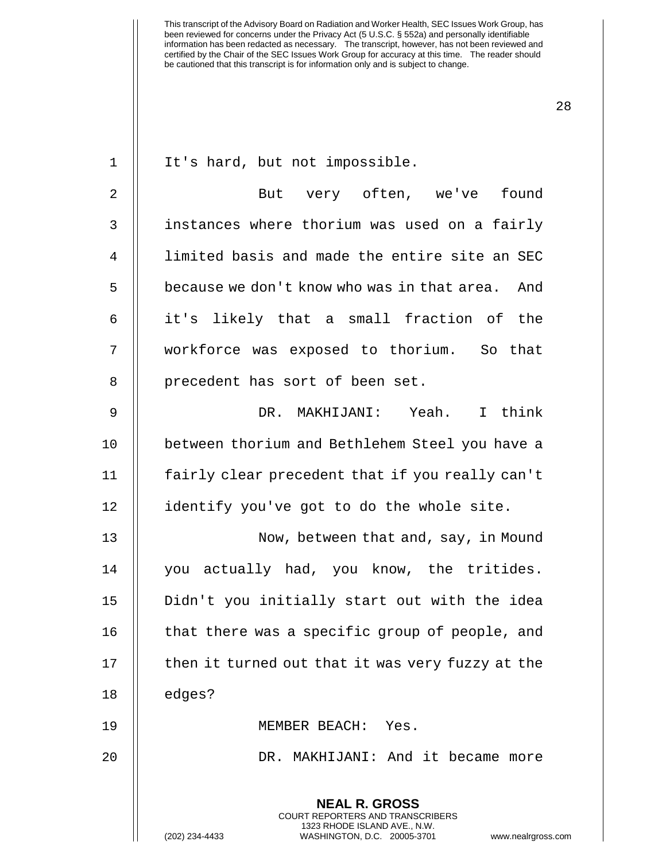| 1  | It's hard, but not impossible.                                                                                                                                     |
|----|--------------------------------------------------------------------------------------------------------------------------------------------------------------------|
| 2  | But very often, we've found                                                                                                                                        |
| 3  | instances where thorium was used on a fairly                                                                                                                       |
| 4  | limited basis and made the entire site an SEC                                                                                                                      |
| 5  | because we don't know who was in that area. And                                                                                                                    |
| 6  | it's likely that a small fraction of the                                                                                                                           |
| 7  | workforce was exposed to thorium. So that                                                                                                                          |
| 8  | precedent has sort of been set.                                                                                                                                    |
| 9  | DR. MAKHIJANI: Yeah. I think                                                                                                                                       |
| 10 | between thorium and Bethlehem Steel you have a                                                                                                                     |
| 11 | fairly clear precedent that if you really can't                                                                                                                    |
| 12 | identify you've got to do the whole site.                                                                                                                          |
| 13 | Now, between that and, say, in Mound                                                                                                                               |
| 14 | you actually had, you know, the tritides.                                                                                                                          |
| 15 | Didn't you initially start out with the idea                                                                                                                       |
| 16 | that there was a specific group of people, and                                                                                                                     |
| 17 | then it turned out that it was very fuzzy at the                                                                                                                   |
| 18 | edges?                                                                                                                                                             |
| 19 | MEMBER BEACH:<br>Yes.                                                                                                                                              |
| 20 | MAKHIJANI: And it became more<br>DR.                                                                                                                               |
|    | <b>NEAL R. GROSS</b><br><b>COURT REPORTERS AND TRANSCRIBERS</b><br>1323 RHODE ISLAND AVE., N.W.<br>WASHINGTON, D.C. 20005-3701<br>(202) 234-4433<br>www.nealrgross |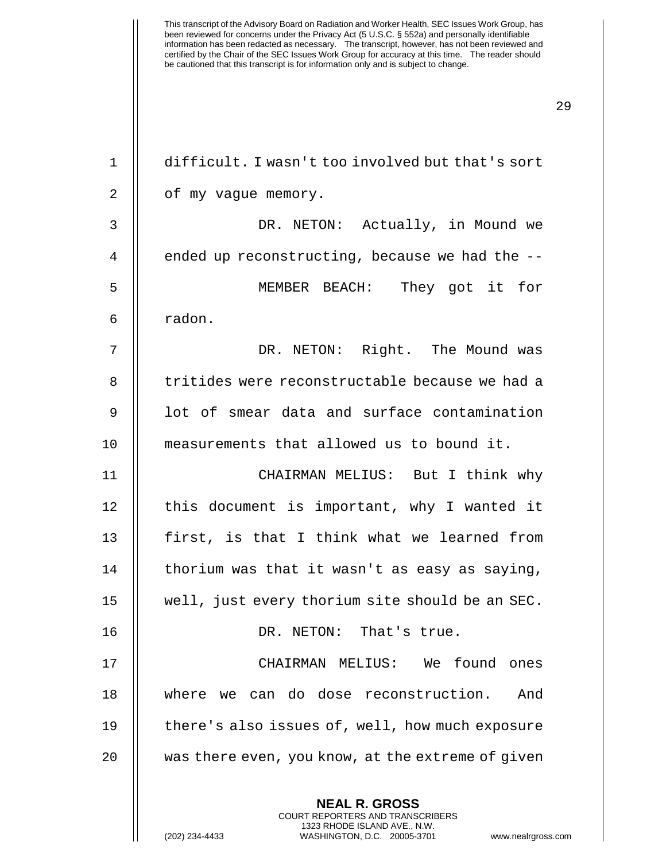difficult. I wasn't too involved but that's sort 2 | of my vague memory. DR. NETON: Actually, in Mound we  $\parallel$  ended up reconstructing, because we had the  $-$ - MEMBER BEACH: They got it for 6 | radon. DR. NETON: Right. The Mound was 8 || tritides were reconstructable because we had a 9 || lot of smear data and surface contamination measurements that allowed us to bound it. CHAIRMAN MELIUS: But I think why 12 || this document is important, why I wanted it  $\parallel$  first, is that I think what we learned from  $\parallel$  thorium was that it wasn't as easy as saying, well, just every thorium site should be an SEC. DR. NETON: That's true. 17 || CHAIRMAN MELIUS: We found ones where we can do dose reconstruction. And 19 || there's also issues of, well, how much exposure  $\parallel$  was there even, you know, at the extreme of given

> **NEAL R. GROSS** COURT REPORTERS AND TRANSCRIBERS 1323 RHODE ISLAND AVE., N.W.

(202) 234-4433 WASHINGTON, D.C. 20005-3701 www.nealrgross.com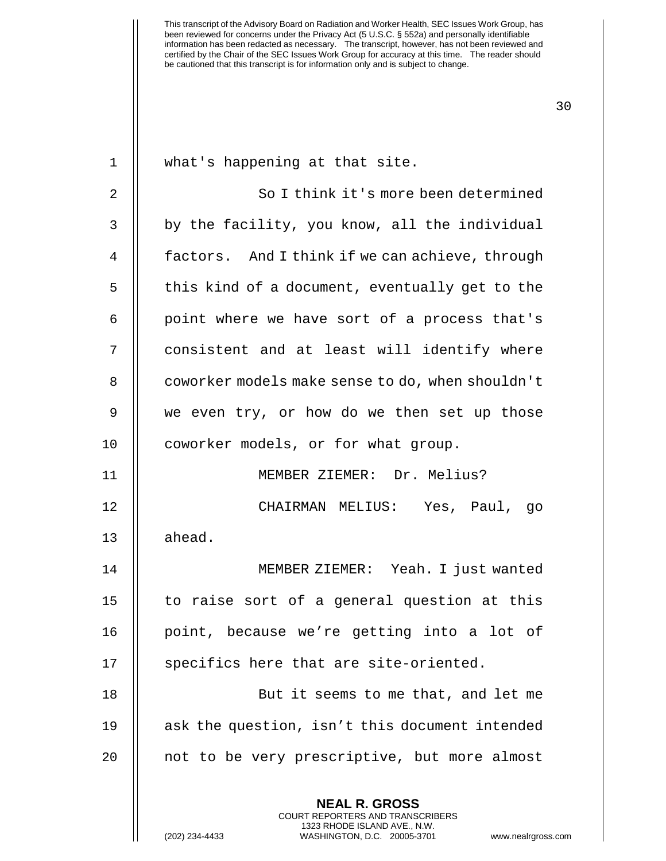1 || what's happening at that site. 2 || So I think it's more been determined  $3$   $\parallel$  by the facility, you know, all the individual 4 | factors. And I think if we can achieve, through  $5$  | this kind of a document, eventually get to the  $6$  || point where we have sort of a process that's 7 || consistent and at least will identify where 8 | coworker models make sense to do, when shouldn't 9 we even try, or how do we then set up those 10 | coworker models, or for what group. 11 MEMBER ZIEMER: Dr. Melius? 12 CHAIRMAN MELIUS: Yes, Paul, go  $13$   $\parallel$  ahead. 14 MEMBER ZIEMER: Yeah. I just wanted 15 || to raise sort of a general question at this 16 || point, because we're getting into a lot of 17 || specifics here that are site-oriented. 18 But it seems to me that, and let me 19 ask the question, isn't this document intended

> **NEAL R. GROSS** COURT REPORTERS AND TRANSCRIBERS 1323 RHODE ISLAND AVE., N.W.

20 || not to be very prescriptive, but more almost

(202) 234-4433 WASHINGTON, D.C. 20005-3701 www.nealrgross.com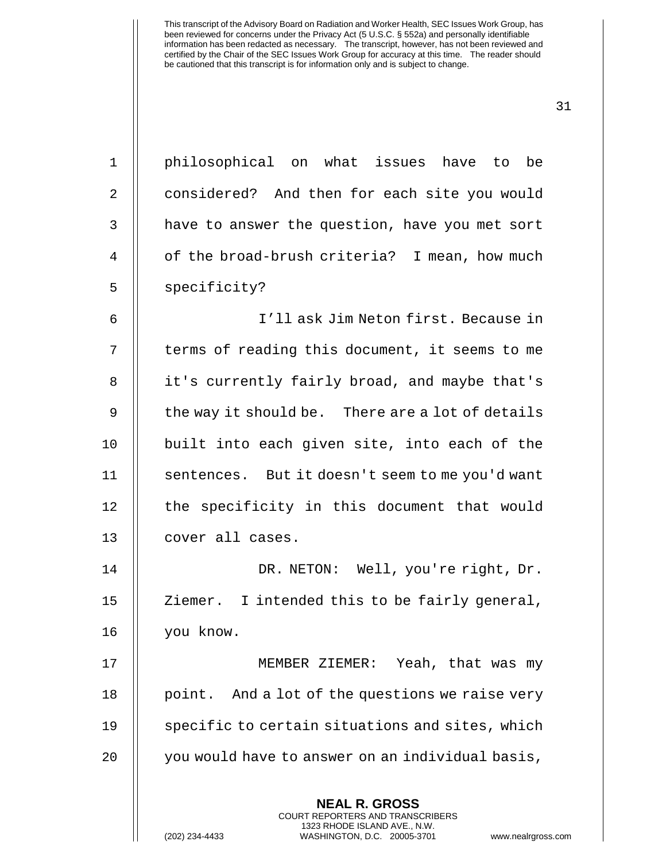**NEAL R. GROSS** 1 philosophical on what issues have to be 2 | considered? And then for each site you would 3 | have to answer the question, have you met sort 4 | of the broad-brush criteria? I mean, how much 5 | specificity? 6 I'll ask Jim Neton first. Because in 7 || terms of reading this document, it seems to me 8 || it's currently fairly broad, and maybe that's  $9 \parallel$  the way it should be. There are a lot of details 10 || built into each given site, into each of the 11 | sentences. But it doesn't seem to me you'd want 12 | the specificity in this document that would 13 || cover all cases. 14 DR. NETON: Well, you're right, Dr. 15 || Ziemer. I intended this to be fairly general, 16 you know. 17 || MEMBER ZIEMER: Yeah, that was my 18  $\parallel$  point. And a lot of the questions we raise very  $19$   $\parallel$  specific to certain situations and sites, which 20 | you would have to answer on an individual basis,

> COURT REPORTERS AND TRANSCRIBERS 1323 RHODE ISLAND AVE., N.W.

(202) 234-4433 WASHINGTON, D.C. 20005-3701 www.nealrgross.com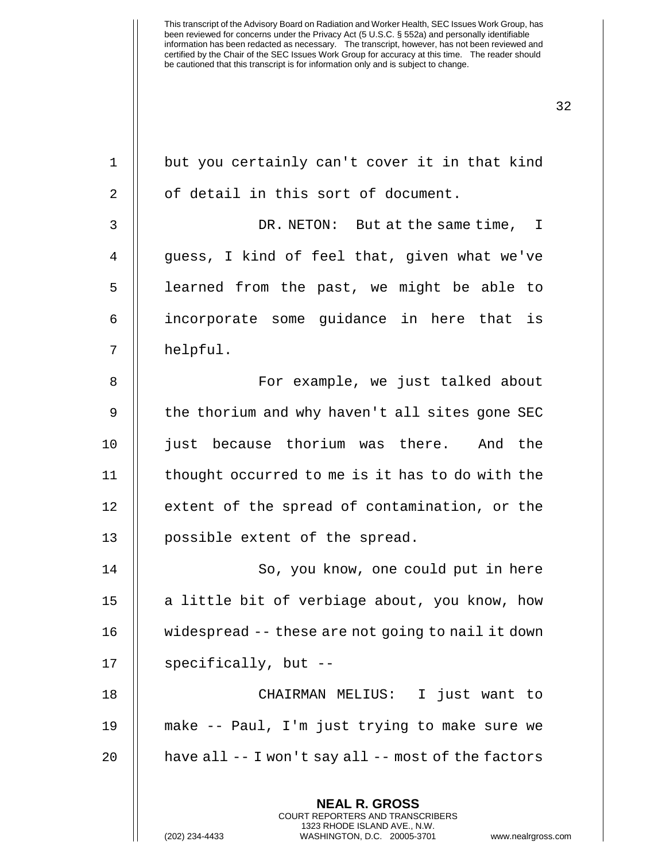**NEAL R. GROSS** COURT REPORTERS AND TRANSCRIBERS  $1$  | but you certainly can't cover it in that kind 2 || of detail in this sort of document. 3 DR. NETON: But at the same time, I 4 || guess, I kind of feel that, given what we've 5 || learned from the past, we might be able to 6 incorporate some guidance in here that is 7 || helpful. 8 For example, we just talked about 9 || the thorium and why haven't all sites gone SEC 10 || just because thorium was there. And the 11 thought occurred to me is it has to do with the 12 | extent of the spread of contamination, or the 13 || possible extent of the spread. 14 || So, you know, one could put in here 15 || a little bit of verbiage about, you know, how 16 widespread -- these are not going to nail it down 17  $\parallel$  specifically, but --18 CHAIRMAN MELIUS: I just want to 19 make -- Paul, I'm just trying to make sure we 20  $\parallel$  have all -- I won't say all -- most of the factors

1323 RHODE ISLAND AVE., N.W.

(202) 234-4433 WASHINGTON, D.C. 20005-3701 www.nealrgross.com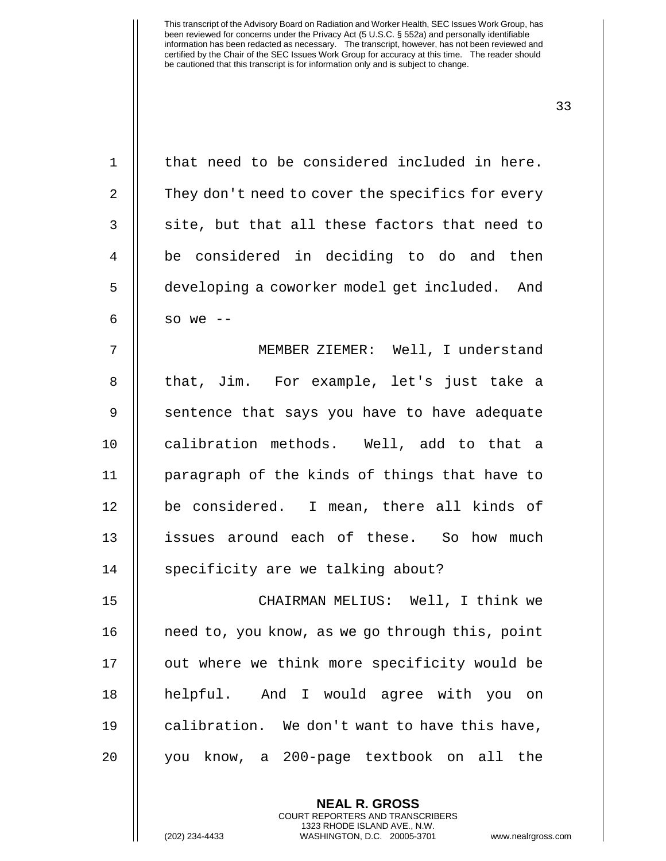| $\mathbf 1$    | that need to be considered included in here.     |
|----------------|--------------------------------------------------|
| $\overline{2}$ | They don't need to cover the specifics for every |
| 3              | site, but that all these factors that need to    |
| 4              | be considered in deciding to do and then         |
| 5              | developing a coworker model get included. And    |
| 6              | so we $--$                                       |
| 7              | MEMBER ZIEMER: Well, I understand                |
| 8              | that, Jim. For example, let's just take a        |
| 9              | sentence that says you have to have adequate     |
| 10             | calibration methods. Well, add to that a         |
| 11             | paragraph of the kinds of things that have to    |
| 12             | be considered. I mean, there all kinds of        |
| 13             | issues around each of these. So how much         |
| 14             | specificity are we talking about?                |
| 15             | CHAIRMAN MELIUS: Well, I think we                |
| 16             | need to, you know, as we go through this, point  |
| 17             | out where we think more specificity would be     |
| 18             | helpful. And I would agree with you on           |
| 19             | calibration. We don't want to have this have,    |
| 20             | know, a 200-page textbook on all<br>the<br>you   |
|                | <b>NEAL R. GROSS</b>                             |

COURT REPORTERS AND TRANSCRIBERS 1323 RHODE ISLAND AVE., N.W.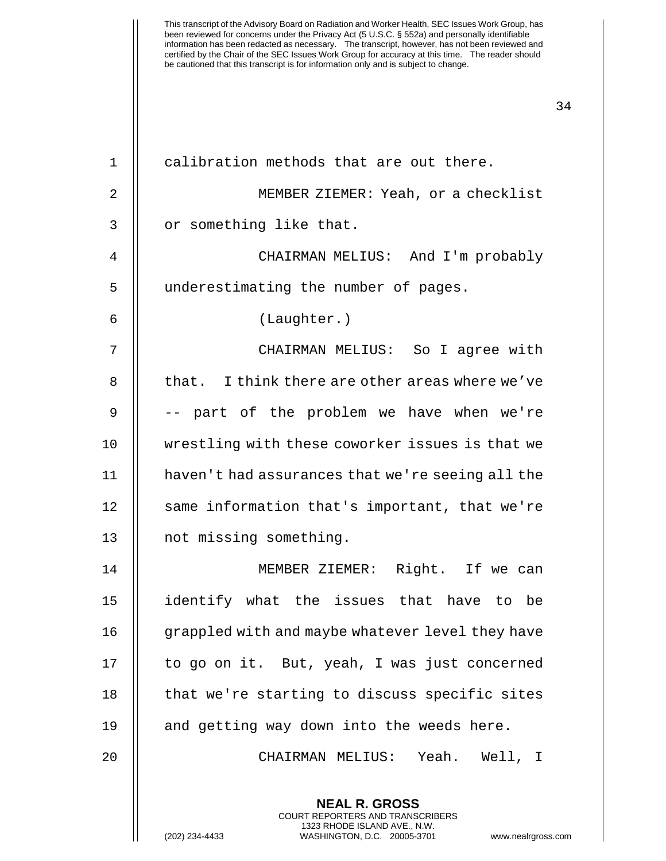| 1              | calibration methods that are out there.                  |
|----------------|----------------------------------------------------------|
| $\overline{2}$ | MEMBER ZIEMER: Yeah, or a checklist                      |
| $\mathsf{3}$   | or something like that.                                  |
| $\overline{4}$ | CHAIRMAN MELIUS: And I'm probably                        |
| 5              | underestimating the number of pages.                     |
| 6              | (Laughter.)                                              |
| 7              | CHAIRMAN MELIUS: So I agree with                         |
| 8              | that. I think there are other areas where we've          |
| 9              | -- part of the problem we have when we're                |
| 10             | wrestling with these coworker issues is that we          |
| 11             | haven't had assurances that we're seeing all the         |
| 12             | same information that's important, that we're            |
| 13             | not missing something.                                   |
| 14             | MEMBER ZIEMER: Right. If we can                          |
| 15             | identify what the issues that have to be                 |
| 16             | grappled with and maybe whatever level they have         |
| 17             | to go on it. But, yeah, I was just concerned             |
| 18             | that we're starting to discuss specific sites            |
| 19             | and getting way down into the weeds here.                |
| 20             | CHAIRMAN MELIUS: Yeah. Well, I                           |
|                | <b>NEAL R. GROSS</b><br>COURT REPORTERS AND TRANSCRIBERS |

1323 RHODE ISLAND AVE., N.W. (202) 234-4433 WASHINGTON, D.C. 20005-3701 www.nealrgross.com

 $\mathop{||}$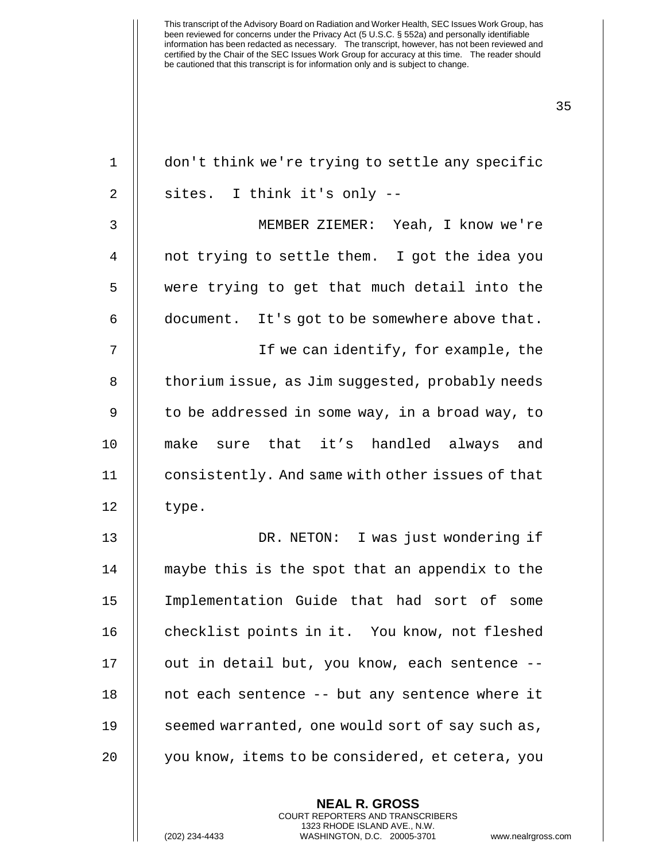| $\mathbf 1$ | don't think we're trying to settle any specific  |
|-------------|--------------------------------------------------|
| 2           | sites. I think it's only --                      |
| 3           | MEMBER ZIEMER: Yeah, I know we're                |
| 4           | not trying to settle them. I got the idea you    |
| 5           | were trying to get that much detail into the     |
| 6           | document. It's got to be somewhere above that.   |
| 7           | If we can identify, for example, the             |
| 8           | thorium issue, as Jim suggested, probably needs  |
| $\mathsf 9$ | to be addressed in some way, in a broad way, to  |
| 10          | make sure that it's handled always and           |
| 11          | consistently. And same with other issues of that |
| 12          | type.                                            |
| 13          | DR. NETON: I was just wondering if               |
| 14          | maybe this is the spot that an appendix to the   |
| 15          | Implementation Guide that had sort of some       |
| 16          | checklist points in it. You know, not fleshed    |
| 17          | out in detail but, you know, each sentence --    |
| 18          | not each sentence -- but any sentence where it   |
| 19          | seemed warranted, one would sort of say such as, |
| 20          | you know, items to be considered, et cetera, you |
|             |                                                  |

**NEAL R. GROSS** COURT REPORTERS AND TRANSCRIBERS 1323 RHODE ISLAND AVE., N.W.

(202) 234-4433 WASHINGTON, D.C. 20005-3701 www.nealrgross.com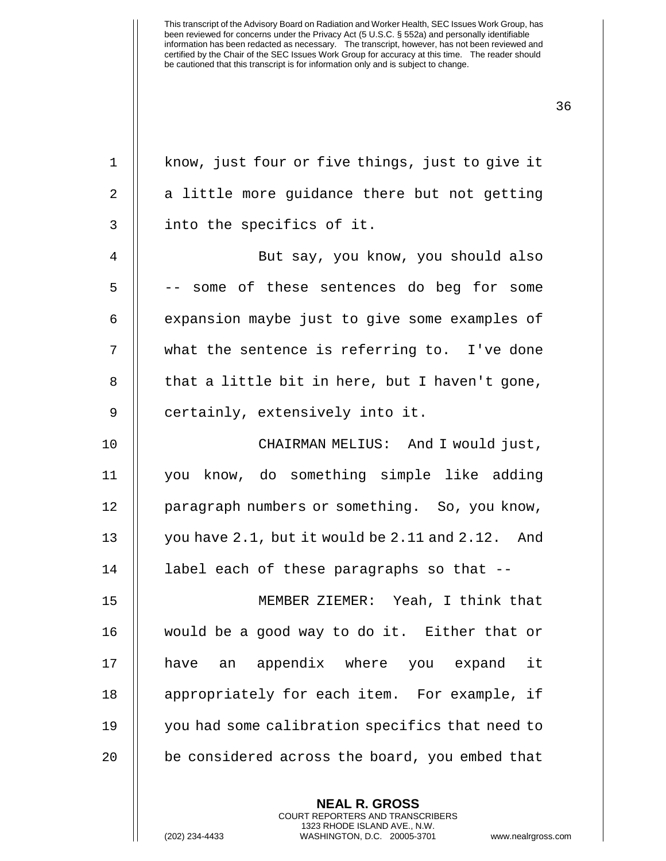1 || know, just four or five things, just to give it  $2 \parallel$  a little more guidance there but not getting 3 || into the specifics of it. 4 || But say, you know, you should also 5 |  $-$  some of these sentences do beg for some  $6$  || expansion maybe just to give some examples of 7 what the sentence is referring to. I've done  $8$   $\parallel$  that a little bit in here, but I haven't gone, 9 || certainly, extensively into it. 10 CHAIRMAN MELIUS: And I would just, 11 you know, do something simple like adding 12 | paragraph numbers or something. So, you know, 13  $\parallel$  you have 2.1, but it would be 2.11 and 2.12. And 14 label each of these paragraphs so that -- 15 MEMBER ZIEMER: Yeah, I think that 16 would be a good way to do it. Either that or 17 || have an appendix where you expand it 18 || appropriately for each item. For example, if 19 you had some calibration specifics that need to 20 | be considered across the board, you embed that

> **NEAL R. GROSS** COURT REPORTERS AND TRANSCRIBERS 1323 RHODE ISLAND AVE., N.W.

(202) 234-4433 WASHINGTON, D.C. 20005-3701 www.nealrgross.com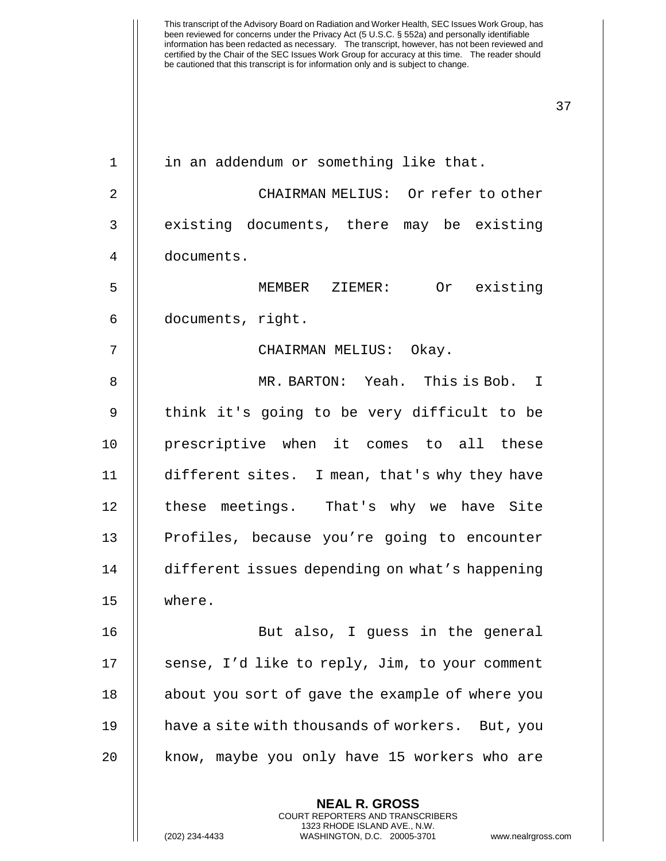| $\mathbf{1}$ | in an addendum or something like that.                   |
|--------------|----------------------------------------------------------|
| 2            | CHAIRMAN MELIUS: Or refer to other                       |
| 3            | existing documents, there may be existing                |
| 4            | documents.                                               |
| 5            | MEMBER ZIEMER: Or existing                               |
| 6            | documents, right.                                        |
| 7            | CHAIRMAN MELIUS: Okay.                                   |
| 8            | MR. BARTON: Yeah. This is Bob. I                         |
| 9            | think it's going to be very difficult to be              |
| 10           | prescriptive when it comes to all these                  |
| 11           | different sites. I mean, that's why they have            |
| 12           | these meetings. That's why we have Site                  |
| 13           | Profiles, because you're going to encounter              |
| 14           | different issues depending on what's happening           |
| 15           | where.                                                   |
| 16           | But also, I guess in the general                         |
| 17           | sense, I'd like to reply, Jim, to your comment           |
| 18           | about you sort of gave the example of where you          |
| 19           | have a site with thousands of workers. But, you          |
| 20           | know, maybe you only have 15 workers who are             |
|              | <b>NEAL R. GROSS</b><br>COURT REPORTERS AND TRANSCRIBERS |

1323 RHODE ISLAND AVE., N.W.

 $\mathop{||}$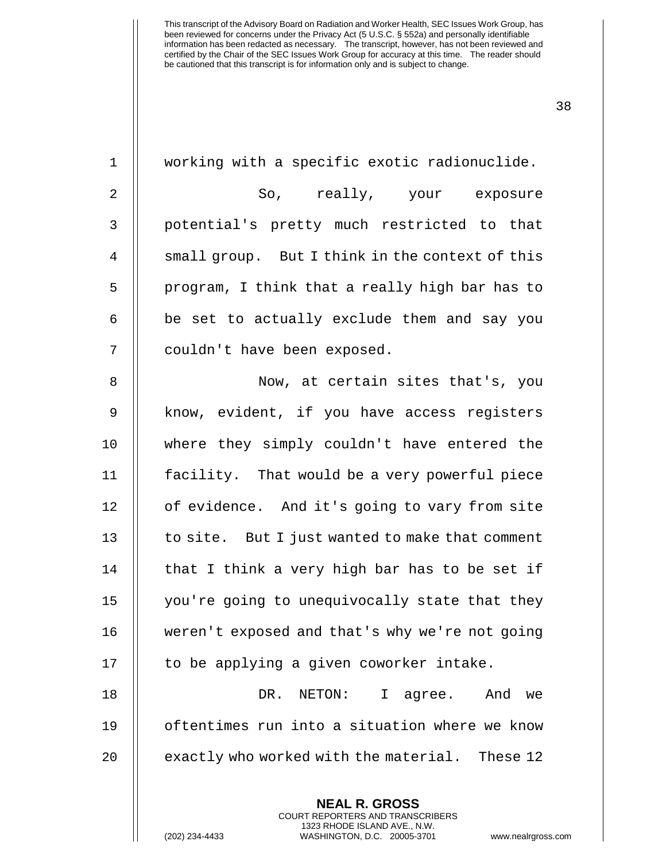**NEAL R. GROSS** working with a specific exotic radionuclide. So, really, your exposure 3 || potential's pretty much restricted to that 4 | small group. But I think in the context of this || program, I think that a really high bar has to || be set to actually exclude them and say you 7 || couldn't have been exposed. Now, at certain sites that's, you 9 || know, evident, if you have access registers where they simply couldn't have entered the facility. That would be a very powerful piece 12 | of evidence. And it's going to vary from site | to site. But I just wanted to make that comment || that I think a very high bar has to be set if you're going to unequivocally state that they 16 | weren't exposed and that's why we're not going || to be applying a given coworker intake. DR. NETON: I agree. And we oftentimes run into a situation where we know  $\parallel$  exactly who worked with the material. These 12

> COURT REPORTERS AND TRANSCRIBERS 1323 RHODE ISLAND AVE., N.W.

(202) 234-4433 WASHINGTON, D.C. 20005-3701 www.nealrgross.com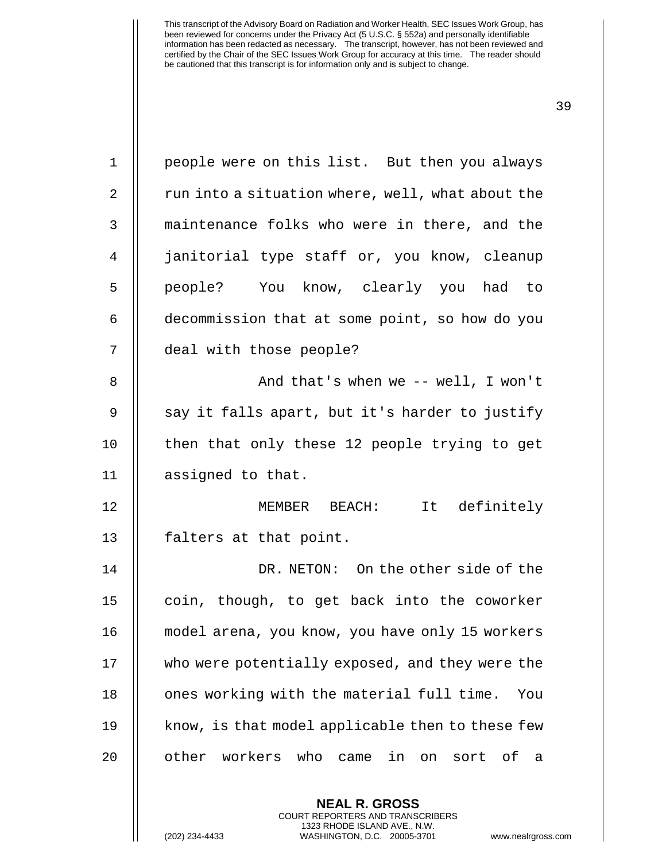1 || people were on this list. But then you always 2 | run into a situation where, well, what about the 3 || maintenance folks who were in there, and the 4 janitorial type staff or, you know, cleanup 5 || people? You know, clearly you had to 6 decommission that at some point, so how do you 7 deal with those people? 8 And that's when we -- well, I won't 9 || say it falls apart, but it's harder to justify 10 || then that only these 12 people trying to get 11 assigned to that. 12 MEMBER BEACH: It definitely 13 | falters at that point. 14 DR. NETON: On the other side of the 15 || coin, though, to get back into the coworker 16 model arena, you know, you have only 15 workers 17 || who were potentially exposed, and they were the 18 || ones working with the material full time. You  $19$  || know, is that model applicable then to these few 20 || other workers who came in on sort of a

> **NEAL R. GROSS** COURT REPORTERS AND TRANSCRIBERS 1323 RHODE ISLAND AVE., N.W.

(202) 234-4433 WASHINGTON, D.C. 20005-3701 www.nealrgross.com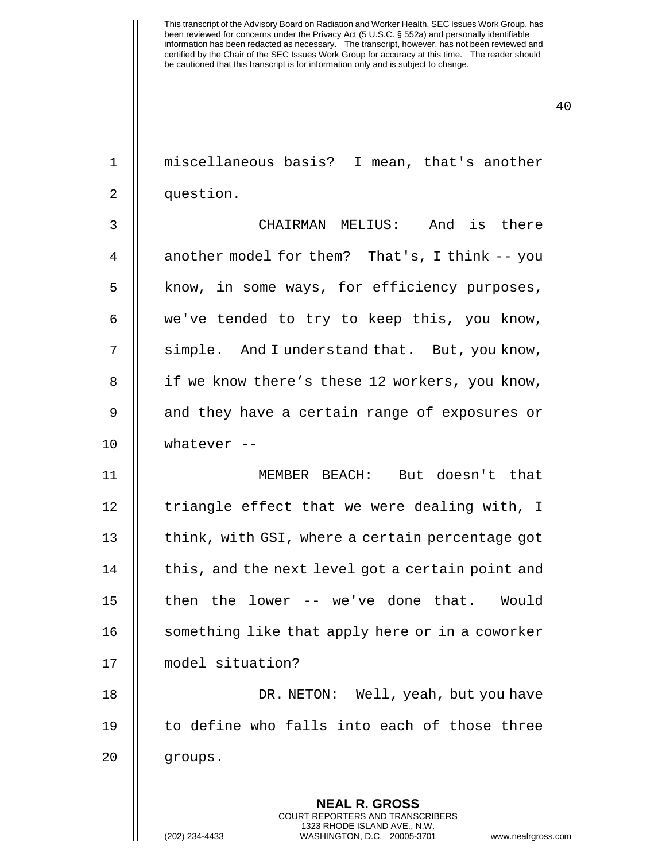| $\mathbf{1}$   | miscellaneous basis? I mean, that's another                                                                                                                 |
|----------------|-------------------------------------------------------------------------------------------------------------------------------------------------------------|
| 2              | question.                                                                                                                                                   |
| 3              | CHAIRMAN MELIUS: And is there                                                                                                                               |
| $\overline{4}$ | another model for them? That's, I think -- you                                                                                                              |
| 5              | know, in some ways, for efficiency purposes,                                                                                                                |
| 6              | we've tended to try to keep this, you know,                                                                                                                 |
| 7              | simple. And I understand that. But, you know,                                                                                                               |
| 8              | if we know there's these 12 workers, you know,                                                                                                              |
| 9              | and they have a certain range of exposures or                                                                                                               |
| 10             | whatever $--$                                                                                                                                               |
| 11             | MEMBER BEACH: But doesn't that                                                                                                                              |
| 12             | triangle effect that we were dealing with, I                                                                                                                |
| 13             | think, with GSI, where a certain percentage got                                                                                                             |
| 14             | this, and the next level got a certain point and                                                                                                            |
| 15             | then the lower -- we've done that. Would                                                                                                                    |
| 16             | something like that apply here or in a coworker                                                                                                             |
| 17             | model situation?                                                                                                                                            |
| 18             | DR. NETON: Well, yeah, but you have                                                                                                                         |
| 19             | to define who falls into each of those three                                                                                                                |
| 20             | groups.                                                                                                                                                     |
|                | <b>NEAL R. GROSS</b><br>COURT REPORTERS AND TRANSCRIBERS<br>1323 RHODE ISLAND AVE., N.W.<br>(202) 234-4433<br>WASHINGTON, D.C. 20005-3701<br>www.nealrgross |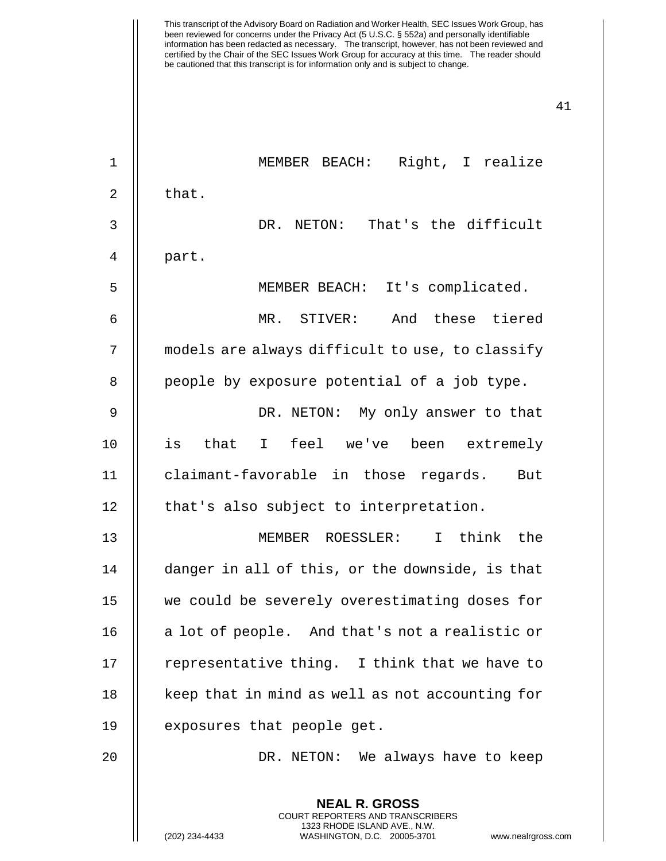| $\mathbf 1$    | MEMBER BEACH: Right, I realize                           |
|----------------|----------------------------------------------------------|
| $\overline{2}$ | that.                                                    |
| 3              | That's the difficult<br>DR. NETON:                       |
| 4              | part.                                                    |
| 5              | MEMBER BEACH: It's complicated.                          |
| 6              | And these tiered<br>MR. STIVER:                          |
| 7              | models are always difficult to use, to classify          |
| 8              | people by exposure potential of a job type.              |
| 9              | DR. NETON: My only answer to that                        |
| 10             | is that I feel we've been extremely                      |
| 11             | claimant-favorable in those regards. But                 |
| 12             | that's also subject to interpretation.                   |
| 13             | MEMBER ROESSLER: I think the                             |
| 14             | danger in all of this, or the downside, is that          |
| 15             | we could be severely overestimating doses for            |
| 16             | a lot of people. And that's not a realistic or           |
| 17             | representative thing. I think that we have to            |
| 18             | keep that in mind as well as not accounting for          |
| 19             | exposures that people get.                               |
| 20             | DR. NETON: We always have to keep                        |
|                | <b>NEAL R. GROSS</b><br>COURT REPORTERS AND TRANSCRIBERS |

1323 RHODE ISLAND AVE., N.W.

 $\mathsf{I}$ 

(202) 234-4433 WASHINGTON, D.C. 20005-3701 www.nealrgross.com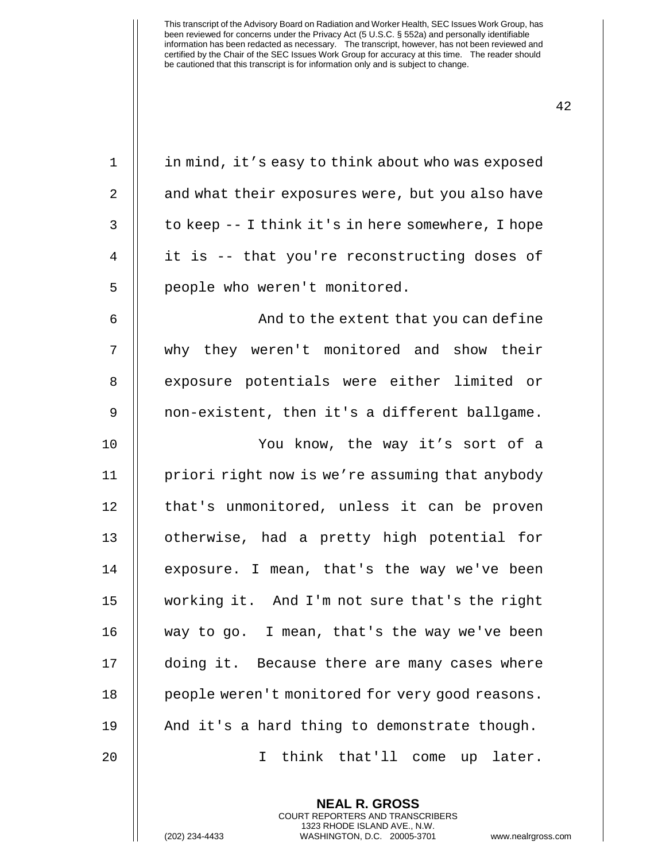| $\mathbf 1$ | in mind, it's easy to think about who was exposed |
|-------------|---------------------------------------------------|
| 2           | and what their exposures were, but you also have  |
| 3           | to keep -- I think it's in here somewhere, I hope |
| 4           | it is -- that you're reconstructing doses of      |
| 5           | people who weren't monitored.                     |
| 6           | And to the extent that you can define             |
| 7           | why they weren't monitored and show their         |
| 8           | exposure potentials were either limited or        |
| 9           | non-existent, then it's a different ballgame.     |
| 10          | You know, the way it's sort of a                  |
| 11          | priori right now is we're assuming that anybody   |
| 12          | that's unmonitored, unless it can be proven       |
| 13          | otherwise, had a pretty high potential for        |
| 14          | exposure. I mean, that's the way we've been       |
| 15          | working it. And I'm not sure that's the right     |
| 16          | way to go. I mean, that's the way we've been      |
| 17          | doing it. Because there are many cases where      |
| 18          | people weren't monitored for very good reasons.   |
| 19          | And it's a hard thing to demonstrate though.      |
| 20          | think that'll come up later.<br>T.                |
|             |                                                   |

**NEAL R. GROSS** COURT REPORTERS AND TRANSCRIBERS 1323 RHODE ISLAND AVE., N.W.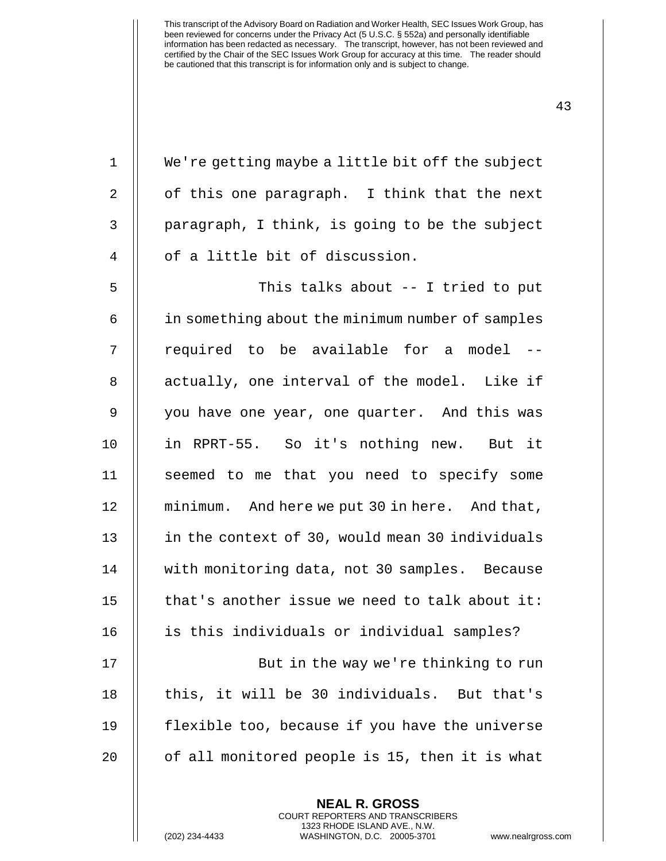1 | We're getting maybe a little bit off the subject 2  $\parallel$  of this one paragraph. I think that the next  $3 \parallel$  paragraph, I think, is going to be the subject 4 | of a little bit of discussion. 5 This talks about -- I tried to put 6 in something about the minimum number of samples 7 || required to be available for a model --8 || actually, one interval of the model. Like if 9 || you have one year, one quarter. And this was 10 in RPRT-55. So it's nothing new. But it 11 || seemed to me that you need to specify some 12 minimum. And here we put 30 in here. And that, 13 | in the context of 30, would mean 30 individuals 14 | with monitoring data, not 30 samples. Because 15  $\parallel$  that's another issue we need to talk about it: 16 || is this individuals or individual samples? 17 || But in the way we're thinking to run 18 || this, it will be 30 individuals. But that's 19 flexible too, because if you have the universe  $20$  | of all monitored people is 15, then it is what

> **NEAL R. GROSS** COURT REPORTERS AND TRANSCRIBERS 1323 RHODE ISLAND AVE., N.W.

(202) 234-4433 WASHINGTON, D.C. 20005-3701 www.nealrgross.com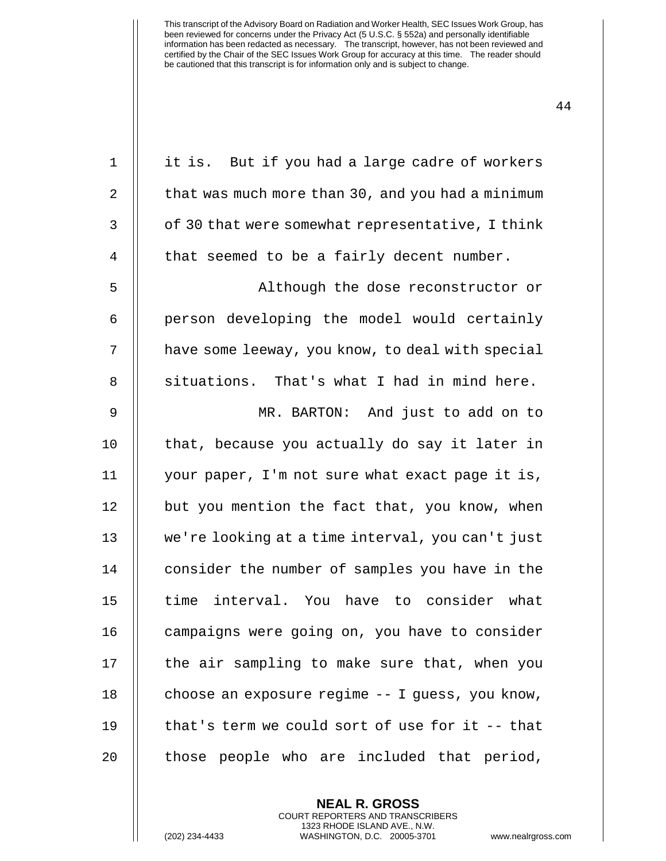| $\mathbf 1$ | it is. But if you had a large cadre of workers    |
|-------------|---------------------------------------------------|
| $\sqrt{2}$  | that was much more than 30, and you had a minimum |
| 3           | of 30 that were somewhat representative, I think  |
| 4           | that seemed to be a fairly decent number.         |
| 5           | Although the dose reconstructor or                |
| 6           | person developing the model would certainly       |
| 7           | have some leeway, you know, to deal with special  |
| 8           | situations. That's what I had in mind here.       |
| 9           | MR. BARTON: And just to add on to                 |
| 10          | that, because you actually do say it later in     |
| 11          | your paper, I'm not sure what exact page it is,   |
| 12          | but you mention the fact that, you know, when     |
| 13          | we're looking at a time interval, you can't just  |
| 14          | consider the number of samples you have in the    |
| 15          | time interval. You have to consider what          |
| 16          | campaigns were going on, you have to consider     |
| 17          | the air sampling to make sure that, when you      |
| 18          | choose an exposure regime -- I guess, you know,   |
| 19          | that's term we could sort of use for it -- that   |
| 20          | those people who are included that period,        |

**NEAL R. GROSS** COURT REPORTERS AND TRANSCRIBERS 1323 RHODE ISLAND AVE., N.W.

(202) 234-4433 WASHINGTON, D.C. 20005-3701 www.nealrgross.com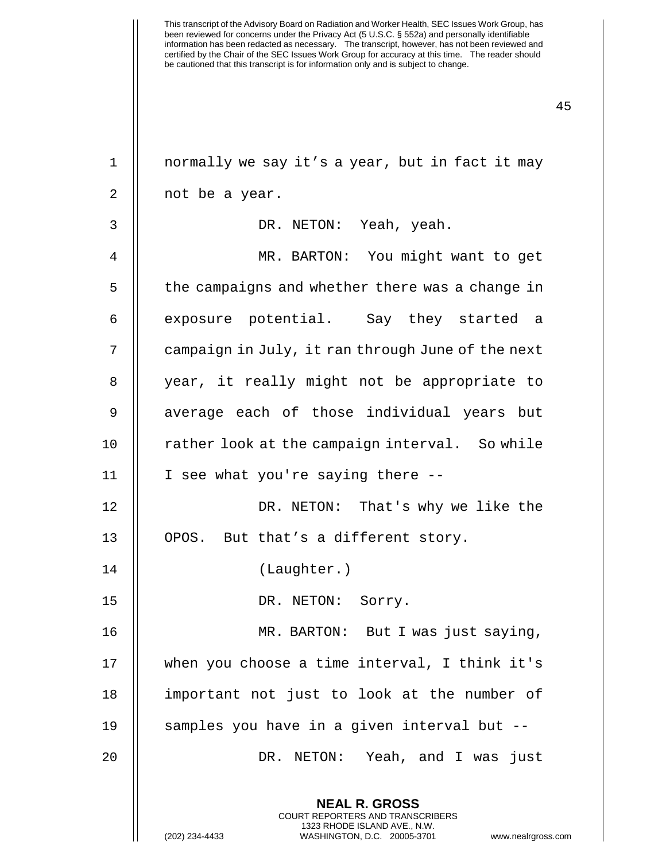| $\mathbf 1$ | normally we say it's a year, but in fact it may                                                                                                               |
|-------------|---------------------------------------------------------------------------------------------------------------------------------------------------------------|
| 2           | not be a year.                                                                                                                                                |
| 3           | DR. NETON: Yeah, yeah.                                                                                                                                        |
| 4           | MR. BARTON: You might want to get                                                                                                                             |
| 5           | the campaigns and whether there was a change in                                                                                                               |
| 6           | exposure potential. Say they started a                                                                                                                        |
| 7           | campaign in July, it ran through June of the next                                                                                                             |
| 8           | year, it really might not be appropriate to                                                                                                                   |
| 9           | average each of those individual years but                                                                                                                    |
| 10          | rather look at the campaign interval. So while                                                                                                                |
| 11          | I see what you're saying there --                                                                                                                             |
| 12          | DR. NETON: That's why we like the                                                                                                                             |
| 13          | OPOS. But that's a different story.                                                                                                                           |
| 14          | (Laughter.)                                                                                                                                                   |
| 15          | DR. NETON: Sorry.                                                                                                                                             |
| 16          | MR. BARTON: But I was just saying,                                                                                                                            |
| 17          | when you choose a time interval, I think it's                                                                                                                 |
| 18          | important not just to look at the number of                                                                                                                   |
| 19          | samples you have in a given interval but --                                                                                                                   |
| 20          | DR. NETON: Yeah, and I was just                                                                                                                               |
|             | <b>NEAL R. GROSS</b><br>COURT REPORTERS AND TRANSCRIBERS<br>1323 RHODE ISLAND AVE., N.W.<br>(202) 234-4433<br>WASHINGTON, D.C. 20005-3701<br>www.nealrgross.c |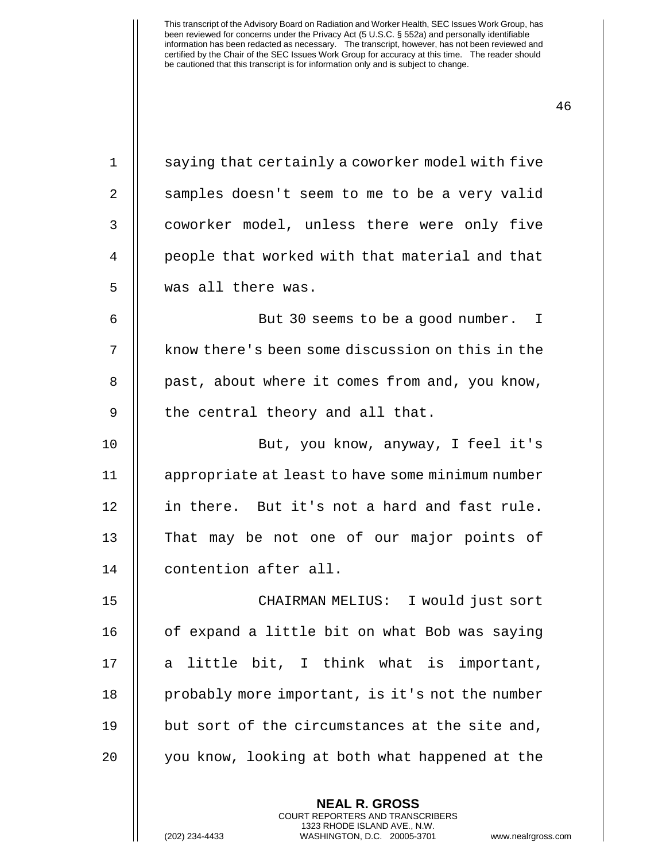| $\mathbf 1$ | saying that certainly a coworker model with five |
|-------------|--------------------------------------------------|
| 2           | samples doesn't seem to me to be a very valid    |
| 3           | coworker model, unless there were only five      |
| 4           | people that worked with that material and that   |
| 5           | was all there was.                               |
| 6           | But 30 seems to be a good number. I              |
| 7           | know there's been some discussion on this in the |
| 8           | past, about where it comes from and, you know,   |
| 9           | the central theory and all that.                 |
| 10          | But, you know, anyway, I feel it's               |
| 11          | appropriate at least to have some minimum number |
| 12          | in there. But it's not a hard and fast rule.     |
| 13          | That may be not one of our major points of       |
| 14          | contention after all.                            |
| 15          | CHAIRMAN MELIUS: I would just sort               |
| 16          | of expand a little bit on what Bob was saying    |
| 17          | little bit, I think what is important,<br>a      |
| 18          | probably more important, is it's not the number  |
| 19          | but sort of the circumstances at the site and,   |
| 20          | you know, looking at both what happened at the   |
|             |                                                  |

**NEAL R. GROSS** COURT REPORTERS AND TRANSCRIBERS 1323 RHODE ISLAND AVE., N.W.

(202) 234-4433 WASHINGTON, D.C. 20005-3701 www.nealrgross.com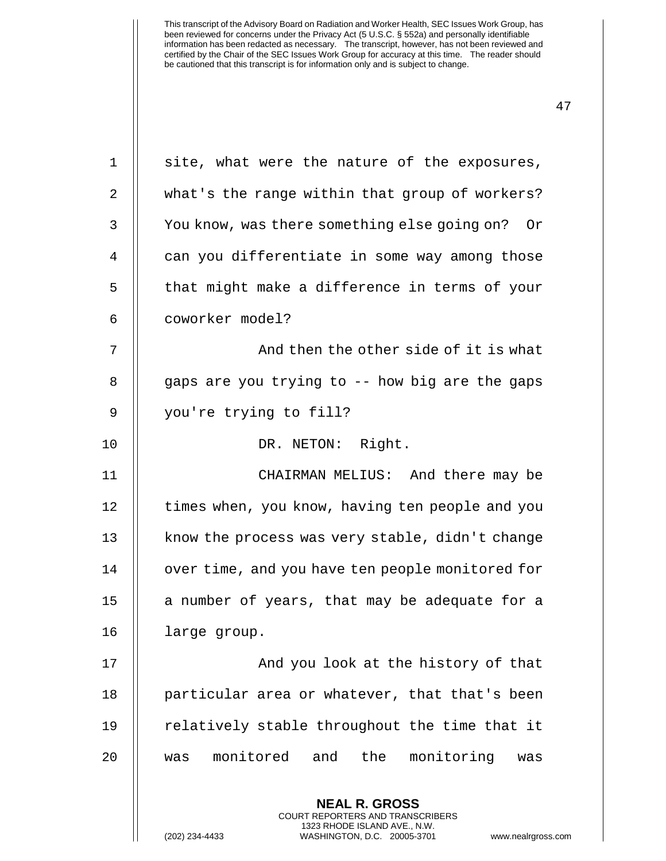| 1  | site, what were the nature of the exposures,                                                                                                                        |
|----|---------------------------------------------------------------------------------------------------------------------------------------------------------------------|
| 2  | what's the range within that group of workers?                                                                                                                      |
| 3  | You know, was there something else going on?<br>Or                                                                                                                  |
| 4  | can you differentiate in some way among those                                                                                                                       |
| 5  | that might make a difference in terms of your                                                                                                                       |
| 6  | coworker model?                                                                                                                                                     |
| 7  | And then the other side of it is what                                                                                                                               |
| 8  | gaps are you trying to -- how big are the gaps                                                                                                                      |
| 9  | you're trying to fill?                                                                                                                                              |
| 10 | DR. NETON: Right.                                                                                                                                                   |
| 11 | CHAIRMAN MELIUS: And there may be                                                                                                                                   |
| 12 | times when, you know, having ten people and you                                                                                                                     |
| 13 | know the process was very stable, didn't change                                                                                                                     |
| 14 | over time, and you have ten people monitored for                                                                                                                    |
| 15 | a number of years, that may be adequate for a                                                                                                                       |
| 16 | large group.                                                                                                                                                        |
| 17 | And you look at the history of that                                                                                                                                 |
| 18 | particular area or whatever, that that's been                                                                                                                       |
| 19 | relatively stable throughout the time that it                                                                                                                       |
| 20 | monitored and<br>the monitoring<br>was<br>was                                                                                                                       |
|    | <b>NEAL R. GROSS</b><br><b>COURT REPORTERS AND TRANSCRIBERS</b><br>1323 RHODE ISLAND AVE., N.W.<br>(202) 234-4433<br>WASHINGTON, D.C. 20005-3701<br>www.nealrgross. |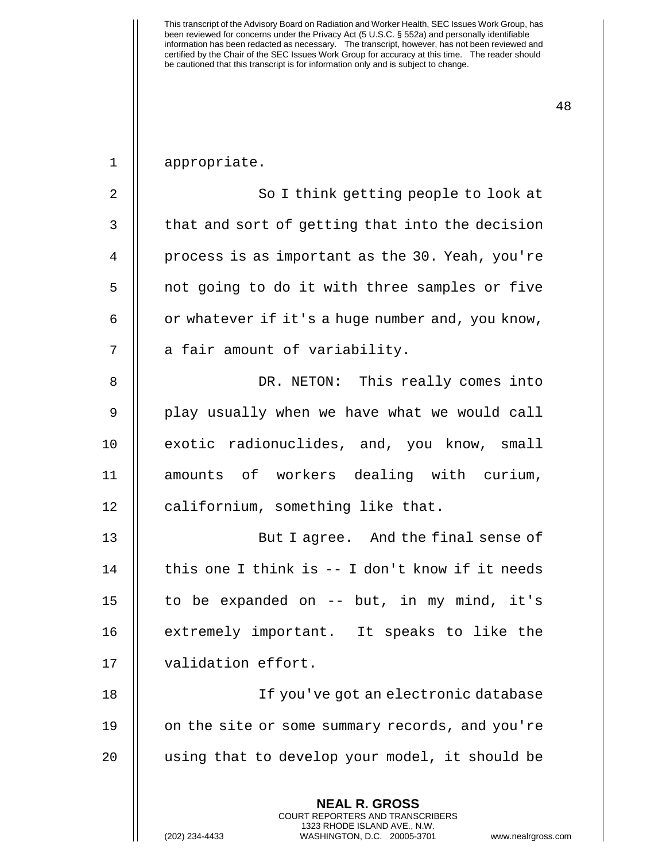| $1\,$          | appropriate.                                                                                                                                                       |
|----------------|--------------------------------------------------------------------------------------------------------------------------------------------------------------------|
| $\overline{2}$ | So I think getting people to look at                                                                                                                               |
| 3              | that and sort of getting that into the decision                                                                                                                    |
| 4              | process is as important as the 30. Yeah, you're                                                                                                                    |
| 5              | not going to do it with three samples or five                                                                                                                      |
| 6              | or whatever if it's a huge number and, you know,                                                                                                                   |
| 7              | a fair amount of variability.                                                                                                                                      |
| 8              | DR. NETON: This really comes into                                                                                                                                  |
| $\mathsf 9$    | play usually when we have what we would call                                                                                                                       |
| 10             | exotic radionuclides, and, you know, small                                                                                                                         |
| 11             | amounts of workers dealing with curium,                                                                                                                            |
| 12             | californium, something like that.                                                                                                                                  |
| 13             | But I agree. And the final sense of                                                                                                                                |
| 14             | this one I think is -- I don't know if it needs                                                                                                                    |
| 15             | to be expanded on -- but, in my mind, it's                                                                                                                         |
| 16             | extremely important. It speaks to like the                                                                                                                         |
| 17             | validation effort.                                                                                                                                                 |
| 18             | If you've got an electronic database                                                                                                                               |
| 19             | on the site or some summary records, and you're                                                                                                                    |
| 20             | using that to develop your model, it should be                                                                                                                     |
|                | <b>NEAL R. GROSS</b><br><b>COURT REPORTERS AND TRANSCRIBERS</b><br>1323 RHODE ISLAND AVE., N.W.<br>(202) 234-4433<br>WASHINGTON, D.C. 20005-3701<br>www.nealrgross |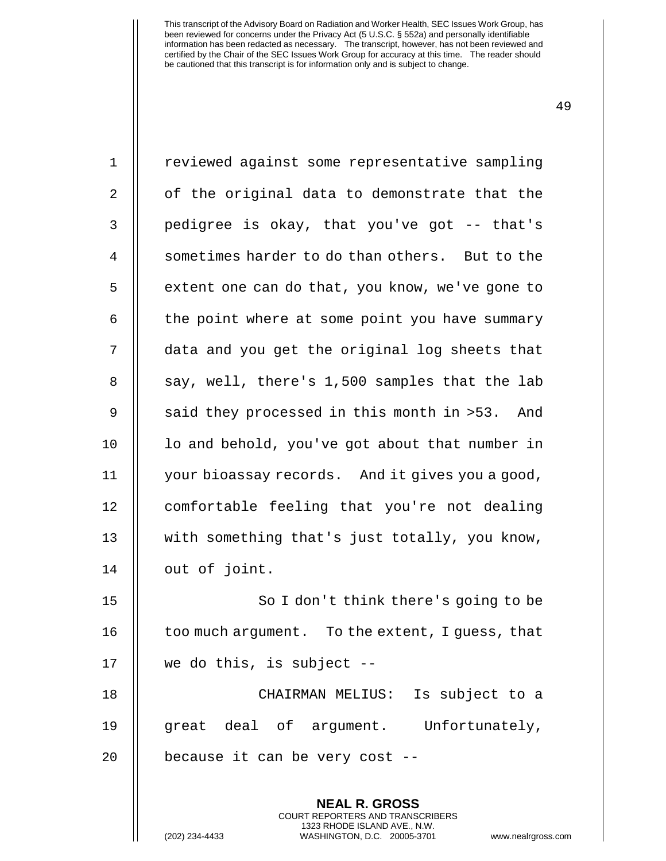| $\mathbf 1$    | reviewed against some representative sampling            |
|----------------|----------------------------------------------------------|
| 2              | of the original data to demonstrate that the             |
| 3              | pedigree is okay, that you've got -- that's              |
| $\overline{4}$ | sometimes harder to do than others. But to the           |
| 5              | extent one can do that, you know, we've gone to          |
| 6              | the point where at some point you have summary           |
| 7              | data and you get the original log sheets that            |
| 8              | say, well, there's 1,500 samples that the lab            |
| $\overline{9}$ | said they processed in this month in >53. And            |
| 10             | lo and behold, you've got about that number in           |
| 11             | your bioassay records. And it gives you a good,          |
| 12             | comfortable feeling that you're not dealing              |
| 13             | with something that's just totally, you know,            |
| 14             | out of joint.                                            |
| 15             | So I don't think there's going to be                     |
| 16             | too much argument. To the extent, I guess, that          |
| 17             | we do this, is subject --                                |
| 18             | CHAIRMAN MELIUS: Is subject to a                         |
| 19             | great deal of argument. Unfortunately,                   |
| 20             | because it can be very cost --                           |
|                | <b>NEAL R. GROSS</b><br>COURT REPORTERS AND TRANSCRIBERS |

1323 RHODE ISLAND AVE., N.W.

 $\prod$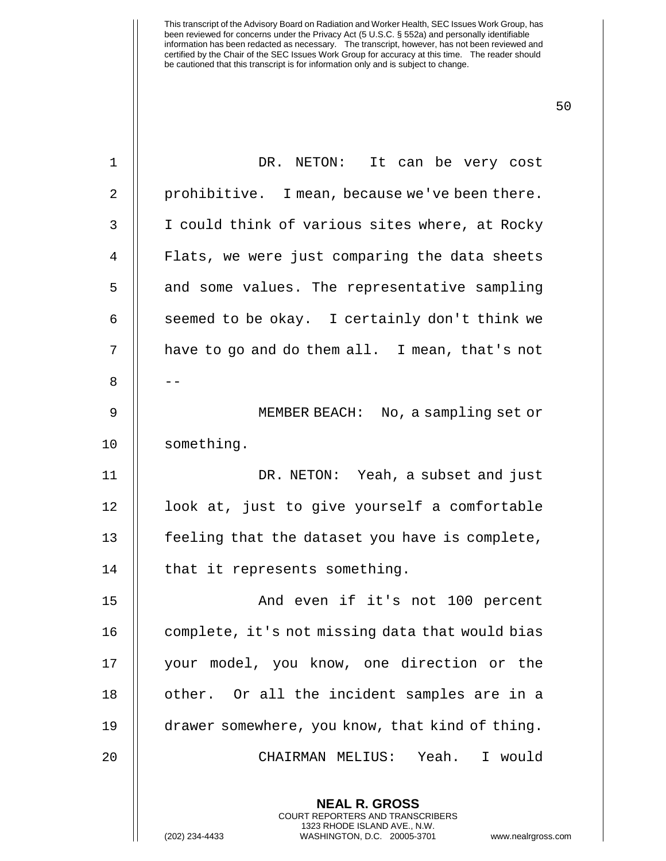| 1  | DR. NETON: It can be very cost                                                                                                                                      |
|----|---------------------------------------------------------------------------------------------------------------------------------------------------------------------|
| 2  | prohibitive. I mean, because we've been there.                                                                                                                      |
| 3  | I could think of various sites where, at Rocky                                                                                                                      |
| 4  | Flats, we were just comparing the data sheets                                                                                                                       |
| 5  | and some values. The representative sampling                                                                                                                        |
| 6  | seemed to be okay. I certainly don't think we                                                                                                                       |
| 7  | have to go and do them all. I mean, that's not                                                                                                                      |
| 8  |                                                                                                                                                                     |
| 9  | MEMBER BEACH: No, a sampling set or                                                                                                                                 |
| 10 | something.                                                                                                                                                          |
| 11 | DR. NETON: Yeah, a subset and just                                                                                                                                  |
| 12 | look at, just to give yourself a comfortable                                                                                                                        |
| 13 | feeling that the dataset you have is complete,                                                                                                                      |
| 14 | that it represents something.                                                                                                                                       |
| 15 | And even if it's not 100 percent                                                                                                                                    |
| 16 | complete, it's not missing data that would bias                                                                                                                     |
| 17 | your model, you know, one direction or the                                                                                                                          |
| 18 | other. Or all the incident samples are in a                                                                                                                         |
| 19 | drawer somewhere, you know, that kind of thing.                                                                                                                     |
| 20 | CHAIRMAN MELIUS: Yeah. I would                                                                                                                                      |
|    | <b>NEAL R. GROSS</b><br><b>COURT REPORTERS AND TRANSCRIBERS</b><br>1323 RHODE ISLAND AVE., N.W.<br>(202) 234-4433<br>WASHINGTON, D.C. 20005-3701<br>www.nealrgross. |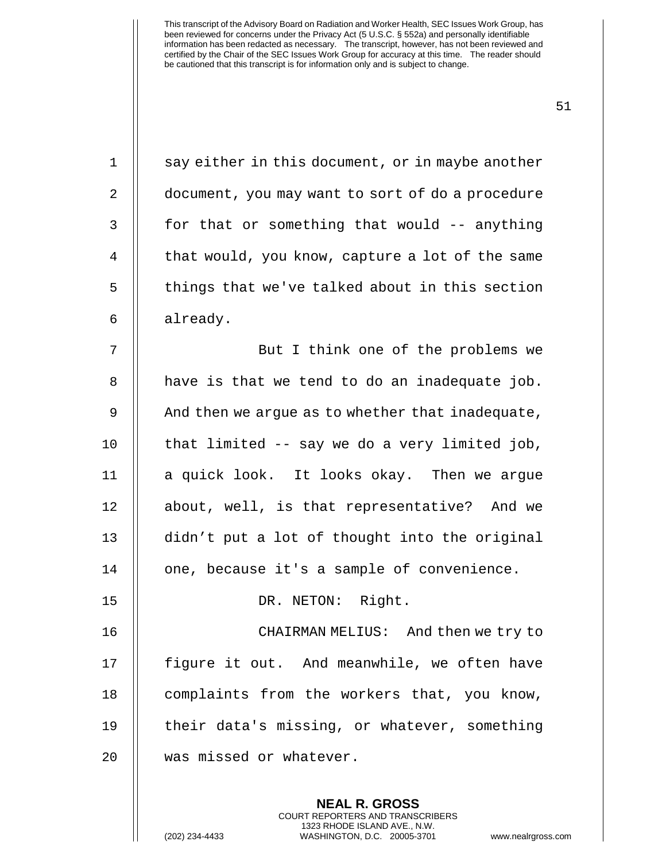| $\mathbf 1$ | say either in this document, or in maybe another |
|-------------|--------------------------------------------------|
| 2           | document, you may want to sort of do a procedure |
| 3           | for that or something that would -- anything     |
| 4           | that would, you know, capture a lot of the same  |
| 5           | things that we've talked about in this section   |
| 6           | already.                                         |
| 7           | But I think one of the problems we               |
| 8           | have is that we tend to do an inadequate job.    |
| 9           | And then we argue as to whether that inadequate, |
| 10          | that limited -- say we do a very limited job,    |
| 11          | a quick look. It looks okay. Then we argue       |
| 12          | about, well, is that representative? And we      |
| 13          | didn't put a lot of thought into the original    |
| 14          | one, because it's a sample of convenience.       |
| 15          | DR. NETON: Right.                                |
| 16          | CHAIRMAN MELIUS: And then we try to              |
| 17          | figure it out. And meanwhile, we often have      |
| 18          | complaints from the workers that, you know,      |
| 19          | their data's missing, or whatever, something     |
| 20          | was missed or whatever.                          |
|             | <b>NEAL R. GROSS</b>                             |
|             |                                                  |

COURT REPORTERS AND TRANSCRIBERS 1323 RHODE ISLAND AVE., N.W.

(202) 234-4433 WASHINGTON, D.C. 20005-3701 www.nealrgross.com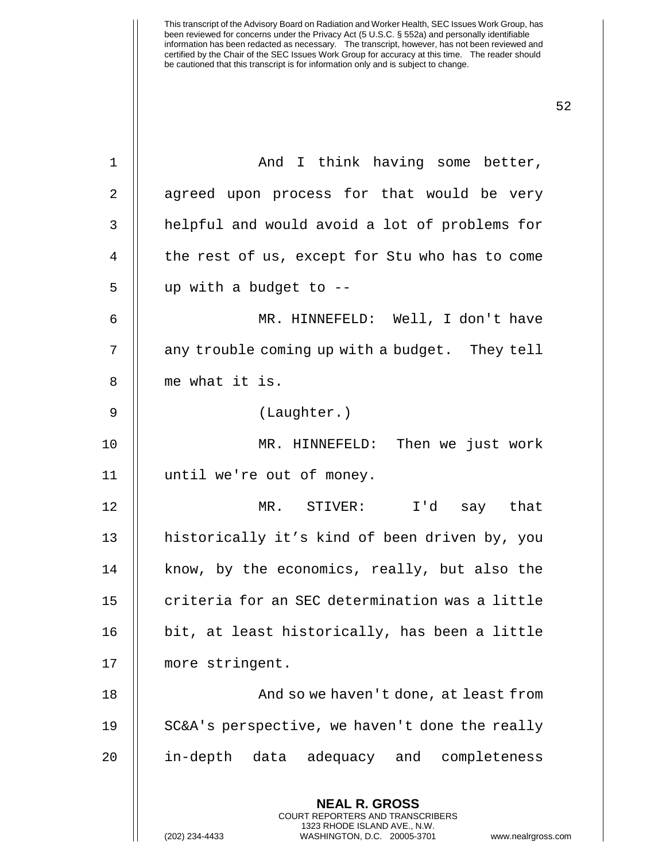| $\mathbf{1}$ | And I think having some better,                                                                                                                                        |
|--------------|------------------------------------------------------------------------------------------------------------------------------------------------------------------------|
| 2            | agreed upon process for that would be very                                                                                                                             |
| 3            | helpful and would avoid a lot of problems for                                                                                                                          |
| 4            | the rest of us, except for Stu who has to come                                                                                                                         |
| 5            | up with a budget to --                                                                                                                                                 |
| 6            | MR. HINNEFELD: Well, I don't have                                                                                                                                      |
| 7            | any trouble coming up with a budget. They tell                                                                                                                         |
| 8            | me what it is.                                                                                                                                                         |
| $\mathsf 9$  | (Laughter.)                                                                                                                                                            |
| 10           | MR. HINNEFELD: Then we just work                                                                                                                                       |
| 11           | until we're out of money.                                                                                                                                              |
| 12           | MR. STIVER: I'd say that                                                                                                                                               |
| 13           | historically it's kind of been driven by, you                                                                                                                          |
| 14           | know, by the economics, really, but also the                                                                                                                           |
| 15           | criteria for an SEC determination was a little                                                                                                                         |
| 16           | bit, at least historically, has been a little                                                                                                                          |
| 17           | more stringent.                                                                                                                                                        |
| 18           | And so we haven't done, at least from                                                                                                                                  |
| 19           | SC&A's perspective, we haven't done the really                                                                                                                         |
| 20           | in-depth data adequacy and completeness                                                                                                                                |
|              | <b>NEAL R. GROSS</b><br><b>COURT REPORTERS AND TRANSCRIBERS</b><br>1323 RHODE ISLAND AVE., N.W.<br>(202) 234-4433<br>WASHINGTON, D.C. 20005-3701<br>www.nealrgross.com |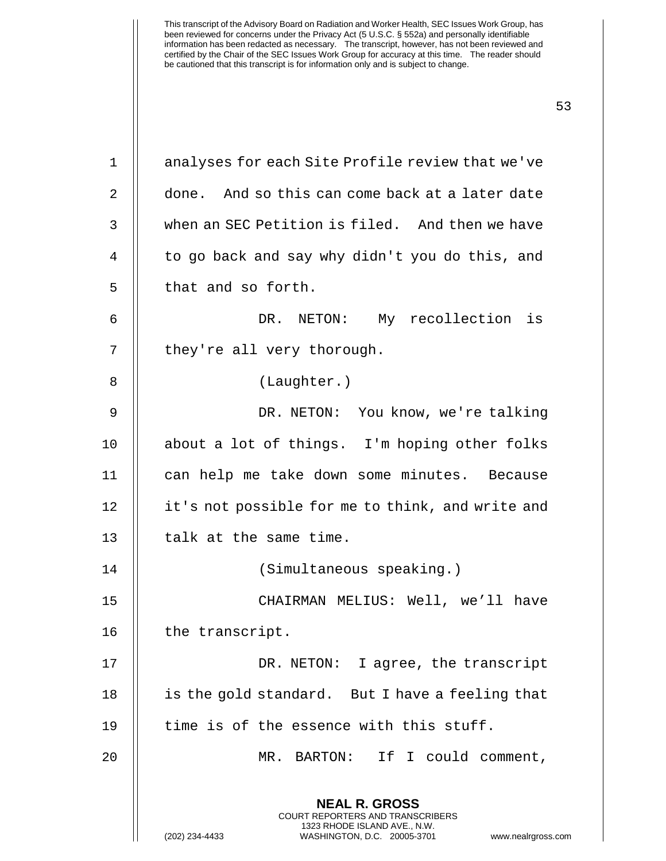| 1  | analyses for each Site Profile review that we've                                                                                                                |
|----|-----------------------------------------------------------------------------------------------------------------------------------------------------------------|
| 2  | done. And so this can come back at a later date                                                                                                                 |
| 3  | when an SEC Petition is filed. And then we have                                                                                                                 |
| 4  | to go back and say why didn't you do this, and                                                                                                                  |
| 5  | that and so forth.                                                                                                                                              |
| 6  | DR. NETON: My recollection<br>is                                                                                                                                |
| 7  | they're all very thorough.                                                                                                                                      |
| 8  | (Laughter.)                                                                                                                                                     |
| 9  | DR. NETON: You know, we're talking                                                                                                                              |
| 10 | about a lot of things. I'm hoping other folks                                                                                                                   |
| 11 | can help me take down some minutes. Because                                                                                                                     |
| 12 | it's not possible for me to think, and write and                                                                                                                |
| 13 | talk at the same time.                                                                                                                                          |
| 14 | (Simultaneous speaking.)                                                                                                                                        |
| 15 | CHAIRMAN MELIUS: Well, we'll have                                                                                                                               |
| 16 | the transcript.                                                                                                                                                 |
| 17 | DR. NETON: I agree, the transcript                                                                                                                              |
| 18 | is the gold standard. But I have a feeling that                                                                                                                 |
| 19 | time is of the essence with this stuff.                                                                                                                         |
| 20 | If I could comment,<br>MR. BARTON:                                                                                                                              |
|    | <b>NEAL R. GROSS</b><br>COURT REPORTERS AND TRANSCRIBERS<br>1323 RHODE ISLAND AVE., N.W.<br>(202) 234-4433<br>WASHINGTON, D.C. 20005-3701<br>www.nealrgross.com |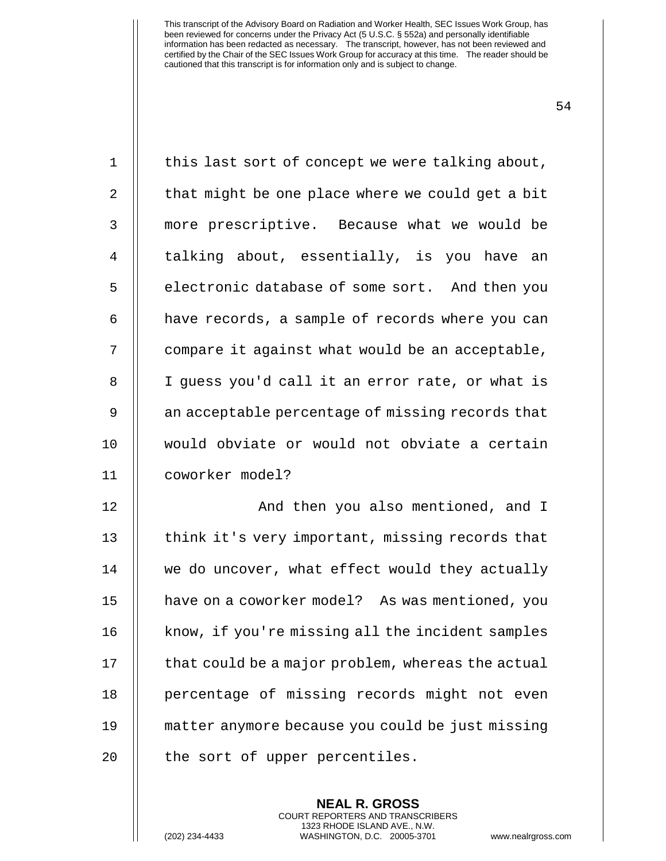| $\mathbf 1$    | this last sort of concept we were talking about,  |
|----------------|---------------------------------------------------|
| 2              | that might be one place where we could get a bit  |
| 3              | more prescriptive. Because what we would be       |
| 4              | talking about, essentially, is you have an        |
| 5              | electronic database of some sort. And then you    |
| 6              | have records, a sample of records where you can   |
| 7              | compare it against what would be an acceptable,   |
| 8              | I guess you'd call it an error rate, or what is   |
| $\mathsf 9$    | an acceptable percentage of missing records that  |
| 10             | would obviate or would not obviate a certain      |
| 11             | coworker model?                                   |
| 12             | And then you also mentioned, and I                |
| 13             |                                                   |
|                | think it's very important, missing records that   |
| 14             | we do uncover, what effect would they actually    |
|                | have on a coworker model? As was mentioned, you   |
|                | know, if you're missing all the incident samples  |
| 15<br>16<br>17 | that could be a major problem, whereas the actual |
| 18             | percentage of missing records might not even      |
| 19             | matter anymore because you could be just missing  |

**NEAL R. GROSS** COURT REPORTERS AND TRANSCRIBERS 1323 RHODE ISLAND AVE., N.W.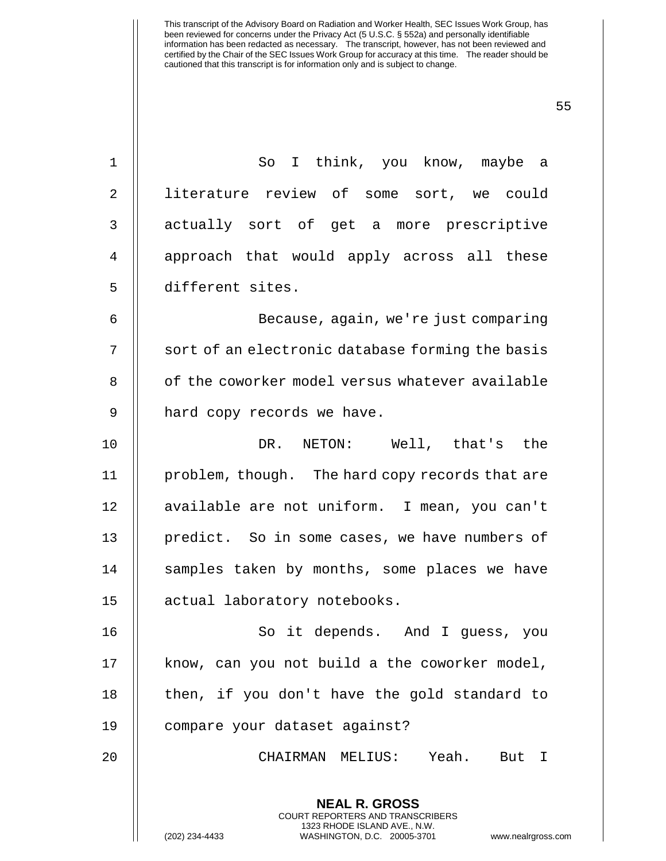1 So I think, you know, maybe a 2 | literature review of some sort, we could 3 || actually sort of get a more prescriptive 4 || approach that would apply across all these 5 different sites. 6 Because, again, we're just comparing 7 || sort of an electronic database forming the basis 8 || of the coworker model versus whatever available 9 || hard copy records we have. 10 DR. NETON: Well, that's the 11 | problem, though. The hard copy records that are 12 || available are not uniform. I mean, you can't 13 || predict. So in some cases, we have numbers of 14 || samples taken by months, some places we have 15 actual laboratory notebooks. 16 || So it depends. And I guess, you  $17$  | know, can you not build a the coworker model,  $18$  | then, if you don't have the gold standard to 19 compare your dataset against? 20 CHAIRMAN MELIUS: Yeah. But I

> **NEAL R. GROSS** COURT REPORTERS AND TRANSCRIBERS 1323 RHODE ISLAND AVE., N.W.

(202) 234-4433 WASHINGTON, D.C. 20005-3701 www.nealrgross.com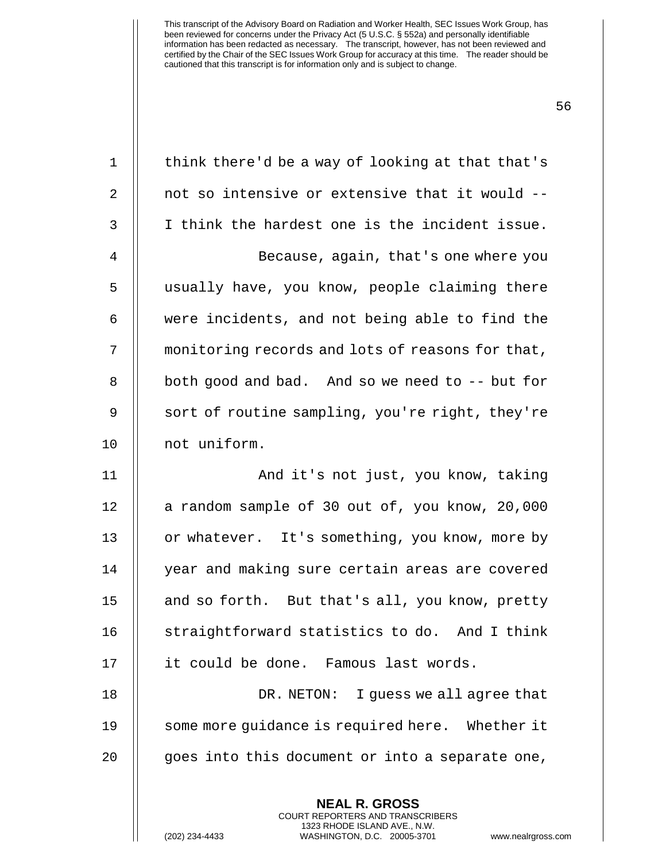| $\mathbf 1$ | think there'd be a way of looking at that that's |
|-------------|--------------------------------------------------|
| 2           | not so intensive or extensive that it would --   |
| 3           | I think the hardest one is the incident issue.   |
| 4           | Because, again, that's one where you             |
| 5           | usually have, you know, people claiming there    |
| 6           | were incidents, and not being able to find the   |
| 7           | monitoring records and lots of reasons for that, |
| 8           | both good and bad. And so we need to -- but for  |
| $\mathsf 9$ | sort of routine sampling, you're right, they're  |
| 10          | not uniform.                                     |
| 11          | And it's not just, you know, taking              |
| 12          | a random sample of 30 out of, you know, 20,000   |
| 13          | or whatever. It's something, you know, more by   |
| 14          | year and making sure certain areas are covered   |
| 15          | and so forth. But that's all, you know, pretty   |
| 16          | straightforward statistics to do. And I think    |
| 17          | it could be done. Famous last words.             |
| 18          | DR. NETON: I quess we all agree that             |
| 19          | some more guidance is required here. Whether it  |
| 20          | goes into this document or into a separate one,  |
|             | <b>NEAL R. GROSS</b>                             |

COURT REPORTERS AND TRANSCRIBERS 1323 RHODE ISLAND AVE., N.W.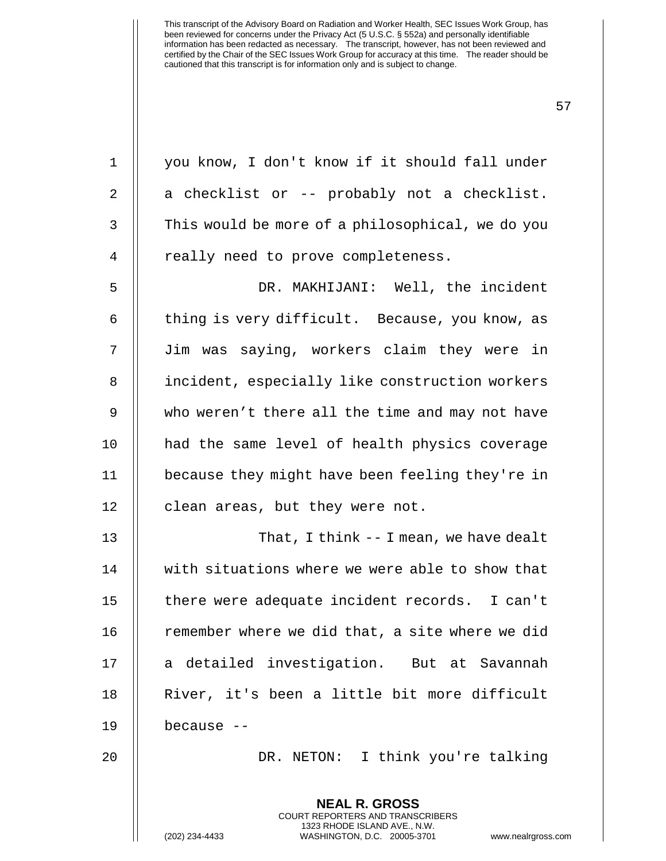**NEAL R. GROSS** COURT REPORTERS AND TRANSCRIBERS 1 || you know, I don't know if it should fall under  $2 \parallel$  a checklist or -- probably not a checklist. 3 | This would be more of a philosophical, we do you 4 || really need to prove completeness. 5 DR. MAKHIJANI: Well, the incident 6  $\parallel$  thing is very difficult. Because, you know, as 7 Jim was saying, workers claim they were in 8 | incident, especially like construction workers 9 || who weren't there all the time and may not have 10 had the same level of health physics coverage 11 because they might have been feeling they're in 12 | clean areas, but they were not. 13 || That, I think -- I mean, we have dealt 14 with situations where we were able to show that 15 || there were adequate incident records. I can't 16 | remember where we did that, a site where we did 17 || a detailed investigation. But at Savannah 18 || River, it's been a little bit more difficult 19 because -- 20 DR. NETON: I think you're talking

1323 RHODE ISLAND AVE., N.W.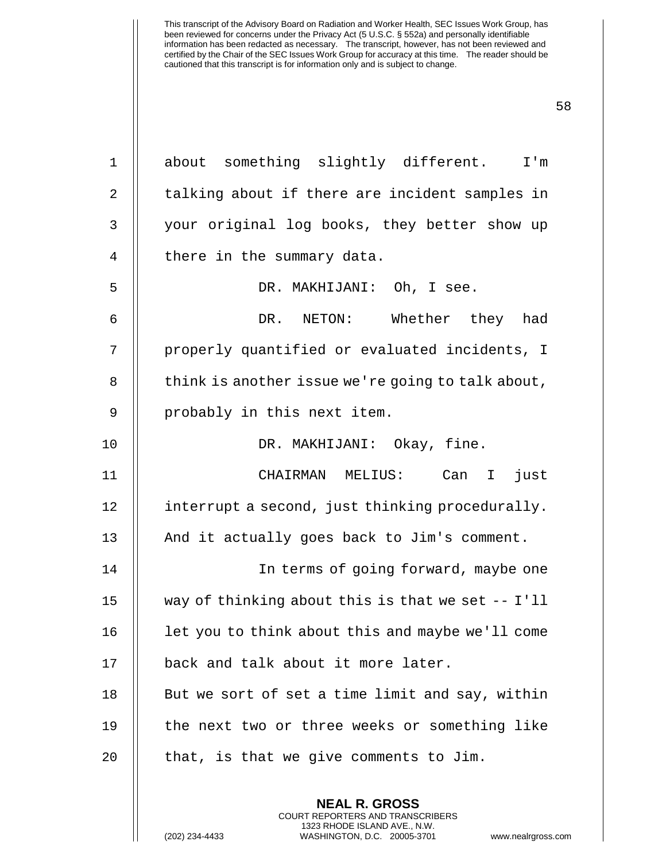1 about something slightly different. I'm 2 || talking about if there are incident samples in 3 || your original log books, they better show up  $4 \parallel$  there in the summary data. 5 DR. MAKHIJANI: Oh, I see. 6 DR. NETON: Whether they had 7 || properly quantified or evaluated incidents, I  $8$  | think is another issue we're going to talk about, 9 || probably in this next item. 10 DR. MAKHIJANI: Okay, fine. 11 CHAIRMAN MELIUS: Can I just 12 | interrupt a second, just thinking procedurally. 13  $\parallel$  And it actually goes back to Jim's comment. 14 In terms of going forward, maybe one 15 way of thinking about this is that we set -- I'll  $16$  | let you to think about this and maybe we'll come 17 || back and talk about it more later.  $18$  || But we sort of set a time limit and say, within 19 || the next two or three weeks or something like  $20$  || that, is that we give comments to Jim.

> **NEAL R. GROSS** COURT REPORTERS AND TRANSCRIBERS 1323 RHODE ISLAND AVE., N.W.

(202) 234-4433 WASHINGTON, D.C. 20005-3701 www.nealrgross.com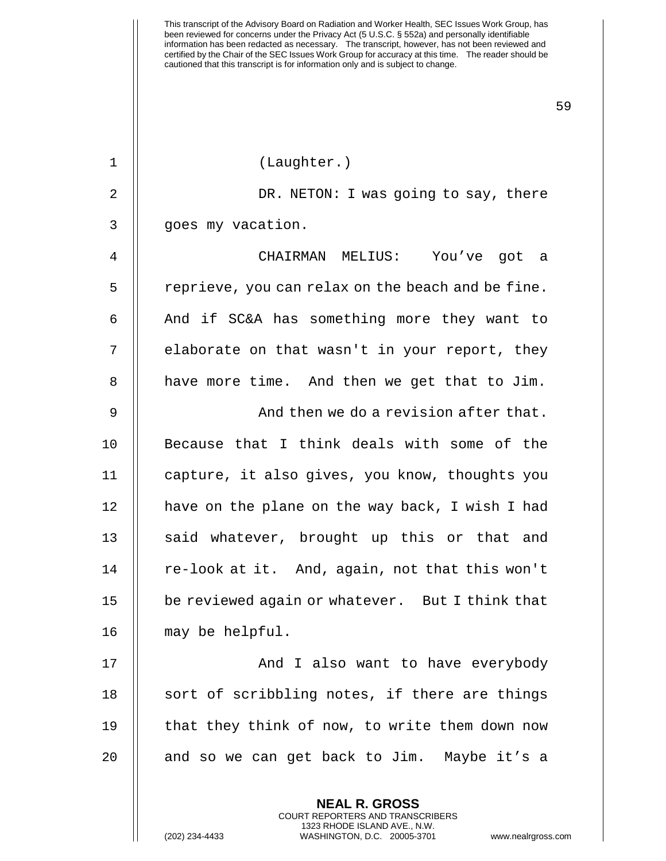59

1 (Laughter.)

2 || DR. NETON: I was going to say, there 3 || goes my vacation.

 CHAIRMAN MELIUS: You've got a | reprieve, you can relax on the beach and be fine. || And if SC&A has something more they want to 7 || elaborate on that wasn't in your report, they || have more time. And then we get that to Jim.

 And then we do a revision after that. Because that I think deals with some of the capture, it also gives, you know, thoughts you | have on the plane on the way back, I wish I had 13 || said whatever, brought up this or that and 14 || re-look at it. And, again, not that this won't 15 | be reviewed again or whatever. But I think that may be helpful.

17 || And I also want to have everybody  $\parallel$  sort of scribbling notes, if there are things  $\parallel$  that they think of now, to write them down now  $\parallel$  and so we can get back to Jim. Maybe it's a

> **NEAL R. GROSS** COURT REPORTERS AND TRANSCRIBERS 1323 RHODE ISLAND AVE., N.W.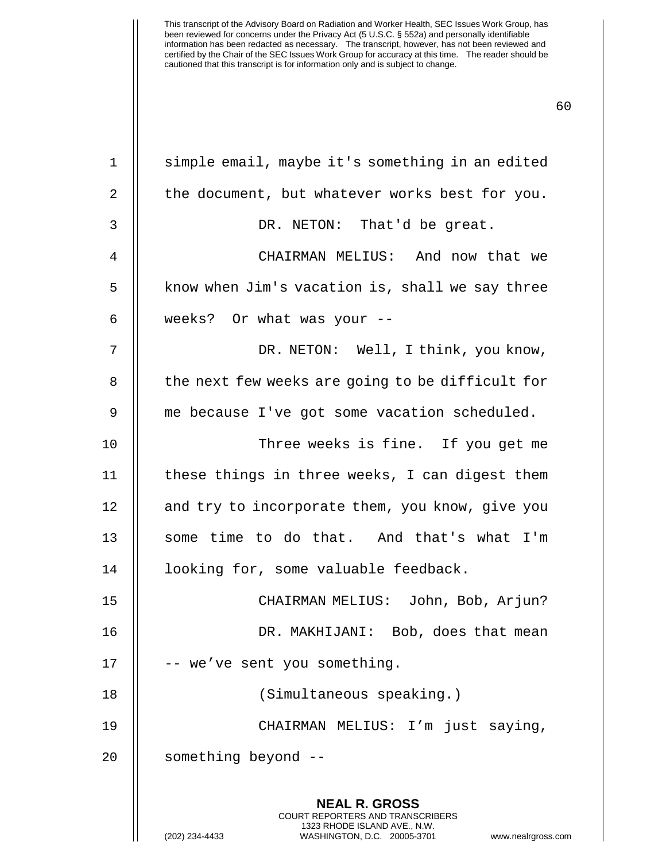| $\mathbf 1$ | simple email, maybe it's something in an edited                                                                                                                      |
|-------------|----------------------------------------------------------------------------------------------------------------------------------------------------------------------|
|             |                                                                                                                                                                      |
| 2           | the document, but whatever works best for you.                                                                                                                       |
| 3           | DR. NETON: That'd be great.                                                                                                                                          |
| 4           | CHAIRMAN MELIUS: And now that we                                                                                                                                     |
| 5           | know when Jim's vacation is, shall we say three                                                                                                                      |
| 6           | weeks? Or what was your --                                                                                                                                           |
| 7           | DR. NETON: Well, I think, you know,                                                                                                                                  |
| 8           | the next few weeks are going to be difficult for                                                                                                                     |
| 9           | me because I've got some vacation scheduled.                                                                                                                         |
| 10          | Three weeks is fine. If you get me                                                                                                                                   |
| 11          | these things in three weeks, I can digest them                                                                                                                       |
| 12          | and try to incorporate them, you know, give you                                                                                                                      |
| 13          | some time to do that. And that's what I'm                                                                                                                            |
| 14          | looking for, some valuable feedback.                                                                                                                                 |
| 15          | CHAIRMAN MELIUS: John, Bob, Arjun?                                                                                                                                   |
| 16          | DR. MAKHIJANI: Bob, does that mean                                                                                                                                   |
| 17          | -- we've sent you something.                                                                                                                                         |
| 18          | (Simultaneous speaking.)                                                                                                                                             |
| 19          | CHAIRMAN MELIUS: I'm just saying,                                                                                                                                    |
| 20          | something beyond --                                                                                                                                                  |
|             | <b>NEAL R. GROSS</b><br><b>COURT REPORTERS AND TRANSCRIBERS</b><br>1323 RHODE ISLAND AVE., N.W.<br>(202) 234-4433<br>WASHINGTON, D.C. 20005-3701<br>www.nealrgross.c |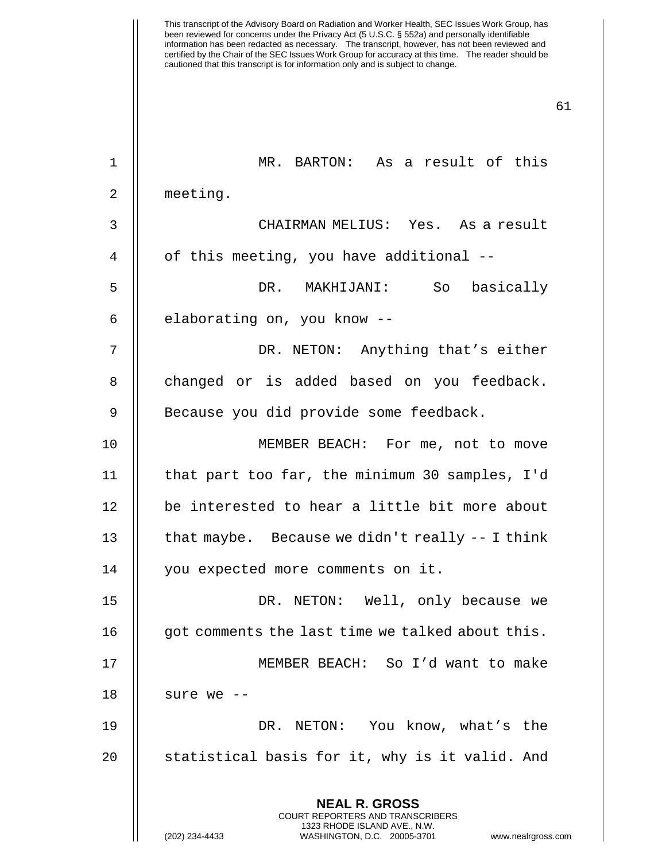**NEAL R. GROSS** 1 MR. BARTON: As a result of this 2 meeting. 3 CHAIRMAN MELIUS: Yes. As a result 4 | of this meeting, you have additional --5 DR. MAKHIJANI: So basically 6  $\parallel$  elaborating on, you know --7 DR. NETON: Anything that's either 8 || changed or is added based on you feedback. 9 || Because you did provide some feedback. 10 || MEMBER BEACH: For me, not to move 11 that part too far, the minimum 30 samples, I'd 12 || be interested to hear a little bit more about 13  $\parallel$  that maybe. Because we didn't really -- I think 14 you expected more comments on it. 15 DR. NETON: Well, only because we 16 | got comments the last time we talked about this. 17 MEMBER BEACH: So I'd want to make 18  $\parallel$  sure we --19 DR. NETON: You know, what's the 20 || statistical basis for it, why is it valid. And

> COURT REPORTERS AND TRANSCRIBERS 1323 RHODE ISLAND AVE., N.W.

(202) 234-4433 WASHINGTON, D.C. 20005-3701 www.nealrgross.com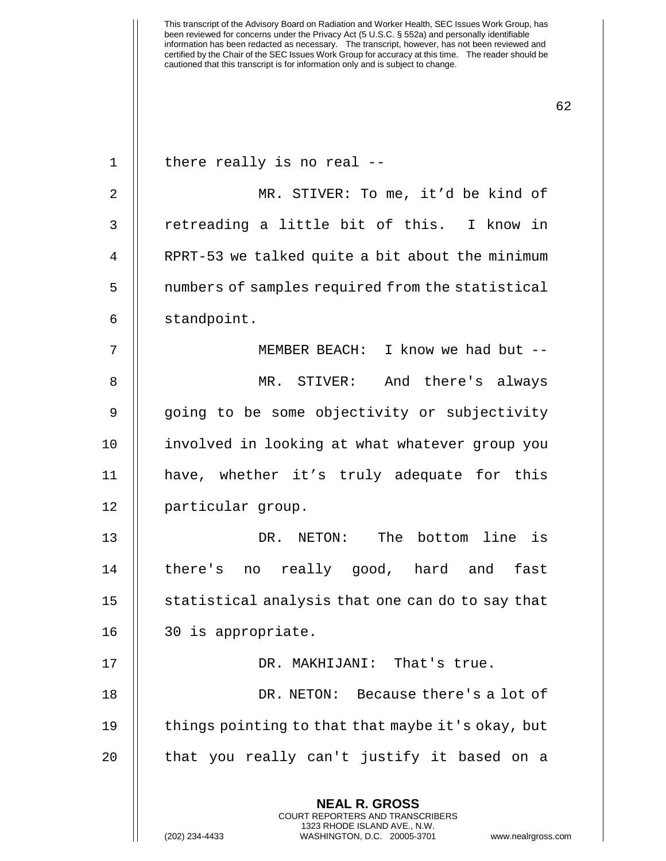**NEAL R. GROSS** COURT REPORTERS AND TRANSCRIBERS | there really is no real -- MR. STIVER: To me, it'd be kind of 3 || retreading a little bit of this. I know in 4 | RPRT-53 we talked quite a bit about the minimum 5 | numbers of samples required from the statistical standpoint. MEMBER BEACH: I know we had but -- MR. STIVER: And there's always 9 || going to be some objectivity or subjectivity involved in looking at what whatever group you have, whether it's truly adequate for this particular group. DR. NETON: The bottom line is there's no really good, hard and fast  $\parallel$  statistical analysis that one can do to say that 30 is appropriate. 17 || DR. MAKHIJANI: That's true. DR. NETON: Because there's a lot of 19 || things pointing to that that maybe it's okay, but || that you really can't justify it based on a

1323 RHODE ISLAND AVE., N.W.

(202) 234-4433 WASHINGTON, D.C. 20005-3701 www.nealrgross.com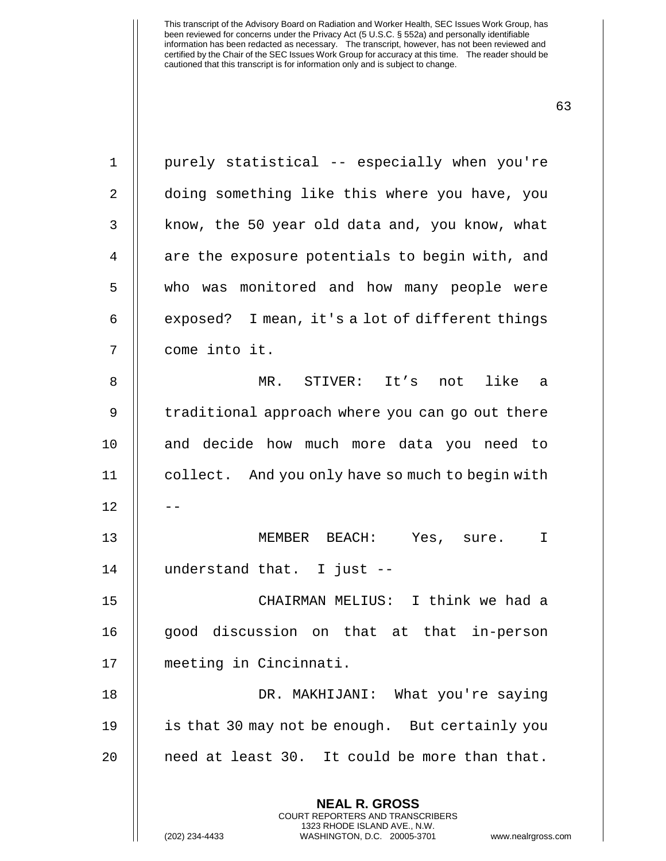**NEAL R. GROSS** COURT REPORTERS AND TRANSCRIBERS 1 || purely statistical -- especially when you're 2 | doing something like this where you have, you  $3$  | know, the 50 year old data and, you know, what 4 || are the exposure potentials to begin with, and 5 || who was monitored and how many people were 6  $\parallel$  exposed? I mean, it's a lot of different things 7 come into it. 8 MR. STIVER: It's not like a 9 || traditional approach where you can go out there 10 || and decide how much more data you need to 11 collect. And you only have so much to begin with  $12$ 13 MEMBER BEACH: Yes, sure. I 14 understand that. I just -- 15 CHAIRMAN MELIUS: I think we had a 16 || good discussion on that at that in-person 17 meeting in Cincinnati. 18 DR. MAKHIJANI: What you're saying 19 is that 30 may not be enough. But certainly you 20  $\parallel$  need at least 30. It could be more than that.

1323 RHODE ISLAND AVE., N.W.

(202) 234-4433 WASHINGTON, D.C. 20005-3701 www.nealrgross.com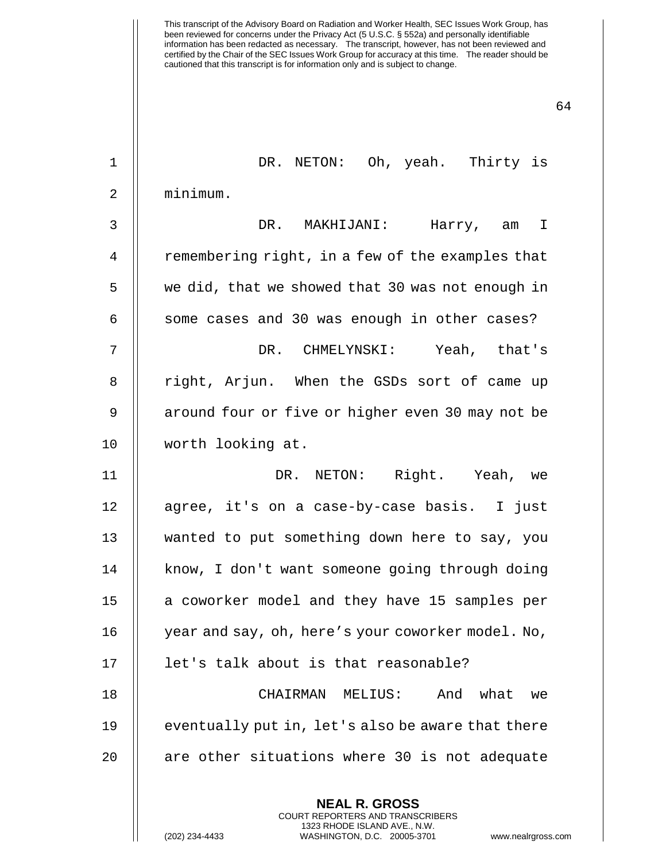| $\mathbf 1$    | DR. NETON: Oh, yeah. Thirty is                                                                                                                                       |
|----------------|----------------------------------------------------------------------------------------------------------------------------------------------------------------------|
| $\overline{2}$ | minimum.                                                                                                                                                             |
| 3              | DR. MAKHIJANI: Harry, am I                                                                                                                                           |
| 4              | remembering right, in a few of the examples that                                                                                                                     |
| 5              | we did, that we showed that 30 was not enough in                                                                                                                     |
| 6              | some cases and 30 was enough in other cases?                                                                                                                         |
| 7              | DR. CHMELYNSKI: Yeah, that's                                                                                                                                         |
| 8              | right, Arjun. When the GSDs sort of came up                                                                                                                          |
| $\mathsf 9$    | around four or five or higher even 30 may not be                                                                                                                     |
| 10             | worth looking at.                                                                                                                                                    |
| 11             | DR. NETON: Right. Yeah, we                                                                                                                                           |
| 12             | agree, it's on a case-by-case basis. I just                                                                                                                          |
| 13             | wanted to put something down here to say, you                                                                                                                        |
| 14             | know, I don't want someone going through doing                                                                                                                       |
| 15             | a coworker model and they have 15 samples per                                                                                                                        |
| 16             | year and say, oh, here's your coworker model. No,                                                                                                                    |
| 17             | let's talk about is that reasonable?                                                                                                                                 |
| 18             | CHAIRMAN MELIUS:<br>And<br>what<br>we                                                                                                                                |
| 19             | eventually put in, let's also be aware that there                                                                                                                    |
| 20             | are other situations where 30 is not adequate                                                                                                                        |
|                | <b>NEAL R. GROSS</b><br><b>COURT REPORTERS AND TRANSCRIBERS</b><br>1323 RHODE ISLAND AVE., N.W.<br>WASHINGTON, D.C. 20005-3701<br>(202) 234-4433<br>www.nealrgross.c |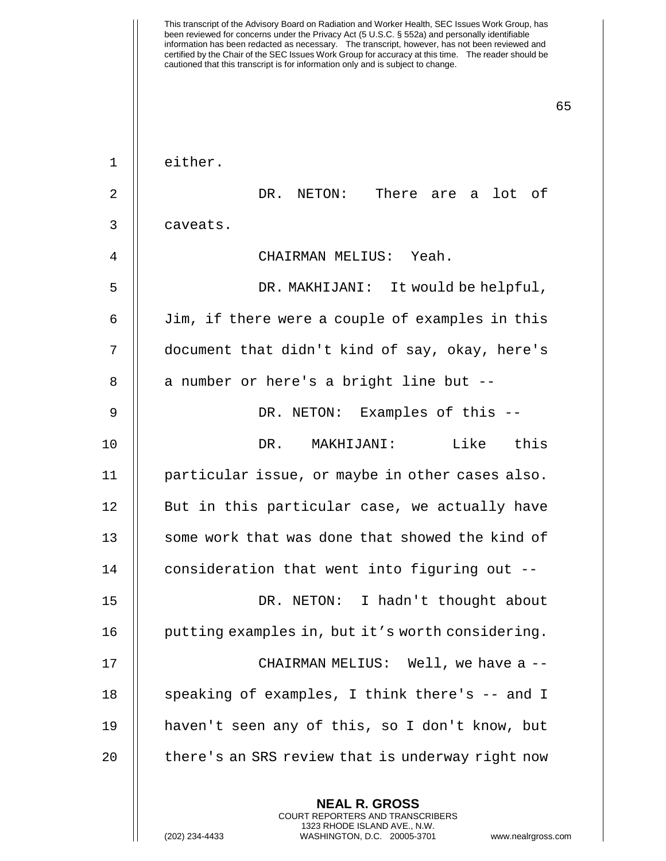This transcript of the Advisory Board on Radiation and Worker Health, SEC Issues Work Group, has been reviewed for concerns under the Privacy Act (5 U.S.C. § 552a) and personally identifiable information has been redacted as necessary. The transcript, however, has not been reviewed and certified by the Chair of the SEC Issues Work Group for accuracy at this time. The reader should be cautioned that this transcript is for information only and is subject to change. 65 **NEAL R. GROSS** 1 | either. 2 DR. NETON: There are a lot of 3 caveats. 4 CHAIRMAN MELIUS: Yeah. 5 DR. MAKHIJANI: It would be helpful, 6 Jim, if there were a couple of examples in this 7 document that didn't kind of say, okay, here's  $8$  || a number or here's a bright line but  $-$ 9 DR. NETON: Examples of this -- 10 DR. MAKHIJANI: Like this 11 particular issue, or maybe in other cases also. 12 || But in this particular case, we actually have 13 || some work that was done that showed the kind of 14 || consideration that went into figuring out --15 || DR. NETON: I hadn't thought about 16 | putting examples in, but it's worth considering. 17 || CHAIRMAN MELIUS: Well, we have a --18 || speaking of examples, I think there's -- and I 19 haven't seen any of this, so I don't know, but 20  $\parallel$  there's an SRS review that is underway right now

> COURT REPORTERS AND TRANSCRIBERS 1323 RHODE ISLAND AVE., N.W.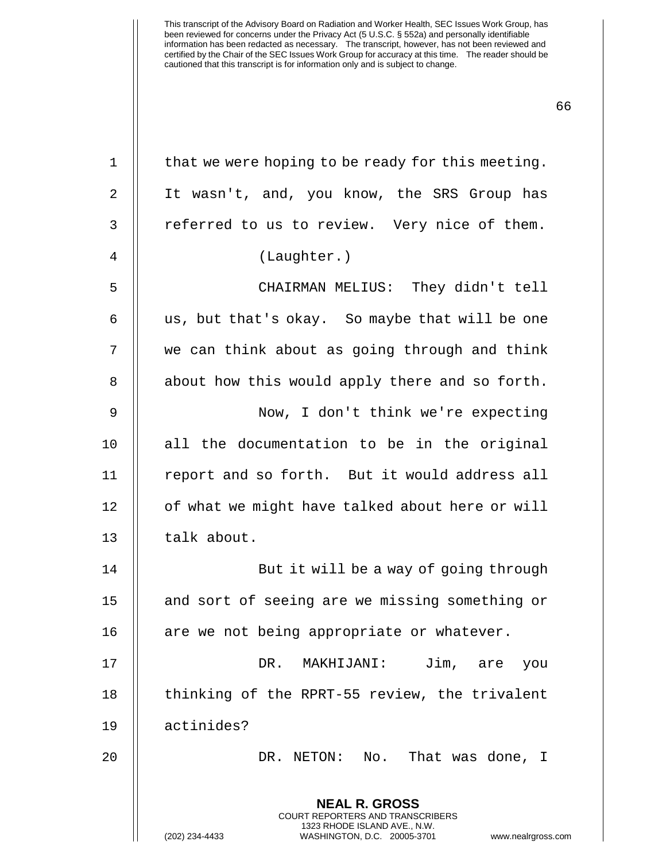**NEAL R. GROSS** COURT REPORTERS AND TRANSCRIBERS 1323 RHODE ISLAND AVE., N.W. (202) 234-4433 WASHINGTON, D.C. 20005-3701 www.nealrgross.com  $1 \parallel$  that we were hoping to be ready for this meeting. 2 It wasn't, and, you know, the SRS Group has 3 || referred to us to review. Very nice of them. 4 (Laughter.) 5 CHAIRMAN MELIUS: They didn't tell 6  $\parallel$  us, but that's okay. So maybe that will be one 7 we can think about as going through and think  $8$  || about how this would apply there and so forth. 9 Now, I don't think we're expecting 10 || all the documentation to be in the original 11 || report and so forth. But it would address all 12 | of what we might have talked about here or will 13 | talk about. 14 || But it will be a way of going through 15 || and sort of seeing are we missing something or 16  $\parallel$  are we not being appropriate or whatever. 17 DR. MAKHIJANI: Jim, are you 18 || thinking of the RPRT-55 review, the trivalent 19 actinides? 20 DR. NETON: No. That was done, I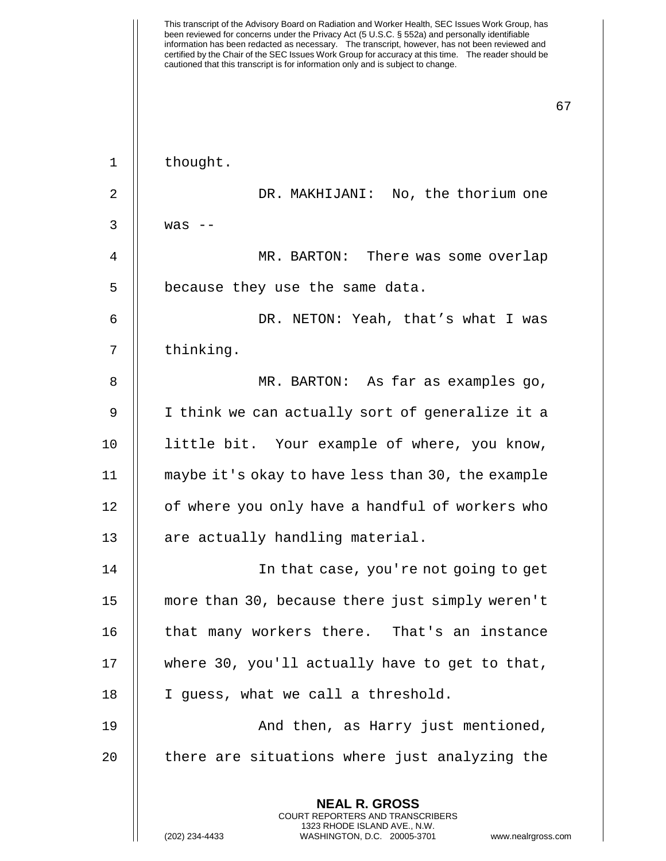This transcript of the Advisory Board on Radiation and Worker Health, SEC Issues Work Group, has been reviewed for concerns under the Privacy Act (5 U.S.C. § 552a) and personally identifiable information has been redacted as necessary. The transcript, however, has not been reviewed and certified by the Chair of the SEC Issues Work Group for accuracy at this time. The reader should be cautioned that this transcript is for information only and is subject to change. 67 **NEAL R. GROSS** COURT REPORTERS AND TRANSCRIBERS 1 | thought. 2 DR. MAKHIJANI: No, the thorium one  $3 \parallel$  was  $-$ 4 MR. BARTON: There was some overlap 5 | because they use the same data. 6 DR. NETON: Yeah, that's what I was 7 || thinking. 8 || MR. BARTON: As far as examples go, 9 || I think we can actually sort of generalize it a 10 little bit. Your example of where, you know, 11 maybe it's okay to have less than 30, the example 12 | of where you only have a handful of workers who  $13$  | are actually handling material. 14 In that case, you're not going to get 15 more than 30, because there just simply weren't 16 || that many workers there. That's an instance 17 || where 30, you'll actually have to get to that, 18 || I guess, what we call a threshold. 19 And then, as Harry just mentioned,  $20$   $\parallel$  there are situations where just analyzing the

1323 RHODE ISLAND AVE., N.W.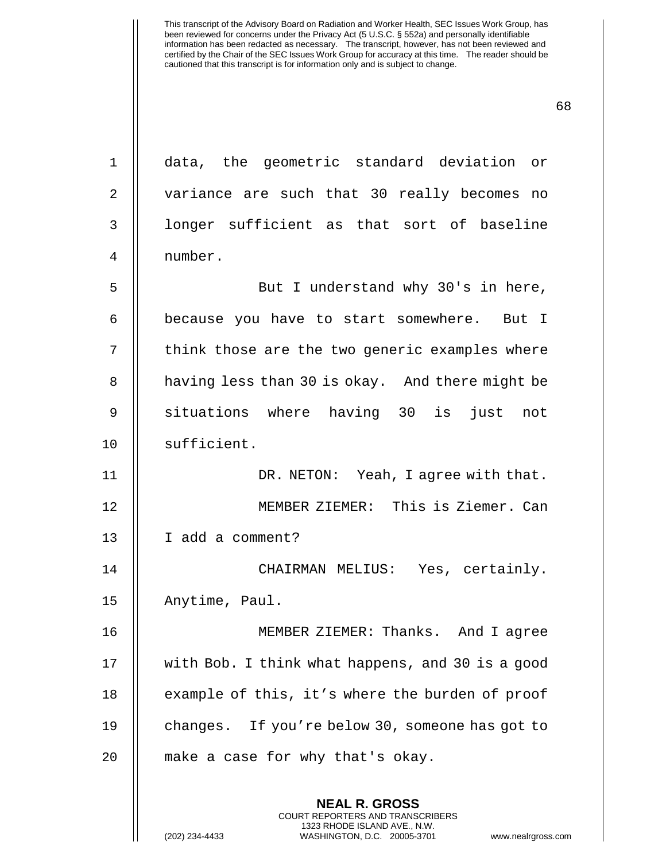**NEAL R. GROSS** 1 data, the geometric standard deviation or 2 || variance are such that 30 really becomes no 3 || longer sufficient as that sort of baseline 4 number. 5 || But I understand why 30's in here, 6 | because you have to start somewhere. But I 7 || think those are the two generic examples where 8 | having less than 30 is okay. And there might be 9 || situations where having 30 is just not 10 || sufficient. 11 || DR. NETON: Yeah, I agree with that. 12 MEMBER ZIEMER: This is Ziemer. Can 13 | I add a comment? 14 CHAIRMAN MELIUS: Yes, certainly. 15 || Anytime, Paul. 16 MEMBER ZIEMER: Thanks. And I agree 17 with Bob. I think what happens, and 30 is a good 18 | example of this, it's where the burden of proof 19 || changes. If you're below 30, someone has got to 20 || make a case for why that's okay.

> COURT REPORTERS AND TRANSCRIBERS 1323 RHODE ISLAND AVE., N.W.

(202) 234-4433 WASHINGTON, D.C. 20005-3701 www.nealrgross.com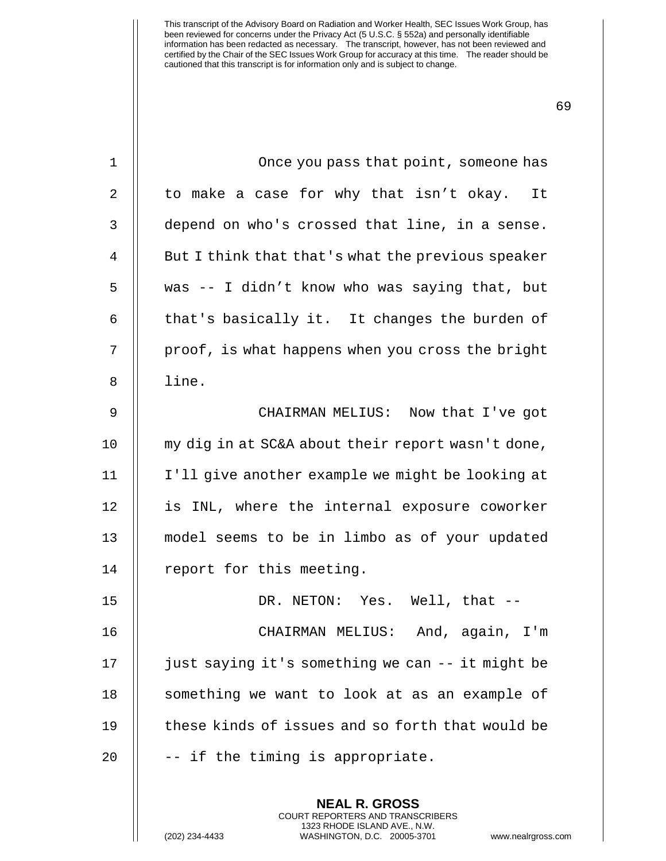| $\mathbf{1}$ | Once you pass that point, someone has                    |
|--------------|----------------------------------------------------------|
| 2            | to make a case for why that isn't okay. It               |
| 3            | depend on who's crossed that line, in a sense.           |
| 4            | But I think that that's what the previous speaker        |
| 5            | was -- I didn't know who was saying that, but            |
| 6            | that's basically it. It changes the burden of            |
| 7            | proof, is what happens when you cross the bright         |
| 8            | line.                                                    |
| 9            | CHAIRMAN MELIUS: Now that I've got                       |
| 10           | my dig in at SC&A about their report wasn't done,        |
| 11           | I'll give another example we might be looking at         |
| 12           | is INL, where the internal exposure coworker             |
| 13           | model seems to be in limbo as of your updated            |
| 14           | report for this meeting.                                 |
| 15           | DR. NETON: Yes. Well, that --                            |
| 16           | CHAIRMAN MELIUS: And, again, I'm                         |
| 17           | just saying it's something we can -- it might be         |
| 18           | something we want to look at as an example of            |
| 19           | these kinds of issues and so forth that would be         |
| 20           | -- if the timing is appropriate.                         |
|              |                                                          |
|              | <b>NEAL R. GROSS</b><br>COURT REPORTERS AND TRANSCRIBERS |

1323 RHODE ISLAND AVE., N.W.

(202) 234-4433 WASHINGTON, D.C. 20005-3701 www.nealrgross.com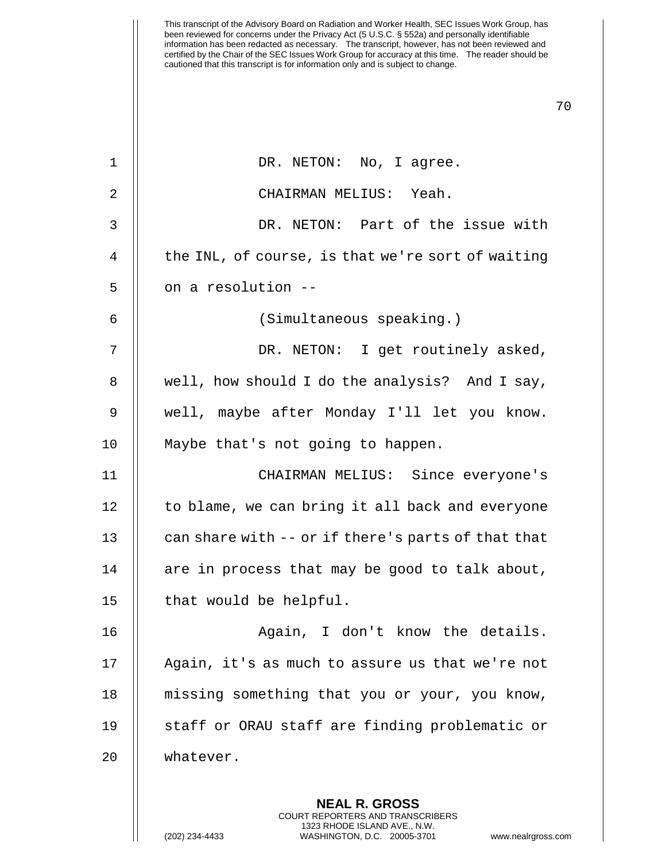| $\mathbf{1}$   | DR. NETON: No, I agree.                            |
|----------------|----------------------------------------------------|
| $\overline{2}$ | CHAIRMAN MELIUS: Yeah.                             |
| 3              | DR. NETON: Part of the issue with                  |
| 4              | the INL, of course, is that we're sort of waiting  |
| 5              | on a resolution --                                 |
| 6              | (Simultaneous speaking.)                           |
| 7              | DR. NETON: I get routinely asked,                  |
| 8              | well, how should I do the analysis? And I say,     |
| 9              | well, maybe after Monday I'll let you know.        |
| 10             | Maybe that's not going to happen.                  |
| 11             | CHAIRMAN MELIUS: Since everyone's                  |
| 12             | to blame, we can bring it all back and everyone    |
| 13             | can share with -- or if there's parts of that that |
| 14             | are in process that may be good to talk about,     |
| 15             | that would be helpful.                             |
| 16             | Again, I don't know the details.                   |
| 17             | Again, it's as much to assure us that we're not    |
| 18             | missing something that you or your, you know,      |
| 19             | staff or ORAU staff are finding problematic or     |
| 20             | whatever.                                          |
|                |                                                    |

**NEAL R. GROSS** COURT REPORTERS AND TRANSCRIBERS 1323 RHODE ISLAND AVE., N.W.

(202) 234-4433 WASHINGTON, D.C. 20005-3701 www.nealrgross.com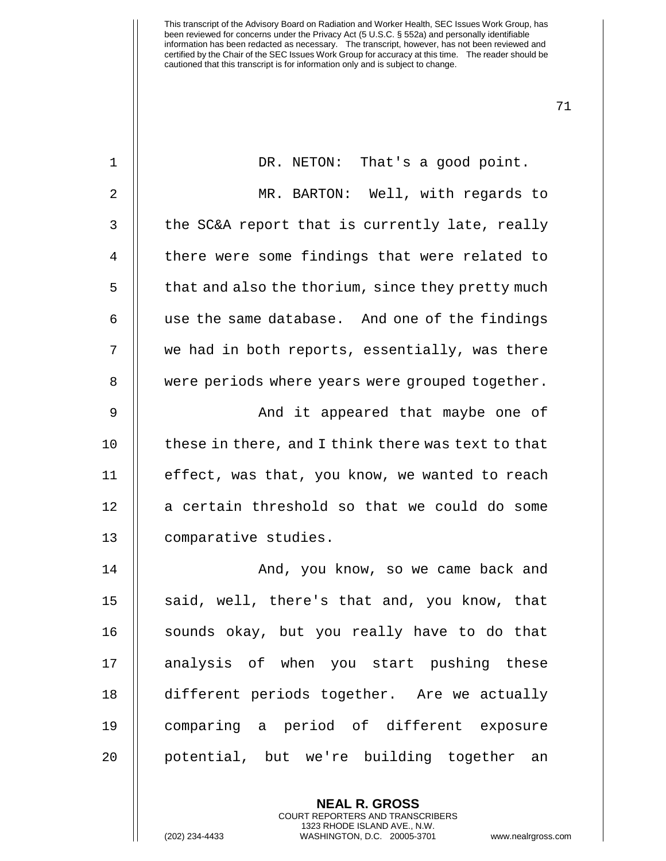| $\mathbf 1$ | DR. NETON: That's a good point.                    |
|-------------|----------------------------------------------------|
| $\sqrt{2}$  | MR. BARTON: Well, with regards to                  |
| 3           | the SC&A report that is currently late, really     |
| 4           | there were some findings that were related to      |
| 5           | that and also the thorium, since they pretty much  |
| 6           | use the same database. And one of the findings     |
| 7           | we had in both reports, essentially, was there     |
| 8           | were periods where years were grouped together.    |
| $\mathsf 9$ | And it appeared that maybe one of                  |
| 10          | these in there, and I think there was text to that |
| 11          | effect, was that, you know, we wanted to reach     |
| 12          | a certain threshold so that we could do some       |
| 13          | comparative studies.                               |
| 14          | And, you know, so we came back and                 |
| 15          | said, well, there's that and, you know, that       |
| 16          | sounds okay, but you really have to do that        |
| 17          | analysis of when you start pushing these           |
| 18          | different periods together. Are we actually        |
| 19          | comparing a period of different exposure           |
| 20          | potential, but we're building together<br>an       |

**NEAL R. GROSS** COURT REPORTERS AND TRANSCRIBERS 1323 RHODE ISLAND AVE., N.W.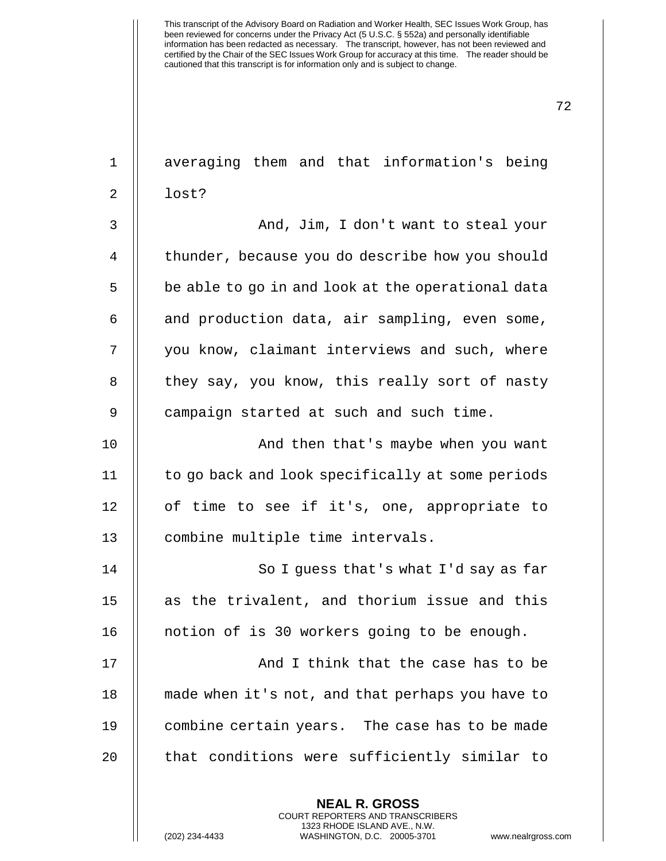| $\mathbf 1$    | averaging them and that information's being              |
|----------------|----------------------------------------------------------|
| $\overline{2}$ | lost?                                                    |
| 3              | And, Jim, I don't want to steal your                     |
| 4              | thunder, because you do describe how you should          |
| 5              | be able to go in and look at the operational data        |
| 6              | and production data, air sampling, even some,            |
| 7              | you know, claimant interviews and such, where            |
| 8              | they say, you know, this really sort of nasty            |
| 9              | campaign started at such and such time.                  |
| 10             | And then that's maybe when you want                      |
| 11             | to go back and look specifically at some periods         |
| 12             | of time to see if it's, one, appropriate to              |
| 13             | combine multiple time intervals.                         |
| 14             | So I guess that's what I'd say as far                    |
| 15             | as the trivalent, and thorium issue and this             |
| 16             | notion of is 30 workers going to be enough.              |
| 17             | And I think that the case has to be                      |
| 18             | made when it's not, and that perhaps you have to         |
| 19             | combine certain years. The case has to be made           |
| 20             | that conditions were sufficiently similar to             |
|                | <b>NEAL R. GROSS</b><br>COURT REPORTERS AND TRANSCRIBERS |

1323 RHODE ISLAND AVE., N.W.

 $\mathsf{||}$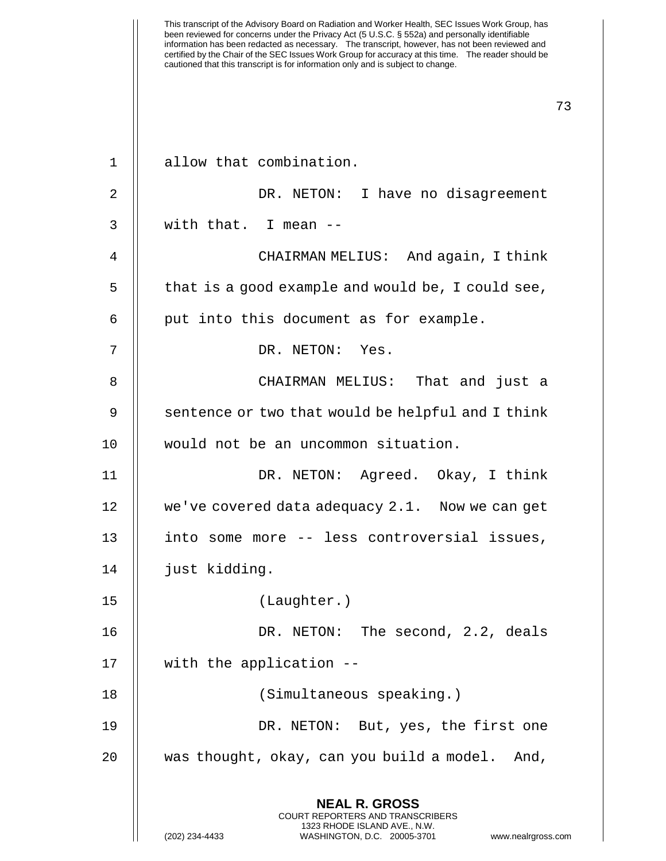| $\mathbf 1$ | allow that combination.                                                                                                                                         |
|-------------|-----------------------------------------------------------------------------------------------------------------------------------------------------------------|
| 2           | DR. NETON: I have no disagreement                                                                                                                               |
| 3           | with that. I mean --                                                                                                                                            |
| 4           | CHAIRMAN MELIUS: And again, I think                                                                                                                             |
| 5           | that is a good example and would be, I could see,                                                                                                               |
| 6           | put into this document as for example.                                                                                                                          |
| 7           | DR. NETON: Yes.                                                                                                                                                 |
| 8           | CHAIRMAN MELIUS: That and just a                                                                                                                                |
| 9           | sentence or two that would be helpful and I think                                                                                                               |
| 10          | would not be an uncommon situation.                                                                                                                             |
| 11          | DR. NETON: Agreed. Okay, I think                                                                                                                                |
| 12          | we've covered data adequacy 2.1. Now we can get                                                                                                                 |
| 13          | into some more -- less controversial issues,                                                                                                                    |
| 14          | just kidding.                                                                                                                                                   |
| 15          | (Laughter.)                                                                                                                                                     |
| 16          | DR. NETON: The second, 2.2, deals                                                                                                                               |
| 17          | with the application --                                                                                                                                         |
| 18          | (Simultaneous speaking.)                                                                                                                                        |
| 19          | DR. NETON: But, yes, the first one                                                                                                                              |
| 20          | was thought, okay, can you build a model.<br>And,                                                                                                               |
|             | <b>NEAL R. GROSS</b><br>COURT REPORTERS AND TRANSCRIBERS<br>1323 RHODE ISLAND AVE., N.W.<br>(202) 234-4433<br>WASHINGTON, D.C. 20005-3701<br>www.nealrgross.com |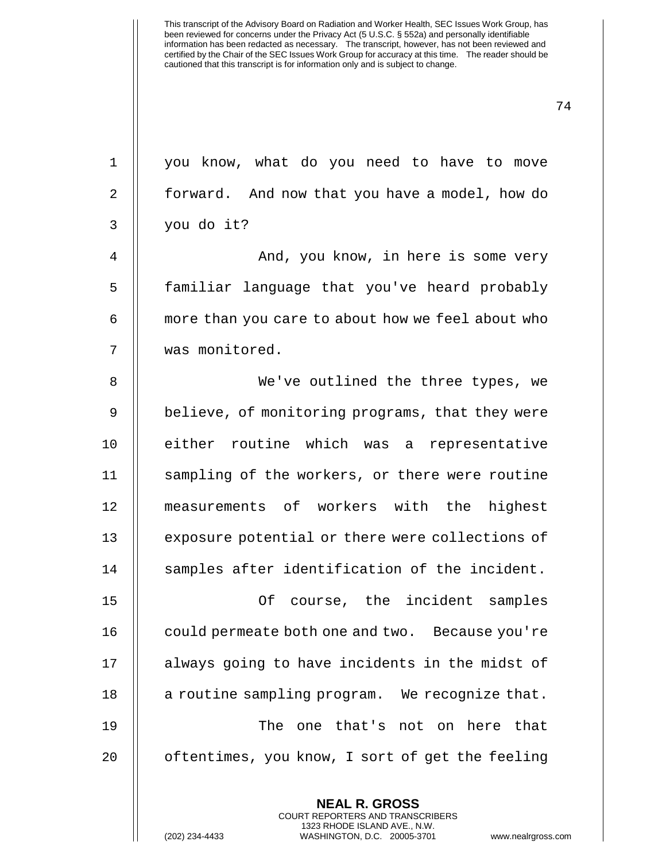| $\mathbf{1}$   | you know, what do you need to have to move               |
|----------------|----------------------------------------------------------|
| $\overline{2}$ | forward. And now that you have a model, how do           |
| 3              | you do it?                                               |
| 4              | And, you know, in here is some very                      |
| 5              | familiar language that you've heard probably             |
| 6              | more than you care to about how we feel about who        |
| 7              | was monitored.                                           |
| 8              | We've outlined the three types, we                       |
| 9              | believe, of monitoring programs, that they were          |
| 10             | either routine which was a representative                |
| 11             | sampling of the workers, or there were routine           |
| 12             | measurements of workers with the highest                 |
| 13             | exposure potential or there were collections of          |
| 14             | samples after identification of the incident.            |
| 15             | course, the incident samples<br>Οf                       |
| 16             | could permeate both one and two. Because you're          |
| 17             | always going to have incidents in the midst of           |
| 18             | a routine sampling program. We recognize that.           |
| 19             | The<br>one that's not on here that                       |
| 20             | oftentimes, you know, I sort of get the feeling          |
|                |                                                          |
|                | <b>NEAL R. GROSS</b><br>COURT REPORTERS AND TRANSCRIBERS |

1323 RHODE ISLAND AVE., N.W.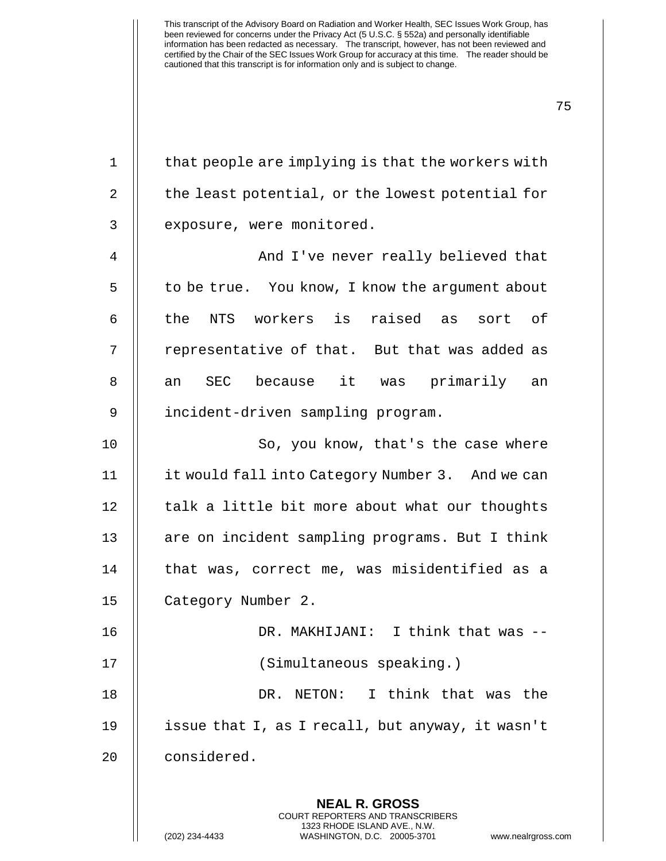| 1  | that people are implying is that the workers with                                        |
|----|------------------------------------------------------------------------------------------|
| 2  | the least potential, or the lowest potential for                                         |
| 3  | exposure, were monitored.                                                                |
| 4  | And I've never really believed that                                                      |
| 5  | to be true. You know, I know the argument about                                          |
| 6  | the NTS workers is raised as<br>sort of                                                  |
| 7  | representative of that. But that was added as                                            |
| 8  | an SEC because it was primarily<br>an                                                    |
| 9  | incident-driven sampling program.                                                        |
| 10 | So, you know, that's the case where                                                      |
| 11 | it would fall into Category Number 3. And we can                                         |
| 12 | talk a little bit more about what our thoughts                                           |
| 13 | are on incident sampling programs. But I think                                           |
| 14 | that was, correct me, was misidentified as a                                             |
| 15 | Category Number 2.                                                                       |
| 16 | DR. MAKHIJANI: I think that was --                                                       |
| 17 | (Simultaneous speaking.)                                                                 |
| 18 | NETON: I think that was the<br>DR.                                                       |
| 19 | issue that I, as I recall, but anyway, it wasn't                                         |
| 20 | considered.                                                                              |
|    | <b>NEAL R. GROSS</b><br>COURT REPORTERS AND TRANSCRIBERS<br>1323 RHODE ISLAND AVE., N.W. |
|    | (202) 234-4433<br>WASHINGTON, D.C. 20005-3701<br>www.nealrgross.c                        |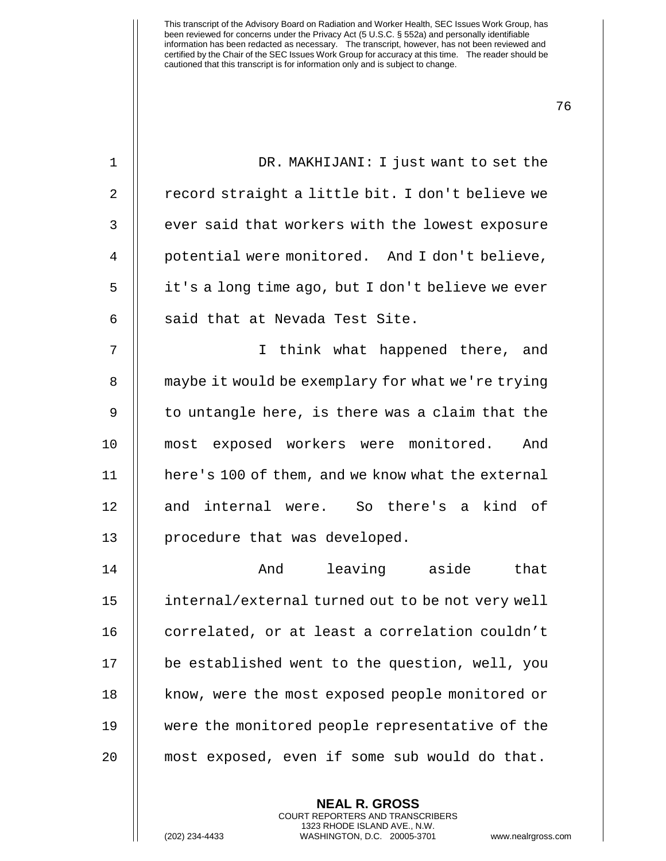| $\mathbf{1}$ | DR. MAKHIJANI: I just want to set the             |
|--------------|---------------------------------------------------|
| 2            | record straight a little bit. I don't believe we  |
| 3            | ever said that workers with the lowest exposure   |
| 4            | potential were monitored. And I don't believe,    |
| 5            | it's a long time ago, but I don't believe we ever |
| 6            | said that at Nevada Test Site.                    |
| 7            | I think what happened there, and                  |
| 8            | maybe it would be exemplary for what we're trying |
| 9            | to untangle here, is there was a claim that the   |
| 10           | most exposed workers were monitored.<br>And       |
| 11           | here's 100 of them, and we know what the external |
| 12           | and internal were. So there's a kind of           |
| 13           | procedure that was developed.                     |
| 14           | leaving aside<br>And<br>that                      |
| 15           | internal/external turned out to be not very well  |
| 16           | correlated, or at least a correlation couldn't    |
| 17           | be established went to the question, well, you    |
| 18           | know, were the most exposed people monitored or   |
| 19           | were the monitored people representative of the   |
| 20           | most exposed, even if some sub would do that.     |
|              |                                                   |

**NEAL R. GROSS** COURT REPORTERS AND TRANSCRIBERS 1323 RHODE ISLAND AVE., N.W.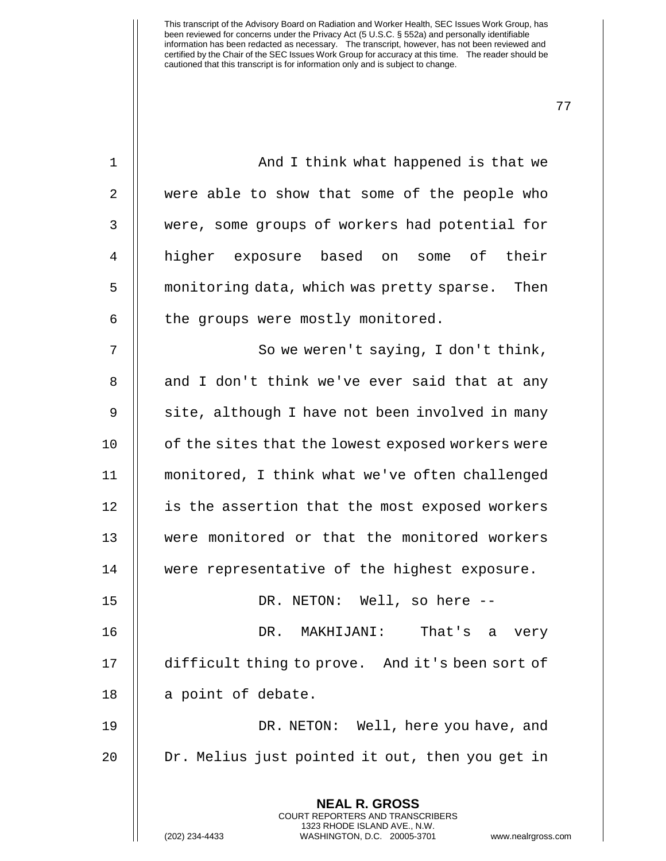| $\mathbf{1}$ | And I think what happened is that we                                                                                                                                 |
|--------------|----------------------------------------------------------------------------------------------------------------------------------------------------------------------|
| 2            | were able to show that some of the people who                                                                                                                        |
| 3            | were, some groups of workers had potential for                                                                                                                       |
| 4            | higher exposure based on some of their                                                                                                                               |
| 5            | monitoring data, which was pretty sparse. Then                                                                                                                       |
| 6            | the groups were mostly monitored.                                                                                                                                    |
| 7            | So we weren't saying, I don't think,                                                                                                                                 |
| 8            | and I don't think we've ever said that at any                                                                                                                        |
| 9            | site, although I have not been involved in many                                                                                                                      |
| 10           | of the sites that the lowest exposed workers were                                                                                                                    |
| 11           | monitored, I think what we've often challenged                                                                                                                       |
| 12           | is the assertion that the most exposed workers                                                                                                                       |
| 13           | were monitored or that the monitored workers                                                                                                                         |
| 14           | were representative of the highest exposure.                                                                                                                         |
| 15           | DR. NETON: Well, so here --                                                                                                                                          |
| 16           | MAKHIJANI:<br>That's a<br>DR.<br>very                                                                                                                                |
| 17           | difficult thing to prove. And it's been sort of                                                                                                                      |
| 18           | a point of debate.                                                                                                                                                   |
| 19           | DR. NETON: Well, here you have, and                                                                                                                                  |
| 20           | Dr. Melius just pointed it out, then you get in                                                                                                                      |
|              | <b>NEAL R. GROSS</b><br><b>COURT REPORTERS AND TRANSCRIBERS</b><br>1323 RHODE ISLAND AVE., N.W.<br>(202) 234-4433<br>WASHINGTON, D.C. 20005-3701<br>www.nealrgross.c |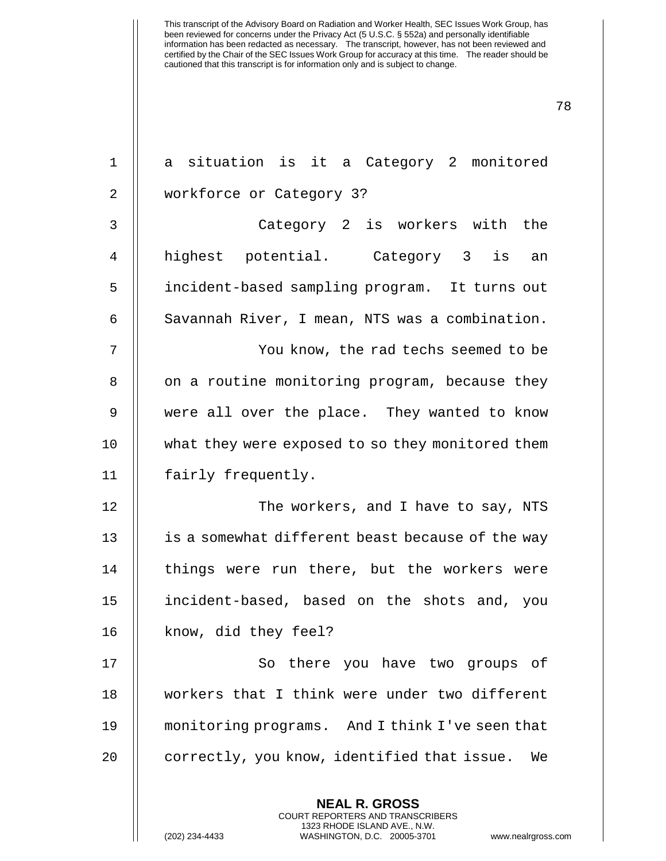| $\mathbf 1$    | a situation is it a Category 2 monitored                 |
|----------------|----------------------------------------------------------|
| 2              | workforce or Category 3?                                 |
| 3              | Category 2 is workers with the                           |
| 4              | highest potential. Category 3 is<br>an                   |
| 5              | incident-based sampling program. It turns out            |
| 6              | Savannah River, I mean, NTS was a combination.           |
| 7              | You know, the rad techs seemed to be                     |
| 8              | on a routine monitoring program, because they            |
| $\overline{9}$ | were all over the place. They wanted to know             |
| 10             | what they were exposed to so they monitored them         |
| 11             | fairly frequently.                                       |
| 12             | The workers, and I have to say, NTS                      |
| 13             | is a somewhat different beast because of the way         |
| 14             | things were run there, but the workers were              |
| 15             | incident-based, based on the shots and, you              |
| 16             | know, did they feel?                                     |
| 17             | So there you have two groups of                          |
| 18             | workers that I think were under two different            |
| 19             | monitoring programs. And I think I've seen that          |
| 20             | correctly, you know, identified that issue.<br>We        |
|                | <b>NEAL R. GROSS</b><br>COURT REPORTERS AND TRANSCRIBERS |

1323 RHODE ISLAND AVE., N.W.

 $\begin{array}{c} \prod \end{array}$ 

(202) 234-4433 WASHINGTON, D.C. 20005-3701 www.nealrgross.com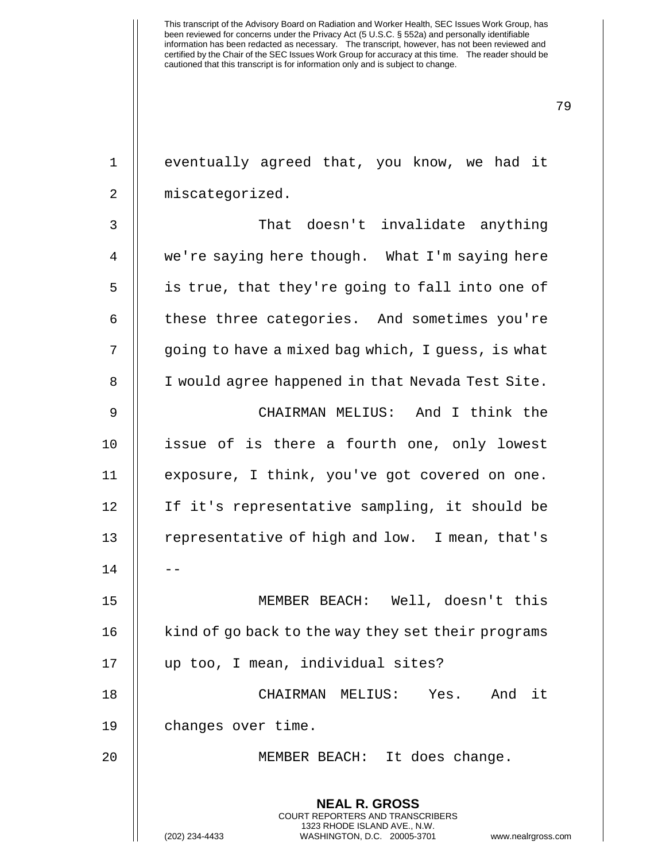| $\mathbf{1}$ | eventually agreed that, you know, we had it                                                                                                                   |
|--------------|---------------------------------------------------------------------------------------------------------------------------------------------------------------|
| 2            | miscategorized.                                                                                                                                               |
| 3            | That doesn't invalidate anything                                                                                                                              |
| 4            | we're saying here though. What I'm saying here                                                                                                                |
| 5            | is true, that they're going to fall into one of                                                                                                               |
| 6            | these three categories. And sometimes you're                                                                                                                  |
| 7            | going to have a mixed bag which, I guess, is what                                                                                                             |
| 8            | I would agree happened in that Nevada Test Site.                                                                                                              |
| 9            | CHAIRMAN MELIUS: And I think the                                                                                                                              |
| 10           | issue of is there a fourth one, only lowest                                                                                                                   |
| 11           | exposure, I think, you've got covered on one.                                                                                                                 |
| 12           | If it's representative sampling, it should be                                                                                                                 |
| 13           | representative of high and low. I mean, that's                                                                                                                |
| 14           |                                                                                                                                                               |
| 15           | MEMBER BEACH: Well, doesn't this                                                                                                                              |
| 16           | kind of go back to the way they set their programs                                                                                                            |
| 17           | up too, I mean, individual sites?                                                                                                                             |
| 18           | CHAIRMAN MELIUS: Yes. And it                                                                                                                                  |
| 19           | changes over time.                                                                                                                                            |
| 20           | MEMBER BEACH: It does change.                                                                                                                                 |
|              | <b>NEAL R. GROSS</b><br>COURT REPORTERS AND TRANSCRIBERS<br>1323 RHODE ISLAND AVE., N.W.<br>(202) 234-4433<br>WASHINGTON, D.C. 20005-3701<br>www.nealrgross.c |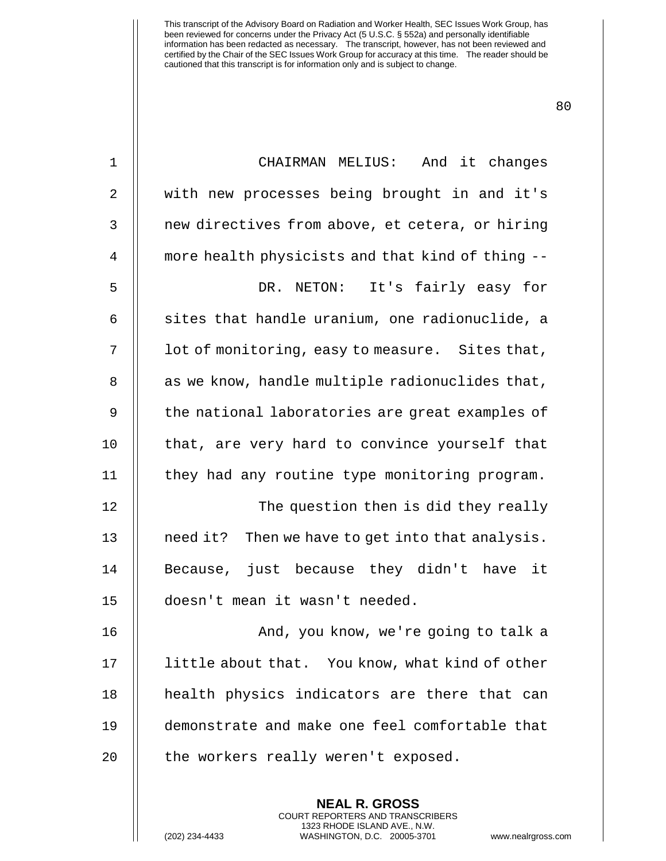| $\mathbf 1$    | CHAIRMAN MELIUS: And it changes                  |
|----------------|--------------------------------------------------|
| $\overline{2}$ | with new processes being brought in and it's     |
| $\mathbf{3}$   | new directives from above, et cetera, or hiring  |
| 4              | more health physicists and that kind of thing -- |
| 5              | NETON: It's fairly easy for<br>DR.               |
| 6              | sites that handle uranium, one radionuclide, a   |
| 7              | lot of monitoring, easy to measure. Sites that,  |
| 8              | as we know, handle multiple radionuclides that,  |
| 9              | the national laboratories are great examples of  |
| 10             | that, are very hard to convince yourself that    |
| 11             | they had any routine type monitoring program.    |
| 12             | The question then is did they really             |
| 13             | need it? Then we have to get into that analysis. |
| 14             | Because, just because they didn't have it        |
| 15             | doesn't mean it wasn't needed.                   |
| 16             | And, you know, we're going to talk a             |
| 17             | little about that. You know, what kind of other  |
| 18             | health physics indicators are there that can     |
| 19             | demonstrate and make one feel comfortable that   |
| 20             | the workers really weren't exposed.              |
|                | <b>NEAL R. GROSS</b>                             |

COURT REPORTERS AND TRANSCRIBERS 1323 RHODE ISLAND AVE., N.W.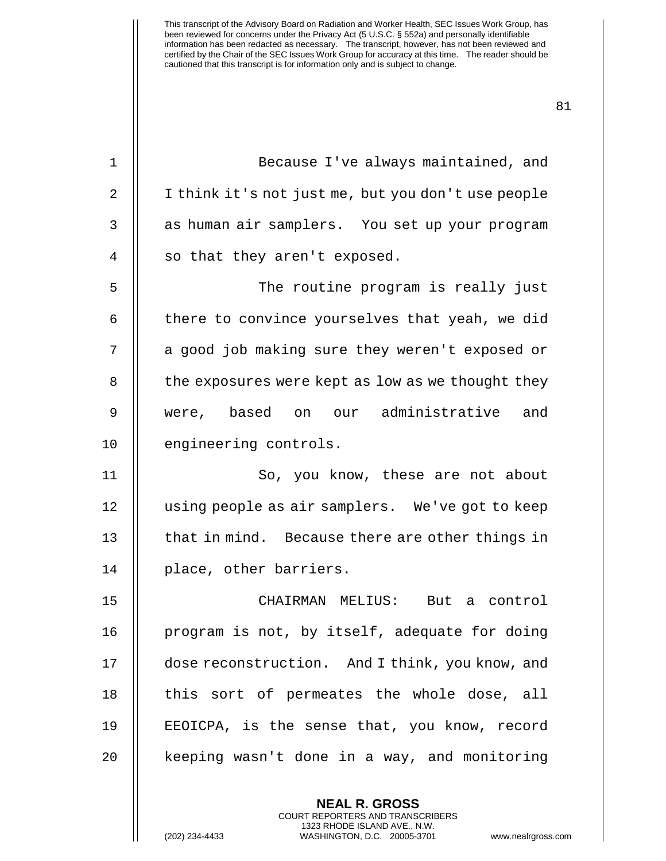| $\mathbf{1}$   | Because I've always maintained, and                |
|----------------|----------------------------------------------------|
| $\overline{2}$ | I think it's not just me, but you don't use people |
| 3              | as human air samplers. You set up your program     |
| 4              | so that they aren't exposed.                       |
| 5              | The routine program is really just                 |
| 6              | there to convince yourselves that yeah, we did     |
| 7              | a good job making sure they weren't exposed or     |
| 8              | the exposures were kept as low as we thought they  |
| 9              | were, based on our administrative and              |
| 10             | engineering controls.                              |
| 11             | So, you know, these are not about                  |
| 12             | using people as air samplers. We've got to keep    |
| 13             | that in mind. Because there are other things in    |
| 14             | place, other barriers.                             |
| 15             | CHAIRMAN MELIUS: But a control                     |
| 16             | program is not, by itself, adequate for doing      |
| 17             | dose reconstruction. And I think, you know, and    |
| 18             | this sort of permeates the whole dose, all         |
| 19             | EEOICPA, is the sense that, you know, record       |
| 20             | keeping wasn't done in a way, and monitoring       |
|                |                                                    |

**NEAL R. GROSS** COURT REPORTERS AND TRANSCRIBERS 1323 RHODE ISLAND AVE., N.W.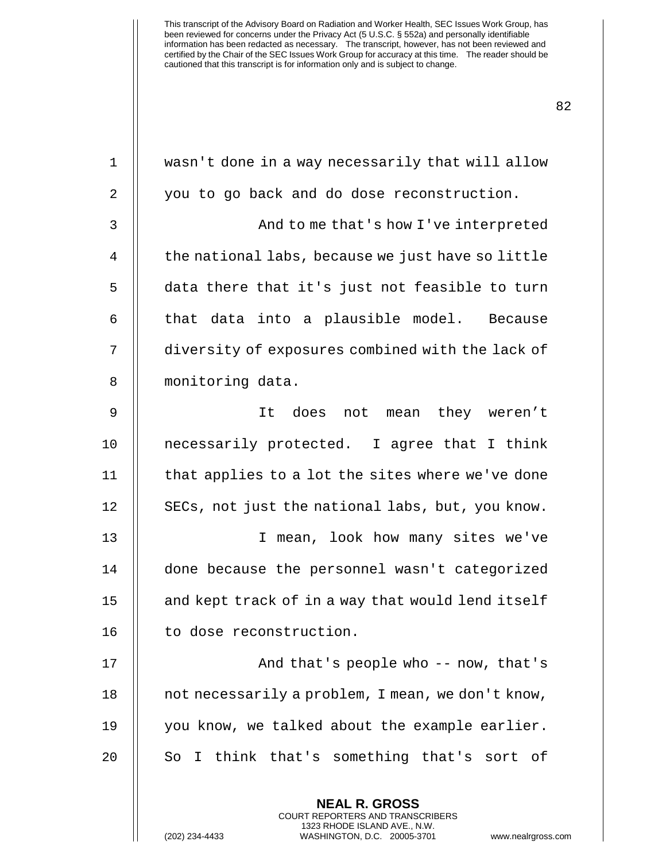| $\mathbf 1$    | wasn't done in a way necessarily that will allow                                                                                                              |
|----------------|---------------------------------------------------------------------------------------------------------------------------------------------------------------|
| $\overline{2}$ | you to go back and do dose reconstruction.                                                                                                                    |
| 3              | And to me that's how I've interpreted                                                                                                                         |
| $\overline{4}$ | the national labs, because we just have so little                                                                                                             |
| 5              | data there that it's just not feasible to turn                                                                                                                |
| 6              | that data into a plausible model. Because                                                                                                                     |
| 7              | diversity of exposures combined with the lack of                                                                                                              |
| 8              | monitoring data.                                                                                                                                              |
| 9              | It does not mean they weren't                                                                                                                                 |
| 10             | necessarily protected. I agree that I think                                                                                                                   |
| 11             | that applies to a lot the sites where we've done                                                                                                              |
| 12             | SECs, not just the national labs, but, you know.                                                                                                              |
| 13             | I mean, look how many sites we've                                                                                                                             |
| 14             | done because the personnel wasn't categorized                                                                                                                 |
| 15             | and kept track of in a way that would lend itself                                                                                                             |
| 16             | to dose reconstruction.                                                                                                                                       |
| 17             | And that's people who -- now, that's                                                                                                                          |
| 18             | not necessarily a problem, I mean, we don't know,                                                                                                             |
| 19             | you know, we talked about the example earlier.                                                                                                                |
| 20             | So I think that's something that's sort of                                                                                                                    |
|                | <b>NEAL R. GROSS</b><br>COURT REPORTERS AND TRANSCRIBERS<br>1323 RHODE ISLAND AVE., N.W.<br>(202) 234-4433<br>WASHINGTON, D.C. 20005-3701<br>www.nealrgross.o |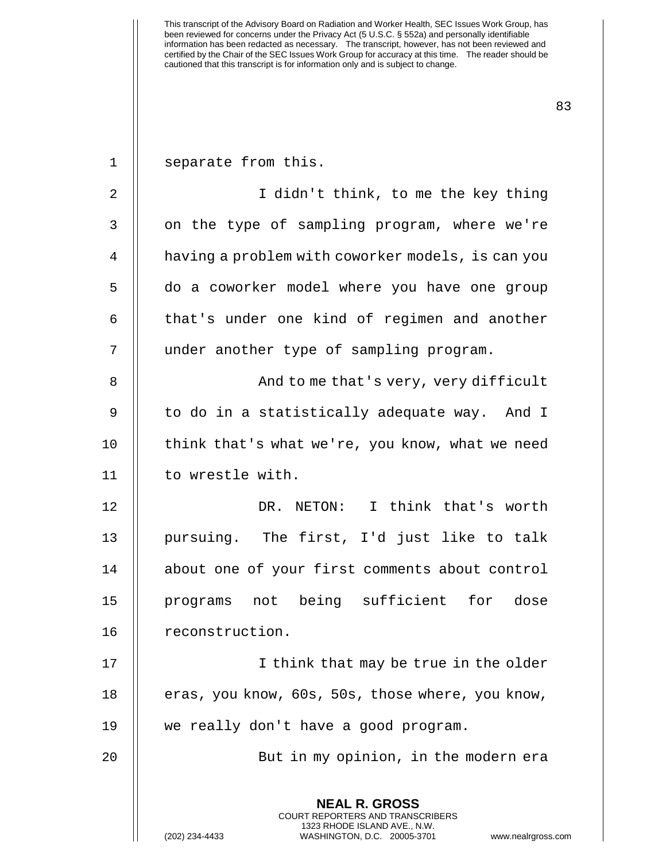| $\mathbf 1$ | separate from this.                                                                                                                                                    |
|-------------|------------------------------------------------------------------------------------------------------------------------------------------------------------------------|
| 2           | I didn't think, to me the key thing                                                                                                                                    |
| 3           | on the type of sampling program, where we're                                                                                                                           |
| 4           | having a problem with coworker models, is can you                                                                                                                      |
| 5           | do a coworker model where you have one group                                                                                                                           |
| 6           | that's under one kind of regimen and another                                                                                                                           |
| 7           | under another type of sampling program.                                                                                                                                |
| 8           | And to me that's very, very difficult                                                                                                                                  |
| 9           | to do in a statistically adequate way. And I                                                                                                                           |
| 10          | think that's what we're, you know, what we need                                                                                                                        |
| 11          | to wrestle with.                                                                                                                                                       |
| 12          | DR. NETON: I think that's worth                                                                                                                                        |
| 13          | pursuing. The first, I'd just like to talk                                                                                                                             |
| 14          | about one of your first comments about control                                                                                                                         |
| 15          | programs not being sufficient for dose                                                                                                                                 |
| 16          | reconstruction.                                                                                                                                                        |
| 17          | I think that may be true in the older                                                                                                                                  |
| 18          | eras, you know, 60s, 50s, those where, you know,                                                                                                                       |
| 19          | we really don't have a good program.                                                                                                                                   |
| 20          | But in my opinion, in the modern era                                                                                                                                   |
|             | <b>NEAL R. GROSS</b><br><b>COURT REPORTERS AND TRANSCRIBERS</b><br>1323 RHODE ISLAND AVE., N.W.<br>(202) 234-4433<br>WASHINGTON, D.C. 20005-3701<br>www.nealrgross.com |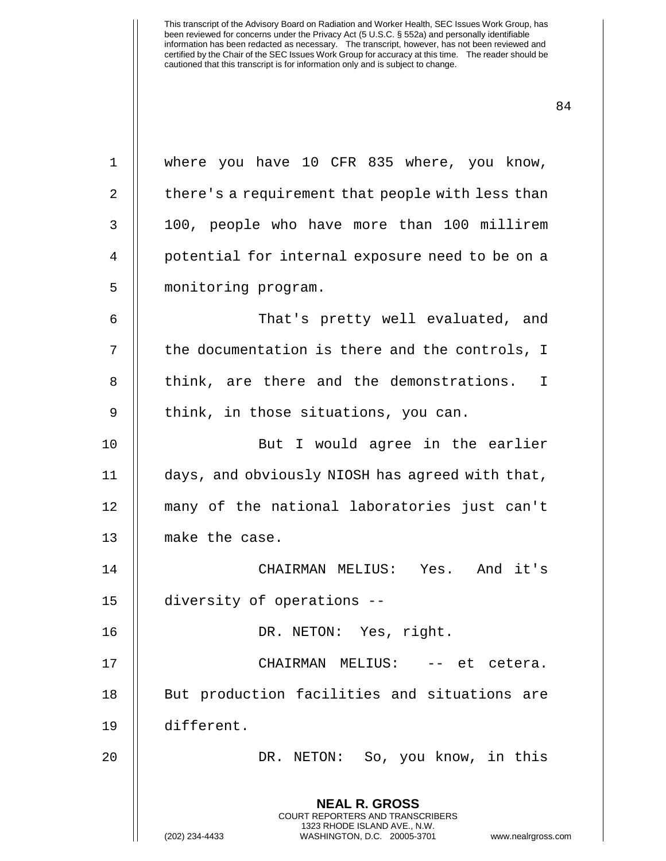**NEAL R. GROSS** COURT REPORTERS AND TRANSCRIBERS 1323 RHODE ISLAND AVE., N.W. (202) 234-4433 WASHINGTON, D.C. 20005-3701 www.nealrgross.com 1 || where you have 10 CFR 835 where, you know, 2 | there's a requirement that people with less than 3 100, people who have more than 100 millirem 4 || potential for internal exposure need to be on a 5 || monitoring program. 6 That's pretty well evaluated, and 7 || the documentation is there and the controls, I 8 || think, are there and the demonstrations. I 9 || think, in those situations, you can. 10 But I would agree in the earlier 11 days, and obviously NIOSH has agreed with that, 12 many of the national laboratories just can't 13 || make the case. 14 CHAIRMAN MELIUS: Yes. And it's 15 diversity of operations -- 16 DR. NETON: Yes, right. 17 CHAIRMAN MELIUS: -- et cetera. 18 || But production facilities and situations are 19 different. 20 DR. NETON: So, you know, in this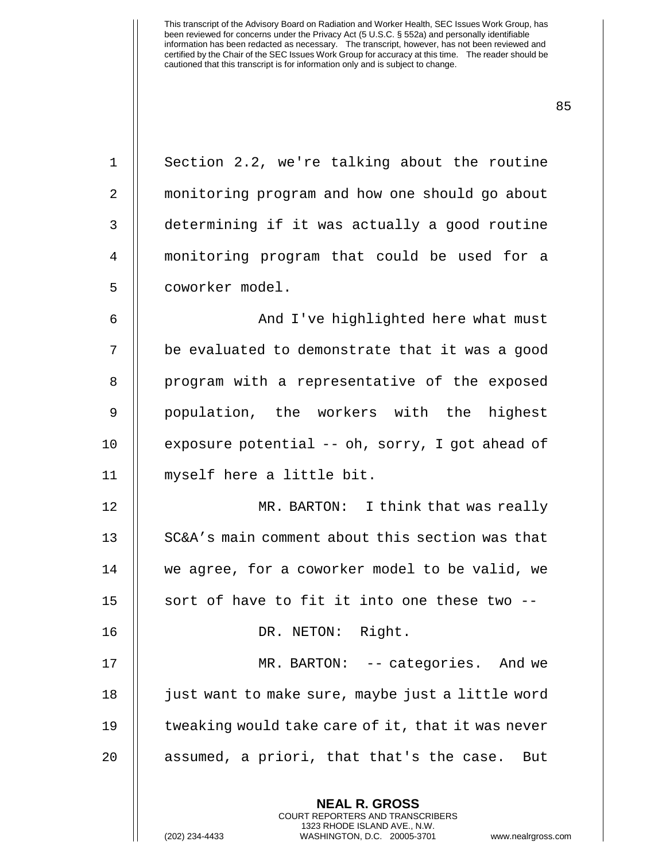| $\mathbf 1$ | Section 2.2, we're talking about the routine      |
|-------------|---------------------------------------------------|
| 2           | monitoring program and how one should go about    |
| 3           | determining if it was actually a good routine     |
| 4           | monitoring program that could be used for a       |
| 5           | coworker model.                                   |
| 6           | And I've highlighted here what must               |
| 7           | be evaluated to demonstrate that it was a good    |
| 8           | program with a representative of the exposed      |
| 9           | population, the workers with the highest          |
| 10          | exposure potential -- oh, sorry, I got ahead of   |
| 11          | myself here a little bit.                         |
| 12          | MR. BARTON: I think that was really               |
| 13          | SC&A's main comment about this section was that   |
| 14          | we agree, for a coworker model to be valid, we    |
| 15          | sort of have to fit it into one these two --      |
| 16          | DR. NETON: Right.                                 |
| 17          | MR. BARTON: -- categories. And we                 |
| 18          | just want to make sure, maybe just a little word  |
| 19          | tweaking would take care of it, that it was never |
| 20          | assumed, a priori, that that's the case.<br>But   |
|             | <b>NEAL R. GROSS</b>                              |

COURT REPORTERS AND TRANSCRIBERS 1323 RHODE ISLAND AVE., N.W.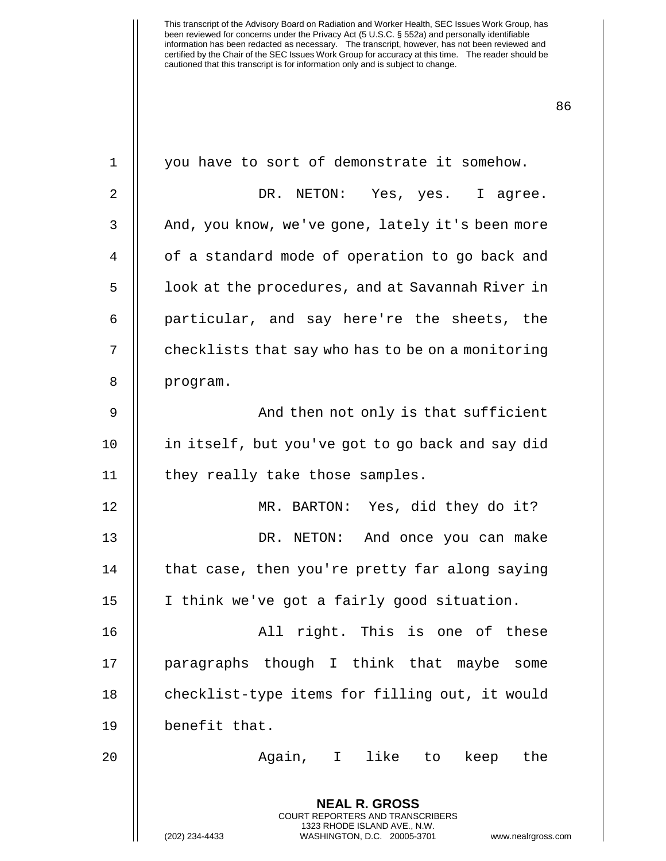| 1  | you have to sort of demonstrate it somehow.                                                                                                                            |
|----|------------------------------------------------------------------------------------------------------------------------------------------------------------------------|
| 2  | DR. NETON: Yes, yes. I agree.                                                                                                                                          |
| 3  | And, you know, we've gone, lately it's been more                                                                                                                       |
| 4  | of a standard mode of operation to go back and                                                                                                                         |
| 5  | look at the procedures, and at Savannah River in                                                                                                                       |
| 6  | particular, and say here're the sheets, the                                                                                                                            |
| 7  | checklists that say who has to be on a monitoring                                                                                                                      |
| 8  | program.                                                                                                                                                               |
| 9  | And then not only is that sufficient                                                                                                                                   |
| 10 | in itself, but you've got to go back and say did                                                                                                                       |
| 11 | they really take those samples.                                                                                                                                        |
| 12 | MR. BARTON: Yes, did they do it?                                                                                                                                       |
| 13 | DR. NETON: And once you can make                                                                                                                                       |
| 14 | that case, then you're pretty far along saying                                                                                                                         |
| 15 | I think we've got a fairly good situation.                                                                                                                             |
| 16 | right. This is one of these<br>All                                                                                                                                     |
| 17 | paragraphs though I think that maybe some                                                                                                                              |
| 18 | checklist-type items for filling out, it would                                                                                                                         |
| 19 | benefit that.                                                                                                                                                          |
| 20 | Again, I like to<br>keep the                                                                                                                                           |
|    | <b>NEAL R. GROSS</b><br><b>COURT REPORTERS AND TRANSCRIBERS</b><br>1323 RHODE ISLAND AVE., N.W.<br>(202) 234-4433<br>WASHINGTON, D.C. 20005-3701<br>www.nealrgross.com |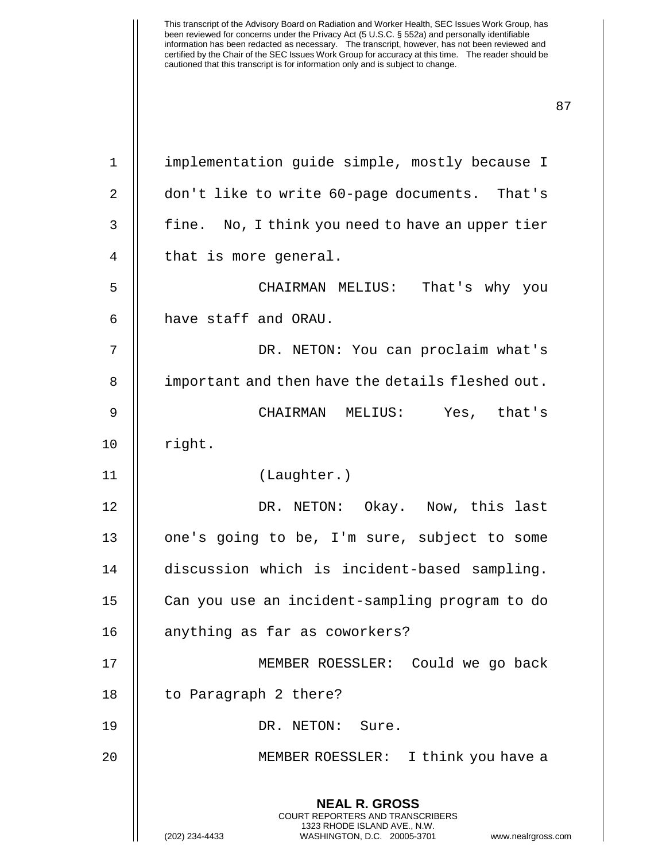**NEAL R. GROSS** COURT REPORTERS AND TRANSCRIBERS 1323 RHODE ISLAND AVE., N.W. (202) 234-4433 WASHINGTON, D.C. 20005-3701 www.nealrgross.com 1 | implementation quide simple, mostly because I 2 | don't like to write 60-page documents. That's  $3 \parallel$  fine. No, I think you need to have an upper tier  $4 \parallel$  that is more general. 5 CHAIRMAN MELIUS: That's why you 6 have staff and ORAU. 7 DR. NETON: You can proclaim what's 8 | important and then have the details fleshed out. 9 CHAIRMAN MELIUS: Yes, that's 10 || right. 11 (Laughter.) 12 DR. NETON: Okay. Now, this last 13 || one's going to be, I'm sure, subject to some 14 discussion which is incident-based sampling. 15 Can you use an incident-sampling program to do 16 || anything as far as coworkers? 17 MEMBER ROESSLER: Could we go back 18 | to Paragraph 2 there? 19 DR. NETON: Sure. 20 MEMBER ROESSLER: I think you have a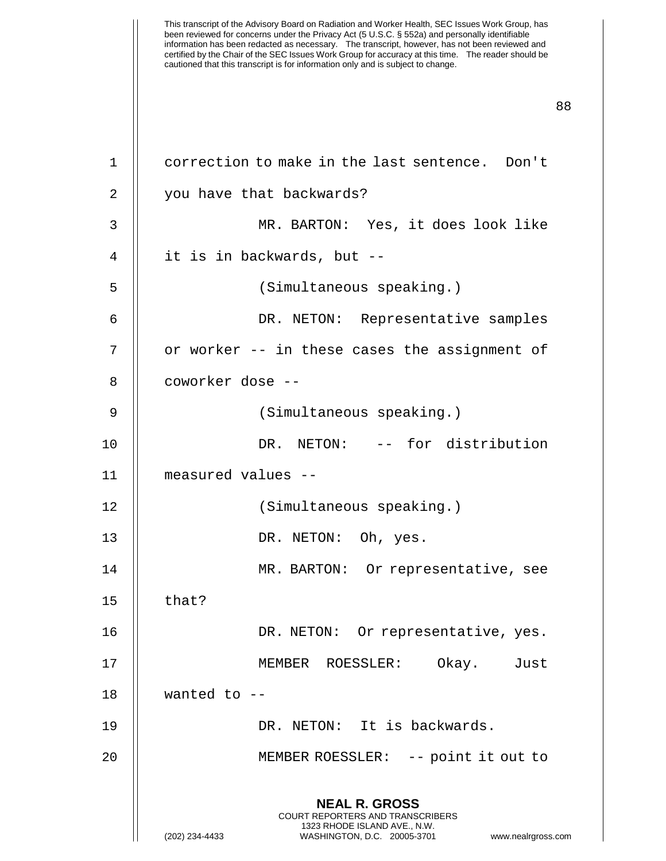| $\mathbf 1$ | correction to make in the last sentence. Don't                                                                                                                         |
|-------------|------------------------------------------------------------------------------------------------------------------------------------------------------------------------|
| 2           | you have that backwards?                                                                                                                                               |
| 3           | MR. BARTON: Yes, it does look like                                                                                                                                     |
| 4           | it is in backwards, but --                                                                                                                                             |
| 5           | (Simultaneous speaking.)                                                                                                                                               |
| 6           | DR. NETON: Representative samples                                                                                                                                      |
| 7           | or worker -- in these cases the assignment of                                                                                                                          |
| 8           | coworker dose --                                                                                                                                                       |
| 9           | (Simultaneous speaking.)                                                                                                                                               |
| 10          | DR. NETON: -- for distribution                                                                                                                                         |
| 11          | measured values --                                                                                                                                                     |
| 12          | (Simultaneous speaking.)                                                                                                                                               |
| 13          | DR. NETON: Oh, yes.                                                                                                                                                    |
| 14          | MR. BARTON: Or representative, see                                                                                                                                     |
| 15          | that?                                                                                                                                                                  |
| 16          | DR. NETON:<br>Or representative, yes.                                                                                                                                  |
| 17          | Okay.<br>MEMBER ROESSLER:<br>Just                                                                                                                                      |
| 18          | wanted to $-$                                                                                                                                                          |
| 19          | DR. NETON: It is backwards.                                                                                                                                            |
| 20          | MEMBER ROESSLER: -- point it out to                                                                                                                                    |
|             | <b>NEAL R. GROSS</b><br><b>COURT REPORTERS AND TRANSCRIBERS</b><br>1323 RHODE ISLAND AVE., N.W.<br>(202) 234-4433<br>WASHINGTON, D.C. 20005-3701<br>www.nealrgross.com |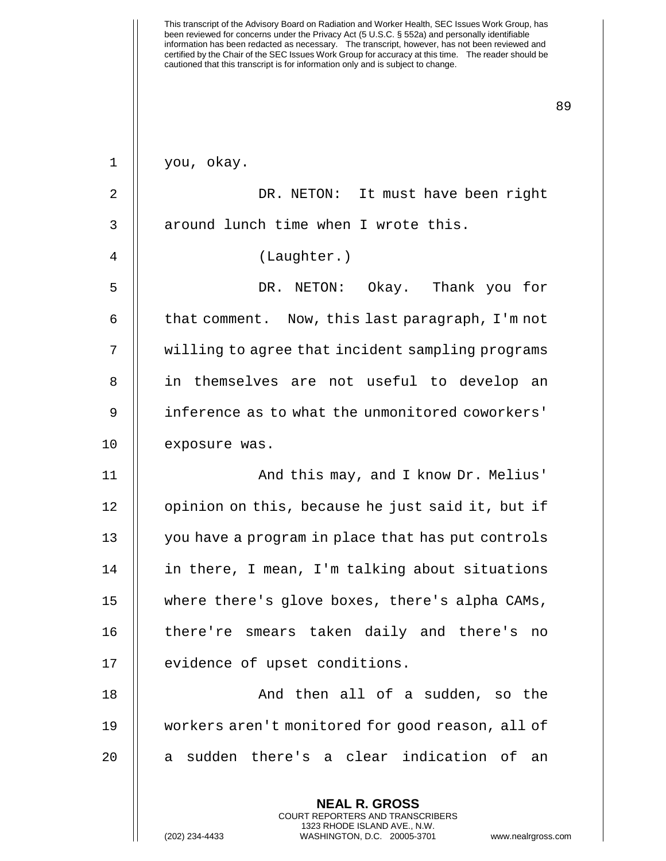| $\mathbf 1$    | you, okay.                                        |
|----------------|---------------------------------------------------|
| $\overline{2}$ | DR. NETON: It must have been right                |
| 3              | around lunch time when I wrote this.              |
| 4              | (Laughter.)                                       |
| 5              | DR. NETON: Okay. Thank you for                    |
| 6              | that comment. Now, this last paragraph, I'm not   |
| 7              | willing to agree that incident sampling programs  |
| 8              | in themselves are not useful to develop an        |
| 9              | inference as to what the unmonitored coworkers'   |
| 10             | exposure was.                                     |
| 11             | And this may, and I know Dr. Melius'              |
| 12             | opinion on this, because he just said it, but if  |
| 13             | you have a program in place that has put controls |
| 14             | in there, I mean, I'm talking about situations    |
| 15             | where there's glove boxes, there's alpha CAMs,    |
| 16             | there're smears taken daily and there's<br>no     |
| 17             | evidence of upset conditions.                     |
| 18             | And then all of a sudden, so the                  |
| 19             | workers aren't monitored for good reason, all of  |
| 20             | sudden there's a clear indication of<br>an<br>a   |
|                | <b>NEAL R. GROSS</b>                              |

COURT REPORTERS AND TRANSCRIBERS 1323 RHODE ISLAND AVE., N.W.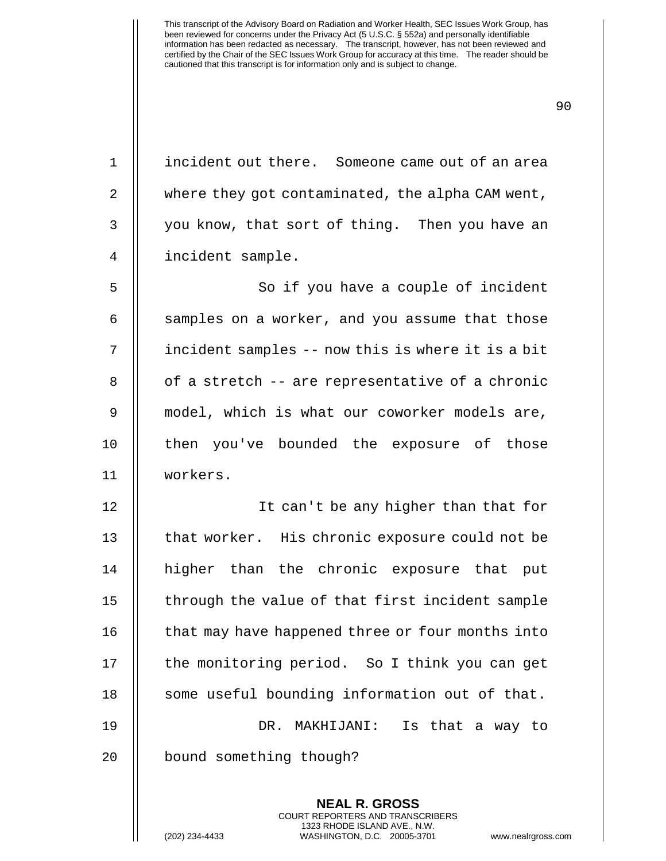90

1 | incident out there. Someone came out of an area 2 | where they got contaminated, the alpha CAM went, 3 || you know, that sort of thing. Then you have an 4 incident sample.

5 || So if you have a couple of incident  $6$  || samples on a worker, and you assume that those 7 incident samples -- now this is where it is a bit  $8 \parallel$  of a stretch -- are representative of a chronic 9 model, which is what our coworker models are, 10 || then you've bounded the exposure of those 11 workers.

12 It can't be any higher than that for 13  $\parallel$  that worker. His chronic exposure could not be 14 higher than the chronic exposure that put 15 || through the value of that first incident sample 16 | that may have happened three or four months into 17 || the monitoring period. So I think you can get 18 || some useful bounding information out of that. 19 DR. MAKHIJANI: Is that a way to 20 | bound something though?

> **NEAL R. GROSS** COURT REPORTERS AND TRANSCRIBERS 1323 RHODE ISLAND AVE., N.W.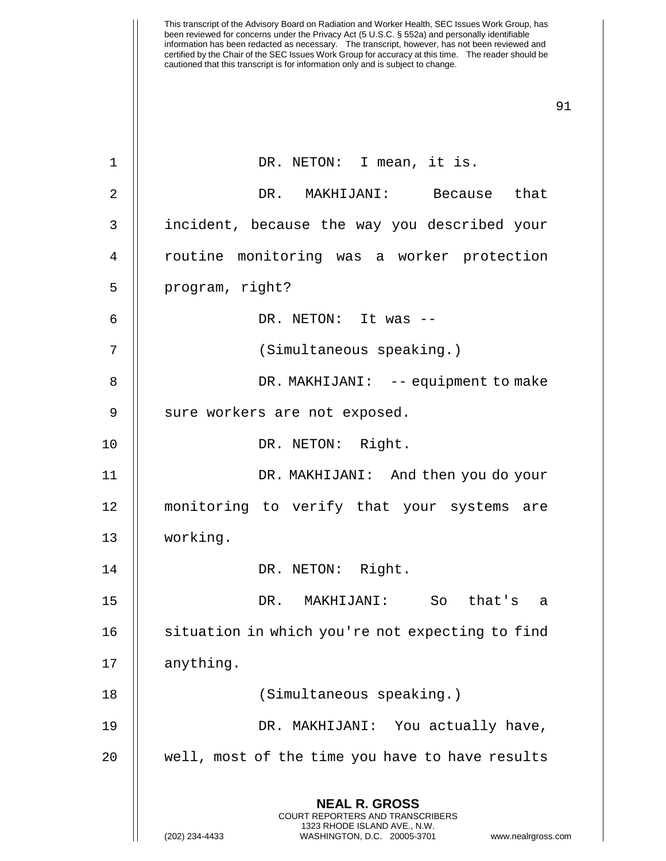| $\mathbf 1$    | DR. NETON: I mean, it is.                                                                           |
|----------------|-----------------------------------------------------------------------------------------------------|
| $\overline{2}$ | DR. MAKHIJANI: Because that                                                                         |
| 3              | incident, because the way you described your                                                        |
| 4              | routine monitoring was a worker protection                                                          |
| 5              | program, right?                                                                                     |
| 6              | DR. NETON: It was --                                                                                |
| 7              | (Simultaneous speaking.)                                                                            |
| 8              | DR. MAKHIJANI: -- equipment to make                                                                 |
| 9              | sure workers are not exposed.                                                                       |
| 10             | DR. NETON: Right.                                                                                   |
| 11             | DR. MAKHIJANI: And then you do your                                                                 |
| 12             | monitoring to verify that your systems are                                                          |
| 13             | working.                                                                                            |
| 14             | DR. NETON: Right.                                                                                   |
| 15             | DR. MAKHIJANI: So that's<br>a                                                                       |
| 16             | situation in which you're not expecting to find                                                     |
| 17             | anything.                                                                                           |
| 18             | (Simultaneous speaking.)                                                                            |
| 19             | DR. MAKHIJANI: You actually have,                                                                   |
| 20             | well, most of the time you have to have results                                                     |
|                | <b>NEAL R. GROSS</b><br><b>COURT REPORTERS AND TRANSCRIBERS</b>                                     |
|                | 1323 RHODE ISLAND AVE., N.W.<br>(202) 234-4433<br>WASHINGTON, D.C. 20005-3701<br>www.nealrgross.com |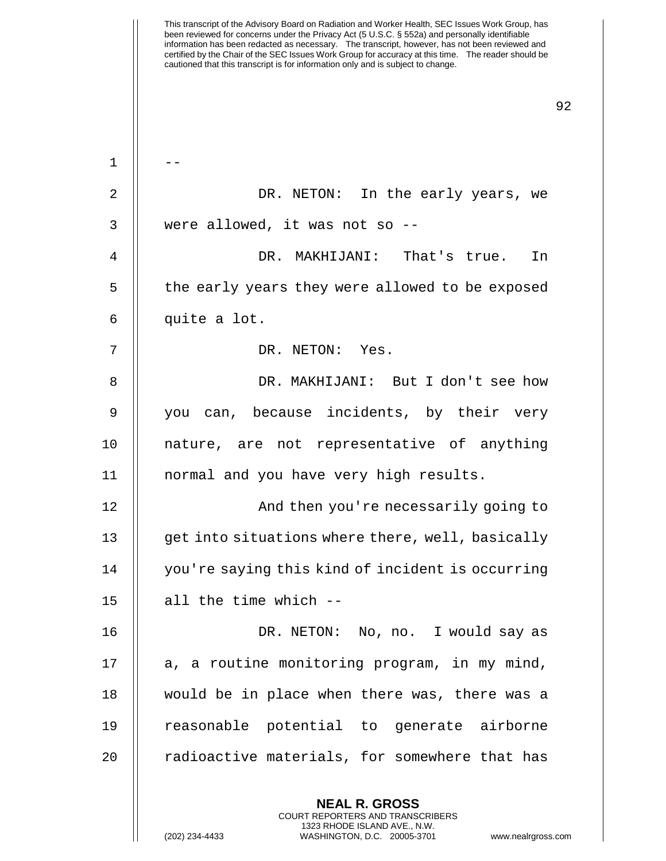This transcript of the Advisory Board on Radiation and Worker Health, SEC Issues Work Group, has been reviewed for concerns under the Privacy Act (5 U.S.C. § 552a) and personally identifiable information has been redacted as necessary. The transcript, however, has not been reviewed and certified by the Chair of the SEC Issues Work Group for accuracy at this time. The reader should be cautioned that this transcript is for information only and is subject to change. 92 **NEAL R. GROSS** COURT REPORTERS AND TRANSCRIBERS  $1 \parallel -$ 2 DR. NETON: In the early years, we  $3 \parallel$  were allowed, it was not so --4 DR. MAKHIJANI: That's true. In 5 | the early years they were allowed to be exposed 6 || quite a lot. 7 DR. NETON: Yes. 8 DR. MAKHIJANI: But I don't see how 9 || you can, because incidents, by their very 10 nature, are not representative of anything 11 || normal and you have very high results. 12 || And then you're necessarily going to 13 | get into situations where there, well, basically 14 you're saying this kind of incident is occurring 15  $\parallel$  all the time which --16 DR. NETON: No, no. I would say as  $17$  | a, a routine monitoring program, in my mind, 18 would be in place when there was, there was a 19 reasonable potential to generate airborne 20 || radioactive materials, for somewhere that has

1323 RHODE ISLAND AVE., N.W.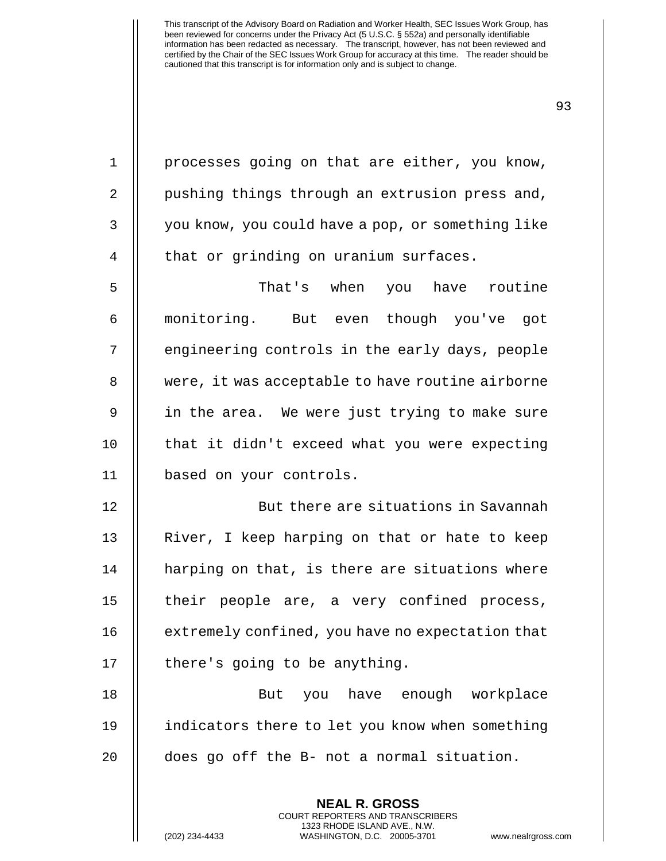**NEAL R. GROSS** COURT REPORTERS AND TRANSCRIBERS 1 || processes going on that are either, you know, 2 | pushing things through an extrusion press and, 3 | you know, you could have a pop, or something like 4 | that or grinding on uranium surfaces. 5  $\parallel$  5 That's when you have routine 6 monitoring. But even though you've got 7 || engineering controls in the early days, people 8 | were, it was acceptable to have routine airborne 9 in the area. We were just trying to make sure 10 || that it didn't exceed what you were expecting 11 based on your controls. 12 || But there are situations in Savannah 13 || River, I keep harping on that or hate to keep 14 || harping on that, is there are situations where 15 || their people are, a very confined process, 16 | extremely confined, you have no expectation that  $17$  | there's going to be anything. 18 But you have enough workplace 19 indicators there to let you know when something 20 || does go off the B- not a normal situation.

1323 RHODE ISLAND AVE., N.W.

(202) 234-4433 WASHINGTON, D.C. 20005-3701 www.nealrgross.com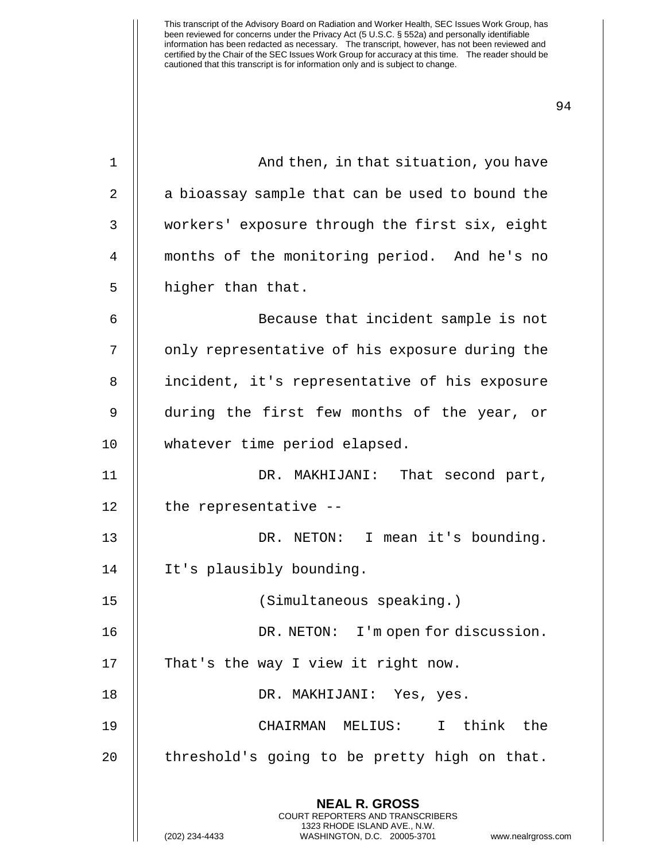| $\mathbf 1$ | And then, in that situation, you have                                                           |
|-------------|-------------------------------------------------------------------------------------------------|
| 2           | a bioassay sample that can be used to bound the                                                 |
| 3           | workers' exposure through the first six, eight                                                  |
| 4           | months of the monitoring period. And he's no                                                    |
| 5           | higher than that.                                                                               |
| 6           | Because that incident sample is not                                                             |
| 7           | only representative of his exposure during the                                                  |
| 8           | incident, it's representative of his exposure                                                   |
| 9           | during the first few months of the year, or                                                     |
| 10          | whatever time period elapsed.                                                                   |
| 11          | DR. MAKHIJANI: That second part,                                                                |
| 12          | the representative --                                                                           |
| 13          | DR. NETON: I mean it's bounding.                                                                |
| 14          | It's plausibly bounding.                                                                        |
| 15          | (Simultaneous speaking.)                                                                        |
| 16          | DR. NETON: I'm open for discussion.                                                             |
| 17          | That's the way I view it right now.                                                             |
| 18          | DR. MAKHIJANI: Yes, yes.                                                                        |
| 19          | CHAIRMAN MELIUS: I think the                                                                    |
| 20          | threshold's going to be pretty high on that.                                                    |
|             | <b>NEAL R. GROSS</b><br><b>COURT REPORTERS AND TRANSCRIBERS</b><br>1323 RHODE ISLAND AVE., N.W. |
|             | (202) 234-4433<br>WASHINGTON, D.C. 20005-3701<br>www.nealrgross.com                             |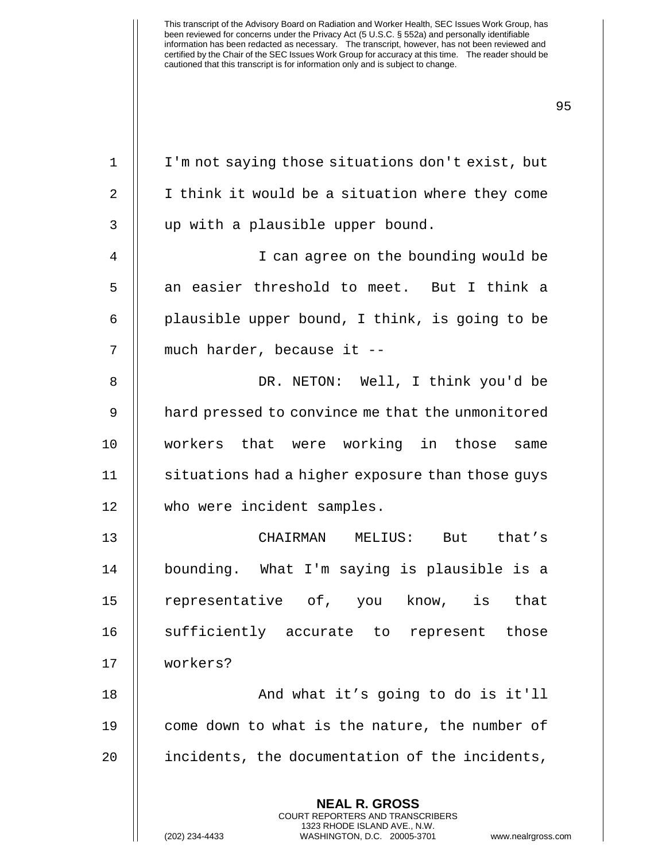**NEAL R. GROSS** 1 I'm not saying those situations don't exist, but 2 || I think it would be a situation where they come 3 || up with a plausible upper bound. 4 || I can agree on the bounding would be  $5$   $\parallel$  an easier threshold to meet. But I think a  $6$  || plausible upper bound, I think, is going to be 7 || much harder, because it --8 DR. NETON: Well, I think you'd be 9 | hard pressed to convince me that the unmonitored 10 workers that were working in those same 11 | situations had a higher exposure than those guys 12 who were incident samples. 13 CHAIRMAN MELIUS: But that's 14 | bounding. What I'm saying is plausible is a 15 || representative of, you know, is that 16 || sufficiently accurate to represent those 17 workers? 18 || And what it's going to do is it'll 19 || come down to what is the nature, the number of 20 | incidents, the documentation of the incidents,

> COURT REPORTERS AND TRANSCRIBERS 1323 RHODE ISLAND AVE., N.W.

(202) 234-4433 WASHINGTON, D.C. 20005-3701 www.nealrgross.com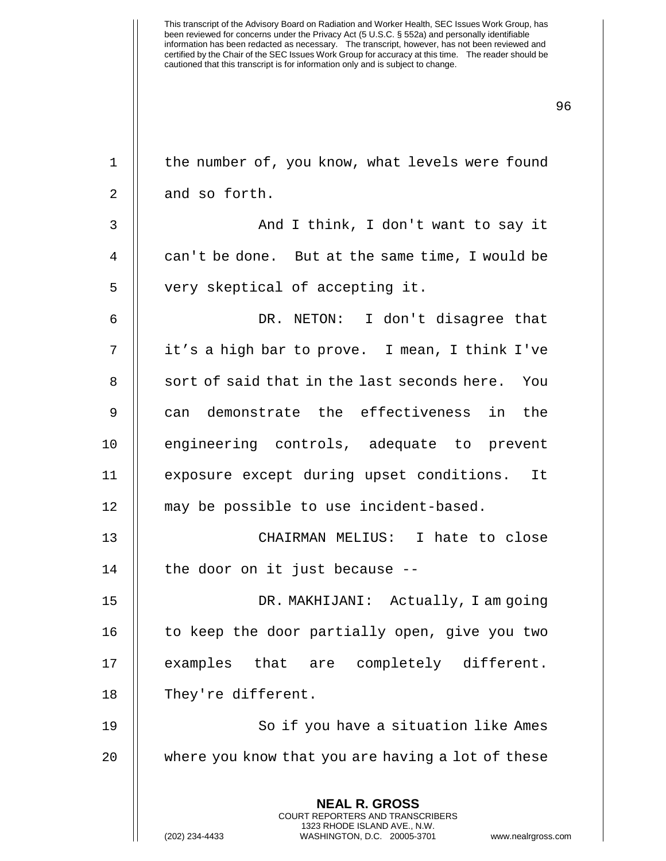| $\mathbf 1$ | the number of, you know, what levels were found                                                                                                               |
|-------------|---------------------------------------------------------------------------------------------------------------------------------------------------------------|
| 2           | and so forth.                                                                                                                                                 |
| 3           | And I think, I don't want to say it                                                                                                                           |
| 4           | can't be done. But at the same time, I would be                                                                                                               |
| 5           | very skeptical of accepting it.                                                                                                                               |
| 6           | DR. NETON: I don't disagree that                                                                                                                              |
| 7           | it's a high bar to prove. I mean, I think I've                                                                                                                |
| 8           | sort of said that in the last seconds here. You                                                                                                               |
| 9           | can demonstrate the effectiveness in<br>the                                                                                                                   |
| 10          | engineering controls, adequate to prevent                                                                                                                     |
| 11          | exposure except during upset conditions. It                                                                                                                   |
| 12          | may be possible to use incident-based.                                                                                                                        |
| 13          | CHAIRMAN MELIUS: I hate to close                                                                                                                              |
| 14          | the door on it just because --                                                                                                                                |
| 15          | DR. MAKHIJANI: Actually, I am going                                                                                                                           |
| 16          | to keep the door partially open, give you two                                                                                                                 |
| 17          | examples that<br>are completely different.                                                                                                                    |
| 18          | They're different.                                                                                                                                            |
| 19          | So if you have a situation like Ames                                                                                                                          |
| 20          | where you know that you are having a lot of these                                                                                                             |
|             | <b>NEAL R. GROSS</b><br>COURT REPORTERS AND TRANSCRIBERS<br>1323 RHODE ISLAND AVE., N.W.<br>(202) 234-4433<br>WASHINGTON, D.C. 20005-3701<br>www.nealrgross.c |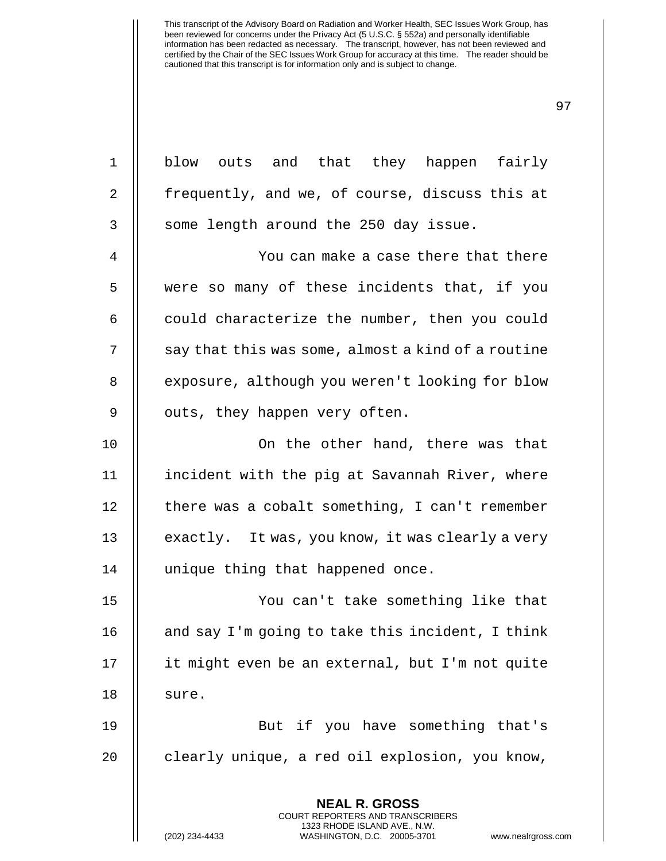**NEAL R. GROSS** COURT REPORTERS AND TRANSCRIBERS 1 blow outs and that they happen fairly 2 | frequently, and we, of course, discuss this at  $3$  || some length around the 250 day issue. 4 You can make a case there that there 5 were so many of these incidents that, if you  $6$   $\parallel$  could characterize the number, then you could  $7 \parallel$  say that this was some, almost a kind of a routine 8 | exposure, although you weren't looking for blow 9 | outs, they happen very often. 10 || On the other hand, there was that 11 incident with the pig at Savannah River, where 12 | there was a cobalt something, I can't remember 13  $\parallel$  exactly. It was, you know, it was clearly a very 14 unique thing that happened once. 15 You can't take something like that 16  $\parallel$  and say I'm going to take this incident, I think 17 || it might even be an external, but I'm not quite  $18$   $\parallel$  sure. 19 But if you have something that's 20 || clearly unique, a red oil explosion, you know,

1323 RHODE ISLAND AVE., N.W.

(202) 234-4433 WASHINGTON, D.C. 20005-3701 www.nealrgross.com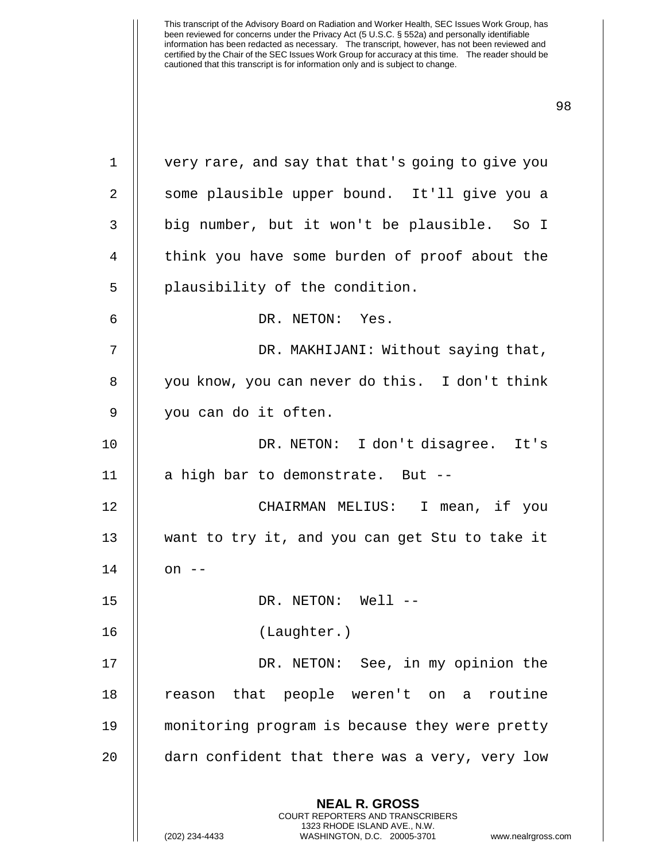| $\mathbf 1$ | very rare, and say that that's going to give you                                                                                                                      |
|-------------|-----------------------------------------------------------------------------------------------------------------------------------------------------------------------|
| 2           | some plausible upper bound. It'll give you a                                                                                                                          |
| 3           | big number, but it won't be plausible. So I                                                                                                                           |
| 4           | think you have some burden of proof about the                                                                                                                         |
| 5           | plausibility of the condition.                                                                                                                                        |
| 6           | DR. NETON: Yes.                                                                                                                                                       |
| 7           | DR. MAKHIJANI: Without saying that,                                                                                                                                   |
| 8           | you know, you can never do this. I don't think                                                                                                                        |
| 9           | you can do it often.                                                                                                                                                  |
| 10          | DR. NETON: I don't disagree. It's                                                                                                                                     |
| 11          | a high bar to demonstrate. But --                                                                                                                                     |
| 12          | CHAIRMAN MELIUS: I mean, if you                                                                                                                                       |
| 13          | want to try it, and you can get Stu to take it                                                                                                                        |
| 14          | on $--$                                                                                                                                                               |
| 15          | DR. NETON: Well --                                                                                                                                                    |
| 16          | (Laughter.)                                                                                                                                                           |
| 17          | DR. NETON: See, in my opinion the                                                                                                                                     |
| 18          | reason that people weren't on a routine                                                                                                                               |
| 19          | monitoring program is because they were pretty                                                                                                                        |
| 20          | darn confident that there was a very, very low                                                                                                                        |
|             | <b>NEAL R. GROSS</b><br><b>COURT REPORTERS AND TRANSCRIBERS</b><br>1323 RHODE ISLAND AVE., N.W.<br>(202) 234-4433<br>WASHINGTON, D.C. 20005-3701<br>www.nealrgross.co |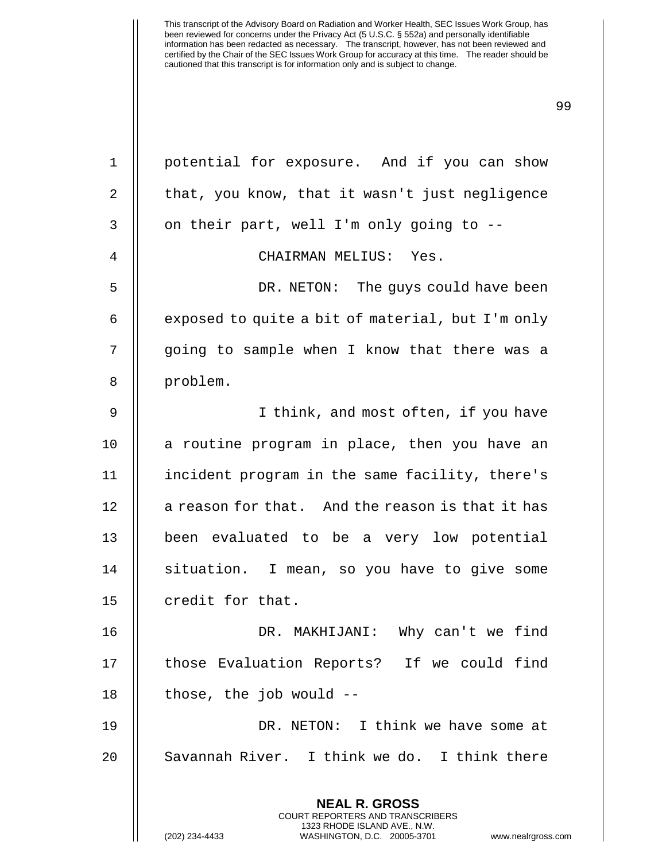**NEAL R. GROSS** 1 || potential for exposure. And if you can show 2 || that, you know, that it wasn't just negligence  $3 \parallel$  on their part, well I'm only going to --4 || CHAIRMAN MELIUS: Yes. 5 DR. NETON: The guys could have been 6  $\parallel$  exposed to quite a bit of material, but I'm only 7 || going to sample when I know that there was a 8 || problem. 9 || I think, and most often, if you have 10 || a routine program in place, then you have an 11 incident program in the same facility, there's  $12$  | a reason for that. And the reason is that it has 13 been evaluated to be a very low potential 14 || situation. I mean, so you have to give some 15  $\parallel$  credit for that. 16 DR. MAKHIJANI: Why can't we find 17 || those Evaluation Reports? If we could find  $18$  || those, the job would  $-$ 19 DR. NETON: I think we have some at 20 || Savannah River. I think we do. I think there

> COURT REPORTERS AND TRANSCRIBERS 1323 RHODE ISLAND AVE., N.W.

(202) 234-4433 WASHINGTON, D.C. 20005-3701 www.nealrgross.com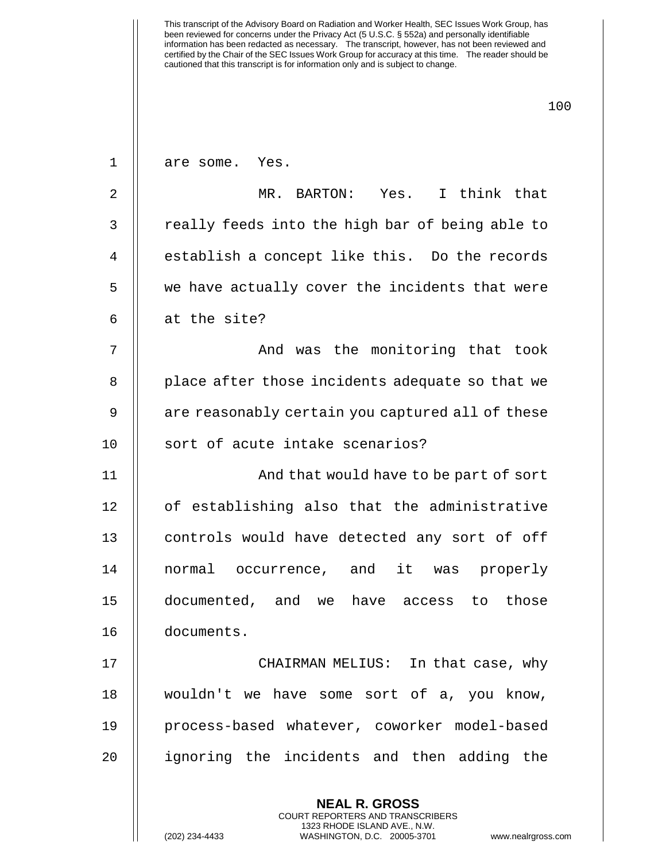**NEAL R. GROSS** 1 || are some. Yes. 2 || MR. BARTON: Yes. I think that 3 || really feeds into the high bar of being able to 4 || establish a concept like this. Do the records 5 || we have actually cover the incidents that were  $6$  || at the site? 7 And was the monitoring that took 8 || place after those incidents adequate so that we 9 || are reasonably certain you captured all of these 10 || sort of acute intake scenarios? 11 || And that would have to be part of sort 12 || of establishing also that the administrative 13 || controls would have detected any sort of off 14 normal occurrence, and it was properly 15 documented, and we have access to those 16 documents. 17 CHAIRMAN MELIUS: In that case, why 18 wouldn't we have some sort of a, you know, 19 process-based whatever, coworker model-based 20 ignoring the incidents and then adding the

> COURT REPORTERS AND TRANSCRIBERS 1323 RHODE ISLAND AVE., N.W.

(202) 234-4433 WASHINGTON, D.C. 20005-3701 www.nealrgross.com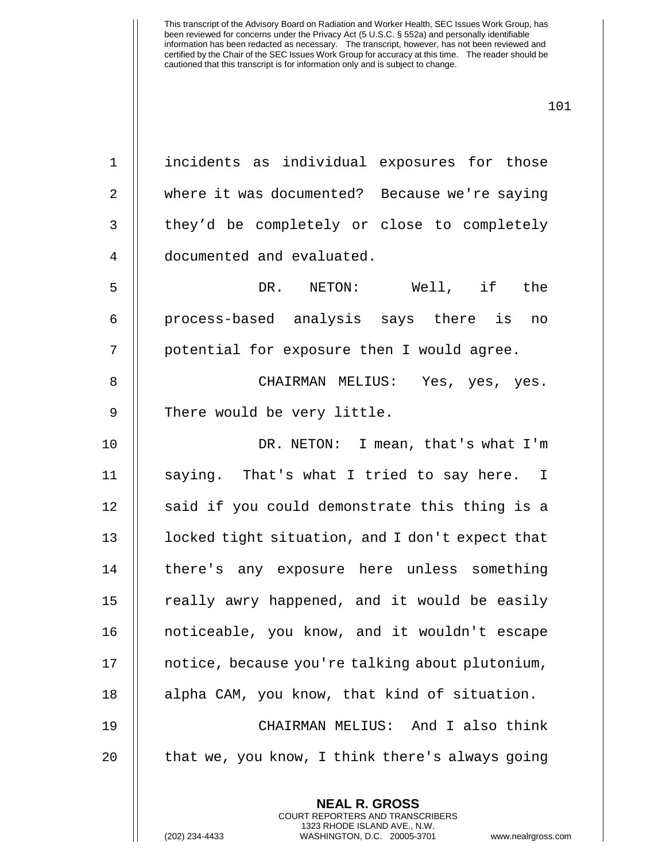| $1\,$          | incidents as individual exposures for those     |
|----------------|-------------------------------------------------|
| $\overline{2}$ | where it was documented? Because we're saying   |
| $\mathfrak{Z}$ | they'd be completely or close to completely     |
| 4              | documented and evaluated.                       |
| 5              | DR. NETON: Well, if<br>the                      |
| $\epsilon$     | process-based analysis says there is<br>no      |
| 7              | potential for exposure then I would agree.      |
| 8              | CHAIRMAN MELIUS: Yes, yes, yes.                 |
| $\mathsf 9$    | There would be very little.                     |
| 10             | DR. NETON: I mean, that's what I'm              |
| 11             | saying. That's what I tried to say here. I      |
| 12             | said if you could demonstrate this thing is a   |
| 13             | locked tight situation, and I don't expect that |
| 14             | there's any exposure here unless something      |
| 15             | really awry happened, and it would be easily    |
| 16             | noticeable, you know, and it wouldn't escape    |
| 17             | notice, because you're talking about plutonium, |
| 18             | alpha CAM, you know, that kind of situation.    |
| 19             | CHAIRMAN MELIUS: And I also think               |
| 20             | that we, you know, I think there's always going |
|                | <b>NEAL R. GROSS</b>                            |
|                |                                                 |

COURT REPORTERS AND TRANSCRIBERS 1323 RHODE ISLAND AVE., N.W.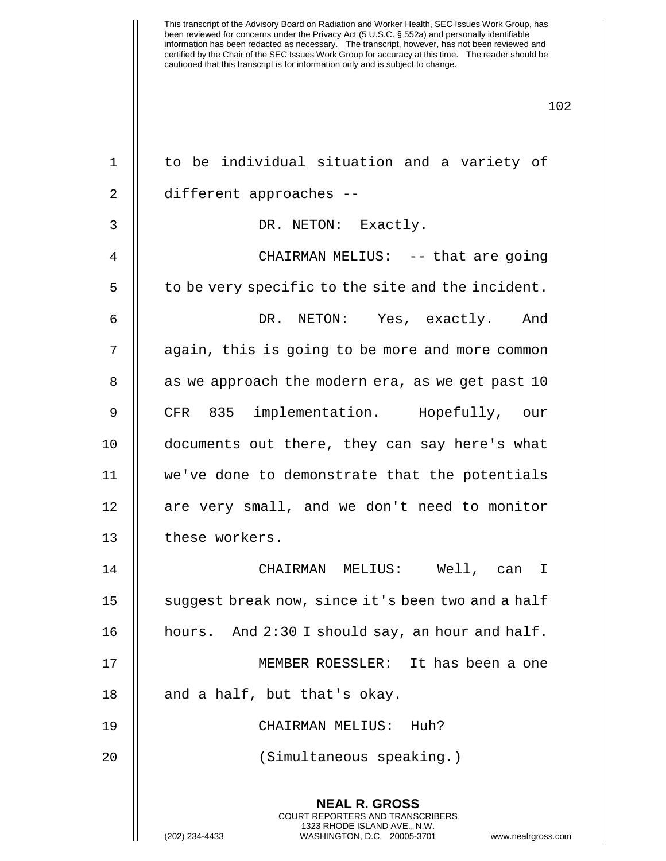| 1  | to be individual situation and a variety of                                                                                                                            |
|----|------------------------------------------------------------------------------------------------------------------------------------------------------------------------|
| 2  | different approaches --                                                                                                                                                |
| 3  | DR. NETON: Exactly.                                                                                                                                                    |
| 4  | CHAIRMAN MELIUS: -- that are going                                                                                                                                     |
| 5  | to be very specific to the site and the incident.                                                                                                                      |
| 6  | DR. NETON: Yes, exactly. And                                                                                                                                           |
| 7  | again, this is going to be more and more common                                                                                                                        |
| 8  | as we approach the modern era, as we get past 10                                                                                                                       |
| 9  | CFR 835 implementation. Hopefully, our                                                                                                                                 |
| 10 | documents out there, they can say here's what                                                                                                                          |
| 11 | we've done to demonstrate that the potentials                                                                                                                          |
| 12 | are very small, and we don't need to monitor                                                                                                                           |
| 13 | these workers.                                                                                                                                                         |
| 14 | CHAIRMAN MELIUS: Well, can<br>$\mathbf I$                                                                                                                              |
| 15 | suggest break now, since it's been two and a half                                                                                                                      |
| 16 | hours. And 2:30 I should say, an hour and half.                                                                                                                        |
| 17 | MEMBER ROESSLER: It has been a one                                                                                                                                     |
| 18 | and a half, but that's okay.                                                                                                                                           |
| 19 | CHAIRMAN MELIUS: Huh?                                                                                                                                                  |
| 20 | (Simultaneous speaking.)                                                                                                                                               |
|    | <b>NEAL R. GROSS</b><br><b>COURT REPORTERS AND TRANSCRIBERS</b><br>1323 RHODE ISLAND AVE., N.W.<br>WASHINGTON, D.C. 20005-3701<br>(202) 234-4433<br>www.nealrgross.com |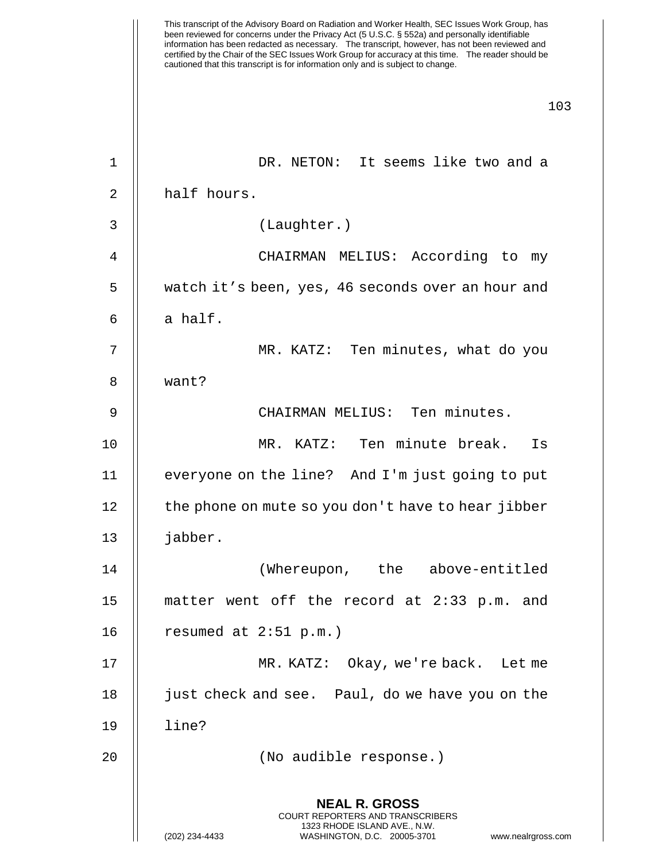|    | This transcript of the Advisory Board on Radiation and Worker Health, SEC Issues Work Group, has<br>been reviewed for concerns under the Privacy Act (5 U.S.C. § 552a) and personally identifiable<br>information has been redacted as necessary.  The transcript, however, has not been reviewed and<br>certified by the Chair of the SEC Issues Work Group for accuracy at this time.  The reader should be<br>cautioned that this transcript is for information only and is subject to change. |
|----|---------------------------------------------------------------------------------------------------------------------------------------------------------------------------------------------------------------------------------------------------------------------------------------------------------------------------------------------------------------------------------------------------------------------------------------------------------------------------------------------------|
|    | 103                                                                                                                                                                                                                                                                                                                                                                                                                                                                                               |
|    |                                                                                                                                                                                                                                                                                                                                                                                                                                                                                                   |
| 1  | DR. NETON: It seems like two and a                                                                                                                                                                                                                                                                                                                                                                                                                                                                |
| 2  | half hours.                                                                                                                                                                                                                                                                                                                                                                                                                                                                                       |
| 3  | (Laughter.)                                                                                                                                                                                                                                                                                                                                                                                                                                                                                       |
| 4  | CHAIRMAN MELIUS: According to<br>my                                                                                                                                                                                                                                                                                                                                                                                                                                                               |
| 5  | watch it's been, yes, 46 seconds over an hour and                                                                                                                                                                                                                                                                                                                                                                                                                                                 |
| 6  | a half.                                                                                                                                                                                                                                                                                                                                                                                                                                                                                           |
| 7  | MR. KATZ: Ten minutes, what do you                                                                                                                                                                                                                                                                                                                                                                                                                                                                |
| 8  | want?                                                                                                                                                                                                                                                                                                                                                                                                                                                                                             |
| 9  | CHAIRMAN MELIUS: Ten minutes.                                                                                                                                                                                                                                                                                                                                                                                                                                                                     |
| 10 | Ten minute break.<br>MR. KATZ:<br>Is                                                                                                                                                                                                                                                                                                                                                                                                                                                              |
| 11 | everyone on the line? And I'm just going to put                                                                                                                                                                                                                                                                                                                                                                                                                                                   |
| 12 | the phone on mute so you don't have to hear jibber                                                                                                                                                                                                                                                                                                                                                                                                                                                |
| 13 | jabber.                                                                                                                                                                                                                                                                                                                                                                                                                                                                                           |
| 14 | (Whereupon, the above-entitled                                                                                                                                                                                                                                                                                                                                                                                                                                                                    |
| 15 | matter went off the record at 2:33 p.m. and                                                                                                                                                                                                                                                                                                                                                                                                                                                       |
| 16 | resumed at $2:51$ p.m.)                                                                                                                                                                                                                                                                                                                                                                                                                                                                           |
| 17 | MR. KATZ: Okay, we're back. Let me                                                                                                                                                                                                                                                                                                                                                                                                                                                                |
| 18 | just check and see. Paul, do we have you on the                                                                                                                                                                                                                                                                                                                                                                                                                                                   |
| 19 | line?                                                                                                                                                                                                                                                                                                                                                                                                                                                                                             |
| 20 | (No audible response.)                                                                                                                                                                                                                                                                                                                                                                                                                                                                            |
|    | <b>NEAL R. GROSS</b><br><b>COURT REPORTERS AND TRANSCRIBERS</b><br>1323 RHODE ISLAND AVE., N.W.<br>(202) 234-4433<br>WASHINGTON, D.C. 20005-3701<br>www.nealrgross.com                                                                                                                                                                                                                                                                                                                            |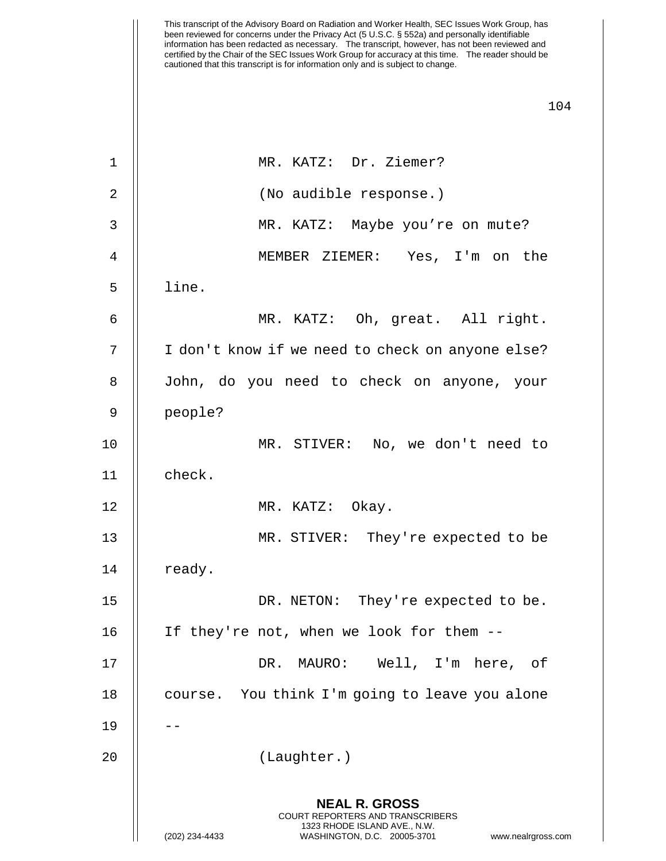| $\mathbf 1$ | MR. KATZ: Dr. Ziemer?                                                                                                                                           |
|-------------|-----------------------------------------------------------------------------------------------------------------------------------------------------------------|
| 2           | (No audible response.)                                                                                                                                          |
| 3           | MR. KATZ: Maybe you're on mute?                                                                                                                                 |
| 4           | MEMBER ZIEMER: Yes, I'm on the                                                                                                                                  |
| 5           | line.                                                                                                                                                           |
| 6           | MR. KATZ: Oh, great. All right.                                                                                                                                 |
| 7           | I don't know if we need to check on anyone else?                                                                                                                |
| 8           | John, do you need to check on anyone, your                                                                                                                      |
| 9           | people?                                                                                                                                                         |
| 10          | MR. STIVER: No, we don't need to                                                                                                                                |
| 11          | check.                                                                                                                                                          |
| 12          | MR. KATZ: Okay.                                                                                                                                                 |
| 13          | MR. STIVER: They're expected to be                                                                                                                              |
| 14          | ready.                                                                                                                                                          |
| 15          | DR. NETON: They're expected to be.                                                                                                                              |
| 16          | If they're not, when we look for them --                                                                                                                        |
| 17          | MAURO: Well, I'm here, of<br>DR.                                                                                                                                |
| 18          | You think I'm going to leave you alone<br>course.                                                                                                               |
| 19          |                                                                                                                                                                 |
| 20          | (Laughter.)                                                                                                                                                     |
|             | <b>NEAL R. GROSS</b><br>COURT REPORTERS AND TRANSCRIBERS<br>1323 RHODE ISLAND AVE., N.W.<br>(202) 234-4433<br>WASHINGTON, D.C. 20005-3701<br>www.nealrgross.com |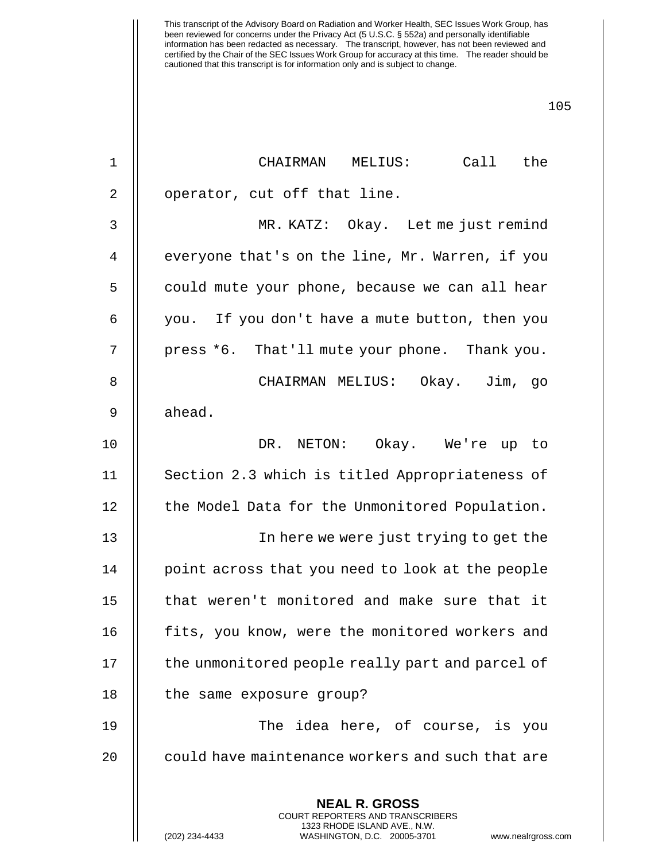| 1  | CHAIRMAN MELIUS: Call the                                                                                                                                              |
|----|------------------------------------------------------------------------------------------------------------------------------------------------------------------------|
| 2  | operator, cut off that line.                                                                                                                                           |
| 3  | MR. KATZ: Okay. Let me just remind                                                                                                                                     |
| 4  | everyone that's on the line, Mr. Warren, if you                                                                                                                        |
| 5  | could mute your phone, because we can all hear                                                                                                                         |
| 6  | you. If you don't have a mute button, then you                                                                                                                         |
| 7  | press *6. That'll mute your phone. Thank you.                                                                                                                          |
| 8  | CHAIRMAN MELIUS: Okay. Jim, go                                                                                                                                         |
| 9  | ahead.                                                                                                                                                                 |
| 10 | DR. NETON: Okay. We're up to                                                                                                                                           |
| 11 | Section 2.3 which is titled Appropriateness of                                                                                                                         |
| 12 | the Model Data for the Unmonitored Population.                                                                                                                         |
| 13 | In here we were just trying to get the                                                                                                                                 |
| 14 | point across that you need to look at the people                                                                                                                       |
| 15 | that weren't monitored and make sure that it                                                                                                                           |
| 16 | fits, you know, were the monitored workers and                                                                                                                         |
| 17 | the unmonitored people really part and parcel of                                                                                                                       |
| 18 | the same exposure group?                                                                                                                                               |
| 19 | The idea here, of course, is you                                                                                                                                       |
| 20 | could have maintenance workers and such that are                                                                                                                       |
|    | <b>NEAL R. GROSS</b><br><b>COURT REPORTERS AND TRANSCRIBERS</b><br>1323 RHODE ISLAND AVE., N.W.<br>(202) 234-4433<br>WASHINGTON, D.C. 20005-3701<br>www.nealrgross.com |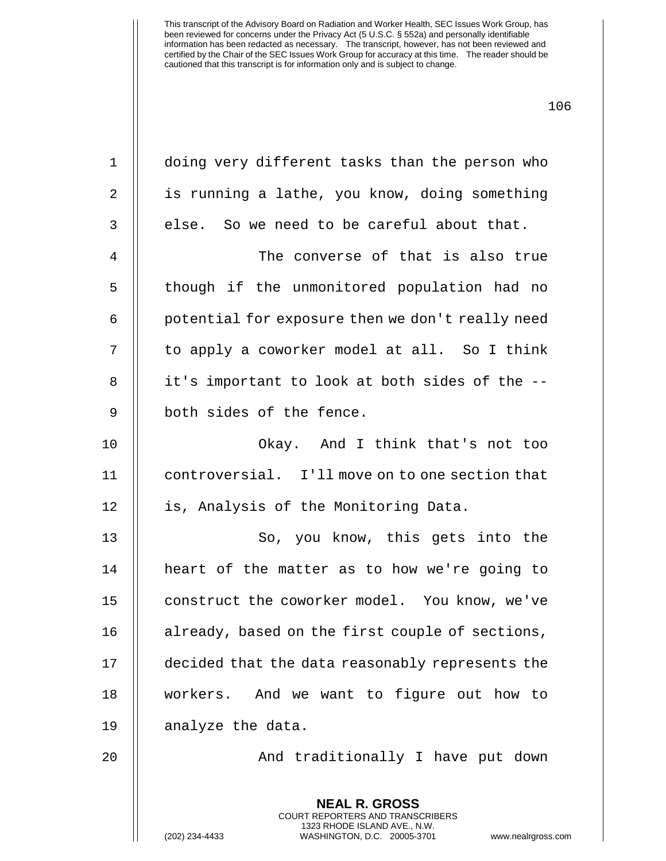|                | <b>NEAL R. GROSS</b>                             |
|----------------|--------------------------------------------------|
| 20             | And traditionally I have put down                |
| 19             | analyze the data.                                |
| 18             | workers. And we want to figure out how to        |
| 17             | decided that the data reasonably represents the  |
| 16             | already, based on the first couple of sections,  |
| 15             | construct the coworker model. You know, we've    |
| 14             | heart of the matter as to how we're going to     |
| 13             | So, you know, this gets into the                 |
| 12             | is, Analysis of the Monitoring Data.             |
| 11             | controversial. I'll move on to one section that  |
| 10             | Okay. And I think that's not too                 |
| $\mathsf 9$    | both sides of the fence.                         |
| 8              | it's important to look at both sides of the --   |
| 7              | to apply a coworker model at all. So I think     |
| 6              | potential for exposure then we don't really need |
| 5              | though if the unmonitored population had no      |
| $\overline{4}$ | The converse of that is also true                |
| 3              | else. So we need to be careful about that.       |
| 2              | is running a lathe, you know, doing something    |
| $1\,$          | doing very different tasks than the person who   |

COURT REPORTERS AND TRANSCRIBERS 1323 RHODE ISLAND AVE., N.W.

(202) 234-4433 WASHINGTON, D.C. 20005-3701 www.nealrgross.com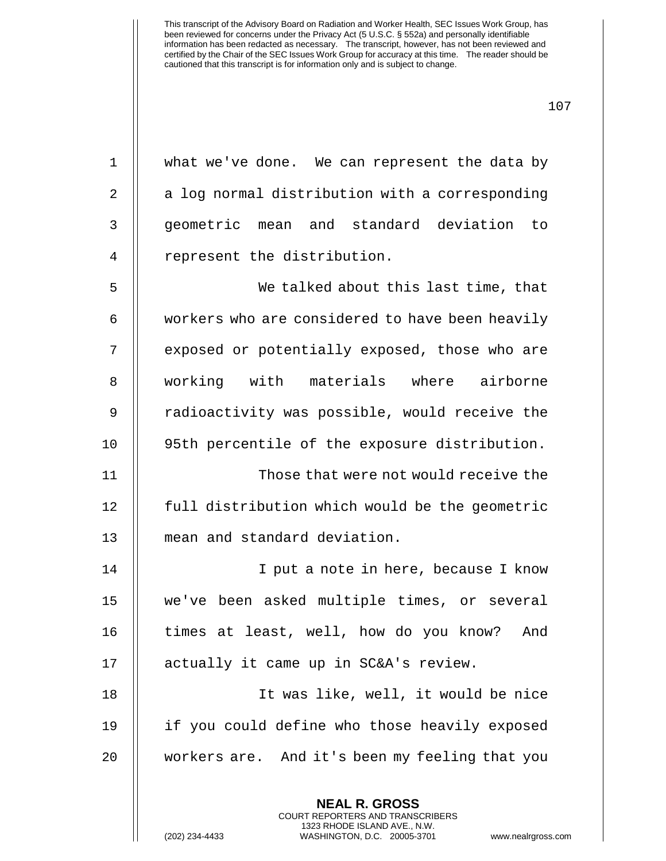| $\mathbf 1$ | what we've done. We can represent the data by                   |
|-------------|-----------------------------------------------------------------|
| 2           | a log normal distribution with a corresponding                  |
| 3           | geometric mean and standard deviation to                        |
| 4           | represent the distribution.                                     |
| 5           | We talked about this last time, that                            |
| 6           | workers who are considered to have been heavily                 |
| 7           | exposed or potentially exposed, those who are                   |
| 8           | working with materials where airborne                           |
| $\mathsf 9$ | radioactivity was possible, would receive the                   |
| 10          | 95th percentile of the exposure distribution.                   |
| 11          | Those that were not would receive the                           |
| 12          | full distribution which would be the geometric                  |
| 13          | mean and standard deviation.                                    |
| 14          | I put a note in here, because I know                            |
| 15          | we've been asked multiple times, or several                     |
| 16          | times at least, well, how do you know? And                      |
| 17          | actually it came up in SC&A's review.                           |
| 18          | It was like, well, it would be nice                             |
| 19          | if you could define who those heavily exposed                   |
| 20          | workers are. And it's been my feeling that you                  |
|             | <b>NEAL R. GROSS</b><br><b>COURT REPORTERS AND TRANSCRIBERS</b> |

1323 RHODE ISLAND AVE., N.W.

 $\bigg|\bigg|$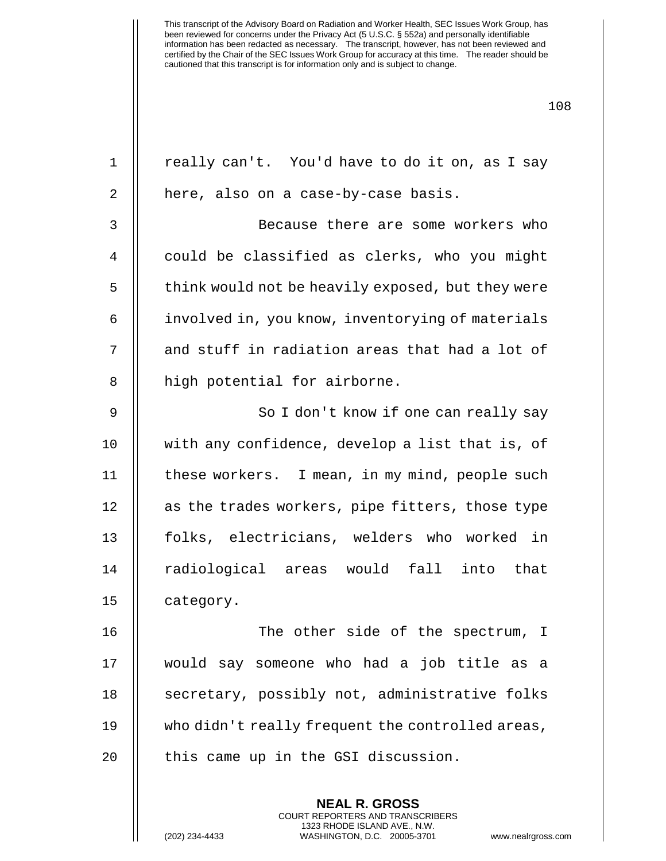| $\mathbf 1$    | really can't. You'd have to do it on, as I say    |
|----------------|---------------------------------------------------|
| 2              | here, also on a case-by-case basis.               |
| 3              | Because there are some workers who                |
| $\overline{4}$ | could be classified as clerks, who you might      |
| 5              | think would not be heavily exposed, but they were |
| 6              | involved in, you know, inventorying of materials  |
| 7              | and stuff in radiation areas that had a lot of    |
| 8              | high potential for airborne.                      |
| 9              | So I don't know if one can really say             |
| 10             | with any confidence, develop a list that is, of   |
| 11             | these workers. I mean, in my mind, people such    |
| 12             | as the trades workers, pipe fitters, those type   |
| 13             | folks, electricians, welders who worked in        |
| 14             | radiological areas would fall into that           |
| 15             | category.                                         |
| 16             | The other side of the spectrum, I                 |
| 17             | would say someone who had a job title as a        |
| 18             | secretary, possibly not, administrative folks     |
| 19             | who didn't really frequent the controlled areas,  |
| 20             | this came up in the GSI discussion.               |
|                | <b>NEAL R. GROSS</b>                              |

COURT REPORTERS AND TRANSCRIBERS 1323 RHODE ISLAND AVE., N.W.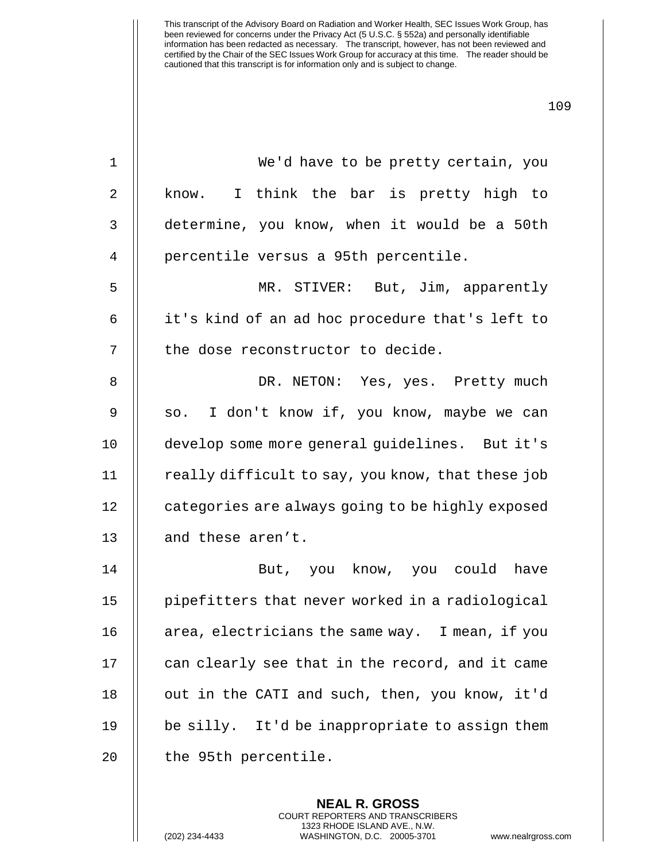| $\mathbf 1$    | We'd have to be pretty certain, you               |
|----------------|---------------------------------------------------|
| $\overline{2}$ | I think the bar is pretty high to<br>know.        |
| 3              | determine, you know, when it would be a 50th      |
| 4              | percentile versus a 95th percentile.              |
| 5              | MR. STIVER: But, Jim, apparently                  |
| 6              | it's kind of an ad hoc procedure that's left to   |
| 7              | the dose reconstructor to decide.                 |
| 8              | DR. NETON: Yes, yes. Pretty much                  |
| 9              | so. I don't know if, you know, maybe we can       |
| 10             | develop some more general guidelines. But it's    |
| 11             | really difficult to say, you know, that these job |
| 12             | categories are always going to be highly exposed  |
| 13             | and these aren't.                                 |
| 14             | But, you know, you could have                     |
| 15             | pipefitters that never worked in a radiological   |
| 16             | area, electricians the same way. I mean, if you   |
| 17             | can clearly see that in the record, and it came   |
| 18             | out in the CATI and such, then, you know, it'd    |
| 19             | be silly. It'd be inappropriate to assign them    |
| 20             | the 95th percentile.                              |
|                |                                                   |

**NEAL R. GROSS** COURT REPORTERS AND TRANSCRIBERS 1323 RHODE ISLAND AVE., N.W.

(202) 234-4433 WASHINGTON, D.C. 20005-3701 www.nealrgross.com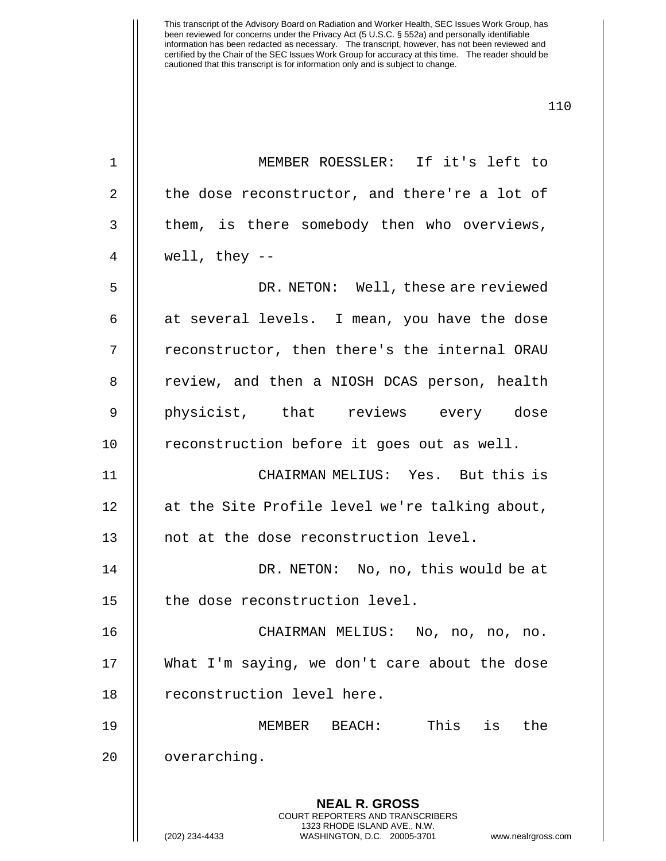| 1  | MEMBER ROESSLER: If it's left to                                                                    |
|----|-----------------------------------------------------------------------------------------------------|
| 2  | the dose reconstructor, and there're a lot of                                                       |
| 3  | them, is there somebody then who overviews,                                                         |
| 4  | well, they $--$                                                                                     |
| 5  | DR. NETON: Well, these are reviewed                                                                 |
| 6  | at several levels. I mean, you have the dose                                                        |
| 7  | reconstructor, then there's the internal ORAU                                                       |
| 8  | review, and then a NIOSH DCAS person, health                                                        |
| 9  | physicist, that reviews every dose                                                                  |
| 10 | reconstruction before it goes out as well.                                                          |
| 11 | CHAIRMAN MELIUS: Yes. But this is                                                                   |
| 12 | at the Site Profile level we're talking about,                                                      |
| 13 | not at the dose reconstruction level.                                                               |
| 14 | DR. NETON: No, no, this would be at                                                                 |
| 15 | the dose reconstruction level.                                                                      |
| 16 | CHAIRMAN MELIUS: No, no, no, no.                                                                    |
| 17 | What I'm saying, we don't care about the dose                                                       |
| 18 | reconstruction level here.                                                                          |
| 19 | This is the<br>MEMBER BEACH:                                                                        |
| 20 | overarching.                                                                                        |
|    | <b>NEAL R. GROSS</b><br><b>COURT REPORTERS AND TRANSCRIBERS</b>                                     |
|    | 1323 RHODE ISLAND AVE., N.W.<br>(202) 234-4433<br>WASHINGTON, D.C. 20005-3701<br>www.nealrgross.com |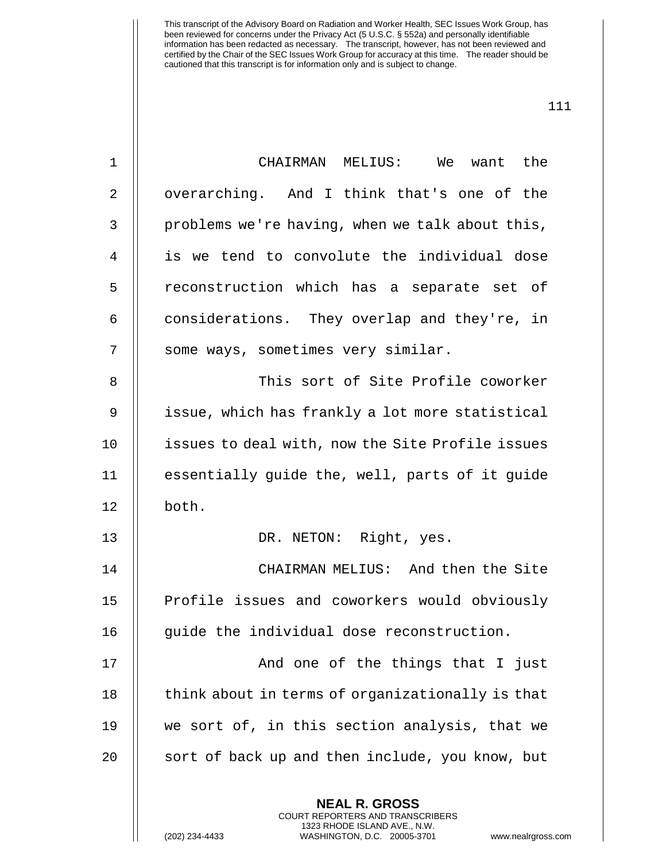| $\mathbf 1$ | CHAIRMAN MELIUS:<br>We want the                                                                                                                                      |
|-------------|----------------------------------------------------------------------------------------------------------------------------------------------------------------------|
| 2           | overarching. And I think that's one of the                                                                                                                           |
| 3           | problems we're having, when we talk about this,                                                                                                                      |
| 4           | is we tend to convolute the individual dose                                                                                                                          |
| 5           | reconstruction which has a separate set of                                                                                                                           |
| 6           | considerations. They overlap and they're, in                                                                                                                         |
| 7           | some ways, sometimes very similar.                                                                                                                                   |
| 8           | This sort of Site Profile coworker                                                                                                                                   |
| 9           | issue, which has frankly a lot more statistical                                                                                                                      |
| 10          | issues to deal with, now the Site Profile issues                                                                                                                     |
| 11          | essentially guide the, well, parts of it guide                                                                                                                       |
| 12          | both.                                                                                                                                                                |
| 13          | DR. NETON: Right, yes.                                                                                                                                               |
| 14          | CHAIRMAN MELIUS: And then the Site                                                                                                                                   |
| 15          | Profile issues and coworkers would obviously                                                                                                                         |
| 16          | guide the individual dose reconstruction.                                                                                                                            |
| 17          | And one of the things that I just                                                                                                                                    |
| 18          | think about in terms of organizationally is that                                                                                                                     |
| 19          | we sort of, in this section analysis, that we                                                                                                                        |
| 20          | sort of back up and then include, you know, but                                                                                                                      |
|             | <b>NEAL R. GROSS</b><br><b>COURT REPORTERS AND TRANSCRIBERS</b><br>1323 RHODE ISLAND AVE., N.W.<br>WASHINGTON, D.C. 20005-3701<br>(202) 234-4433<br>www.nealrgross.c |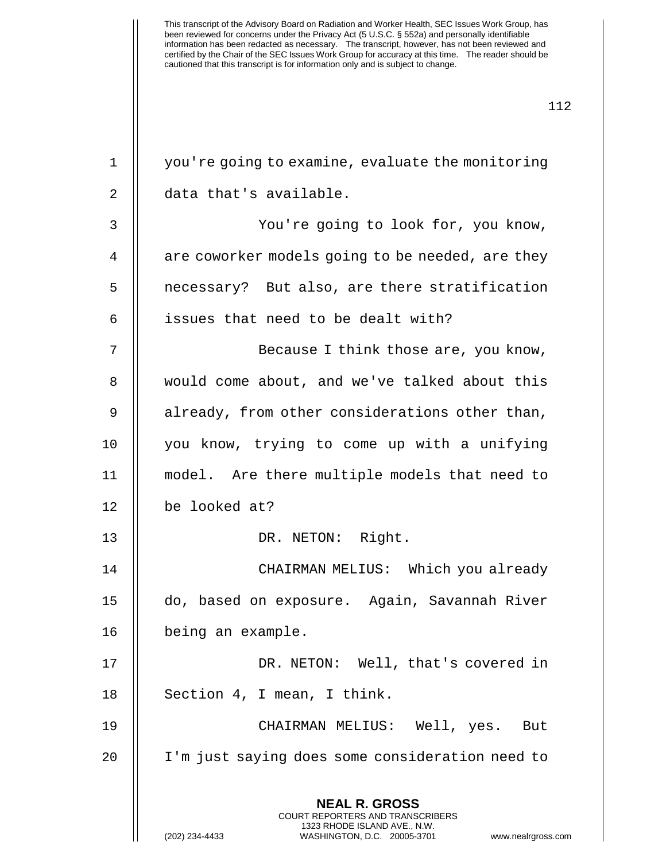| 1  | you're going to examine, evaluate the monitoring                                                                                                                       |
|----|------------------------------------------------------------------------------------------------------------------------------------------------------------------------|
| 2  | data that's available.                                                                                                                                                 |
| 3  | You're going to look for, you know,                                                                                                                                    |
| 4  | are coworker models going to be needed, are they                                                                                                                       |
| 5  | necessary? But also, are there stratification                                                                                                                          |
| 6  | issues that need to be dealt with?                                                                                                                                     |
| 7  | Because I think those are, you know,                                                                                                                                   |
| 8  | would come about, and we've talked about this                                                                                                                          |
| 9  | already, from other considerations other than,                                                                                                                         |
| 10 | you know, trying to come up with a unifying                                                                                                                            |
| 11 | model. Are there multiple models that need to                                                                                                                          |
| 12 | be looked at?                                                                                                                                                          |
| 13 | DR. NETON: Right.                                                                                                                                                      |
| 14 | CHAIRMAN MELIUS: Which you already                                                                                                                                     |
| 15 | do, based on exposure. Again, Savannah River                                                                                                                           |
| 16 | being an example.                                                                                                                                                      |
| 17 | DR. NETON: Well, that's covered in                                                                                                                                     |
| 18 | Section 4, I mean, I think.                                                                                                                                            |
| 19 | CHAIRMAN MELIUS: Well, yes. But                                                                                                                                        |
| 20 | I'm just saying does some consideration need to                                                                                                                        |
|    | <b>NEAL R. GROSS</b><br><b>COURT REPORTERS AND TRANSCRIBERS</b><br>1323 RHODE ISLAND AVE., N.W.<br>WASHINGTON, D.C. 20005-3701<br>(202) 234-4433<br>www.nealrgross.com |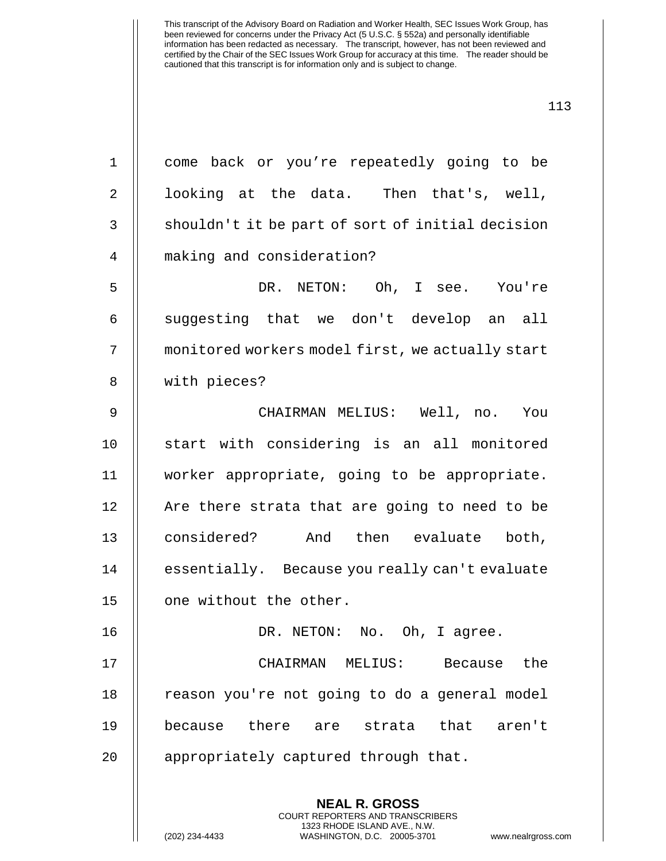| $\mathbf 1$    | come back or you're repeatedly going to be                                                                                                                            |
|----------------|-----------------------------------------------------------------------------------------------------------------------------------------------------------------------|
| 2              | looking at the data. Then that's, well,                                                                                                                               |
| $\mathfrak{Z}$ | shouldn't it be part of sort of initial decision                                                                                                                      |
| $\overline{4}$ | making and consideration?                                                                                                                                             |
| 5              | DR. NETON: Oh, I see. You're                                                                                                                                          |
| 6              | suggesting that we don't develop an all                                                                                                                               |
| 7              | monitored workers model first, we actually start                                                                                                                      |
| 8              | with pieces?                                                                                                                                                          |
| $\mathsf 9$    | CHAIRMAN MELIUS: Well, no. You                                                                                                                                        |
| 10             | start with considering is an all monitored                                                                                                                            |
| 11             | worker appropriate, going to be appropriate.                                                                                                                          |
| 12             | Are there strata that are going to need to be                                                                                                                         |
| 13             | considered? And then evaluate both,                                                                                                                                   |
| 14             | essentially. Because you really can't evaluate                                                                                                                        |
| 15             | one without the other.                                                                                                                                                |
| 16             | DR. NETON: No. Oh, I agree.                                                                                                                                           |
| 17             | the<br>CHAIRMAN MELIUS:<br>Because                                                                                                                                    |
| 18             | reason you're not going to do a general model                                                                                                                         |
| 19             | because there are strata that<br>aren't                                                                                                                               |
| 20             | appropriately captured through that.                                                                                                                                  |
|                | <b>NEAL R. GROSS</b><br><b>COURT REPORTERS AND TRANSCRIBERS</b><br>1323 RHODE ISLAND AVE., N.W.<br>(202) 234-4433<br>WASHINGTON, D.C. 20005-3701<br>www.nealrgross.co |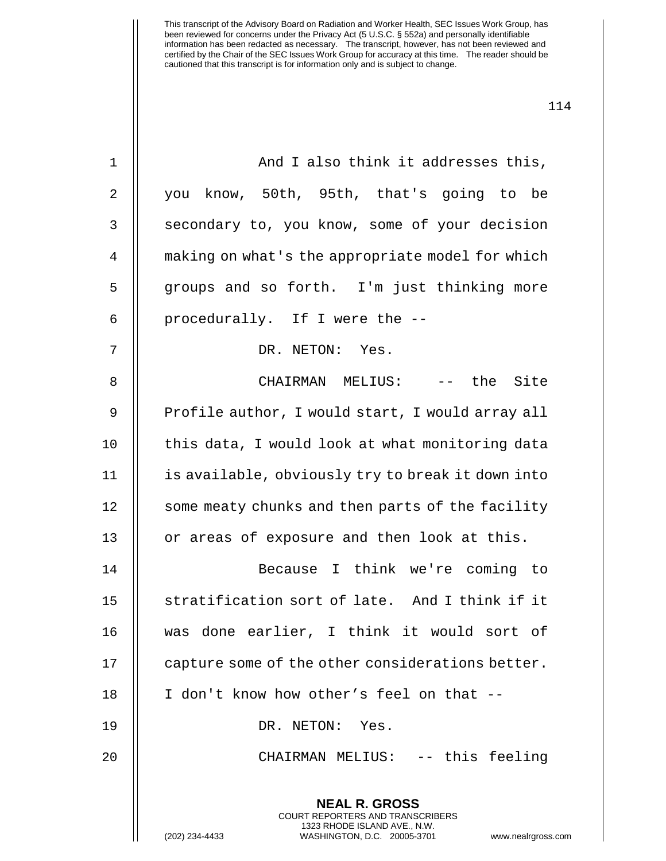| 1  | And I also think it addresses this,                                                                                                                           |
|----|---------------------------------------------------------------------------------------------------------------------------------------------------------------|
| 2  | know, 50th, 95th, that's going to be<br>you                                                                                                                   |
| 3  | secondary to, you know, some of your decision                                                                                                                 |
| 4  | making on what's the appropriate model for which                                                                                                              |
| 5  | groups and so forth. I'm just thinking more                                                                                                                   |
| 6  | procedurally. If I were the --                                                                                                                                |
| 7  | DR. NETON: Yes.                                                                                                                                               |
| 8  | CHAIRMAN MELIUS: -- the Site                                                                                                                                  |
| 9  | Profile author, I would start, I would array all                                                                                                              |
| 10 | this data, I would look at what monitoring data                                                                                                               |
| 11 | is available, obviously try to break it down into                                                                                                             |
| 12 | some meaty chunks and then parts of the facility                                                                                                              |
| 13 | or areas of exposure and then look at this.                                                                                                                   |
| 14 | Because I think we're coming to                                                                                                                               |
| 15 | stratification sort of late. And I think if it                                                                                                                |
| 16 | was done earlier, I think it would sort of                                                                                                                    |
| 17 | capture some of the other considerations better.                                                                                                              |
| 18 | I don't know how other's feel on that --                                                                                                                      |
| 19 | DR. NETON: Yes.                                                                                                                                               |
| 20 | CHAIRMAN MELIUS: -- this feeling                                                                                                                              |
|    | <b>NEAL R. GROSS</b><br>COURT REPORTERS AND TRANSCRIBERS<br>1323 RHODE ISLAND AVE., N.W.<br>(202) 234-4433<br>WASHINGTON, D.C. 20005-3701<br>www.nealrgross.c |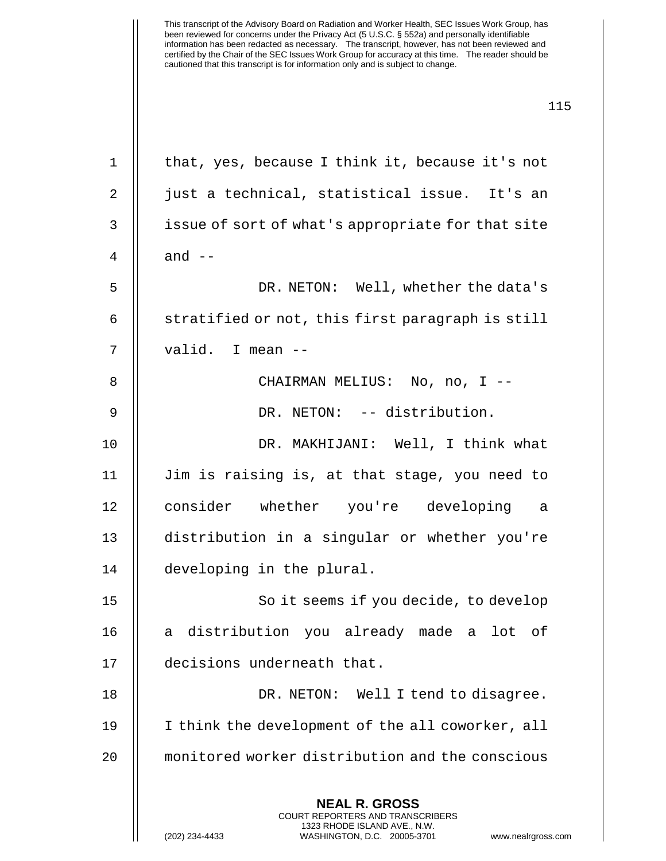| $\mathbf{1}$ | that, yes, because I think it, because it's not                                                                                                                 |
|--------------|-----------------------------------------------------------------------------------------------------------------------------------------------------------------|
| 2            | just a technical, statistical issue. It's an                                                                                                                    |
| 3            | issue of sort of what's appropriate for that site                                                                                                               |
| 4            | and $--$                                                                                                                                                        |
| 5            | DR. NETON: Well, whether the data's                                                                                                                             |
| 6            | stratified or not, this first paragraph is still                                                                                                                |
| 7            | valid. I mean --                                                                                                                                                |
| 8            | CHAIRMAN MELIUS: No, no, I --                                                                                                                                   |
| 9            | DR. NETON: -- distribution.                                                                                                                                     |
| 10           | DR. MAKHIJANI: Well, I think what                                                                                                                               |
| 11           | Jim is raising is, at that stage, you need to                                                                                                                   |
| 12           | consider whether you're developing a                                                                                                                            |
| 13           | distribution in a singular or whether you're                                                                                                                    |
| 14           | developing in the plural.                                                                                                                                       |
| 15           | So it seems if you decide, to develop                                                                                                                           |
| 16           | distribution you already made a<br>lot<br>оf<br>а                                                                                                               |
| 17           | decisions underneath that.                                                                                                                                      |
| 18           | DR. NETON: Well I tend to disagree.                                                                                                                             |
| 19           | I think the development of the all coworker, all                                                                                                                |
| 20           | monitored worker distribution and the conscious                                                                                                                 |
|              | <b>NEAL R. GROSS</b><br>COURT REPORTERS AND TRANSCRIBERS<br>1323 RHODE ISLAND AVE., N.W.<br>(202) 234-4433<br>WASHINGTON, D.C. 20005-3701<br>www.nealrgross.com |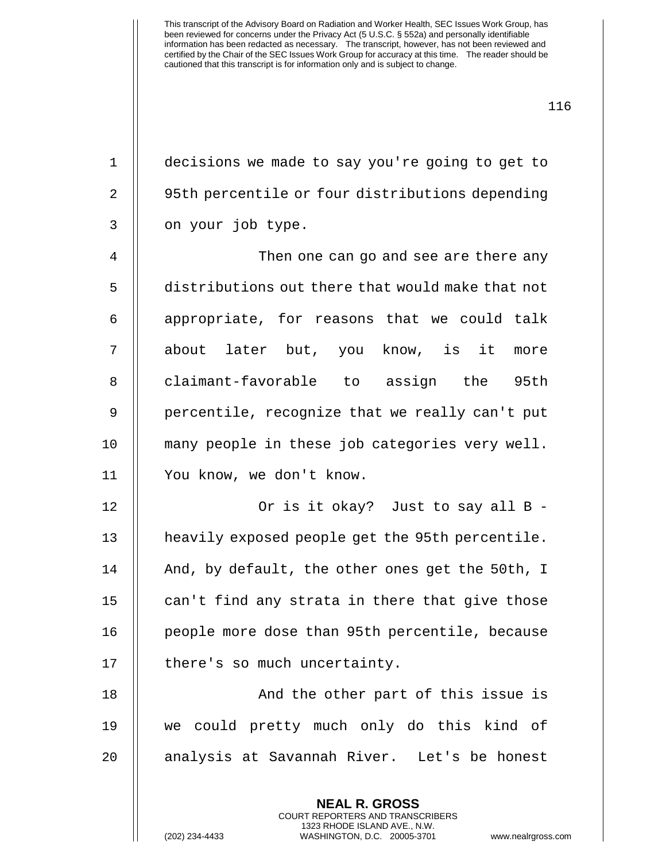1 decisions we made to say you're going to get to 2 | 95th percentile or four distributions depending  $3 \parallel$  on your job type.

 Then one can go and see are there any distributions out there that would make that not || appropriate, for reasons that we could talk about later but, you know, is it more 8 claimant-favorable to assign the 95th 9 || percentile, recognize that we really can't put many people in these job categories very well. You know, we don't know.

12 Or is it okay? Just to say all B - 13 | heavily exposed people get the 95th percentile. 14 || And, by default, the other ones get the 50th, I  $15$  || can't find any strata in there that give those 16 | people more dose than 95th percentile, because 17 | there's so much uncertainty.

18 || And the other part of this issue is 19 we could pretty much only do this kind of 20 || analysis at Savannah River. Let's be honest

> **NEAL R. GROSS** COURT REPORTERS AND TRANSCRIBERS 1323 RHODE ISLAND AVE., N.W.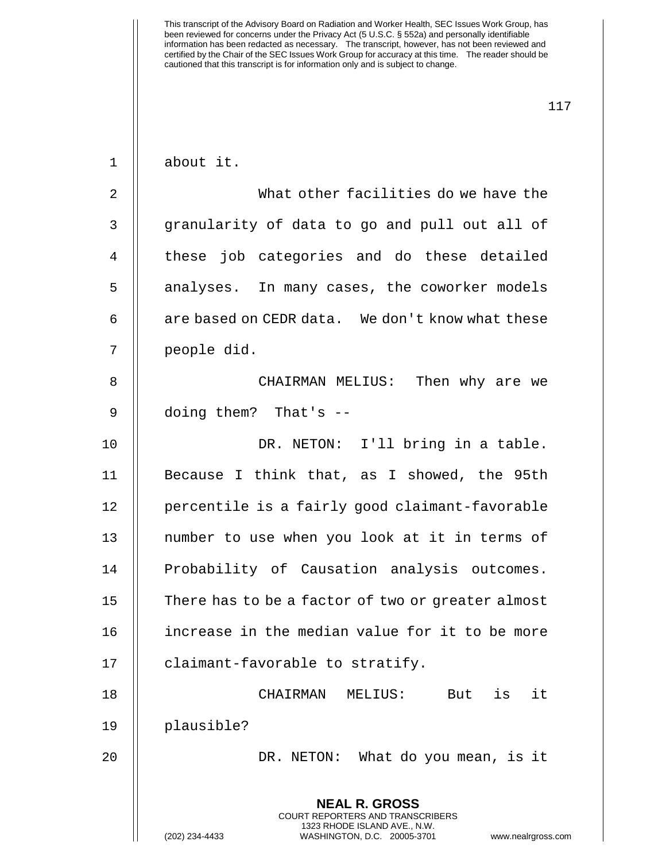| $\mathbf 1$ | about it.                                                                                                                                                       |
|-------------|-----------------------------------------------------------------------------------------------------------------------------------------------------------------|
| 2           | What other facilities do we have the                                                                                                                            |
| 3           | granularity of data to go and pull out all of                                                                                                                   |
| 4           | these job categories and do these detailed                                                                                                                      |
| 5           | analyses. In many cases, the coworker models                                                                                                                    |
| 6           | are based on CEDR data. We don't know what these                                                                                                                |
| 7           | people did.                                                                                                                                                     |
| 8           | CHAIRMAN MELIUS: Then why are we                                                                                                                                |
| 9           | doing them? That's --                                                                                                                                           |
| 10          | DR. NETON: I'll bring in a table.                                                                                                                               |
| 11          | Because I think that, as I showed, the 95th                                                                                                                     |
| 12          | percentile is a fairly good claimant-favorable                                                                                                                  |
| 13          | number to use when you look at it in terms of                                                                                                                   |
| 14          | Probability of Causation analysis outcomes.                                                                                                                     |
| 15          | There has to be a factor of two or greater almost                                                                                                               |
| 16          | increase in the median value for it to be more                                                                                                                  |
| 17          | claimant-favorable to stratify.                                                                                                                                 |
| 18          | it<br>is<br>CHAIRMAN<br>MELIUS:<br>But                                                                                                                          |
| 19          | plausible?                                                                                                                                                      |
| 20          | DR. NETON: What do you mean, is it                                                                                                                              |
|             | <b>NEAL R. GROSS</b><br>COURT REPORTERS AND TRANSCRIBERS<br>1323 RHODE ISLAND AVE., N.W.<br>(202) 234-4433<br>WASHINGTON, D.C. 20005-3701<br>www.nealrgross.com |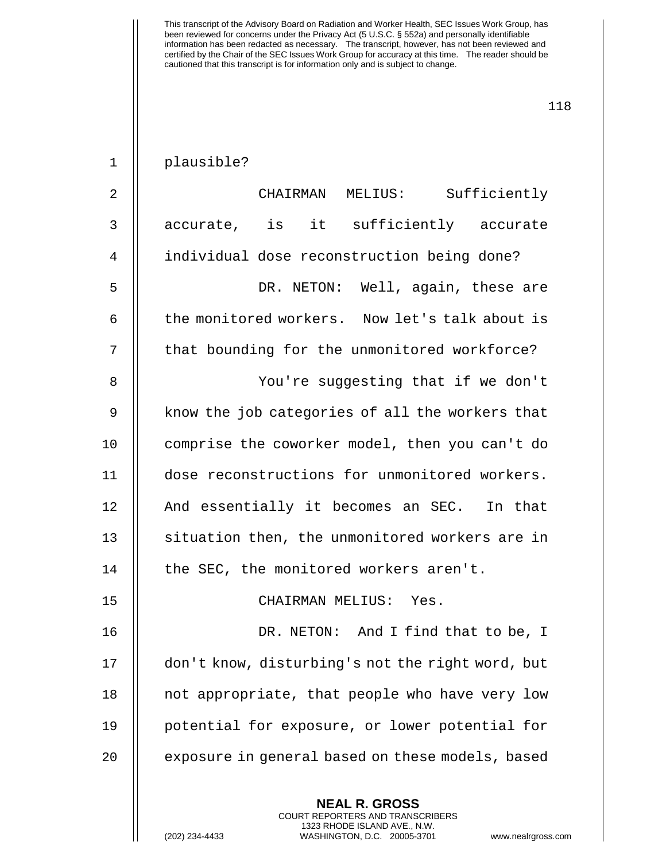| $\mathbf 1$    | plausible?                                       |
|----------------|--------------------------------------------------|
| $\overline{2}$ | CHAIRMAN MELIUS: Sufficiently                    |
| 3              | accurate, is it sufficiently accurate            |
| 4              | individual dose reconstruction being done?       |
| 5              | DR. NETON: Well, again, these are                |
| 6              | the monitored workers. Now let's talk about is   |
| 7              | that bounding for the unmonitored workforce?     |
| 8              | You're suggesting that if we don't               |
| 9              | know the job categories of all the workers that  |
| 10             | comprise the coworker model, then you can't do   |
| 11             | dose reconstructions for unmonitored workers.    |
| 12             | And essentially it becomes an SEC. In that       |
| 13             | situation then, the unmonitored workers are in   |
| 14             | the SEC, the monitored workers aren't.           |
| 15             | CHAIRMAN MELIUS: Yes.                            |
| 16             | DR. NETON: And I find that to be, I              |
| 17             | don't know, disturbing's not the right word, but |
| 18             | not appropriate, that people who have very low   |
| 19             | potential for exposure, or lower potential for   |
| 20             | exposure in general based on these models, based |
|                | <b>NEAL R. GROSS</b>                             |

COURT REPORTERS AND TRANSCRIBERS 1323 RHODE ISLAND AVE., N.W.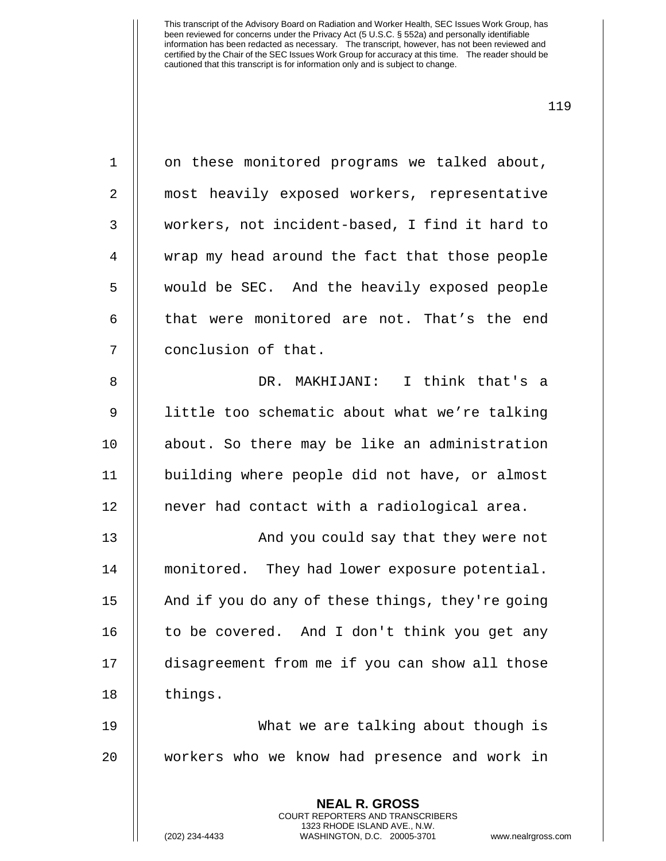1 | on these monitored programs we talked about, most heavily exposed workers, representative workers, not incident-based, I find it hard to wrap my head around the fact that those people would be SEC. And the heavily exposed people  $\parallel$  that were monitored are not. That's the end 7 || conclusion of that. DR. MAKHIJANI: I think that's a 9 || little too schematic about what we're talking about. So there may be like an administration building where people did not have, or almost 12 || never had contact with a radiological area. 13 || And you could say that they were not monitored. They had lower exposure potential. 15 | And if you do any of these things, they're going | to be covered. And I don't think you get any disagreement from me if you can show all those 18 | things. What we are talking about though is workers who we know had presence and work in

> **NEAL R. GROSS** COURT REPORTERS AND TRANSCRIBERS 1323 RHODE ISLAND AVE., N.W.

(202) 234-4433 WASHINGTON, D.C. 20005-3701 www.nealrgross.com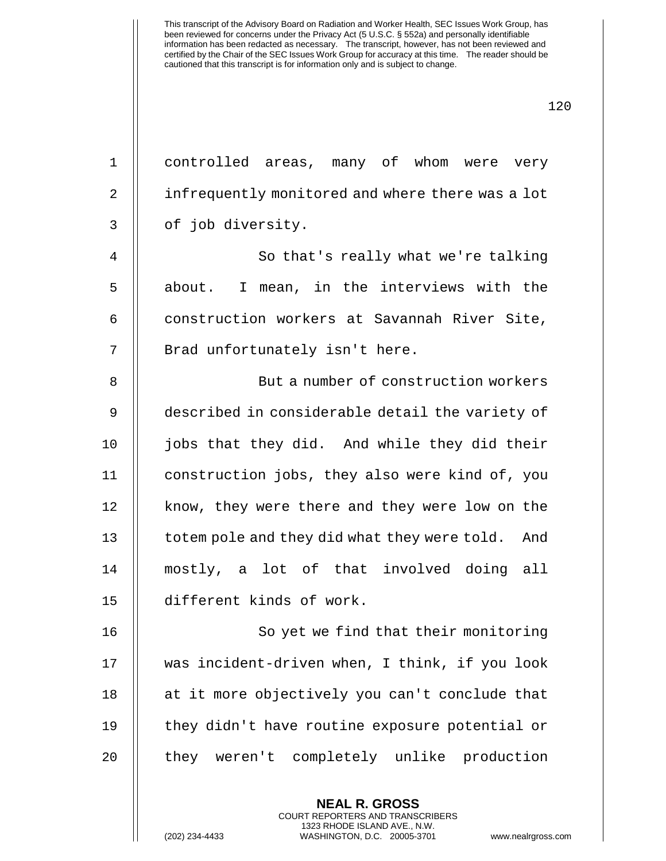| $\mathbf 1$    | controlled areas, many of whom were very         |
|----------------|--------------------------------------------------|
| $\overline{2}$ | infrequently monitored and where there was a lot |
| 3              | of job diversity.                                |
| 4              | So that's really what we're talking              |
| 5              | I mean, in the interviews with the<br>about.     |
| 6              | construction workers at Savannah River Site,     |
| 7              | Brad unfortunately isn't here.                   |
| 8              | But a number of construction workers             |
| 9              | described in considerable detail the variety of  |
| 10             | jobs that they did. And while they did their     |
| 11             | construction jobs, they also were kind of, you   |
| 12             | know, they were there and they were low on the   |
| 13             | totem pole and they did what they were told. And |
| 14             | mostly, a lot of that involved doing all         |
| 15             | different kinds of work.                         |
| 16             | So yet we find that their monitoring             |
| 17             | was incident-driven when, I think, if you look   |
| 18             | at it more objectively you can't conclude that   |
| 19             | they didn't have routine exposure potential or   |
| 20             | they weren't completely unlike production        |
|                | <b>NEAL R. GROSS</b>                             |

COURT REPORTERS AND TRANSCRIBERS 1323 RHODE ISLAND AVE., N.W.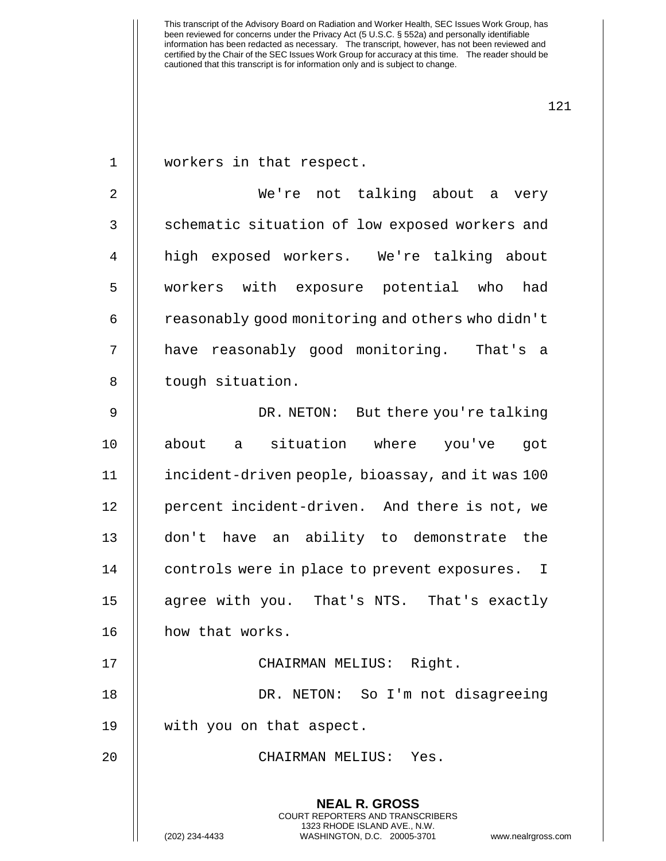1 || workers in that respect.

2 We're not talking about a very 3 || schematic situation of low exposed workers and 4 high exposed workers. We're talking about 5 || workers with exposure potential who had  $6 \parallel$  reasonably good monitoring and others who didn't 7 have reasonably good monitoring. That's a 8 | tough situation.

9 DR. NETON: But there you're talking 10 about a situation where you've got 11 incident-driven people, bioassay, and it was 100 12 || percent incident-driven. And there is not, we 13 don't have an ability to demonstrate the 14 | controls were in place to prevent exposures. I 15 || agree with you. That's NTS. That's exactly 16 how that works. 17 || CHAIRMAN MELIUS: Right.

18 DR. NETON: So I'm not disagreeing 19 with you on that aspect.

20 CHAIRMAN MELIUS: Yes.

**NEAL R. GROSS** COURT REPORTERS AND TRANSCRIBERS 1323 RHODE ISLAND AVE., N.W.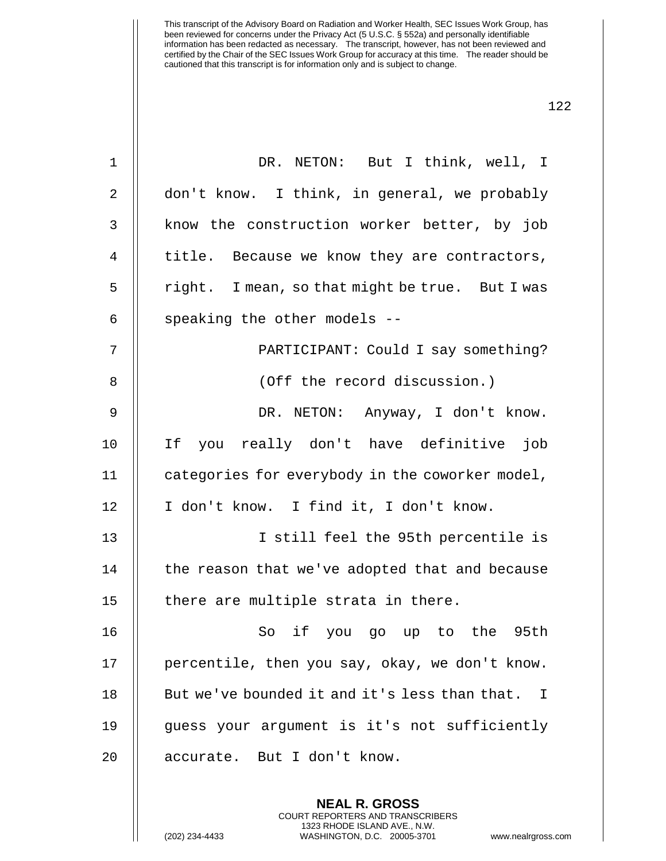| $\mathbf{1}$ | DR. NETON: But I think, well, I                 |
|--------------|-------------------------------------------------|
| 2            | don't know. I think, in general, we probably    |
| 3            | know the construction worker better, by job     |
| 4            | title. Because we know they are contractors,    |
| 5            | right. I mean, so that might be true. But I was |
| 6            | speaking the other models --                    |
| 7            | PARTICIPANT: Could I say something?             |
| 8            | (Off the record discussion.)                    |
| 9            | DR. NETON: Anyway, I don't know.                |
| 10           | If you really don't have definitive job         |
| 11           | categories for everybody in the coworker model, |
| 12           | I don't know. I find it, I don't know.          |
| 13           | I still feel the 95th percentile is             |
| 14           | the reason that we've adopted that and because  |
| 15           | there are multiple strata in there.             |
| 16           | So if you go up to the 95th                     |
| 17           | percentile, then you say, okay, we don't know.  |
| 18           | But we've bounded it and it's less than that. I |
| 19           | guess your argument is it's not sufficiently    |
| 20           | accurate. But I don't know.                     |
|              |                                                 |

**NEAL R. GROSS** COURT REPORTERS AND TRANSCRIBERS 1323 RHODE ISLAND AVE., N.W.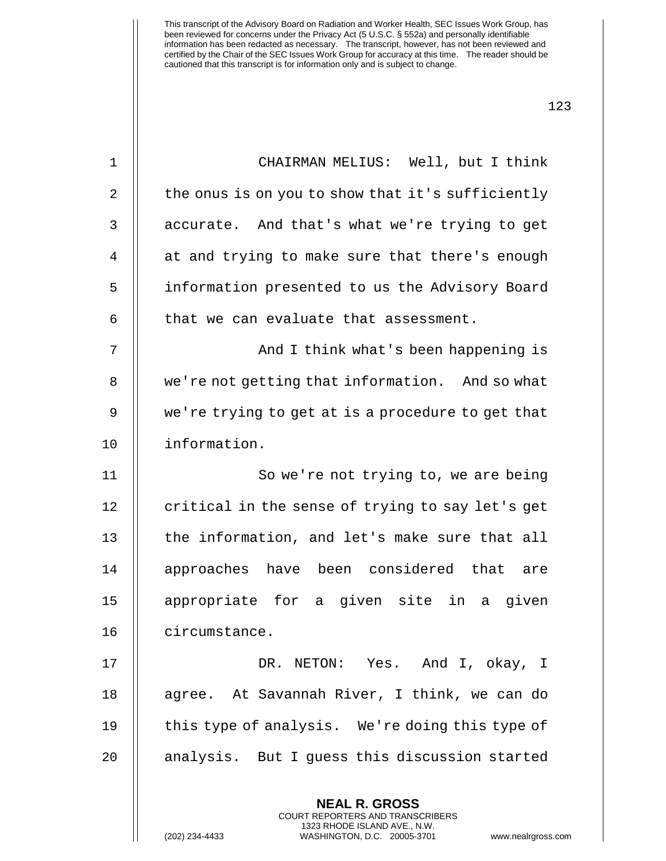| $\mathbf 1$    | CHAIRMAN MELIUS: Well, but I think                                                                                                                                   |
|----------------|----------------------------------------------------------------------------------------------------------------------------------------------------------------------|
| $\overline{2}$ | the onus is on you to show that it's sufficiently                                                                                                                    |
| 3              | accurate. And that's what we're trying to get                                                                                                                        |
| 4              | at and trying to make sure that there's enough                                                                                                                       |
| 5              | information presented to us the Advisory Board                                                                                                                       |
| 6              | that we can evaluate that assessment.                                                                                                                                |
| 7              | And I think what's been happening is                                                                                                                                 |
| 8              | we're not getting that information. And so what                                                                                                                      |
| 9              | we're trying to get at is a procedure to get that                                                                                                                    |
| 10             | information.                                                                                                                                                         |
| 11             | So we're not trying to, we are being                                                                                                                                 |
| 12             | critical in the sense of trying to say let's get                                                                                                                     |
| 13             | the information, and let's make sure that all                                                                                                                        |
| 14             | approaches have been considered that are                                                                                                                             |
| 15             | appropriate for a given site in a given                                                                                                                              |
| 16             | circumstance.                                                                                                                                                        |
| 17             | DR. NETON: Yes. And I, okay, I                                                                                                                                       |
| 18             | agree. At Savannah River, I think, we can do                                                                                                                         |
| 19             | this type of analysis. We're doing this type of                                                                                                                      |
| 20             | analysis. But I guess this discussion started                                                                                                                        |
|                | <b>NEAL R. GROSS</b><br><b>COURT REPORTERS AND TRANSCRIBERS</b><br>1323 RHODE ISLAND AVE., N.W.<br>(202) 234-4433<br>WASHINGTON, D.C. 20005-3701<br>www.nealrgross.c |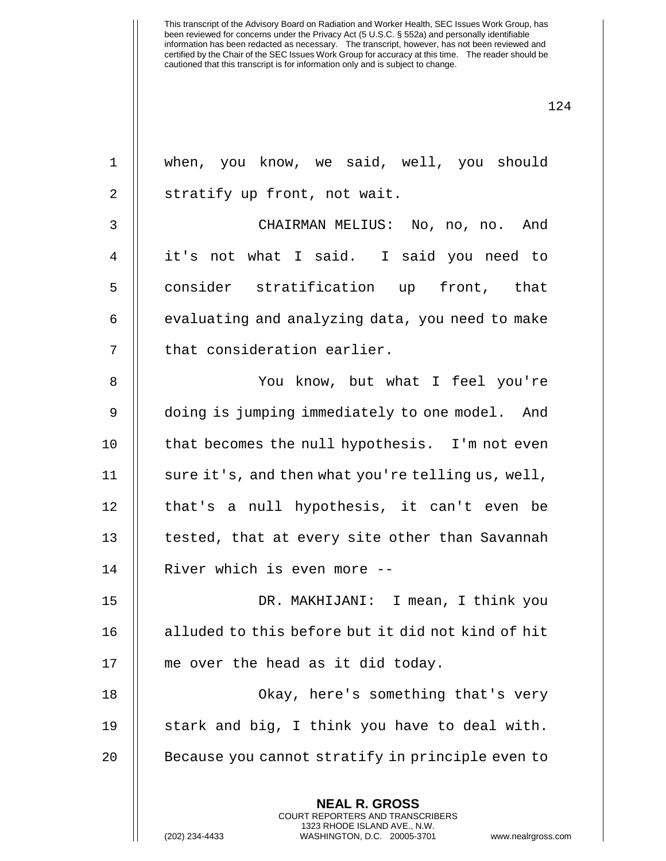| $\mathbf 1$ | when, you know, we said, well, you should                                                                                                                       |
|-------------|-----------------------------------------------------------------------------------------------------------------------------------------------------------------|
| 2           | stratify up front, not wait.                                                                                                                                    |
| 3           | CHAIRMAN MELIUS: No, no, no. And                                                                                                                                |
| 4           | it's not what I said. I said you need to                                                                                                                        |
| 5           | consider stratification up front, that                                                                                                                          |
| 6           | evaluating and analyzing data, you need to make                                                                                                                 |
| 7           | that consideration earlier.                                                                                                                                     |
| 8           | You know, but what I feel you're                                                                                                                                |
| 9           | doing is jumping immediately to one model. And                                                                                                                  |
| 10          | that becomes the null hypothesis. I'm not even                                                                                                                  |
| 11          | sure it's, and then what you're telling us, well,                                                                                                               |
| 12          | that's a null hypothesis, it can't even be                                                                                                                      |
| 13          | tested, that at every site other than Savannah                                                                                                                  |
| 14          | River which is even more --                                                                                                                                     |
| 15          | DR. MAKHIJANI: I mean, I think you                                                                                                                              |
| 16          | alluded to this before but it did not kind of hit                                                                                                               |
| 17          | me over the head as it did today.                                                                                                                               |
| 18          | Okay, here's something that's very                                                                                                                              |
| 19          | stark and big, I think you have to deal with.                                                                                                                   |
| 20          | Because you cannot stratify in principle even to                                                                                                                |
|             | <b>NEAL R. GROSS</b><br>COURT REPORTERS AND TRANSCRIBERS<br>1323 RHODE ISLAND AVE., N.W.<br>(202) 234-4433<br>WASHINGTON, D.C. 20005-3701<br>www.nealrgross.com |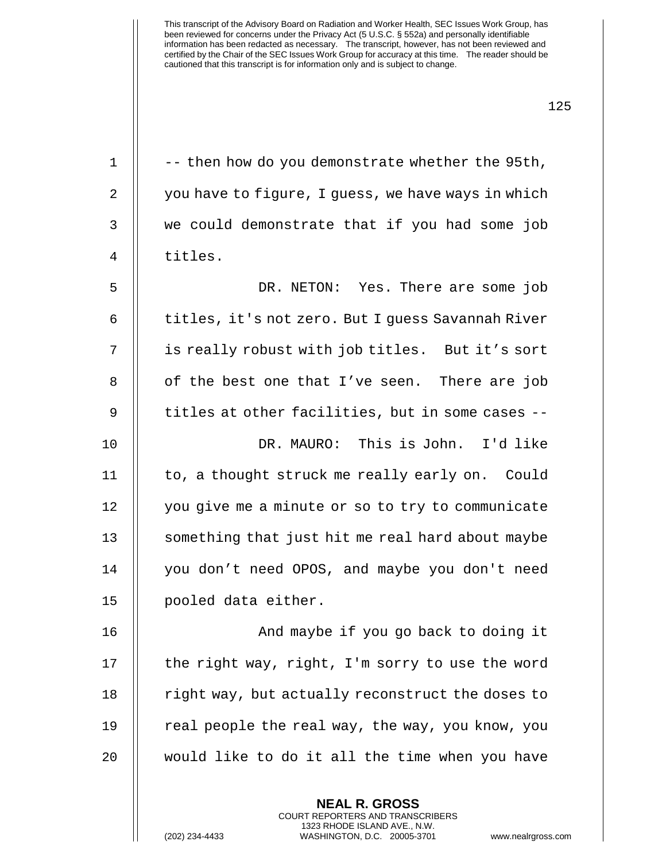| $\mathbf 1$ | -- then how do you demonstrate whether the 95th,   |
|-------------|----------------------------------------------------|
| 2           | you have to figure, I guess, we have ways in which |
| 3           | we could demonstrate that if you had some job      |
| 4           | titles.                                            |
| 5           | DR. NETON: Yes. There are some job                 |
| 6           | titles, it's not zero. But I guess Savannah River  |
| 7           | is really robust with job titles. But it's sort    |
| 8           | of the best one that I've seen. There are job      |
| 9           | titles at other facilities, but in some cases --   |
| 10          | DR. MAURO: This is John. I'd like                  |
| 11          | to, a thought struck me really early on. Could     |
| 12          | you give me a minute or so to try to communicate   |
| 13          | something that just hit me real hard about maybe   |
| 14          | you don't need OPOS, and maybe you don't need      |
| 15          | pooled data either.                                |
| 16          | And maybe if you go back to doing it               |
| 17          | the right way, right, I'm sorry to use the word    |
| 18          | right way, but actually reconstruct the doses to   |
| 19          | real people the real way, the way, you know, you   |
| 20          | would like to do it all the time when you have     |
|             |                                                    |

**NEAL R. GROSS** COURT REPORTERS AND TRANSCRIBERS 1323 RHODE ISLAND AVE., N.W.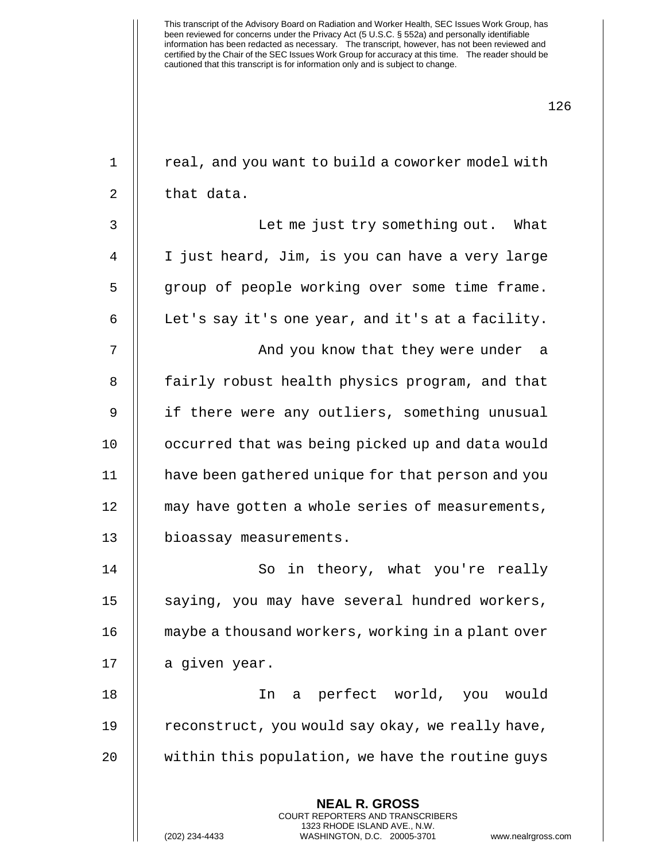| $\mathbf 1$ | real, and you want to build a coworker model with                                                                                                                    |
|-------------|----------------------------------------------------------------------------------------------------------------------------------------------------------------------|
| 2           | that data.                                                                                                                                                           |
| 3           | Let me just try something out. What                                                                                                                                  |
| 4           | I just heard, Jim, is you can have a very large                                                                                                                      |
| 5           | group of people working over some time frame.                                                                                                                        |
| 6           | Let's say it's one year, and it's at a facility.                                                                                                                     |
| 7           | And you know that they were under a                                                                                                                                  |
| 8           | fairly robust health physics program, and that                                                                                                                       |
| 9           | if there were any outliers, something unusual                                                                                                                        |
| 10          | occurred that was being picked up and data would                                                                                                                     |
| 11          | have been gathered unique for that person and you                                                                                                                    |
| 12          | may have gotten a whole series of measurements,                                                                                                                      |
| 13          | bioassay measurements.                                                                                                                                               |
| 14          | So in theory, what you're really                                                                                                                                     |
| 15          | saying, you may have several hundred workers,                                                                                                                        |
| 16          | maybe a thousand workers, working in a plant over                                                                                                                    |
| 17          | a given year.                                                                                                                                                        |
| 18          | perfect world, you would<br>In<br>a                                                                                                                                  |
| 19          | reconstruct, you would say okay, we really have,                                                                                                                     |
| 20          | within this population, we have the routine guys                                                                                                                     |
|             | <b>NEAL R. GROSS</b><br><b>COURT REPORTERS AND TRANSCRIBERS</b><br>1323 RHODE ISLAND AVE., N.W.<br>(202) 234-4433<br>WASHINGTON, D.C. 20005-3701<br>www.nealrgross.c |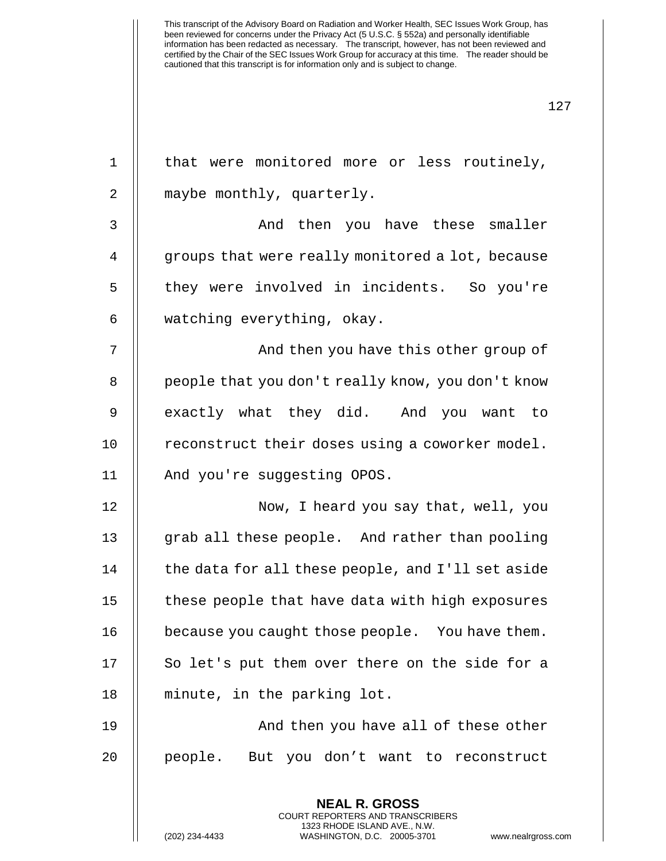| that were monitored more or less routinely,       |
|---------------------------------------------------|
| maybe monthly, quarterly.                         |
| And then you have these smaller                   |
| groups that were really monitored a lot, because  |
| they were involved in incidents. So you're        |
| watching everything, okay.                        |
| And then you have this other group of             |
| people that you don't really know, you don't know |
| exactly what they did. And you want to            |
| reconstruct their doses using a coworker model.   |
| And you're suggesting OPOS.                       |
| Now, I heard you say that, well, you              |
| grab all these people. And rather than pooling    |
| the data for all these people, and I'll set aside |
| these people that have data with high exposures   |
| because you caught those people. You have them.   |
| So let's put them over there on the side for a    |
| minute, in the parking lot.                       |
| And then you have all of these other              |
| people. But you don't want to reconstruct         |
| <b>NEAL R. GROSS</b>                              |
|                                                   |

COURT REPORTERS AND TRANSCRIBERS 1323 RHODE ISLAND AVE., N.W.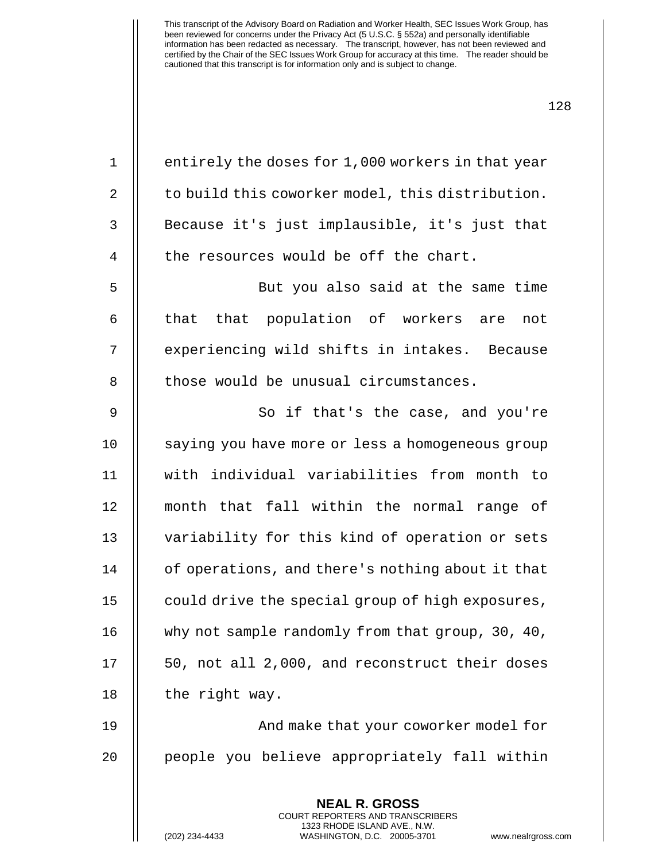1  $\parallel$  entirely the doses for 1,000 workers in that year 2  $\parallel$  to build this coworker model, this distribution. 3 || Because it's just implausible, it's just that  $4$  || the resources would be off the chart. 5 || But you also said at the same time 6 || that that population of workers are not 7 || experiencing wild shifts in intakes. Because 8 || those would be unusual circumstances. 9 || So if that's the case, and you're 10 saying you have more or less a homogeneous group 11 with individual variabilities from month to 12 month that fall within the normal range of 13 || variability for this kind of operation or sets 14 | of operations, and there's nothing about it that 15 | could drive the special group of high exposures, 16 | why not sample randomly from that group, 30, 40,  $17 \parallel 50$ , not all 2,000, and reconstruct their doses 18 | the right way. 19 || And make that your coworker model for 20 || people you believe appropriately fall within

> **NEAL R. GROSS** COURT REPORTERS AND TRANSCRIBERS 1323 RHODE ISLAND AVE., N.W.

128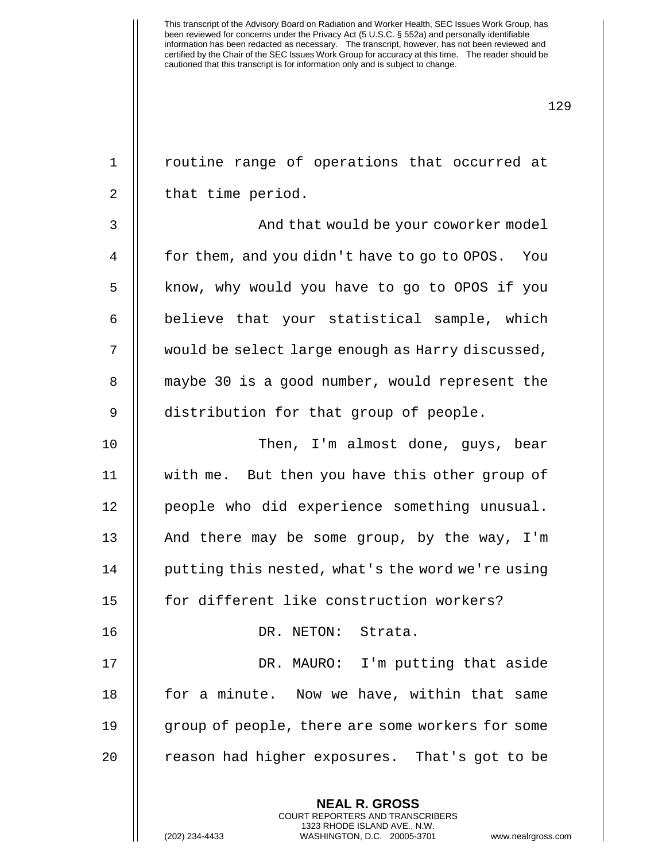129

**NEAL R. GROSS** COURT REPORTERS AND TRANSCRIBERS 1 || routine range of operations that occurred at 2 || that time period. 3 | | And that would be your coworker model 4 | for them, and you didn't have to go to OPOS. You 5 | know, why would you have to go to OPOS if you  $6$   $\parallel$  believe that your statistical sample, which 7 would be select large enough as Harry discussed, 8 || maybe 30 is a good number, would represent the 9 distribution for that group of people. 10 Then, I'm almost done, guys, bear 11 with me. But then you have this other group of 12 people who did experience something unusual. 13  $\parallel$  And there may be some group, by the way, I'm 14 | putting this nested, what's the word we're using 15 || for different like construction workers? 16 DR. NETON: Strata. 17 || DR. MAURO: I'm putting that aside 18 || for a minute. Now we have, within that same 19 group of people, there are some workers for some 20 || reason had higher exposures. That's got to be

1323 RHODE ISLAND AVE., N.W.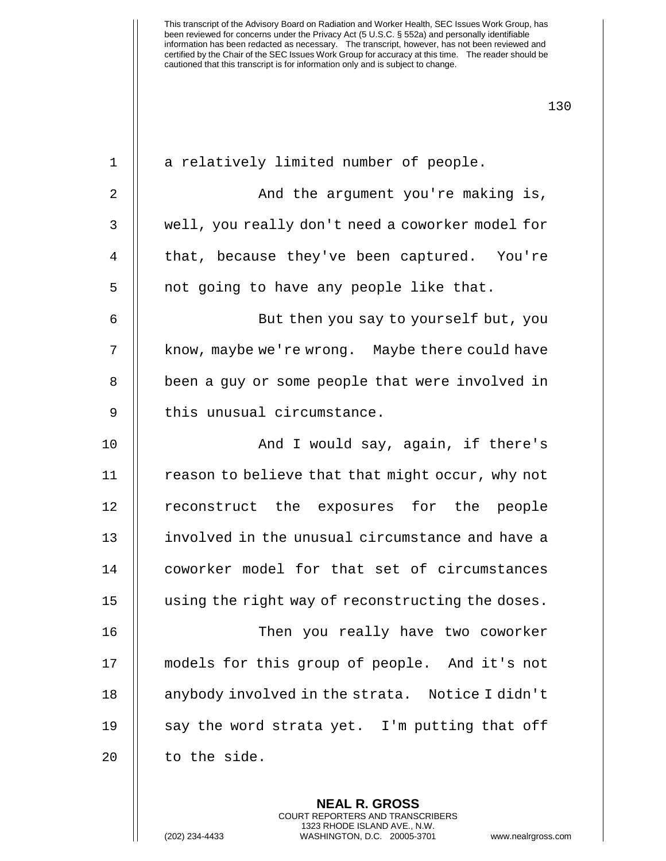1 || a relatively limited number of people. 2 || And the argument you're making is, 3 | well, you really don't need a coworker model for 4 || that, because they've been captured. You're  $5$  || not going to have any people like that. 6 But then you say to yourself but, you 7 | know, maybe we're wrong. Maybe there could have 8 || been a guy or some people that were involved in  $9$   $\parallel$  this unusual circumstance. 10 || And I would say, again, if there's  $11$  | reason to believe that that might occur, why not 12 || reconstruct the exposures for the people 13 || involved in the unusual circumstance and have a 14 coworker model for that set of circumstances 15 using the right way of reconstructing the doses. 16 Then you really have two coworker 17 || models for this group of people. And it's not 18 || anybody involved in the strata. Notice I didn't 19  $\parallel$  say the word strata yet. I'm putting that off 20 || to the side.

> **NEAL R. GROSS** COURT REPORTERS AND TRANSCRIBERS 1323 RHODE ISLAND AVE., N.W.

(202) 234-4433 WASHINGTON, D.C. 20005-3701 www.nealrgross.com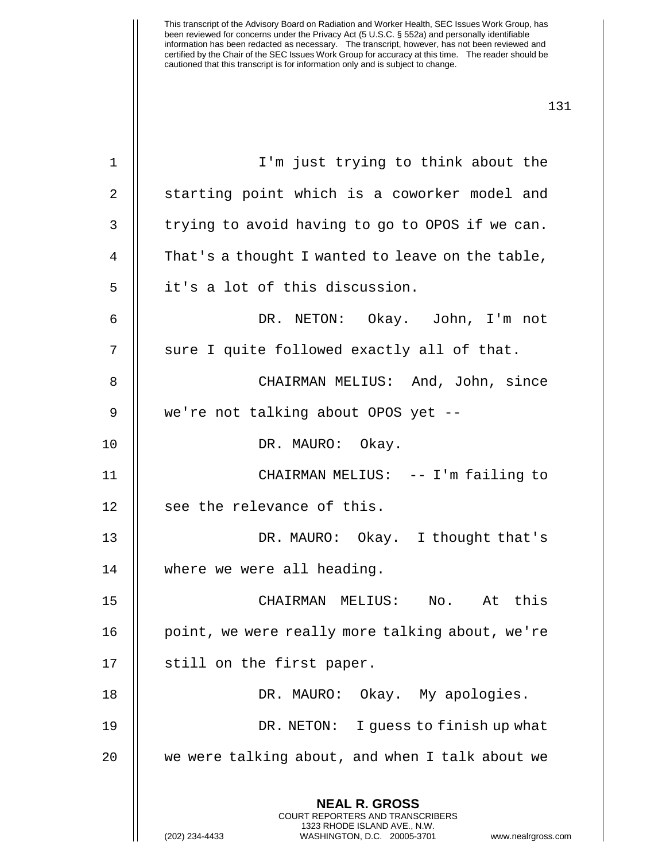| $\mathbf 1$ | I'm just trying to think about the                                                                                                                                     |
|-------------|------------------------------------------------------------------------------------------------------------------------------------------------------------------------|
| 2           | starting point which is a coworker model and                                                                                                                           |
| 3           | trying to avoid having to go to OPOS if we can.                                                                                                                        |
| 4           | That's a thought I wanted to leave on the table,                                                                                                                       |
| 5           | it's a lot of this discussion.                                                                                                                                         |
| 6           | DR. NETON: Okay. John, I'm not                                                                                                                                         |
| 7           | sure I quite followed exactly all of that.                                                                                                                             |
| 8           | CHAIRMAN MELIUS: And, John, since                                                                                                                                      |
| 9           | we're not talking about OPOS yet --                                                                                                                                    |
| 10          | DR. MAURO: Okay.                                                                                                                                                       |
| 11          | CHAIRMAN MELIUS: -- I'm failing to                                                                                                                                     |
| 12          | see the relevance of this.                                                                                                                                             |
| 13          | DR. MAURO: Okay. I thought that's                                                                                                                                      |
| 14          | where we were all heading.                                                                                                                                             |
| 15          | CHAIRMAN MELIUS: No. At this                                                                                                                                           |
| 16          | point, we were really more talking about, we're                                                                                                                        |
| 17          | still on the first paper.                                                                                                                                              |
| 18          | DR. MAURO: Okay. My apologies.                                                                                                                                         |
| 19          | I guess to finish up what<br>DR. NETON:                                                                                                                                |
| 20          | we were talking about, and when I talk about we                                                                                                                        |
|             | <b>NEAL R. GROSS</b><br><b>COURT REPORTERS AND TRANSCRIBERS</b><br>1323 RHODE ISLAND AVE., N.W.<br>(202) 234-4433<br>WASHINGTON, D.C. 20005-3701<br>www.nealrgross.com |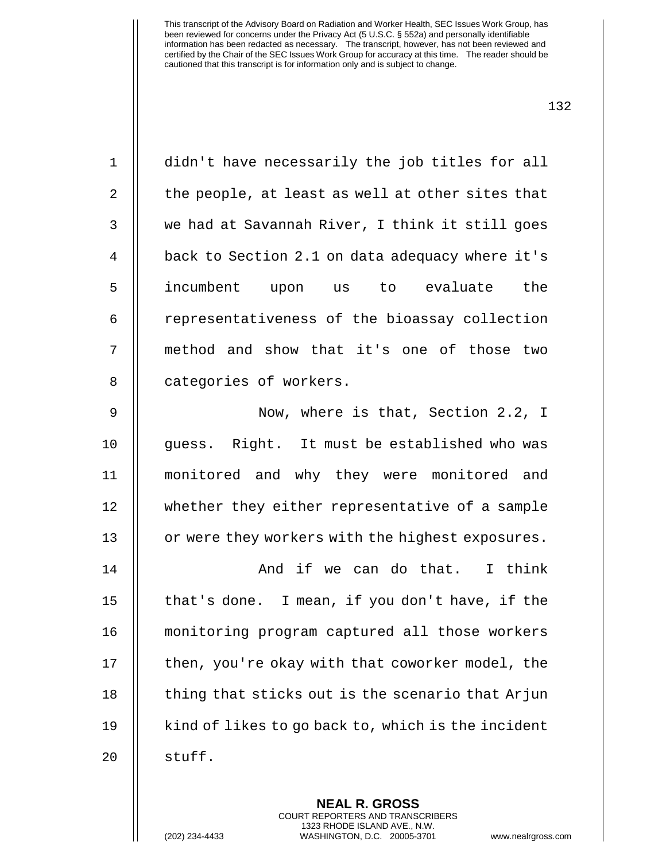**NEAL R. GROSS** COURT REPORTERS AND TRANSCRIBERS 1323 RHODE ISLAND AVE., N.W. (202) 234-4433 WASHINGTON, D.C. 20005-3701 www.nealrgross.com

1 didn't have necessarily the job titles for all  $2 \parallel$  the people, at least as well at other sites that 3 || we had at Savannah River, I think it still goes 4 | back to Section 2.1 on data adequacy where it's 5 incumbent upon us to evaluate the 6 | representativeness of the bioassay collection 7 || method and show that it's one of those two 8 | categories of workers.

9 || Now, where is that, Section 2.2, I 10 || quess. Right. It must be established who was 11 monitored and why they were monitored and 12 whether they either representative of a sample 13 | or were they workers with the highest exposures.

 And if we can do that. I think  $\parallel$  that's done. I mean, if you don't have, if the monitoring program captured all those workers | then, you're okay with that coworker model, the  $\parallel$  thing that sticks out is the scenario that Arjun  $19 \parallel$  kind of likes to go back to, which is the incident 20 || stuff.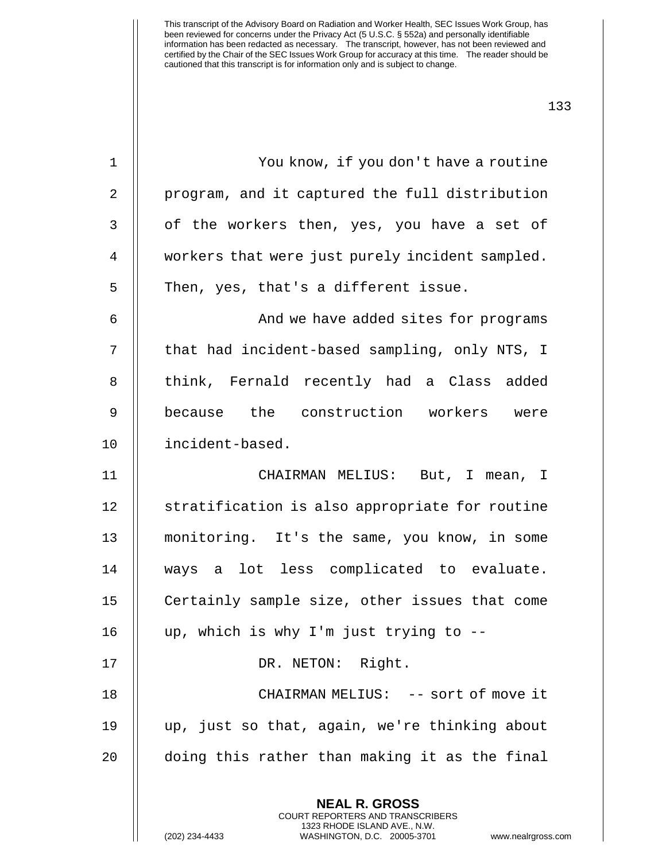| $\mathbf 1$    | You know, if you don't have a routine                                                                                                        |
|----------------|----------------------------------------------------------------------------------------------------------------------------------------------|
| 2              | program, and it captured the full distribution                                                                                               |
| $\mathbf{3}$   | of the workers then, yes, you have a set of                                                                                                  |
| $\overline{4}$ | workers that were just purely incident sampled.                                                                                              |
| 5              | Then, yes, that's a different issue.                                                                                                         |
| 6              | And we have added sites for programs                                                                                                         |
| 7              | that had incident-based sampling, only NTS, I                                                                                                |
| 8              | think, Fernald recently had a Class added                                                                                                    |
| 9              | because the construction workers were                                                                                                        |
| 10             | incident-based.                                                                                                                              |
| 11             | CHAIRMAN MELIUS: But, I mean, I                                                                                                              |
| 12             | stratification is also appropriate for routine                                                                                               |
| 13             | monitoring. It's the same, you know, in some                                                                                                 |
| 14             | ways a lot less complicated to evaluate.                                                                                                     |
| 15             | Certainly sample size, other issues that come                                                                                                |
| 16             | up, which is why I'm just trying to --                                                                                                       |
| 17             | DR. NETON: Right.                                                                                                                            |
| 18             | CHAIRMAN MELIUS: -- sort of move it                                                                                                          |
| 19             | up, just so that, again, we're thinking about                                                                                                |
| 20             | doing this rather than making it as the final                                                                                                |
|                | <b>NEAL R. GROSS</b>                                                                                                                         |
|                | <b>COURT REPORTERS AND TRANSCRIBERS</b><br>1323 RHODE ISLAND AVE., N.W.<br>(202) 234-4433<br>WASHINGTON, D.C. 20005-3701<br>www.nealrgross.c |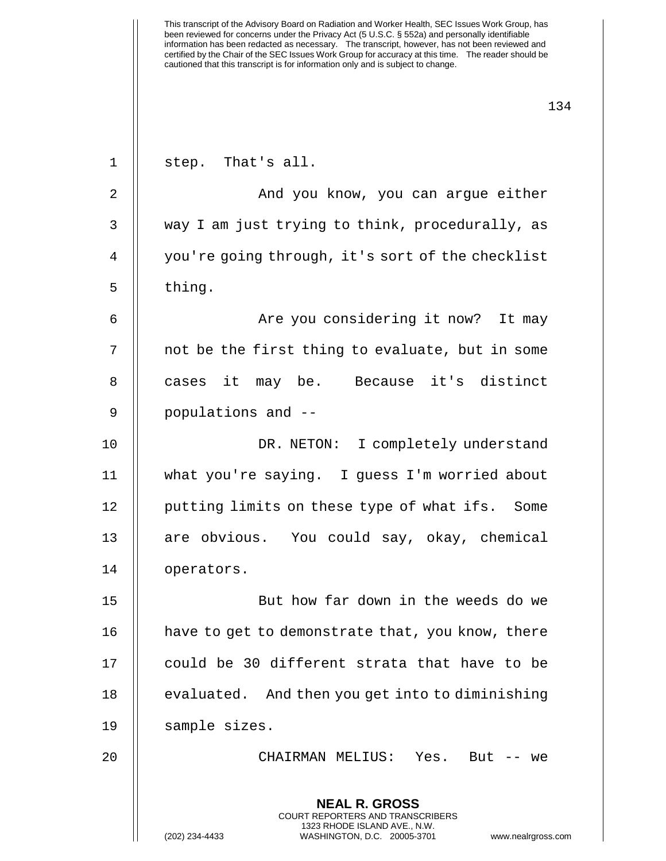1 || step. That's all.

**NEAL R. GROSS** COURT REPORTERS AND TRANSCRIBERS 1323 RHODE ISLAND AVE., N.W. (202) 234-4433 WASHINGTON, D.C. 20005-3701 www.nealrgross.com 2 And you know, you can argue either 3 || way I am just trying to think, procedurally, as 4 | you're going through, it's sort of the checklist  $5 \parallel$  thing. 6 Are you considering it now? It may 7 || not be the first thing to evaluate, but in some 8 || cases it may be. Because it's distinct 9 || populations and --10 DR. NETON: I completely understand 11 what you're saying. I guess I'm worried about 12 || putting limits on these type of what ifs. Some 13 || are obvious. You could say, okay, chemical 14 | operators. 15 But how far down in the weeds do we 16 | have to get to demonstrate that, you know, there 17 || could be 30 different strata that have to be  $18$  | evaluated. And then you get into to diminishing 19 || sample sizes. 20 CHAIRMAN MELIUS: Yes. But -- we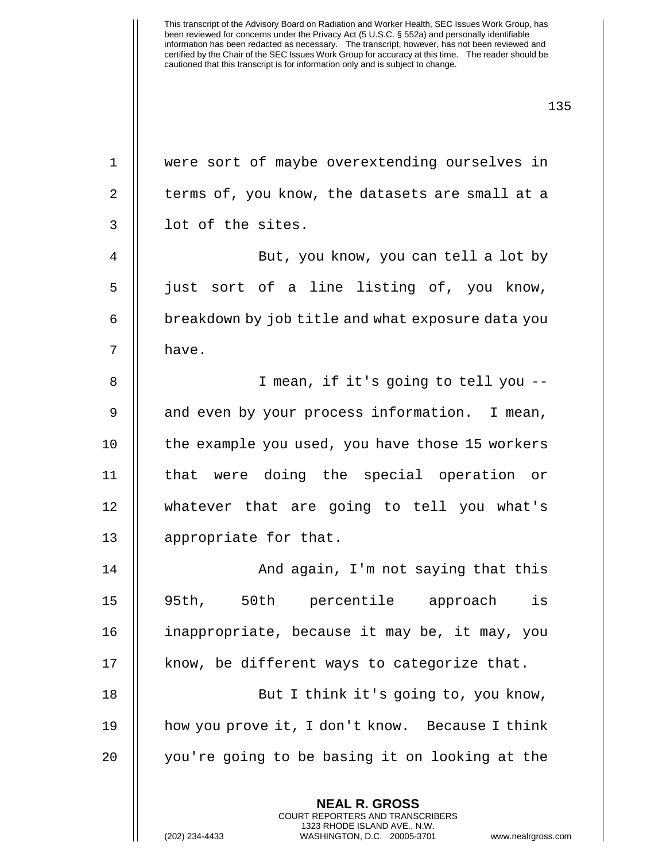| $\mathbf 1$ | were sort of maybe overextending ourselves in            |
|-------------|----------------------------------------------------------|
| 2           | terms of, you know, the datasets are small at a          |
| 3           | lot of the sites.                                        |
| 4           | But, you know, you can tell a lot by                     |
| 5           | just sort of a line listing of, you know,                |
| 6           | breakdown by job title and what exposure data you        |
| 7           | have.                                                    |
| 8           | I mean, if it's going to tell you --                     |
| 9           | and even by your process information. I mean,            |
| 10          | the example you used, you have those 15 workers          |
| 11          | that were doing the special operation or                 |
| 12          | whatever that are going to tell you what's               |
| 13          | appropriate for that.                                    |
| 14          | And again, I'm not saying that this                      |
| 15          | 50th percentile approach<br>is<br>95th,                  |
| 16          | inappropriate, because it may be, it may, you            |
| 17          | know, be different ways to categorize that.              |
| 18          | But I think it's going to, you know,                     |
| 19          | how you prove it, I don't know. Because I think          |
| 20          | you're going to be basing it on looking at the           |
|             | <b>NEAL R. GROSS</b><br>COURT REPORTERS AND TRANSCRIBERS |

1323 RHODE ISLAND AVE., N.W.

 $\bigg|\bigg|$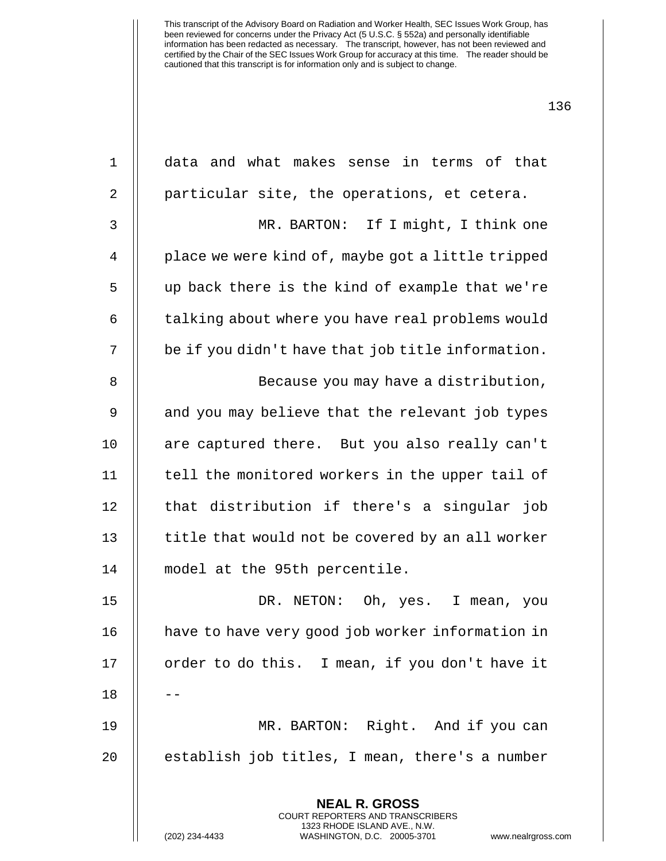| $\mathbf 1$    | data and what makes sense in terms of that                                                                                                                    |
|----------------|---------------------------------------------------------------------------------------------------------------------------------------------------------------|
| 2              | particular site, the operations, et cetera.                                                                                                                   |
| 3              | MR. BARTON: If I might, I think one                                                                                                                           |
| $\overline{4}$ | place we were kind of, maybe got a little tripped                                                                                                             |
| 5              | up back there is the kind of example that we're                                                                                                               |
| 6              | talking about where you have real problems would                                                                                                              |
| 7              | be if you didn't have that job title information.                                                                                                             |
| 8              | Because you may have a distribution,                                                                                                                          |
| 9              | and you may believe that the relevant job types                                                                                                               |
| 10             | are captured there. But you also really can't                                                                                                                 |
| 11             | tell the monitored workers in the upper tail of                                                                                                               |
| 12             | that distribution if there's a singular job                                                                                                                   |
| 13             | title that would not be covered by an all worker                                                                                                              |
| 14             | model at the 95th percentile.                                                                                                                                 |
| 15             | Oh, yes. I mean, you<br>DR. NETON:                                                                                                                            |
| 16             | have to have very good job worker information in                                                                                                              |
| 17             | order to do this. I mean, if you don't have it                                                                                                                |
| 18             |                                                                                                                                                               |
| 19             | MR. BARTON: Right. And if you can                                                                                                                             |
| 20             | establish job titles, I mean, there's a number                                                                                                                |
|                |                                                                                                                                                               |
|                | <b>NEAL R. GROSS</b><br>COURT REPORTERS AND TRANSCRIBERS<br>1323 RHODE ISLAND AVE., N.W.<br>(202) 234-4433<br>WASHINGTON, D.C. 20005-3701<br>www.nealrgross.o |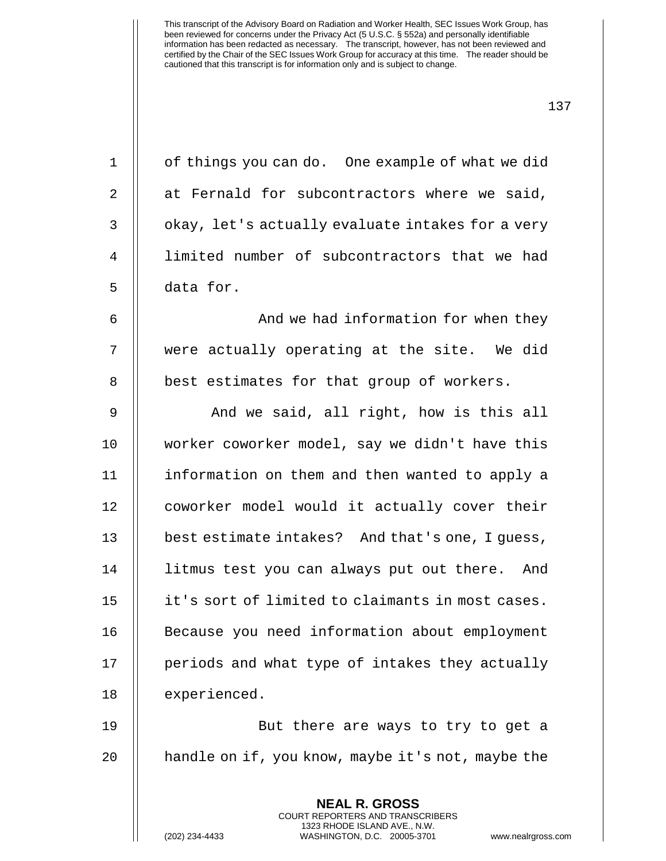| $\mathbf{1}$ | of things you can do. One example of what we did  |
|--------------|---------------------------------------------------|
| 2            | at Fernald for subcontractors where we said,      |
| 3            | okay, let's actually evaluate intakes for a very  |
| 4            | limited number of subcontractors that we had      |
| 5            | data for.                                         |
| 6            | And we had information for when they              |
| 7            | were actually operating at the site. We did       |
| 8            | best estimates for that group of workers.         |
| 9            | And we said, all right, how is this all           |
| 10           | worker coworker model, say we didn't have this    |
| 11           | information on them and then wanted to apply a    |
| 12           | coworker model would it actually cover their      |
| 13           | best estimate intakes? And that's one, I guess,   |
| 14           | litmus test you can always put out there. And     |
| 15           | it's sort of limited to claimants in most cases.  |
| 16           | Because you need information about employment     |
| 17           | periods and what type of intakes they actually    |
| 18           | experienced.                                      |
| 19           | But there are ways to try to get a                |
| 20           | handle on if, you know, maybe it's not, maybe the |
|              | <b>NEAL R. GROSS</b>                              |

COURT REPORTERS AND TRANSCRIBERS 1323 RHODE ISLAND AVE., N.W.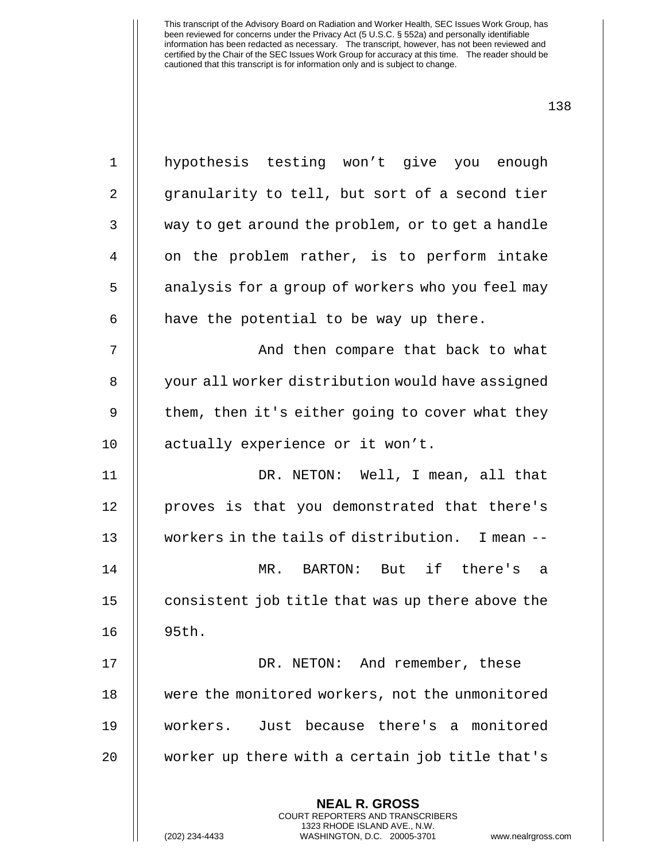| $\mathbf{1}$ | hypothesis testing won't give you enough          |
|--------------|---------------------------------------------------|
| 2            | granularity to tell, but sort of a second tier    |
| 3            | way to get around the problem, or to get a handle |
| 4            | on the problem rather, is to perform intake       |
| 5            | analysis for a group of workers who you feel may  |
| 6            | have the potential to be way up there.            |
| 7            | And then compare that back to what                |
| 8            | your all worker distribution would have assigned  |
| 9            | them, then it's either going to cover what they   |
| 10           | actually experience or it won't.                  |
| 11           | DR. NETON: Well, I mean, all that                 |
| 12           | proves is that you demonstrated that there's      |
| 13           | workers in the tails of distribution. I mean --   |
| 14           | MR. BARTON: But if there's a                      |
| 15           | consistent job title that was up there above the  |
| 16           | 95th.                                             |
| 17           | DR. NETON: And remember, these                    |
| 18           | were the monitored workers, not the unmonitored   |
| 19           | Just because there's a monitored<br>workers.      |
| 20           | worker up there with a certain job title that's   |
|              | <b>NEAL R. GROSS</b>                              |
|              | COURT REPORTERS AND TRANSCRIBERS                  |

1323 RHODE ISLAND AVE., N.W.

 $\begin{array}{c} \hline \end{array}$ 

(202) 234-4433 WASHINGTON, D.C. 20005-3701 www.nealrgross.com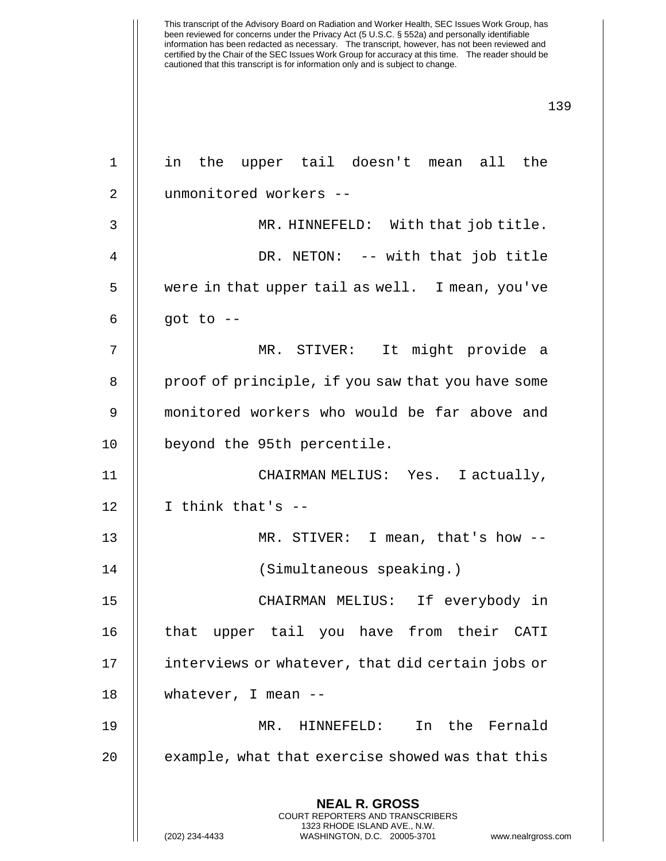| $\mathbf 1$ | in the upper tail doesn't mean all the                                                                                                                                 |
|-------------|------------------------------------------------------------------------------------------------------------------------------------------------------------------------|
| 2           | unmonitored workers --                                                                                                                                                 |
|             |                                                                                                                                                                        |
| 3           | MR. HINNEFELD: With that job title.                                                                                                                                    |
| 4           | DR. NETON: -- with that job title                                                                                                                                      |
| 5           | were in that upper tail as well. I mean, you've                                                                                                                        |
| 6           | got to $--$                                                                                                                                                            |
| 7           | MR. STIVER: It might provide a                                                                                                                                         |
| 8           | proof of principle, if you saw that you have some                                                                                                                      |
| 9           | monitored workers who would be far above and                                                                                                                           |
| 10          | beyond the 95th percentile.                                                                                                                                            |
| 11          | CHAIRMAN MELIUS: Yes. I actually,                                                                                                                                      |
| 12          | I think that's --                                                                                                                                                      |
| 13          | MR. STIVER: I mean, that's how $-$ -                                                                                                                                   |
| 14          | (Simultaneous speaking.)                                                                                                                                               |
| 15          | CHAIRMAN MELIUS: If everybody in                                                                                                                                       |
| 16          | that upper tail you have from their CATI                                                                                                                               |
| 17          | interviews or whatever, that did certain jobs or                                                                                                                       |
| 18          | whatever, I mean $-$                                                                                                                                                   |
| 19          | In the Fernald<br>MR. HINNEFELD:                                                                                                                                       |
| 20          | example, what that exercise showed was that this                                                                                                                       |
|             | <b>NEAL R. GROSS</b><br><b>COURT REPORTERS AND TRANSCRIBERS</b><br>1323 RHODE ISLAND AVE., N.W.<br>(202) 234-4433<br>WASHINGTON, D.C. 20005-3701<br>www.nealrgross.com |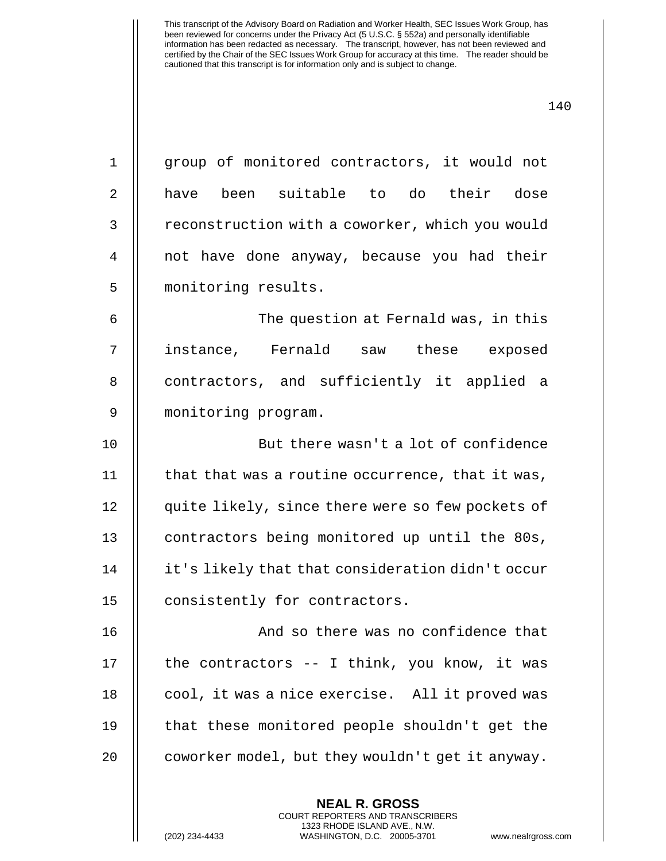| $\mathbf 1$ | group of monitored contractors, it would not     |
|-------------|--------------------------------------------------|
| 2           | have been suitable to do their dose              |
| 3           | reconstruction with a coworker, which you would  |
| 4           | not have done anyway, because you had their      |
| 5           | monitoring results.                              |
| 6           | The question at Fernald was, in this             |
| 7           | instance, Fernald saw these exposed              |
| 8           | contractors, and sufficiently it applied a       |
| 9           | monitoring program.                              |
| 10          | But there wasn't a lot of confidence             |
| 11          | that that was a routine occurrence, that it was, |
| 12          | quite likely, since there were so few pockets of |
| 13          | contractors being monitored up until the 80s,    |
| 14          | it's likely that that consideration didn't occur |
| 15          | consistently for contractors.                    |
| 16          | And so there was no confidence that              |
| 17          | the contractors -- I think, you know, it was     |
| 18          | cool, it was a nice exercise. All it proved was  |
| 19          | that these monitored people shouldn't get the    |
| 20          | coworker model, but they wouldn't get it anyway. |
|             | <b>NEAL R. GROSS</b>                             |

COURT REPORTERS AND TRANSCRIBERS 1323 RHODE ISLAND AVE., N.W.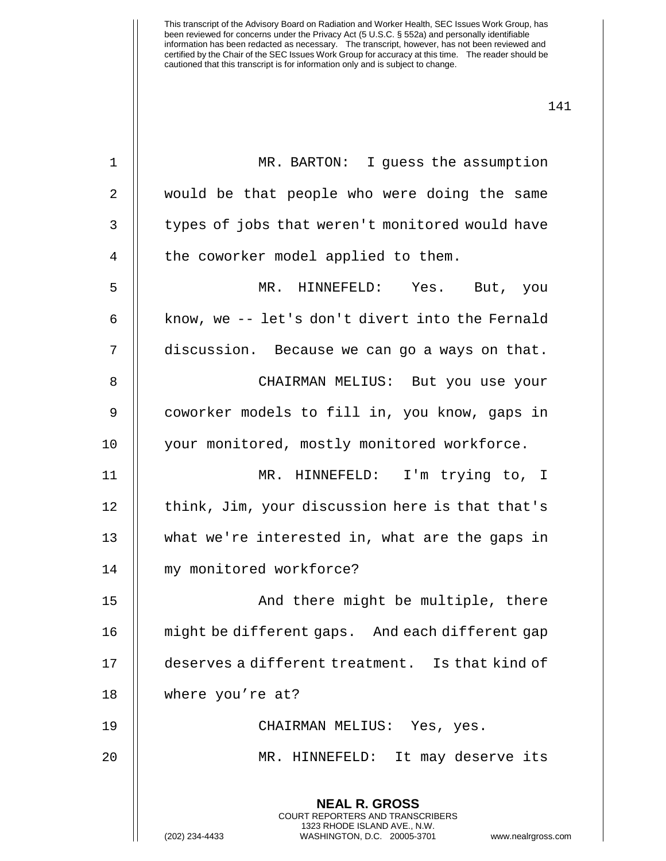| 1  | MR. BARTON: I guess the assumption                                                                                                                              |
|----|-----------------------------------------------------------------------------------------------------------------------------------------------------------------|
| 2  | would be that people who were doing the same                                                                                                                    |
| 3  | types of jobs that weren't monitored would have                                                                                                                 |
| 4  | the coworker model applied to them.                                                                                                                             |
| 5  | MR. HINNEFELD: Yes. But, you                                                                                                                                    |
| 6  | know, we -- let's don't divert into the Fernald                                                                                                                 |
| 7  | discussion. Because we can go a ways on that.                                                                                                                   |
| 8  | CHAIRMAN MELIUS: But you use your                                                                                                                               |
| 9  | coworker models to fill in, you know, gaps in                                                                                                                   |
| 10 | your monitored, mostly monitored workforce.                                                                                                                     |
| 11 | MR. HINNEFELD: I'm trying to, I                                                                                                                                 |
| 12 | think, Jim, your discussion here is that that's                                                                                                                 |
| 13 | what we're interested in, what are the gaps in                                                                                                                  |
| 14 | my monitored workforce?                                                                                                                                         |
| 15 | And there might be multiple, there                                                                                                                              |
| 16 | might be different gaps. And each different gap                                                                                                                 |
| 17 | deserves a different treatment. Is that kind of                                                                                                                 |
| 18 | where you're at?                                                                                                                                                |
| 19 | CHAIRMAN MELIUS: Yes, yes.                                                                                                                                      |
| 20 | It may deserve its<br>MR. HINNEFELD:                                                                                                                            |
|    | <b>NEAL R. GROSS</b><br>COURT REPORTERS AND TRANSCRIBERS<br>1323 RHODE ISLAND AVE., N.W.<br>(202) 234-4433<br>WASHINGTON, D.C. 20005-3701<br>www.nealrgross.com |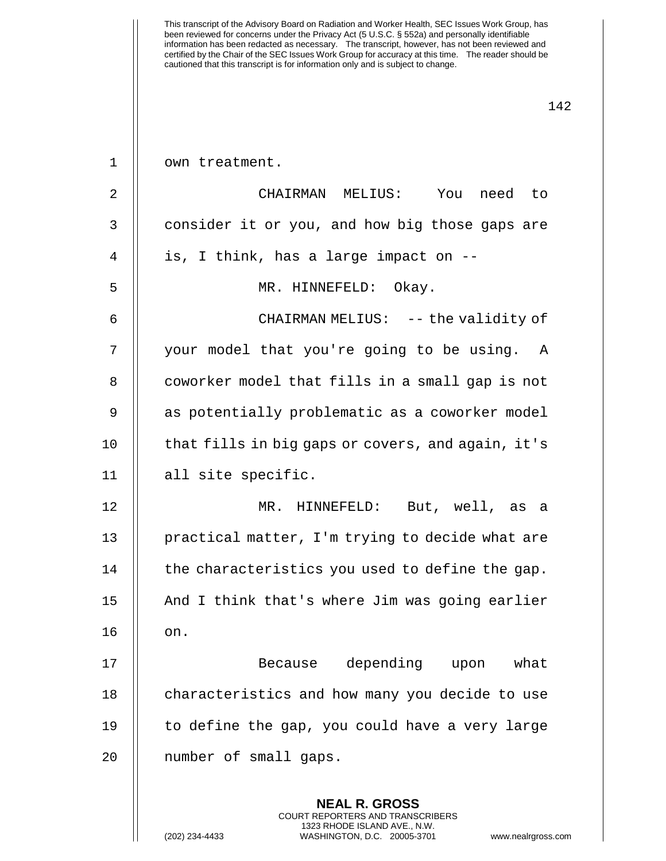| $\mathbf 1$    | own treatment.                                                                                                                                                |
|----------------|---------------------------------------------------------------------------------------------------------------------------------------------------------------|
| $\overline{2}$ | CHAIRMAN MELIUS: You need to                                                                                                                                  |
| 3              | consider it or you, and how big those gaps are                                                                                                                |
| 4              | is, I think, has a large impact on --                                                                                                                         |
| 5              | MR. HINNEFELD: Okay.                                                                                                                                          |
| 6              | CHAIRMAN MELIUS: -- the validity of                                                                                                                           |
| 7              | your model that you're going to be using. A                                                                                                                   |
| 8              | coworker model that fills in a small gap is not                                                                                                               |
| 9              | as potentially problematic as a coworker model                                                                                                                |
| 10             | that fills in big gaps or covers, and again, it's                                                                                                             |
| 11             | all site specific.                                                                                                                                            |
| 12             | MR. HINNEFELD: But, well, as a                                                                                                                                |
| 13             | practical matter, I'm trying to decide what are                                                                                                               |
| 14             | the characteristics you used to define the gap.                                                                                                               |
| 15             | And I think that's where Jim was going earlier                                                                                                                |
| 16             | on.                                                                                                                                                           |
| 17             | Because depending upon what                                                                                                                                   |
| 18             | characteristics and how many you decide to use                                                                                                                |
| 19             | to define the gap, you could have a very large                                                                                                                |
| 20             | number of small gaps.                                                                                                                                         |
|                | <b>NEAL R. GROSS</b><br>COURT REPORTERS AND TRANSCRIBERS<br>1323 RHODE ISLAND AVE., N.W.<br>(202) 234-4433<br>WASHINGTON, D.C. 20005-3701<br>www.nealrgross.o |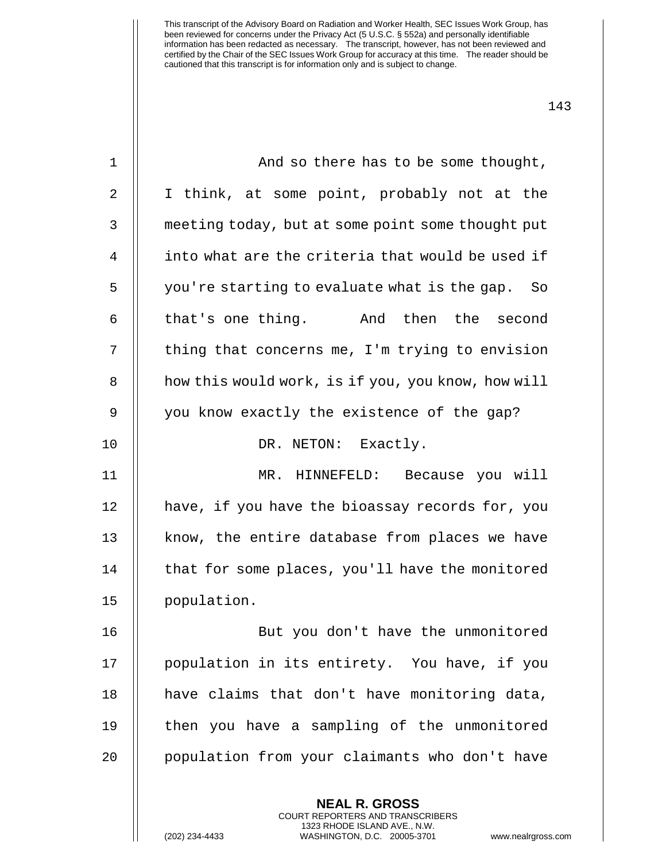| $\mathbf 1$ | And so there has to be some thought,               |
|-------------|----------------------------------------------------|
| 2           | I think, at some point, probably not at the        |
| 3           | meeting today, but at some point some thought put  |
| 4           | into what are the criteria that would be used if   |
| 5           | you're starting to evaluate what is the gap.<br>So |
| 6           | that's one thing. And then the second              |
| 7           | thing that concerns me, I'm trying to envision     |
| 8           | how this would work, is if you, you know, how will |
| 9           | you know exactly the existence of the gap?         |
| 10          | DR. NETON: Exactly.                                |
| 11          | MR. HINNEFELD: Because you will                    |
| 12          | have, if you have the bioassay records for, you    |
| 13          | know, the entire database from places we have      |
| 14          | that for some places, you'll have the monitored    |
| 15          | population.                                        |
| 16          | But you don't have the unmonitored                 |
| 17          | population in its entirety. You have, if you       |
| 18          | have claims that don't have monitoring data,       |
| 19          | then you have a sampling of the unmonitored        |
| 20          | population from your claimants who don't have      |
|             |                                                    |
|             | <b>NEAL R. GROSS</b>                               |

COURT REPORTERS AND TRANSCRIBERS 1323 RHODE ISLAND AVE., N.W.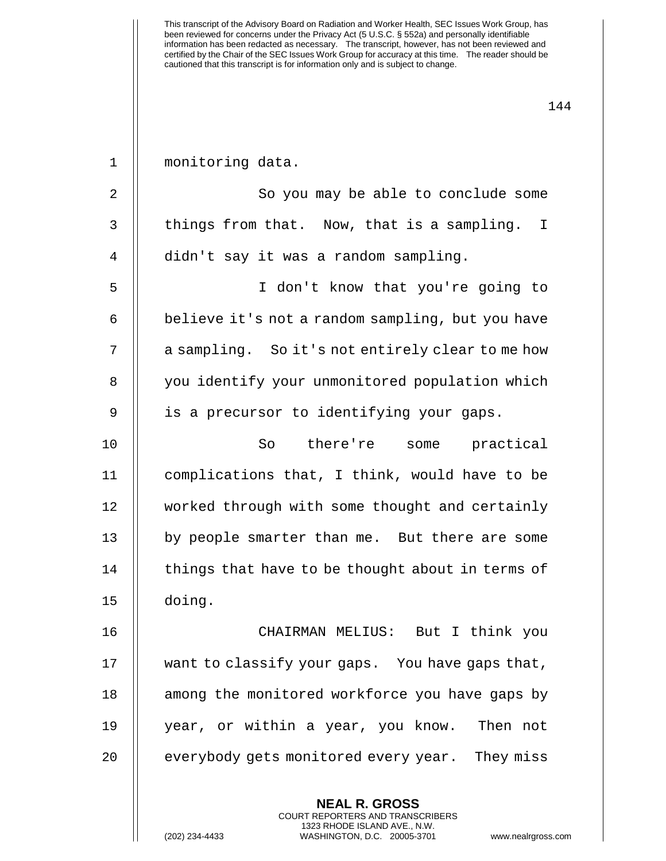been reviewed for concerns under the Privacy Act (5 U.S.C. § 552a) and personally identifiable information has been redacted as necessary. The transcript, however, has not been reviewed and certified by the Chair of the SEC Issues Work Group for accuracy at this time. The reader should be cautioned that this transcript is for information only and is subject to change. 144 **NEAL R. GROSS** COURT REPORTERS AND TRANSCRIBERS 1 | monitoring data. 2 || So you may be able to conclude some  $3$  || things from that. Now, that is a sampling. I 4 didn't say it was a random sampling. 5 I don't know that you're going to 6 | believe it's not a random sampling, but you have 7 | a sampling. So it's not entirely clear to me how 8 | you identify your unmonitored population which 9 || is a precursor to identifying your gaps. 10 So there're some practical 11 || complications that, I think, would have to be 12 worked through with some thought and certainly 13 || by people smarter than me. But there are some  $14$   $\parallel$  things that have to be thought about in terms of 15 doing. 16 CHAIRMAN MELIUS: But I think you 17 | want to classify your gaps. You have gaps that, 18 || among the monitored workforce you have gaps by 19 year, or within a year, you know. Then not 20 | everybody gets monitored every year. They miss

1323 RHODE ISLAND AVE., N.W.

This transcript of the Advisory Board on Radiation and Worker Health, SEC Issues Work Group, has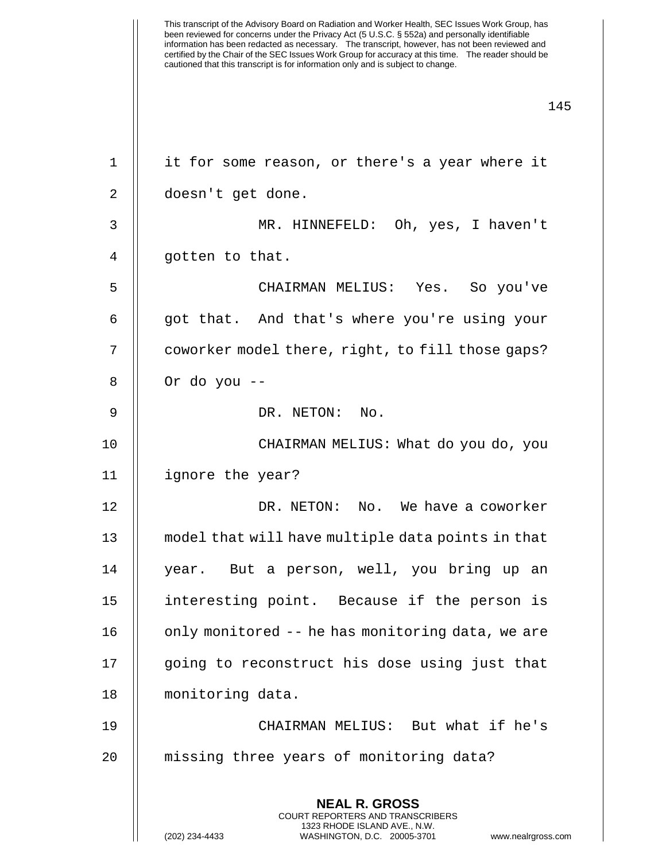This transcript of the Advisory Board on Radiation and Worker Health, SEC Issues Work Group, has been reviewed for concerns under the Privacy Act (5 U.S.C. § 552a) and personally identifiable information has been redacted as necessary. The transcript, however, has not been reviewed and certified by the Chair of the SEC Issues Work Group for accuracy at this time. The reader should be cautioned that this transcript is for information only and is subject to change. 145 **NEAL R. GROSS** COURT REPORTERS AND TRANSCRIBERS 1323 RHODE ISLAND AVE., N.W. 1 || it for some reason, or there's a year where it 2 | doesn't get done. 3 MR. HINNEFELD: Oh, yes, I haven't 4 || gotten to that. 5 CHAIRMAN MELIUS: Yes. So you've 6 || qot that. And that's where you're using your 7 | coworker model there, right, to fill those gaps?  $8 \parallel$  Or do you --9 || DR. NETON: No. 10 CHAIRMAN MELIUS: What do you do, you 11 ignore the year? 12 DR. NETON: No. We have a coworker 13 model that will have multiple data points in that 14 || year. But a person, well, you bring up an 15 interesting point. Because if the person is 16  $\parallel$  only monitored -- he has monitoring data, we are 17 || going to reconstruct his dose using just that 18 monitoring data. 19 CHAIRMAN MELIUS: But what if he's 20 missing three years of monitoring data?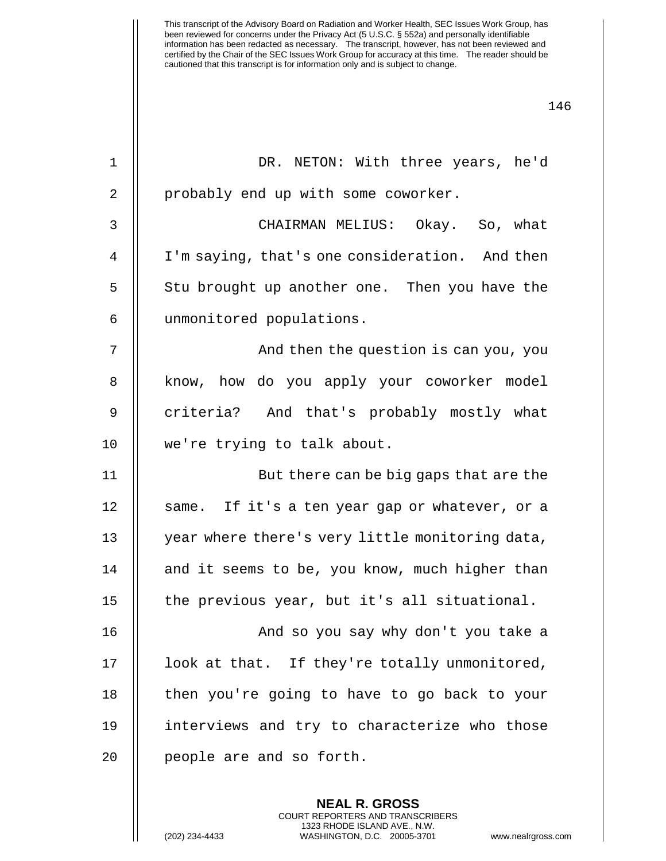| $\mathbf{1}$   | DR. NETON: With three years, he'd               |
|----------------|-------------------------------------------------|
| 2              | probably end up with some coworker.             |
| 3              | CHAIRMAN MELIUS: Okay. So, what                 |
| $\overline{4}$ | I'm saying, that's one consideration. And then  |
| 5              | Stu brought up another one. Then you have the   |
| 6              | unmonitored populations.                        |
| 7              | And then the question is can you, you           |
| 8              | know, how do you apply your coworker model      |
| 9              | criteria? And that's probably mostly what       |
| 10             | we're trying to talk about.                     |
| 11             | But there can be big gaps that are the          |
| 12             | same. If it's a ten year gap or whatever, or a  |
| 13             | year where there's very little monitoring data, |
| 14             | and it seems to be, you know, much higher than  |
| 15             | the previous year, but it's all situational.    |
| 16             | And so you say why don't you take a             |
| 17             | look at that. If they're totally unmonitored,   |
| 18             | then you're going to have to go back to your    |
| 19             | interviews and try to characterize who those    |
| 20             |                                                 |
|                | people are and so forth.                        |

**NEAL R. GROSS** COURT REPORTERS AND TRANSCRIBERS 1323 RHODE ISLAND AVE., N.W.

(202) 234-4433 WASHINGTON, D.C. 20005-3701 www.nealrgross.com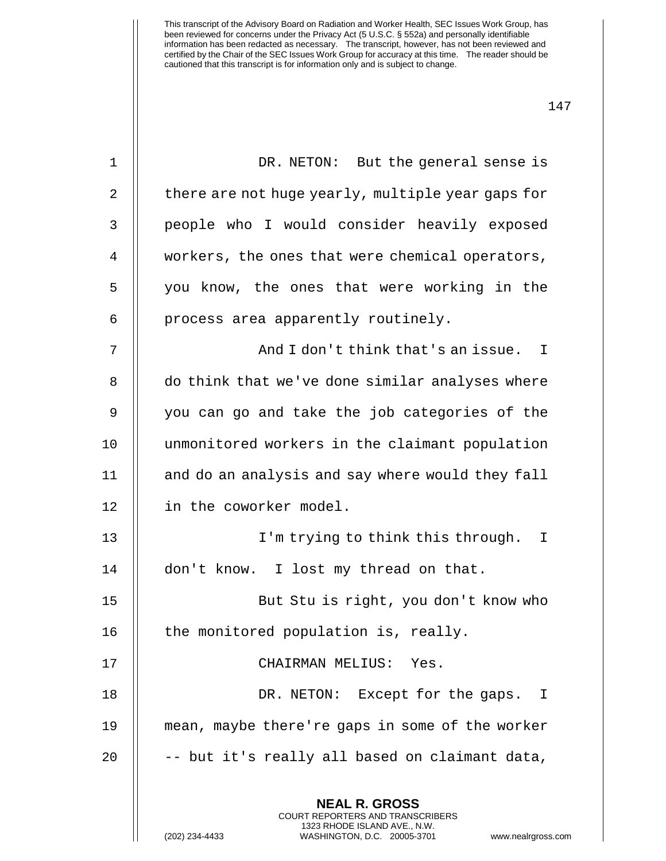| $\mathbf 1$ | DR. NETON: But the general sense is                                                                                                                                   |
|-------------|-----------------------------------------------------------------------------------------------------------------------------------------------------------------------|
| 2           | there are not huge yearly, multiple year gaps for                                                                                                                     |
| 3           | people who I would consider heavily exposed                                                                                                                           |
| 4           | workers, the ones that were chemical operators,                                                                                                                       |
| 5           | you know, the ones that were working in the                                                                                                                           |
| 6           | process area apparently routinely.                                                                                                                                    |
| 7           | And I don't think that's an issue. I                                                                                                                                  |
| 8           | do think that we've done similar analyses where                                                                                                                       |
| 9           | you can go and take the job categories of the                                                                                                                         |
| 10          | unmonitored workers in the claimant population                                                                                                                        |
| 11          | and do an analysis and say where would they fall                                                                                                                      |
| 12          | in the coworker model.                                                                                                                                                |
| 13          | I'm trying to think this through. I                                                                                                                                   |
| 14          | I lost my thread on that.<br>don't know.                                                                                                                              |
| 15          | But Stu is right, you don't know who                                                                                                                                  |
| 16          | the monitored population is, really.                                                                                                                                  |
| 17          | CHAIRMAN MELIUS: Yes.                                                                                                                                                 |
| 18          | DR. NETON: Except for the gaps. I                                                                                                                                     |
| 19          | mean, maybe there're gaps in some of the worker                                                                                                                       |
| 20          | -- but it's really all based on claimant data,                                                                                                                        |
|             | <b>NEAL R. GROSS</b><br><b>COURT REPORTERS AND TRANSCRIBERS</b><br>1323 RHODE ISLAND AVE., N.W.<br>(202) 234-4433<br>WASHINGTON, D.C. 20005-3701<br>www.nealrgross.co |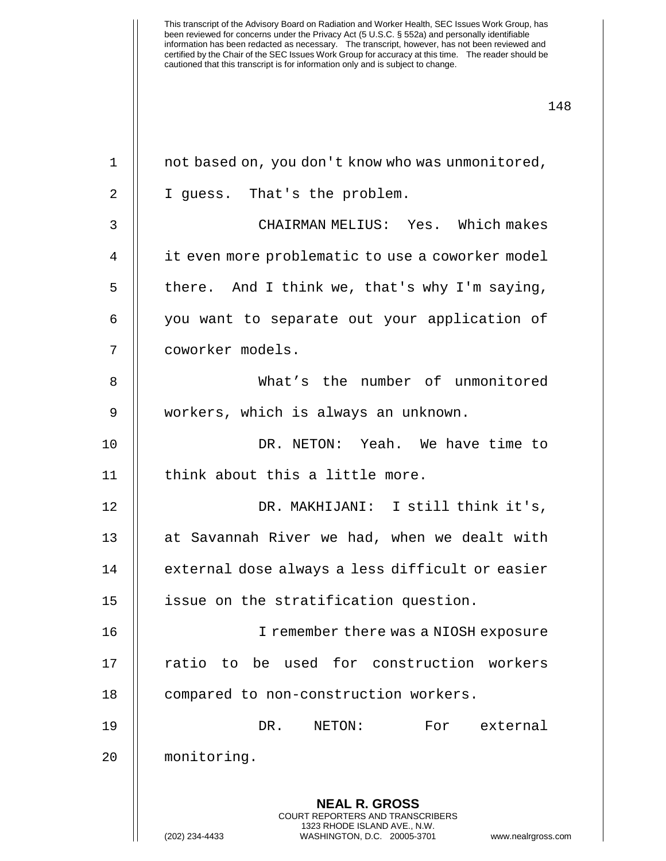| $\mathbf{1}$ | not based on, you don't know who was unmonitored,                                                                                                                      |
|--------------|------------------------------------------------------------------------------------------------------------------------------------------------------------------------|
| 2            | I guess. That's the problem.                                                                                                                                           |
| 3            | CHAIRMAN MELIUS: Yes. Which makes                                                                                                                                      |
| 4            | it even more problematic to use a coworker model                                                                                                                       |
| 5            | there. And I think we, that's why I'm saying,                                                                                                                          |
| 6            | you want to separate out your application of                                                                                                                           |
| 7            | coworker models.                                                                                                                                                       |
| 8            | What's the number of unmonitored                                                                                                                                       |
| 9            | workers, which is always an unknown.                                                                                                                                   |
| 10           | DR. NETON: Yeah. We have time to                                                                                                                                       |
| 11           | think about this a little more.                                                                                                                                        |
| 12           | DR. MAKHIJANI: I still think it's,                                                                                                                                     |
| 13           | at Savannah River we had, when we dealt with                                                                                                                           |
| 14           | external dose always a less difficult or easier                                                                                                                        |
| 15           | issue on the stratification question.                                                                                                                                  |
| 16           | I remember there was a NIOSH exposure                                                                                                                                  |
| 17           | ratio to be used for construction workers                                                                                                                              |
| 18           | compared to non-construction workers.                                                                                                                                  |
| 19           | DR.<br>NETON:<br>For<br>external                                                                                                                                       |
| 20           | monitoring.                                                                                                                                                            |
|              | <b>NEAL R. GROSS</b><br><b>COURT REPORTERS AND TRANSCRIBERS</b><br>1323 RHODE ISLAND AVE., N.W.<br>(202) 234-4433<br>WASHINGTON, D.C. 20005-3701<br>www.nealrgross.com |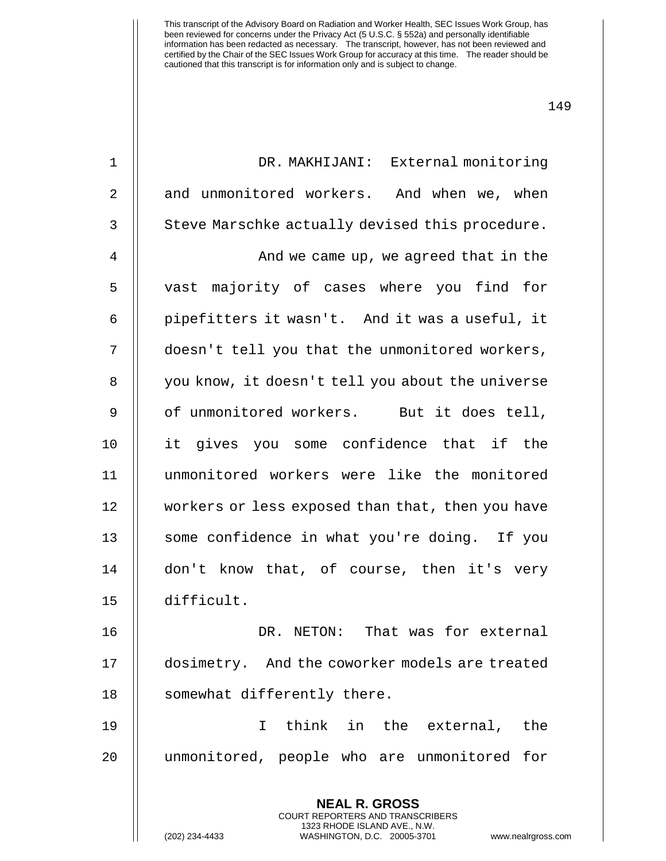| $\mathbf 1$    | DR. MAKHIJANI: External monitoring               |
|----------------|--------------------------------------------------|
| $\overline{2}$ | and unmonitored workers. And when we, when       |
| 3              | Steve Marschke actually devised this procedure.  |
| $\overline{4}$ | And we came up, we agreed that in the            |
| 5              | vast majority of cases where you find for        |
| 6              | pipefitters it wasn't. And it was a useful, it   |
| 7              | doesn't tell you that the unmonitored workers,   |
| 8              | you know, it doesn't tell you about the universe |
| 9              | of unmonitored workers. But it does tell,        |
| 10             | it gives you some confidence that if the         |
| 11             | unmonitored workers were like the monitored      |
| 12             | workers or less exposed than that, then you have |
| 13             | some confidence in what you're doing. If you     |
| 14             | don't know that, of course, then it's very       |
| 15             | difficult.                                       |
| 16             | DR. NETON: That was for external                 |
| 17             | dosimetry. And the coworker models are treated   |
| 18             | somewhat differently there.                      |
| 19             | think in the external, the<br>I.                 |
| 20             | unmonitored, people who are unmonitored for      |

**NEAL R. GROSS** COURT REPORTERS AND TRANSCRIBERS 1323 RHODE ISLAND AVE., N.W.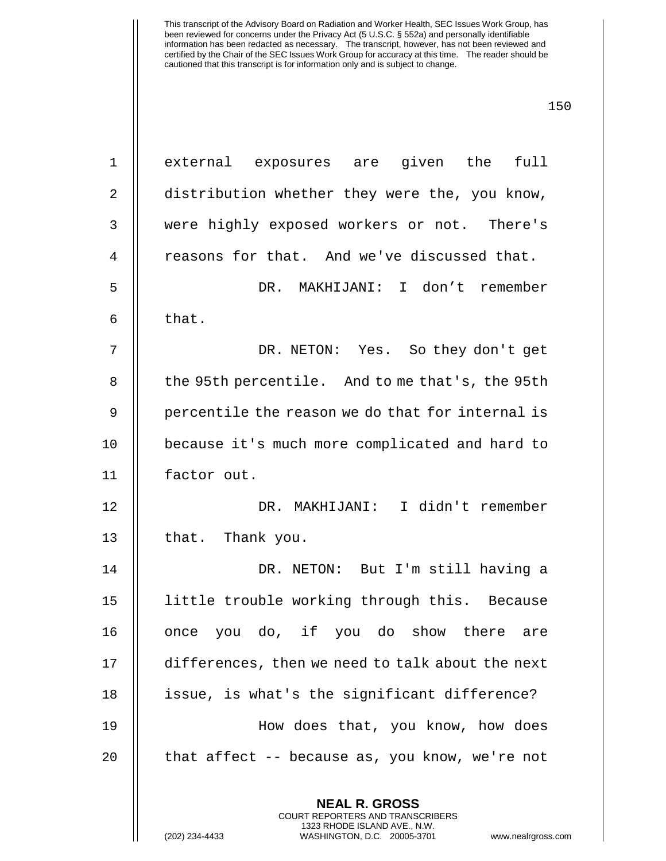| $\mathbf 1$    | external exposures are given the<br>full                                                                                                                             |
|----------------|----------------------------------------------------------------------------------------------------------------------------------------------------------------------|
| $\overline{2}$ | distribution whether they were the, you know,                                                                                                                        |
| $\mathsf{3}$   | were highly exposed workers or not. There's                                                                                                                          |
| 4              | reasons for that. And we've discussed that.                                                                                                                          |
| 5              | DR. MAKHIJANI: I don't remember                                                                                                                                      |
| 6              | that.                                                                                                                                                                |
| 7              | DR. NETON: Yes. So they don't get                                                                                                                                    |
| 8              | the 95th percentile. And to me that's, the 95th                                                                                                                      |
| 9              | percentile the reason we do that for internal is                                                                                                                     |
| 10             | because it's much more complicated and hard to                                                                                                                       |
| 11             | factor out.                                                                                                                                                          |
| 12             | DR. MAKHIJANI: I didn't remember                                                                                                                                     |
| 13             | that. Thank you.                                                                                                                                                     |
| 14             | DR. NETON: But I'm still having a                                                                                                                                    |
| 15             | little trouble working through this. Because                                                                                                                         |
| 16             | you do, if you do show there<br>once<br>are                                                                                                                          |
| 17             | differences, then we need to talk about the next                                                                                                                     |
| 18             | issue, is what's the significant difference?                                                                                                                         |
| 19             | How does that, you know, how does                                                                                                                                    |
| 20             | that affect $-$ - because as, you know, we're not                                                                                                                    |
|                | <b>NEAL R. GROSS</b><br><b>COURT REPORTERS AND TRANSCRIBERS</b><br>1323 RHODE ISLAND AVE., N.W.<br>(202) 234-4433<br>WASHINGTON, D.C. 20005-3701<br>www.nealrgross.c |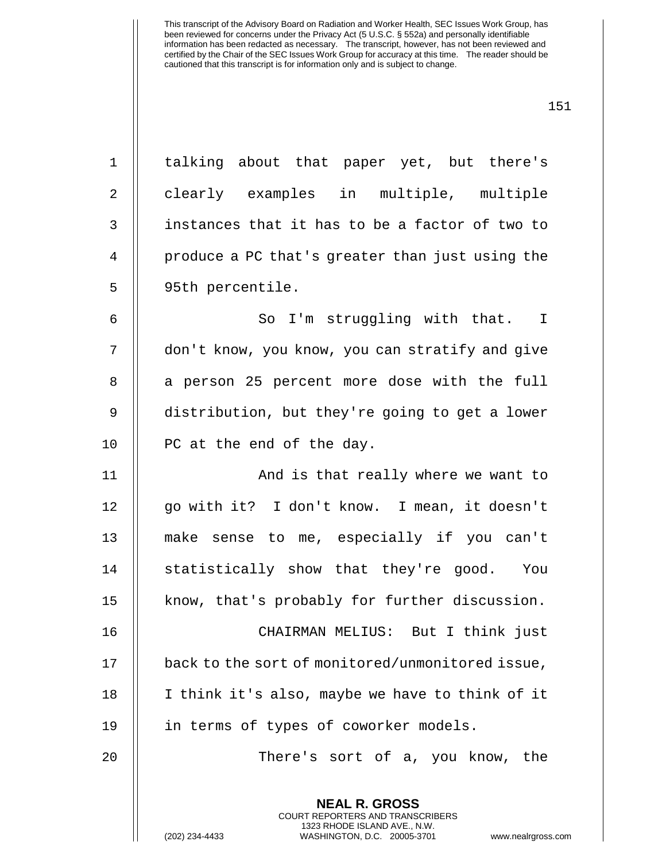| $\mathbf 1$ | talking about that paper yet, but there's        |
|-------------|--------------------------------------------------|
| 2           | clearly examples in multiple, multiple           |
| 3           | instances that it has to be a factor of two to   |
| 4           | produce a PC that's greater than just using the  |
| 5           | 95th percentile.                                 |
| 6           | So I'm struggling with that. I                   |
| 7           | don't know, you know, you can stratify and give  |
| 8           | a person 25 percent more dose with the full      |
| $\mathsf 9$ | distribution, but they're going to get a lower   |
| 10          | PC at the end of the day.                        |
| 11          | And is that really where we want to              |
| 12          | go with it? I don't know. I mean, it doesn't     |
| 13          | make sense to me, especially if you can't        |
| 14          | statistically show that they're good. You        |
| 15          | know, that's probably for further discussion.    |
| 16          | CHAIRMAN MELIUS: But I think just                |
| 17          | back to the sort of monitored/unmonitored issue, |
| 18          | I think it's also, maybe we have to think of it  |
| 19          | in terms of types of coworker models.            |
| 20          | There's sort of a, you know, the                 |
|             |                                                  |
|             | <b>NEAL R. GROSS</b>                             |

COURT REPORTERS AND TRANSCRIBERS 1323 RHODE ISLAND AVE., N.W.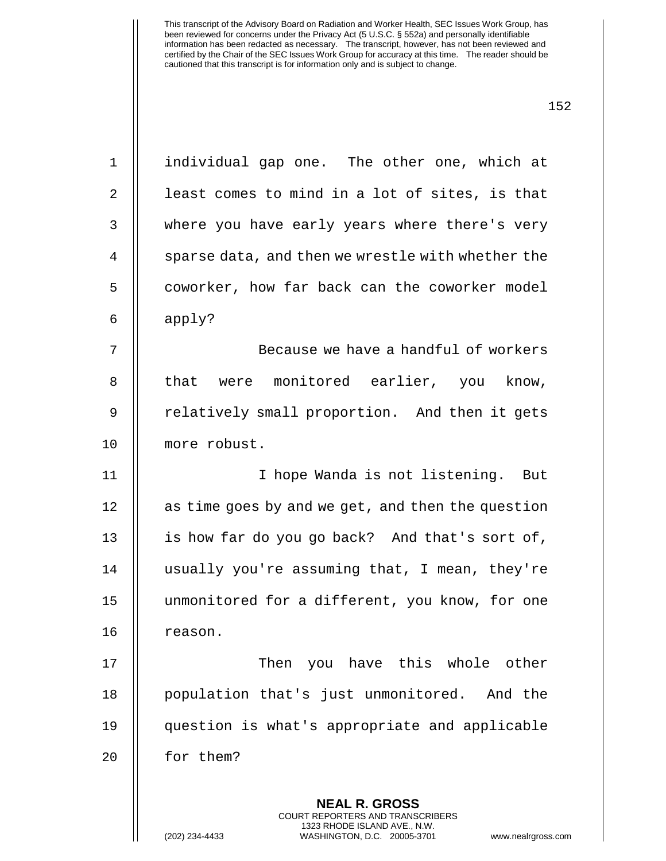(202) 234-4433 WASHINGTON, D.C. 20005-3701 www.nealrgross.com

1 individual gap one. The other one, which at 2  $\parallel$  least comes to mind in a lot of sites, is that 3 where you have early years where there's very 4 | sparse data, and then we wrestle with whether the 5 | coworker, how far back can the coworker model 6  $\parallel$  apply? 7 Because we have a handful of workers 8 || that were monitored earlier, you know, 9 || relatively small proportion. And then it gets 10 more robust. 11 || I hope Wanda is not listening. But 12 | as time goes by and we get, and then the question 13 || is how far do you go back? And that's sort of, 14 usually you're assuming that, I mean, they're 15 unmonitored for a different, you know, for one 16 | reason. 17 || Then you have this whole other 18 population that's just unmonitored. And the 19 question is what's appropriate and applicable 20 | for them?

> **NEAL R. GROSS** COURT REPORTERS AND TRANSCRIBERS 1323 RHODE ISLAND AVE., N.W.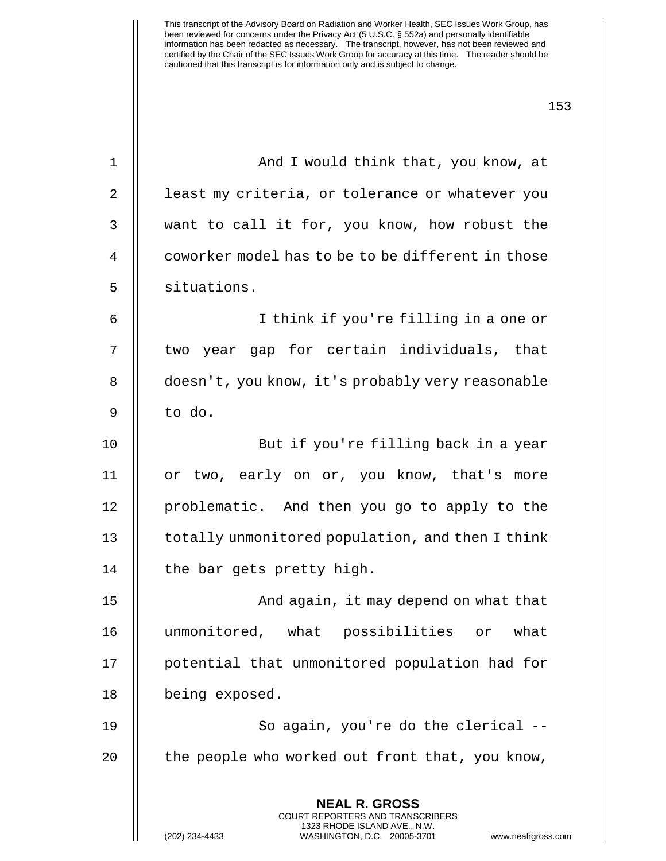| 1              | And I would think that, you know, at                                                                                                                                 |
|----------------|----------------------------------------------------------------------------------------------------------------------------------------------------------------------|
| $\overline{2}$ | least my criteria, or tolerance or whatever you                                                                                                                      |
| 3              | want to call it for, you know, how robust the                                                                                                                        |
| 4              | coworker model has to be to be different in those                                                                                                                    |
| 5              | situations.                                                                                                                                                          |
| 6              | I think if you're filling in a one or                                                                                                                                |
| 7              | two year gap for certain individuals, that                                                                                                                           |
| 8              | doesn't, you know, it's probably very reasonable                                                                                                                     |
| 9              | to do.                                                                                                                                                               |
| 10             | But if you're filling back in a year                                                                                                                                 |
| 11             | or two, early on or, you know, that's more                                                                                                                           |
| 12             | problematic. And then you go to apply to the                                                                                                                         |
| 13             | totally unmonitored population, and then I think                                                                                                                     |
| 14             | the bar gets pretty high.                                                                                                                                            |
| 15             | And again, it may depend on what that                                                                                                                                |
| 16             | unmonitored, what possibilities or what                                                                                                                              |
| 17             | potential that unmonitored population had for                                                                                                                        |
| 18             | being exposed.                                                                                                                                                       |
| 19             | So again, you're do the clerical --                                                                                                                                  |
| 20             | the people who worked out front that, you know,                                                                                                                      |
|                | <b>NEAL R. GROSS</b><br><b>COURT REPORTERS AND TRANSCRIBERS</b><br>1323 RHODE ISLAND AVE., N.W.<br>(202) 234-4433<br>WASHINGTON, D.C. 20005-3701<br>www.nealrgross.o |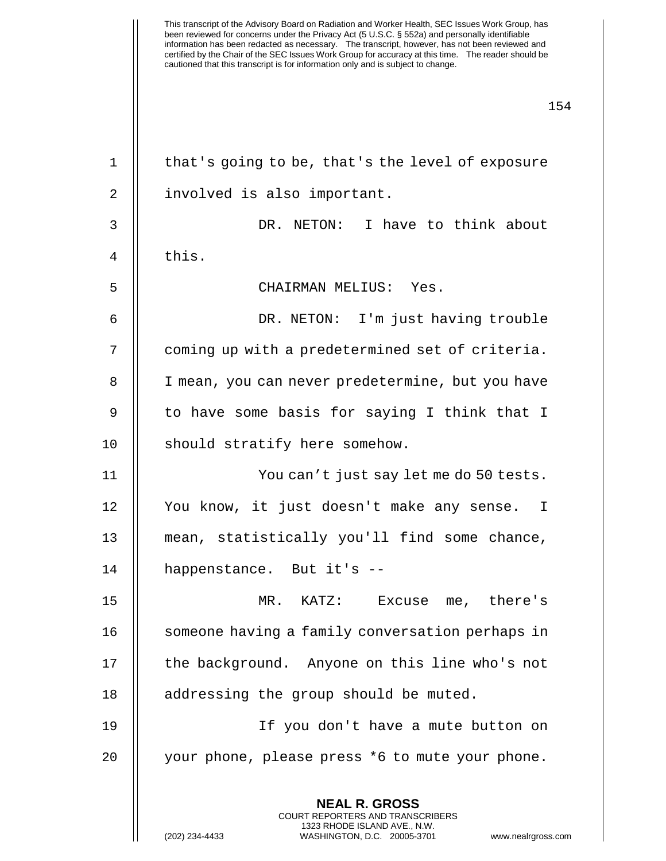This transcript of the Advisory Board on Radiation and Worker Health, SEC Issues Work Group, has been reviewed for concerns under the Privacy Act (5 U.S.C. § 552a) and personally identifiable information has been redacted as necessary. The transcript, however, has not been reviewed and certified by the Chair of the SEC Issues Work Group for accuracy at this time. The reader should be cautioned that this transcript is for information only and is subject to change. 154 **NEAL R. GROSS** 1 || that's going to be, that's the level of exposure 2 || involved is also important. 3 DR. NETON: I have to think about  $4 \parallel$  this. 5 CHAIRMAN MELIUS: Yes. 6 DR. NETON: I'm just having trouble 7 | coming up with a predetermined set of criteria. 8 | I mean, you can never predetermine, but you have 9 || to have some basis for saying I think that I 10 || should stratify here somehow. 11 You can't just say let me do 50 tests. 12 You know, it just doesn't make any sense. I 13 || mean, statistically you'll find some chance, 14 happenstance. But it's -- 15 MR. KATZ: Excuse me, there's 16 | someone having a family conversation perhaps in 17 | the background. Anyone on this line who's not 18 || addressing the group should be muted. 19 If you don't have a mute button on 20 || your phone, please press \*6 to mute your phone.

> COURT REPORTERS AND TRANSCRIBERS 1323 RHODE ISLAND AVE., N.W.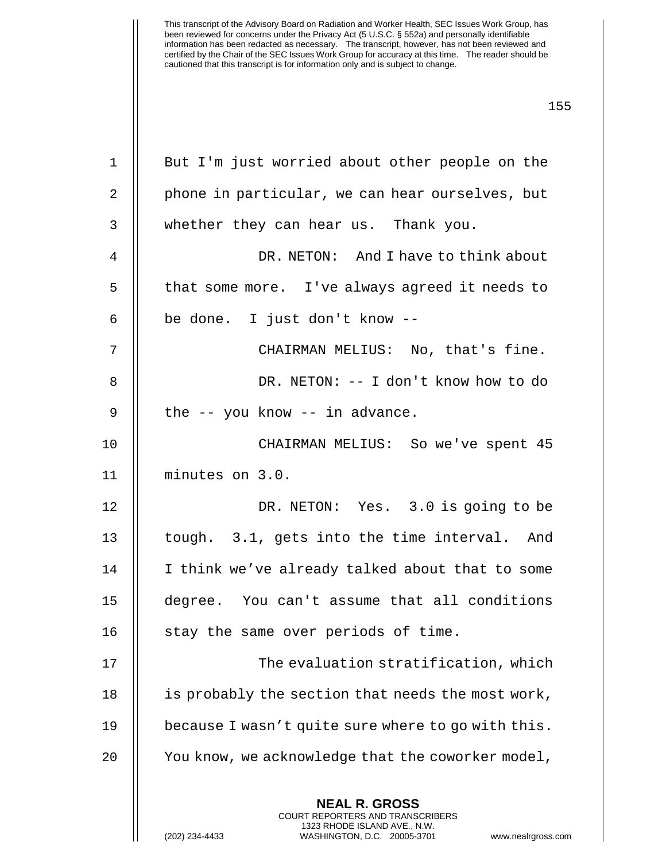**NEAL R. GROSS** 1 || But I'm just worried about other people on the 2 | phone in particular, we can hear ourselves, but 3 || whether they can hear us. Thank you. 4 DR. NETON: And I have to think about 5 | that some more. I've always agreed it needs to  $6$  | be done. I just don't know  $-$ -7 CHAIRMAN MELIUS: No, that's fine. 8 DR. NETON: -- I don't know how to do  $9 \parallel$  the  $-$  you know  $-$  in advance. 10 CHAIRMAN MELIUS: So we've spent 45 11 minutes on 3.0. 12 || DR. NETON: Yes. 3.0 is going to be 13 || tough. 3.1, gets into the time interval. And 14 || I think we've already talked about that to some 15 degree. You can't assume that all conditions 16  $\parallel$  stay the same over periods of time. 17 || The evaluation stratification, which 18 | is probably the section that needs the most work, 19 because I wasn't quite sure where to go with this. 20 | You know, we acknowledge that the coworker model,

> COURT REPORTERS AND TRANSCRIBERS 1323 RHODE ISLAND AVE., N.W.

(202) 234-4433 WASHINGTON, D.C. 20005-3701 www.nealrgross.com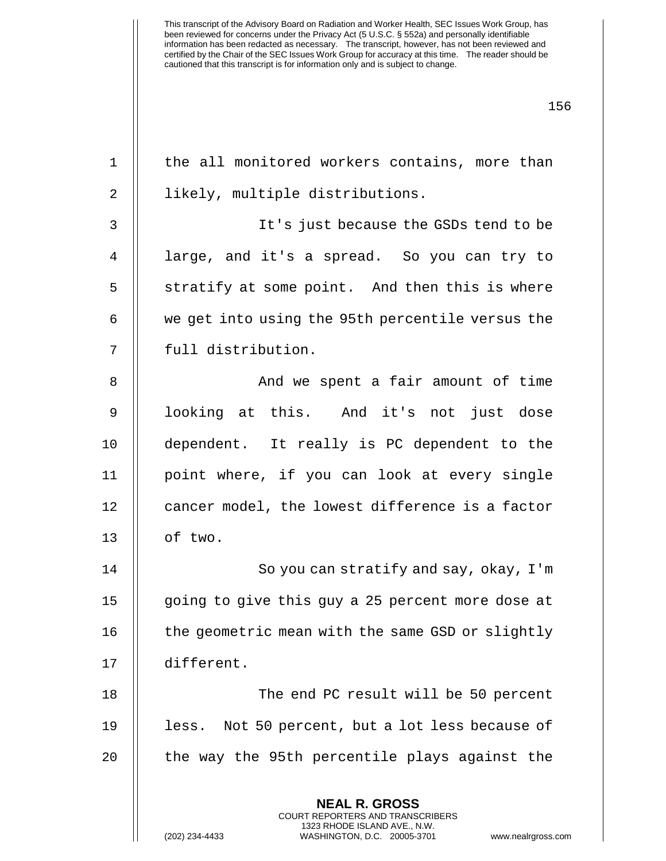| $\mathbf 1$ | the all monitored workers contains, more than                                                                                                                  |
|-------------|----------------------------------------------------------------------------------------------------------------------------------------------------------------|
| 2           | likely, multiple distributions.                                                                                                                                |
| 3           | It's just because the GSDs tend to be                                                                                                                          |
| 4           | large, and it's a spread. So you can try to                                                                                                                    |
| 5           | stratify at some point. And then this is where                                                                                                                 |
| 6           | we get into using the 95th percentile versus the                                                                                                               |
| 7           | full distribution.                                                                                                                                             |
| 8           | And we spent a fair amount of time                                                                                                                             |
| 9           | looking at this. And it's not just dose                                                                                                                        |
| 10          | dependent. It really is PC dependent to the                                                                                                                    |
| 11          | point where, if you can look at every single                                                                                                                   |
| 12          | cancer model, the lowest difference is a factor                                                                                                                |
| 13          | of two.                                                                                                                                                        |
| 14          | So you can stratify and say, okay, I'm                                                                                                                         |
| 15          | going to give this guy a 25 percent more dose at                                                                                                               |
| 16          | the geometric mean with the same GSD or slightly                                                                                                               |
| 17          | different.                                                                                                                                                     |
| 18          | The end PC result will be 50 percent                                                                                                                           |
| 19          | Not 50 percent, but a lot less because of<br>less.                                                                                                             |
| 20          | the way the 95th percentile plays against the                                                                                                                  |
|             | <b>NEAL R. GROSS</b><br>COURT REPORTERS AND TRANSCRIBERS<br>1323 RHODE ISLAND AVE., N.W.<br>(202) 234-4433<br>WASHINGTON, D.C. 20005-3701<br>www.nealrgross.co |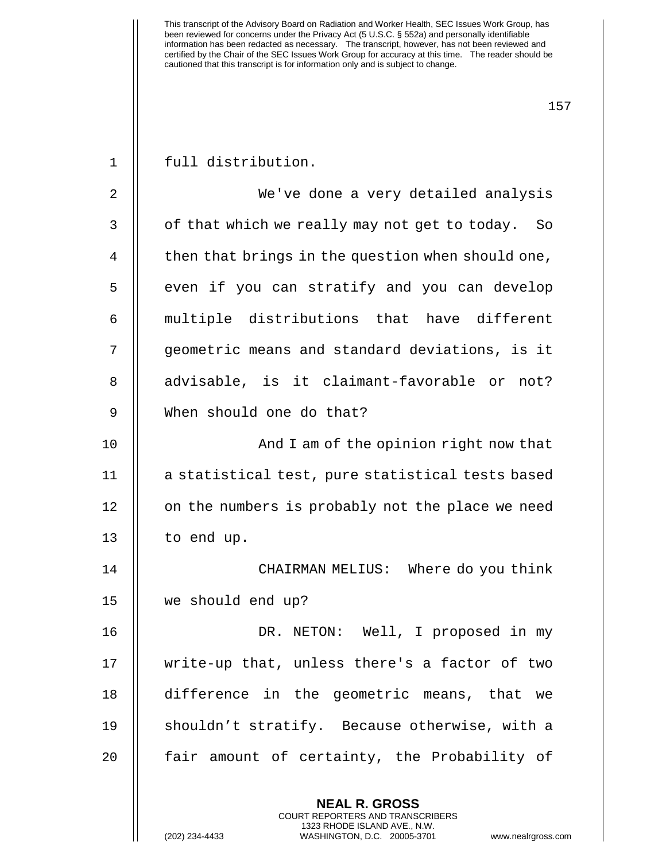| $\mathbf{1}$ | full distribution.                                |
|--------------|---------------------------------------------------|
| 2            | We've done a very detailed analysis               |
| 3            | of that which we really may not get to today. So  |
| 4            | then that brings in the question when should one, |
| 5            | even if you can stratify and you can develop      |
| 6            | multiple distributions that have different        |
| 7            | geometric means and standard deviations, is it    |
| 8            | advisable, is it claimant-favorable or not?       |
| 9            | When should one do that?                          |
| 10           | And I am of the opinion right now that            |
| 11           | a statistical test, pure statistical tests based  |
| 12           | on the numbers is probably not the place we need  |
| 13           | to end up.                                        |
| 14           | CHAIRMAN MELIUS: Where do you think               |
| 15           | we should end up?                                 |
| 16           | DR. NETON: Well, I proposed in my                 |
| 17           | write-up that, unless there's a factor of two     |
| 18           | difference in the geometric means, that we        |
| 19           | shouldn't stratify. Because otherwise, with a     |
| 20           | fair amount of certainty, the Probability of      |
|              | <b>NEAL R. GROSS</b>                              |

COURT REPORTERS AND TRANSCRIBERS 1323 RHODE ISLAND AVE., N.W.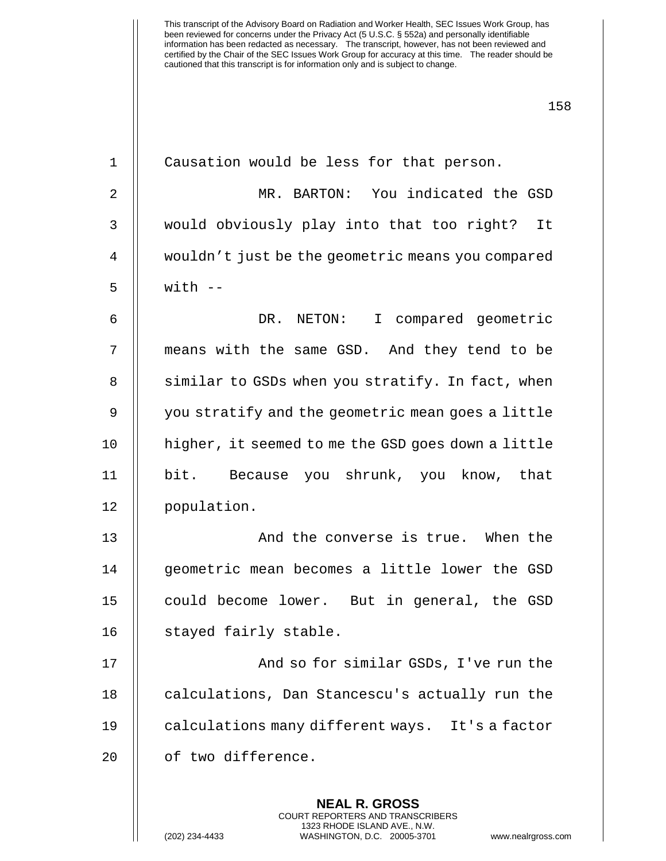| $\mathbf 1$    | Causation would be less for that person.                 |
|----------------|----------------------------------------------------------|
| 2              | MR. BARTON: You indicated the GSD                        |
| 3              | would obviously play into that too right? It             |
| $\overline{4}$ | wouldn't just be the geometric means you compared        |
| 5              | $with$ $-$                                               |
| 6              | DR. NETON: I compared geometric                          |
| 7              | means with the same GSD. And they tend to be             |
| 8              | similar to GSDs when you stratify. In fact, when         |
| 9              | you stratify and the geometric mean goes a little        |
| 10             | higher, it seemed to me the GSD goes down a little       |
| 11             | bit. Because you shrunk, you know, that                  |
| 12             | population.                                              |
| 13             | And the converse is true. When the                       |
| 14             | geometric mean becomes a little lower the GSD            |
| 15             | could become lower. But in general, the GSD              |
| 16             | stayed fairly stable.                                    |
| 17             | And so for similar GSDs, I've run the                    |
| 18             | calculations, Dan Stancescu's actually run the           |
| 19             | calculations many different ways. It's a factor          |
| 20             | of two difference.                                       |
|                | <b>NEAL R. GROSS</b><br>COURT REPORTERS AND TRANSCRIBERS |

1323 RHODE ISLAND AVE., N.W.

 $\mathsf{I}$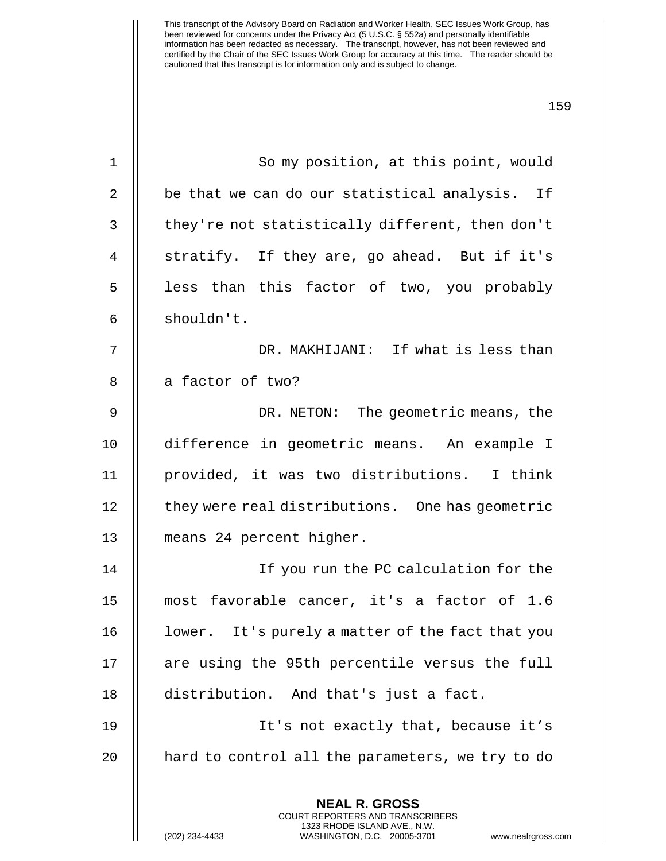| $\mathbf 1$ | So my position, at this point, would                                                                                                                                   |
|-------------|------------------------------------------------------------------------------------------------------------------------------------------------------------------------|
| 2           | be that we can do our statistical analysis. If                                                                                                                         |
| 3           | they're not statistically different, then don't                                                                                                                        |
| 4           | stratify. If they are, go ahead. But if it's                                                                                                                           |
| 5           | less than this factor of two, you probably                                                                                                                             |
| 6           | shouldn't.                                                                                                                                                             |
| 7           | DR. MAKHIJANI: If what is less than                                                                                                                                    |
| 8           | a factor of two?                                                                                                                                                       |
| 9           | DR. NETON: The geometric means, the                                                                                                                                    |
| 10          | difference in geometric means. An example I                                                                                                                            |
| 11          | provided, it was two distributions. I think                                                                                                                            |
| 12          | they were real distributions. One has geometric                                                                                                                        |
| 13          | means 24 percent higher.                                                                                                                                               |
| 14          | If you run the PC calculation for the                                                                                                                                  |
| 15          | most favorable cancer, it's a factor of 1.6                                                                                                                            |
| 16          | lower. It's purely a matter of the fact that you                                                                                                                       |
| 17          | are using the 95th percentile versus the full                                                                                                                          |
| 18          | distribution. And that's just a fact.                                                                                                                                  |
| 19          | It's not exactly that, because it's                                                                                                                                    |
| 20          | hard to control all the parameters, we try to do                                                                                                                       |
|             | <b>NEAL R. GROSS</b><br><b>COURT REPORTERS AND TRANSCRIBERS</b><br>1323 RHODE ISLAND AVE., N.W.<br>(202) 234-4433<br>WASHINGTON, D.C. 20005-3701<br>www.nealrgross.com |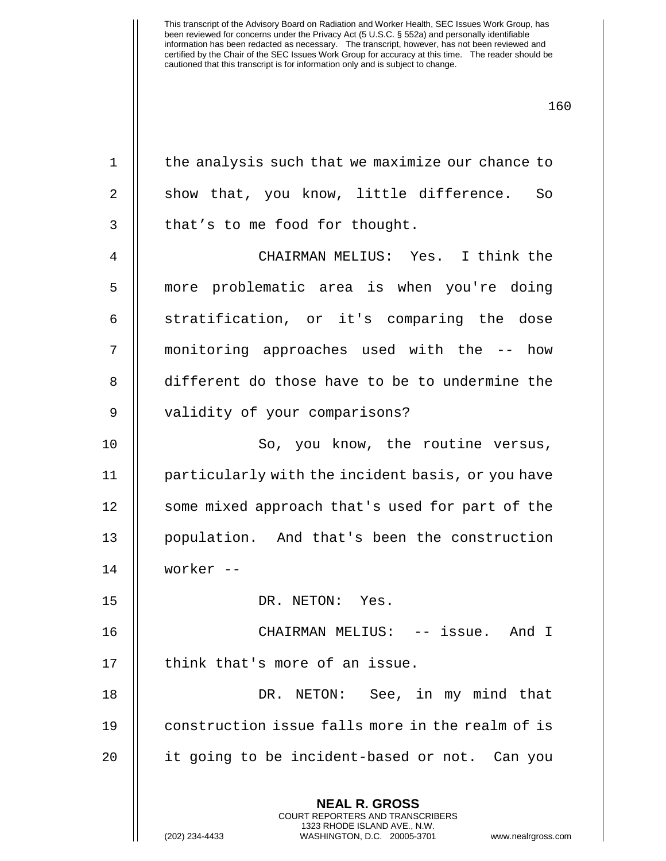| $\mathbf 1$    | the analysis such that we maximize our chance to         |
|----------------|----------------------------------------------------------|
| 2              | show that, you know, little difference. So               |
| 3              | that's to me food for thought.                           |
| $\overline{4}$ | CHAIRMAN MELIUS: Yes. I think the                        |
| 5              | more problematic area is when you're doing               |
| 6              | stratification, or it's comparing the dose               |
| 7              | monitoring approaches used with the -- how               |
| 8              | different do those have to be to undermine the           |
| $\mathsf 9$    | validity of your comparisons?                            |
| 10             | So, you know, the routine versus,                        |
| 11             | particularly with the incident basis, or you have        |
| 12             | some mixed approach that's used for part of the          |
| 13             | population. And that's been the construction             |
| 14             | worker --                                                |
| 15             | DR. NETON: Yes.                                          |
| 16             | CHAIRMAN MELIUS: -- issue. And I                         |
| 17             | think that's more of an issue.                           |
| 18             | DR. NETON: See, in my mind that                          |
| 19             | construction issue falls more in the realm of is         |
| 20             | it going to be incident-based or not. Can you            |
|                | <b>NEAL R. GROSS</b><br>COURT REPORTERS AND TRANSCRIBERS |

1323 RHODE ISLAND AVE., N.W.

 $\mathop{||}$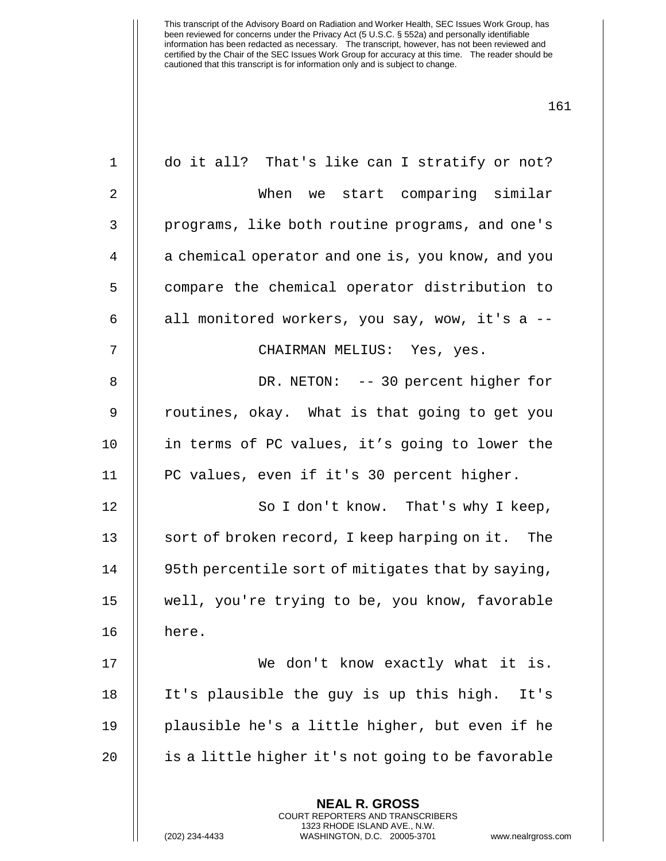| $1\,$          | do it all? That's like can I stratify or not?                                                                                                                  |
|----------------|----------------------------------------------------------------------------------------------------------------------------------------------------------------|
| $\overline{2}$ | When we start comparing similar                                                                                                                                |
| 3              | programs, like both routine programs, and one's                                                                                                                |
| 4              | a chemical operator and one is, you know, and you                                                                                                              |
| 5              | compare the chemical operator distribution to                                                                                                                  |
| 6              | all monitored workers, you say, wow, it's a --                                                                                                                 |
| 7              | CHAIRMAN MELIUS: Yes, yes.                                                                                                                                     |
| 8              | DR. NETON: -- 30 percent higher for                                                                                                                            |
| 9              | routines, okay. What is that going to get you                                                                                                                  |
| 10             | in terms of PC values, it's going to lower the                                                                                                                 |
| 11             | PC values, even if it's 30 percent higher.                                                                                                                     |
| 12             | So I don't know. That's why I keep,                                                                                                                            |
| 13             | sort of broken record, I keep harping on it. The                                                                                                               |
| 14             | 95th percentile sort of mitigates that by saying,                                                                                                              |
| 15             | well, you're trying to be, you know, favorable                                                                                                                 |
| 16             | here.                                                                                                                                                          |
| 17             | We don't know exactly what it is.                                                                                                                              |
| 18             | It's plausible the guy is up this high.<br>It's                                                                                                                |
| 19             | plausible he's a little higher, but even if he                                                                                                                 |
| 20             | is a little higher it's not going to be favorable                                                                                                              |
|                | <b>NEAL R. GROSS</b><br>COURT REPORTERS AND TRANSCRIBERS<br>1323 RHODE ISLAND AVE., N.W.<br>(202) 234-4433<br>WASHINGTON, D.C. 20005-3701<br>www.nealrgross.co |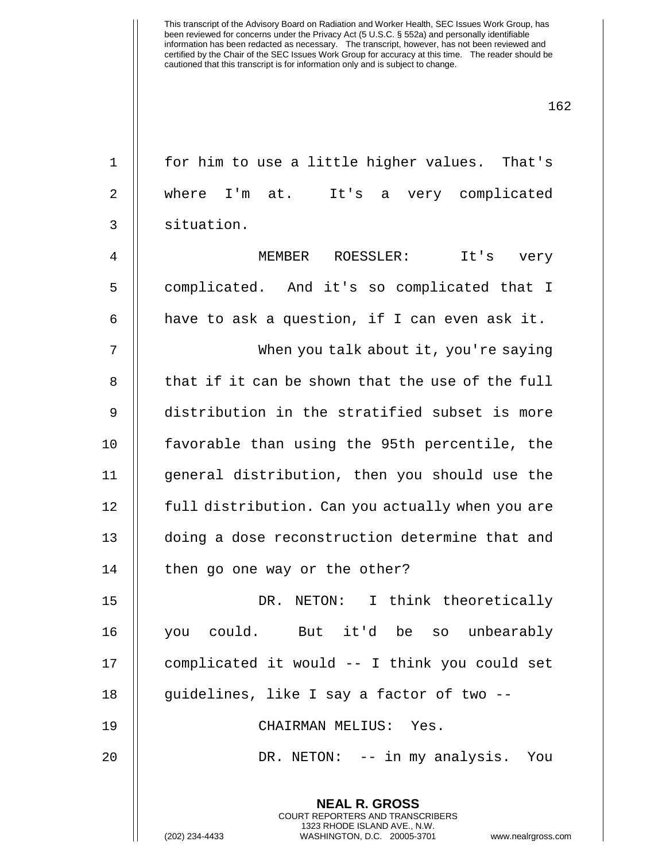1 || for him to use a little higher values. That's 2 where I'm at. It's a very complicated 3 situation.

4 MEMBER ROESSLER: It's very 5 | complicated. And it's so complicated that I 6  $\parallel$  have to ask a question, if I can even ask it.

7 When you talk about it, you're saying 8 || that if it can be shown that the use of the full 9 distribution in the stratified subset is more 10 favorable than using the 95th percentile, the 11 || general distribution, then you should use the 12 | full distribution. Can you actually when you are 13 || doing a dose reconstruction determine that and 14 | then go one way or the other?

15 DR. NETON: I think theoretically 16 you could. But it'd be so unbearably 17 || complicated it would -- I think you could set 18 || quidelines, like I say a factor of two --

19 CHAIRMAN MELIUS: Yes.

**NEAL R. GROSS** COURT REPORTERS AND TRANSCRIBERS 1323 RHODE ISLAND AVE., N.W.

20 DR. NETON: -- in my analysis. You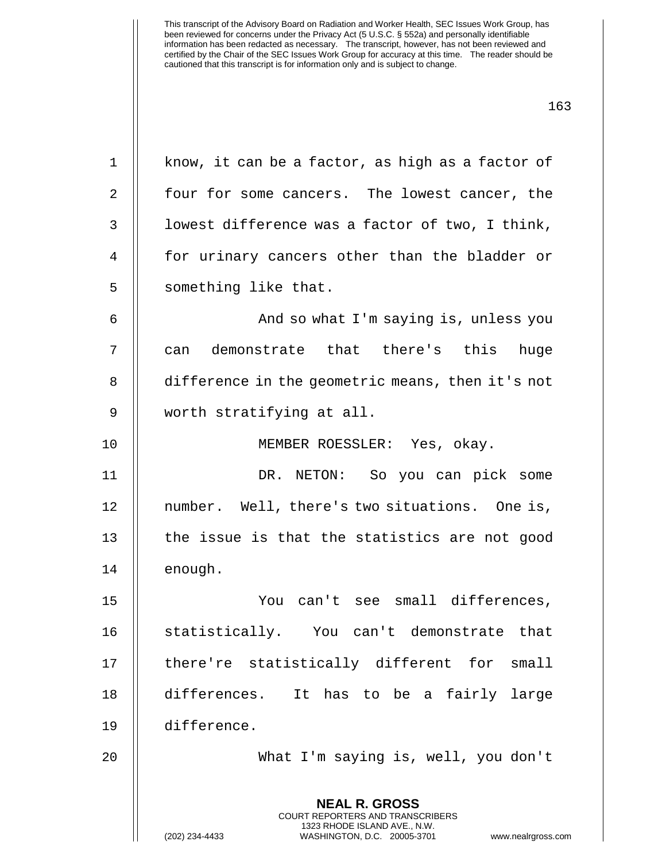**NEAL R. GROSS** COURT REPORTERS AND TRANSCRIBERS 1  $\parallel$  know, it can be a factor, as high as a factor of 2 || four for some cancers. The lowest cancer, the 3 | lowest difference was a factor of two, I think, 4 || for urinary cancers other than the bladder or 5 | something like that. 6 | Robert And so what I'm saying is, unless you 7 || can demonstrate that there's this huge 8 difference in the geometric means, then it's not 9 worth stratifying at all. 10 MEMBER ROESSLER: Yes, okay. 11 DR. NETON: So you can pick some 12 || number. Well, there's two situations. One is, 13  $\parallel$  the issue is that the statistics are not good 14 || enough. 15 You can't see small differences, 16 || statistically. You can't demonstrate that 17 || there're statistically different for small 18 differences. It has to be a fairly large 19 difference. 20 What I'm saying is, well, you don't

1323 RHODE ISLAND AVE., N.W.

(202) 234-4433 WASHINGTON, D.C. 20005-3701 www.nealrgross.com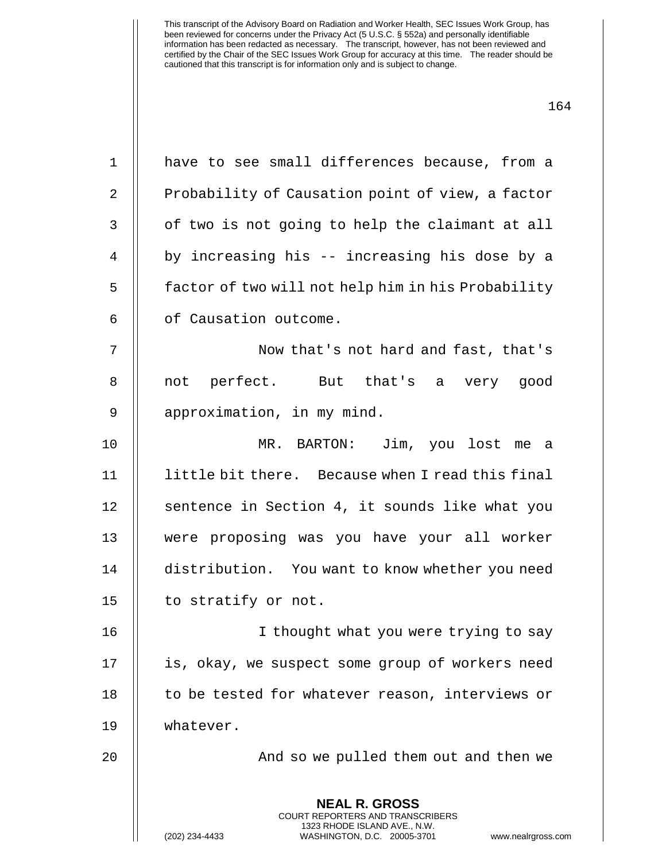1 || have to see small differences because, from a

2 | Probability of Causation point of view, a factor

**NEAL R. GROSS** COURT REPORTERS AND TRANSCRIBERS 1323 RHODE ISLAND AVE., N.W. (202) 234-4433 WASHINGTON, D.C. 20005-3701 www.nealrgross.com  $3$   $\parallel$  of two is not going to help the claimant at all 4 by increasing his -- increasing his dose by a 5 | factor of two will not help him in his Probability 6 | of Causation outcome. 7 || Now that's not hard and fast, that's 8 || not perfect. But that's a very good 9 | approximation, in my mind. 10 MR. BARTON: Jim, you lost me a 11 little bit there. Because when I read this final 12 || sentence in Section 4, it sounds like what you 13 were proposing was you have your all worker 14 distribution. You want to know whether you need 15  $\parallel$  to stratify or not. 16 || I thought what you were trying to say 17 || is, okay, we suspect some group of workers need 18 || to be tested for whatever reason, interviews or 19 whatever. 20 And so we pulled them out and then we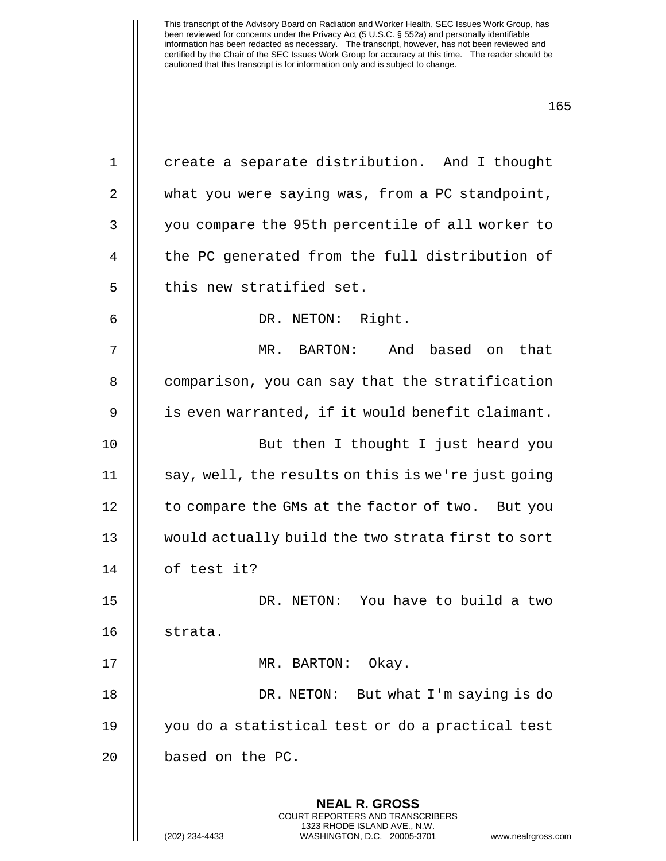1 | create a separate distribution. And I thought

2 what you were saying was, from a PC standpoint,

3 || you compare the 95th percentile of all worker to

4 | the PC generated from the full distribution of

7 MR. BARTON: And based on that

8 | comparison, you can say that the stratification

9 | is even warranted, if it would benefit claimant.

10 But then I thought I just heard you

 $11$   $\parallel$  say, well, the results on this is we're just going

12 | to compare the GMs at the factor of two. But you

13 would actually build the two strata first to sort

 $5$   $\parallel$  this new stratified set.

6 DR. NETON: Right.

**NEAL R. GROSS** COURT REPORTERS AND TRANSCRIBERS 1323 RHODE ISLAND AVE., N.W. (202) 234-4433 WASHINGTON, D.C. 20005-3701 www.nealrgross.com 14 of test it? 15 DR. NETON: You have to build a two 16 strata. 17 || MR. BARTON: Okay. 18 DR. NETON: But what I'm saying is do 19 you do a statistical test or do a practical test 20 || based on the PC.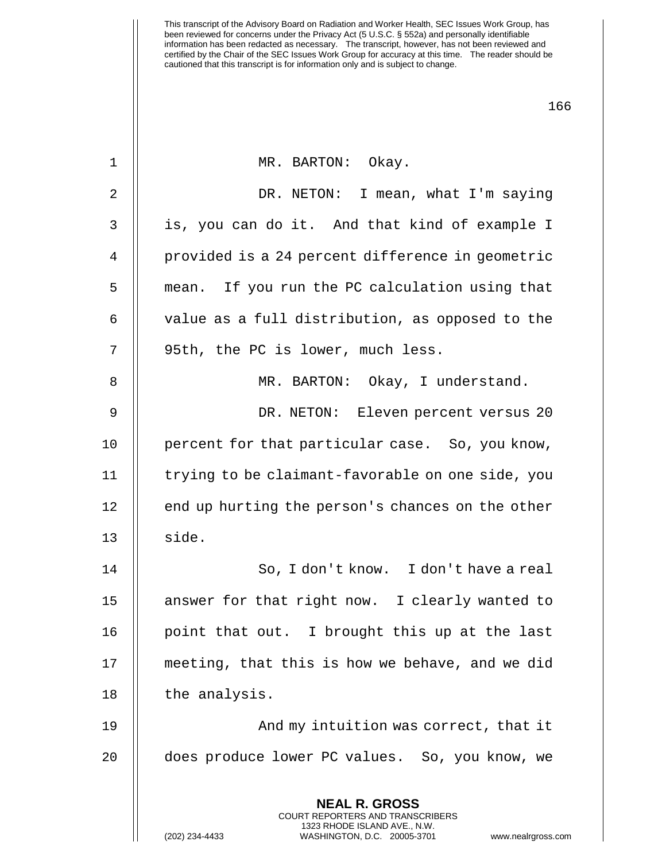| $\mathbf 1$    | MR. BARTON: Okay.                                                                                                                                              |
|----------------|----------------------------------------------------------------------------------------------------------------------------------------------------------------|
| $\overline{2}$ | I mean, what I'm saying<br>DR. NETON:                                                                                                                          |
| $\mathbf{3}$   | is, you can do it. And that kind of example I                                                                                                                  |
| 4              | provided is a 24 percent difference in geometric                                                                                                               |
| 5              | mean. If you run the PC calculation using that                                                                                                                 |
| 6              | value as a full distribution, as opposed to the                                                                                                                |
| 7              | 95th, the PC is lower, much less.                                                                                                                              |
| $\, 8$         | MR. BARTON: Okay, I understand.                                                                                                                                |
| $\mathsf 9$    | DR. NETON: Eleven percent versus 20                                                                                                                            |
| 10             | percent for that particular case. So, you know,                                                                                                                |
| 11             | trying to be claimant-favorable on one side, you                                                                                                               |
| 12             | end up hurting the person's chances on the other                                                                                                               |
| 13             | side.                                                                                                                                                          |
| 14             | So, I don't know. I don't have a real                                                                                                                          |
| 15             | answer for that right now. I clearly wanted to                                                                                                                 |
| 16             | point that out. I brought this up at the last                                                                                                                  |
| 17             | meeting, that this is how we behave, and we did                                                                                                                |
| 18             | the analysis.                                                                                                                                                  |
| 19             | And my intuition was correct, that it                                                                                                                          |
| 20             | does produce lower PC values. So, you know, we                                                                                                                 |
|                | <b>NEAL R. GROSS</b><br>COURT REPORTERS AND TRANSCRIBERS<br>1323 RHODE ISLAND AVE., N.W.<br>(202) 234-4433<br>WASHINGTON, D.C. 20005-3701<br>www.nealrgross.co |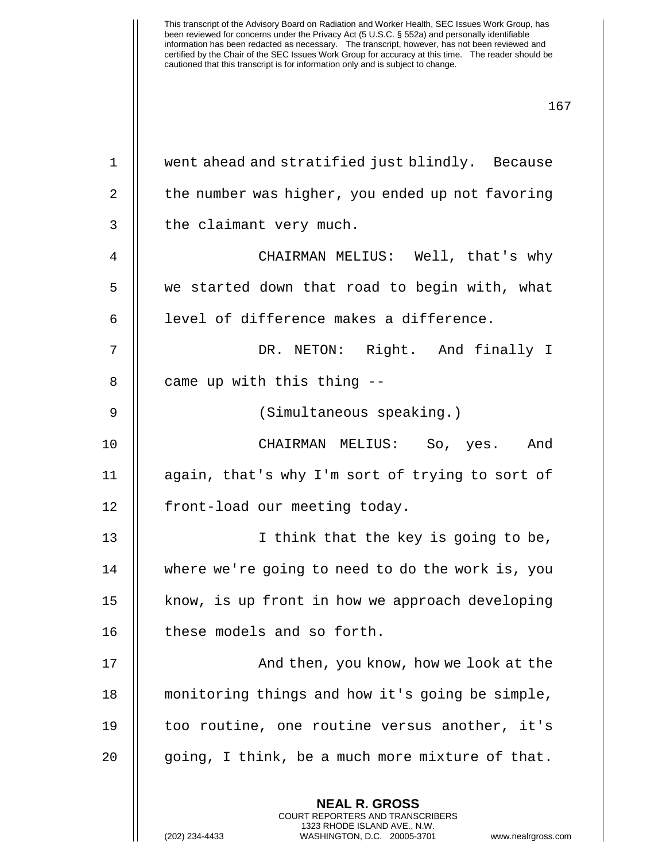| $\mathbf 1$ | went ahead and stratified just blindly. Because          |
|-------------|----------------------------------------------------------|
| 2           | the number was higher, you ended up not favoring         |
| 3           | the claimant very much.                                  |
| 4           | CHAIRMAN MELIUS: Well, that's why                        |
| 5           | we started down that road to begin with, what            |
| 6           | level of difference makes a difference.                  |
| 7           | DR. NETON: Right. And finally I                          |
| 8           | came up with this thing --                               |
| 9           | (Simultaneous speaking.)                                 |
| 10          | CHAIRMAN MELIUS: So, yes. And                            |
| 11          | again, that's why I'm sort of trying to sort of          |
| 12          | front-load our meeting today.                            |
| 13          | I think that the key is going to be,                     |
| 14          | where we're going to need to do the work is, you         |
| 15          | know, is up front in how we approach developing          |
| 16          | these models and so forth.                               |
| 17          | And then, you know, how we look at the                   |
| 18          | monitoring things and how it's going be simple,          |
| 19          | too routine, one routine versus another, it's            |
| 20          | going, I think, be a much more mixture of that.          |
|             | <b>NEAL R. GROSS</b><br>COURT REPORTERS AND TRANSCRIBERS |

1323 RHODE ISLAND AVE., N.W.

 $\bigg|\bigg|$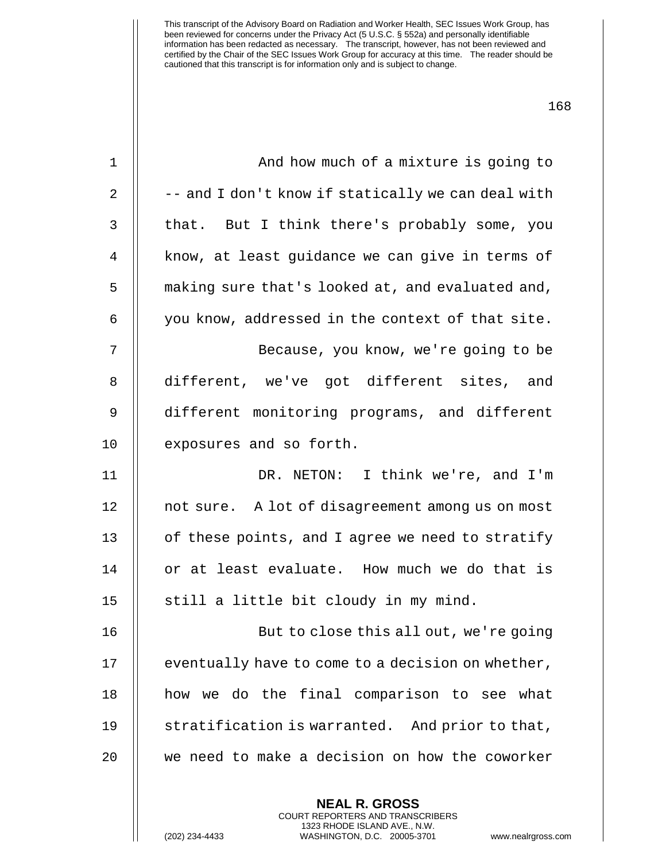| $\mathbf 1$ | And how much of a mixture is going to              |
|-------------|----------------------------------------------------|
| 2           | -- and I don't know if statically we can deal with |
| 3           | that. But I think there's probably some, you       |
| 4           | know, at least quidance we can give in terms of    |
| 5           | making sure that's looked at, and evaluated and,   |
| 6           | you know, addressed in the context of that site.   |
| 7           | Because, you know, we're going to be               |
| 8           | different, we've got different sites, and          |
| 9           | different monitoring programs, and different       |
| 10          | exposures and so forth.                            |
| 11          | DR. NETON: I think we're, and I'm                  |
| 12          | not sure. A lot of disagreement among us on most   |
| 13          | of these points, and I agree we need to stratify   |
| 14          | or at least evaluate. How much we do that is       |
| 15          | still a little bit cloudy in my mind.              |
| 16          | But to close this all out, we're going             |
| 17          | eventually have to come to a decision on whether,  |
| 18          | how we do the final comparison to see what         |
| 19          | stratification is warranted. And prior to that,    |
| 20          | we need to make a decision on how the coworker     |
|             |                                                    |

**NEAL R. GROSS** COURT REPORTERS AND TRANSCRIBERS 1323 RHODE ISLAND AVE., N.W.

(202) 234-4433 WASHINGTON, D.C. 20005-3701 www.nealrgross.com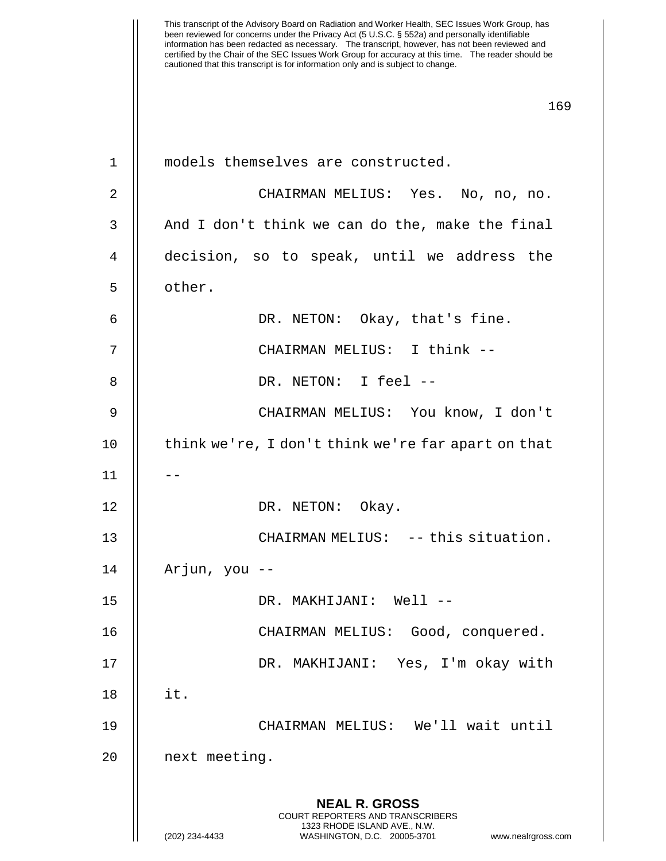This transcript of the Advisory Board on Radiation and Worker Health, SEC Issues Work Group, has been reviewed for concerns under the Privacy Act (5 U.S.C. § 552a) and personally identifiable information has been redacted as necessary. The transcript, however, has not been reviewed and certified by the Chair of the SEC Issues Work Group for accuracy at this time. The reader should be cautioned that this transcript is for information only and is subject to change. 169 **NEAL R. GROSS** COURT REPORTERS AND TRANSCRIBERS 1323 RHODE ISLAND AVE., N.W. (202) 234-4433 WASHINGTON, D.C. 20005-3701 www.nealrgross.com 1 || models themselves are constructed. 2 CHAIRMAN MELIUS: Yes. No, no, no.  $3$   $\parallel$  And I don't think we can do the, make the final 4 decision, so to speak, until we address the 5 | other. 6 DR. NETON: Okay, that's fine. 7 CHAIRMAN MELIUS: I think -- 8 DR. NETON: I feel -- 9 CHAIRMAN MELIUS: You know, I don't 10 || think we're, I don't think we're far apart on that  $11$   $\parallel$   $-$ 12 || DR. NETON: Okay. 13 || CHAIRMAN MELIUS: -- this situation. 14 Arjun, you -- 15 DR. MAKHIJANI: Well -- 16 || CHAIRMAN MELIUS: Good, conquered. 17 DR. MAKHIJANI: Yes, I'm okay with 18 it. 19 CHAIRMAN MELIUS: We'll wait until 20 || next meeting.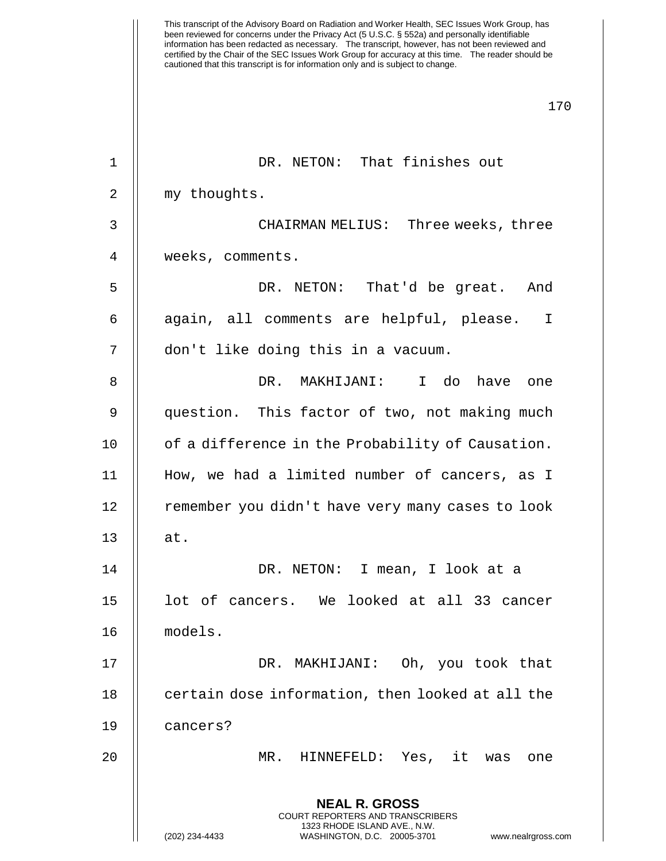This transcript of the Advisory Board on Radiation and Worker Health, SEC Issues Work Group, has been reviewed for concerns under the Privacy Act (5 U.S.C. § 552a) and personally identifiable information has been redacted as necessary. The transcript, however, has not been reviewed and certified by the Chair of the SEC Issues Work Group for accuracy at this time. The reader should be cautioned that this transcript is for information only and is subject to change. 170 **NEAL R. GROSS** COURT REPORTERS AND TRANSCRIBERS 1323 RHODE ISLAND AVE., N.W. (202) 234-4433 WASHINGTON, D.C. 20005-3701 www.nealrgross.com 1 || DR. NETON: That finishes out 2 | my thoughts. 3 CHAIRMAN MELIUS: Three weeks, three 4 | weeks, comments. 5 DR. NETON: That'd be great. And 6  $\parallel$  again, all comments are helpful, please. I 7 || don't like doing this in a vacuum. 8 DR. MAKHIJANI: I do have one 9 question. This factor of two, not making much 10 | of a difference in the Probability of Causation. 11 How, we had a limited number of cancers, as I 12 | remember you didn't have very many cases to look  $13$   $\parallel$  at. 14 DR. NETON: I mean, I look at a 15 || lot of cancers. We looked at all 33 cancer 16 models. 17 || DR. MAKHIJANI: Oh, you took that 18 **certain dose information, then looked at all the** 19 cancers? 20 MR. HINNEFELD: Yes, it was one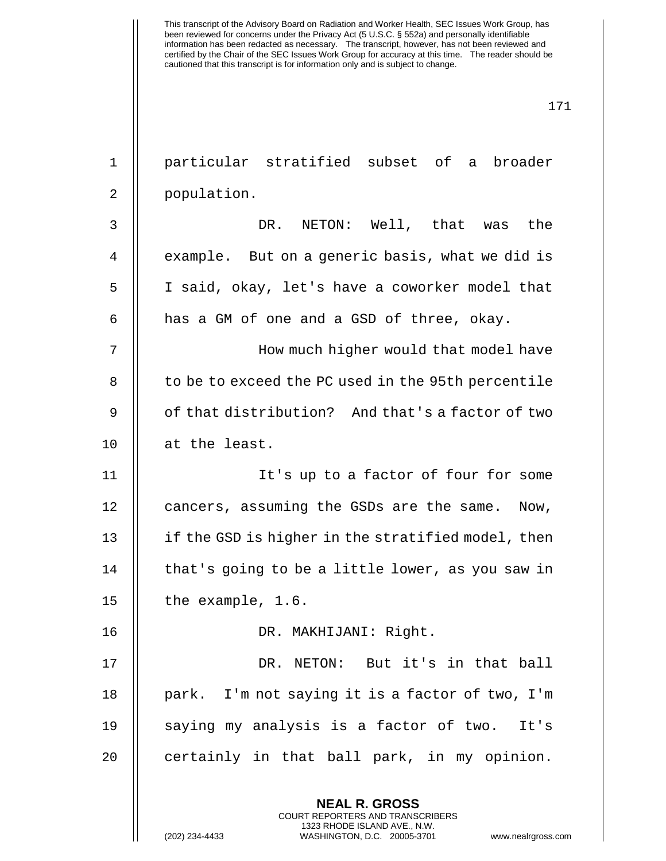| $\mathbf 1$ | particular stratified subset of a broader                                                                                                                              |  |
|-------------|------------------------------------------------------------------------------------------------------------------------------------------------------------------------|--|
| 2           | population.                                                                                                                                                            |  |
| 3           | NETON: Well, that was the<br>DR.                                                                                                                                       |  |
| 4           | example. But on a generic basis, what we did is                                                                                                                        |  |
| 5           | I said, okay, let's have a coworker model that                                                                                                                         |  |
| 6           | has a GM of one and a GSD of three, okay.                                                                                                                              |  |
| 7           | How much higher would that model have                                                                                                                                  |  |
| 8           | to be to exceed the PC used in the 95th percentile                                                                                                                     |  |
| 9           | of that distribution? And that's a factor of two                                                                                                                       |  |
| 10          | at the least.                                                                                                                                                          |  |
| 11          | It's up to a factor of four for some                                                                                                                                   |  |
| 12          | cancers, assuming the GSDs are the same. Now,                                                                                                                          |  |
| 13          | if the GSD is higher in the stratified model, then                                                                                                                     |  |
| 14          | that's going to be a little lower, as you saw in                                                                                                                       |  |
| 15          | the example, 1.6.                                                                                                                                                      |  |
| 16          | DR. MAKHIJANI: Right.                                                                                                                                                  |  |
| 17          | DR. NETON: But it's in that ball                                                                                                                                       |  |
| 18          | park. I'm not saying it is a factor of two, I'm                                                                                                                        |  |
| 19          | saying my analysis is a factor of two. It's                                                                                                                            |  |
| 20          | certainly in that ball park, in my opinion.                                                                                                                            |  |
|             | <b>NEAL R. GROSS</b><br><b>COURT REPORTERS AND TRANSCRIBERS</b><br>1323 RHODE ISLAND AVE., N.W.<br>(202) 234-4433<br>WASHINGTON, D.C. 20005-3701<br>www.nealrgross.com |  |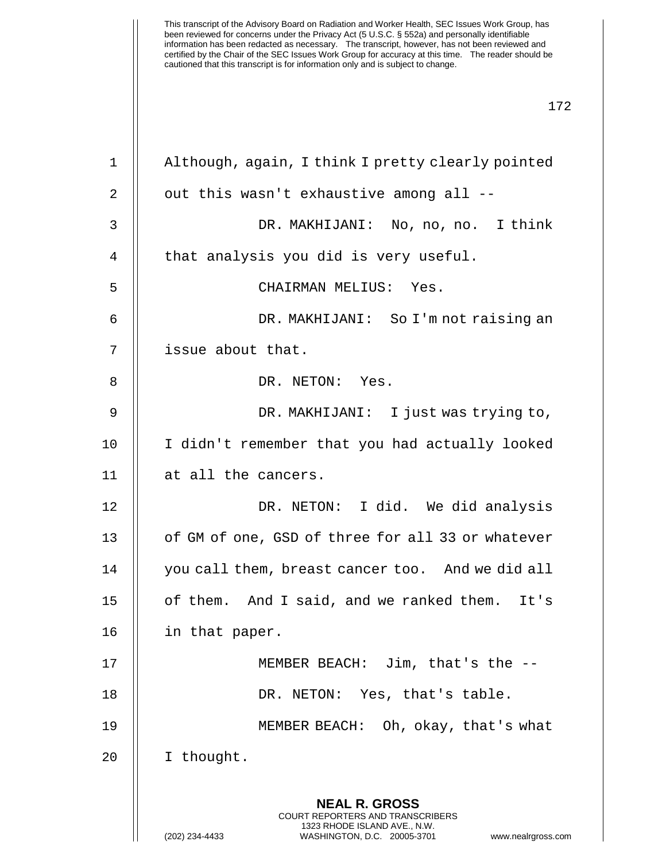| 1            | Although, again, I think I pretty clearly pointed                                                                                                                      |  |
|--------------|------------------------------------------------------------------------------------------------------------------------------------------------------------------------|--|
| 2            | out this wasn't exhaustive among all --                                                                                                                                |  |
| $\mathsf{3}$ | DR. MAKHIJANI: No, no, no. I think                                                                                                                                     |  |
| 4            | that analysis you did is very useful.                                                                                                                                  |  |
| 5            | CHAIRMAN MELIUS: Yes.                                                                                                                                                  |  |
| 6            | DR. MAKHIJANI: So I'm not raising an                                                                                                                                   |  |
| 7            | issue about that.                                                                                                                                                      |  |
| 8            | DR. NETON: Yes.                                                                                                                                                        |  |
| 9            | DR. MAKHIJANI: I just was trying to,                                                                                                                                   |  |
| 10           | I didn't remember that you had actually looked                                                                                                                         |  |
| 11           | at all the cancers.                                                                                                                                                    |  |
| 12           | DR. NETON: I did. We did analysis                                                                                                                                      |  |
| 13           | of GM of one, GSD of three for all 33 or whatever                                                                                                                      |  |
| 14           | you call them, breast cancer too. And we did all                                                                                                                       |  |
| 15           | of them. And I said, and we ranked them. It's                                                                                                                          |  |
| 16           | in that paper.                                                                                                                                                         |  |
| 17           | MEMBER BEACH: Jim, that's the --                                                                                                                                       |  |
| 18           | DR. NETON: Yes, that's table.                                                                                                                                          |  |
| 19           | MEMBER BEACH: Oh, okay, that's what                                                                                                                                    |  |
| 20           | I thought.                                                                                                                                                             |  |
|              | <b>NEAL R. GROSS</b><br><b>COURT REPORTERS AND TRANSCRIBERS</b><br>1323 RHODE ISLAND AVE., N.W.<br>(202) 234-4433<br>WASHINGTON, D.C. 20005-3701<br>www.nealrgross.com |  |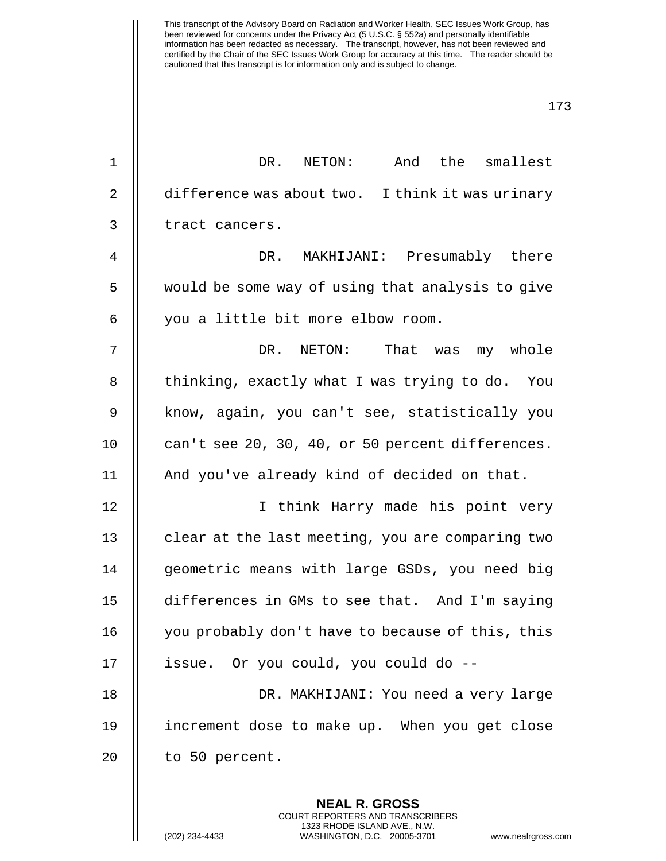173

**NEAL R. GROSS** COURT REPORTERS AND TRANSCRIBERS 1 || DR. NETON: And the smallest 2 | difference was about two. I think it was urinary 3 | tract cancers. 4 DR. MAKHIJANI: Presumably there 5 | would be some way of using that analysis to give 6 || you a little bit more elbow room. 7 DR. NETON: That was my whole 8 | thinking, exactly what I was trying to do. You 9 || know, again, you can't see, statistically you 10 || can't see 20, 30, 40, or 50 percent differences. 11 || And you've already kind of decided on that. 12 || I think Harry made his point very 13 | clear at the last meeting, you are comparing two 14 | geometric means with large GSDs, you need big 15 differences in GMs to see that. And I'm saying 16 | you probably don't have to because of this, this 17 | issue. Or you could, you could do --18 DR. MAKHIJANI: You need a very large 19 increment dose to make up. When you get close  $20$  || to 50 percent.

1323 RHODE ISLAND AVE., N.W.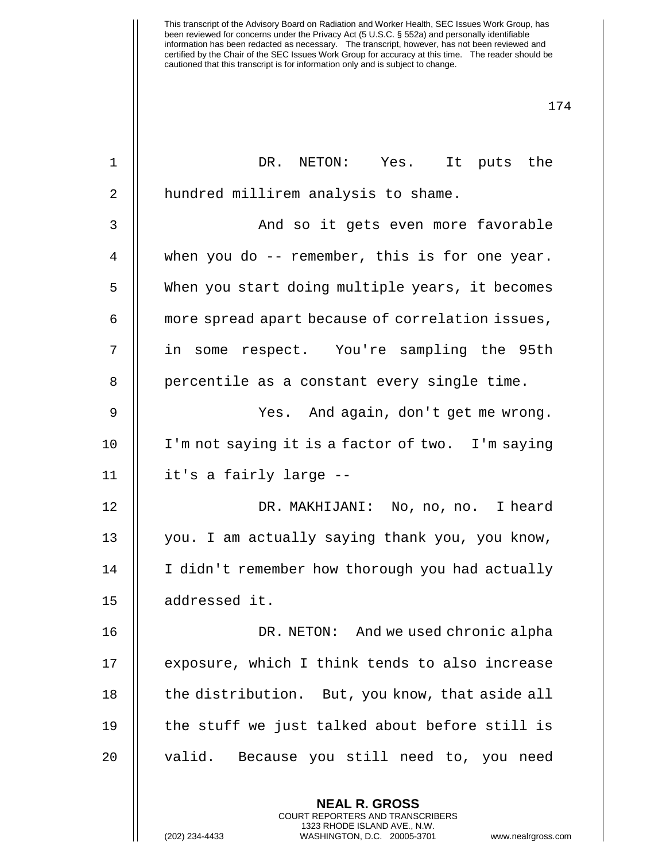| $\mathbf{1}$   | DR. NETON: Yes. It puts the                                                                                                                                           |
|----------------|-----------------------------------------------------------------------------------------------------------------------------------------------------------------------|
| $\overline{2}$ | hundred millirem analysis to shame.                                                                                                                                   |
| 3              | And so it gets even more favorable                                                                                                                                    |
| 4              | when you do $-$ - remember, this is for one year.                                                                                                                     |
| 5              | When you start doing multiple years, it becomes                                                                                                                       |
| 6              | more spread apart because of correlation issues,                                                                                                                      |
| 7              | in some respect. You're sampling the 95th                                                                                                                             |
| 8              | percentile as a constant every single time.                                                                                                                           |
| 9              | Yes. And again, don't get me wrong.                                                                                                                                   |
| 10             | I'm not saying it is a factor of two. I'm saying                                                                                                                      |
| 11             | it's a fairly large --                                                                                                                                                |
| 12             | DR. MAKHIJANI: No, no, no. I heard                                                                                                                                    |
| 13             | you. I am actually saying thank you, you know,                                                                                                                        |
| 14             | I didn't remember how thorough you had actually                                                                                                                       |
| 15             | addressed it.                                                                                                                                                         |
| 16             | DR. NETON: And we used chronic alpha                                                                                                                                  |
| 17             | exposure, which I think tends to also increase                                                                                                                        |
| 18             | the distribution. But, you know, that aside all                                                                                                                       |
| 19             | the stuff we just talked about before still is                                                                                                                        |
| 20             | Because you still need to, you need<br>valid.                                                                                                                         |
|                | <b>NEAL R. GROSS</b><br><b>COURT REPORTERS AND TRANSCRIBERS</b><br>1323 RHODE ISLAND AVE., N.W.<br>(202) 234-4433<br>WASHINGTON, D.C. 20005-3701<br>www.nealrgross.co |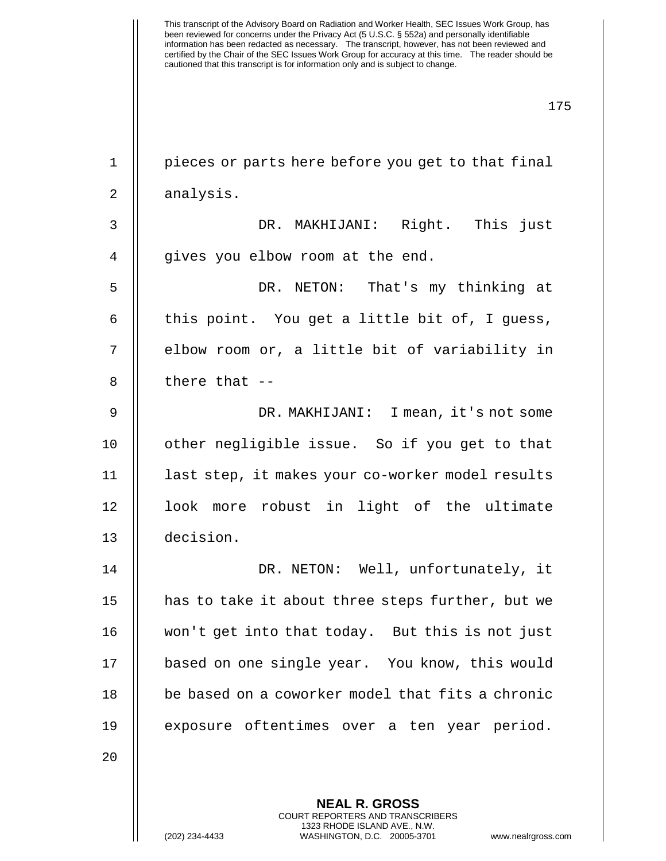| $\mathbf 1$    | pieces or parts here before you get to that final |
|----------------|---------------------------------------------------|
| 2              | analysis.                                         |
| $\mathfrak{Z}$ | DR. MAKHIJANI: Right. This just                   |
| $\overline{4}$ | gives you elbow room at the end.                  |
| 5              | DR. NETON: That's my thinking at                  |
| $\epsilon$     | this point. You get a little bit of, I guess,     |
| 7              | elbow room or, a little bit of variability in     |
| 8              | there that --                                     |
| $\mathsf 9$    | DR. MAKHIJANI: I mean, it's not some              |
| 10             | other negligible issue. So if you get to that     |
| 11             | last step, it makes your co-worker model results  |
| 12             | look more robust in light of the ultimate         |
| 13             | decision.                                         |
| 14             | DR. NETON: Well, unfortunately, it                |
| 15             | has to take it about three steps further, but we  |
| 16             | won't get into that today. But this is not just   |
| 17             | based on one single year. You know, this would    |
| 18             | be based on a coworker model that fits a chronic  |
| 19             | exposure oftentimes over a ten year period.       |
| 20             |                                                   |
|                | <b>NEAL R. GROSS</b>                              |
|                |                                                   |

COURT REPORTERS AND TRANSCRIBERS 1323 RHODE ISLAND AVE., N.W.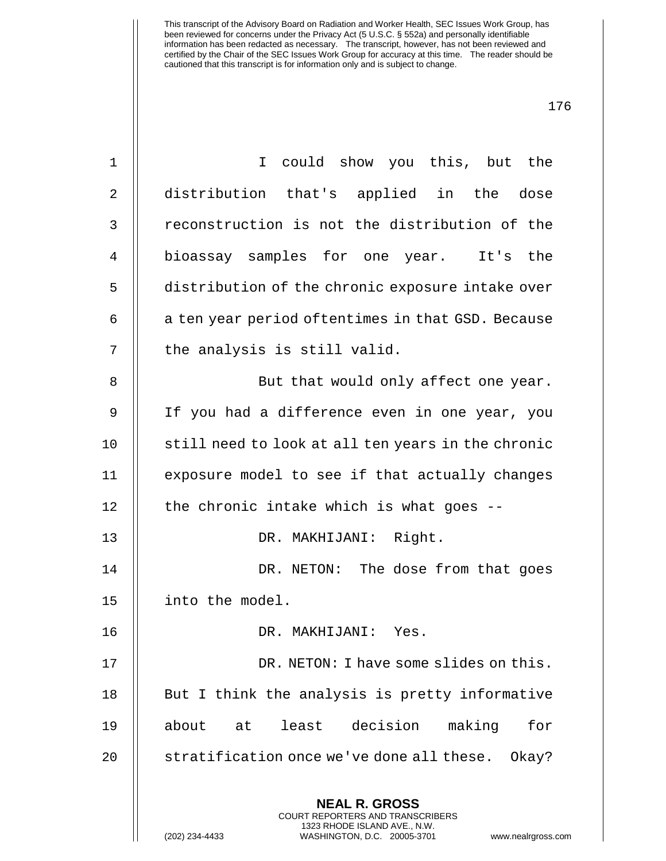**NEAL R. GROSS** COURT REPORTERS AND TRANSCRIBERS 1 I could show you this, but the 2 || distribution that's applied in the dose 3 || reconstruction is not the distribution of the 4 bioassay samples for one year. It's the 5 distribution of the chronic exposure intake over  $6$  | a ten year period oftentimes in that GSD. Because  $7$   $\parallel$  the analysis is still valid. 8 || But that would only affect one year. 9 If you had a difference even in one year, you 10 || still need to look at all ten years in the chronic 11 exposure model to see if that actually changes  $12$  | the chronic intake which is what goes --13 DR. MAKHIJANI: Right. 14 || DR. NETON: The dose from that goes 15 into the model. 16 DR. MAKHIJANI: Yes. 17 || DR. NETON: I have some slides on this.  $18$  || But I think the analysis is pretty informative 19 about at least decision making for 20 | stratification once we've done all these. Okay?

1323 RHODE ISLAND AVE., N.W.

(202) 234-4433 WASHINGTON, D.C. 20005-3701 www.nealrgross.com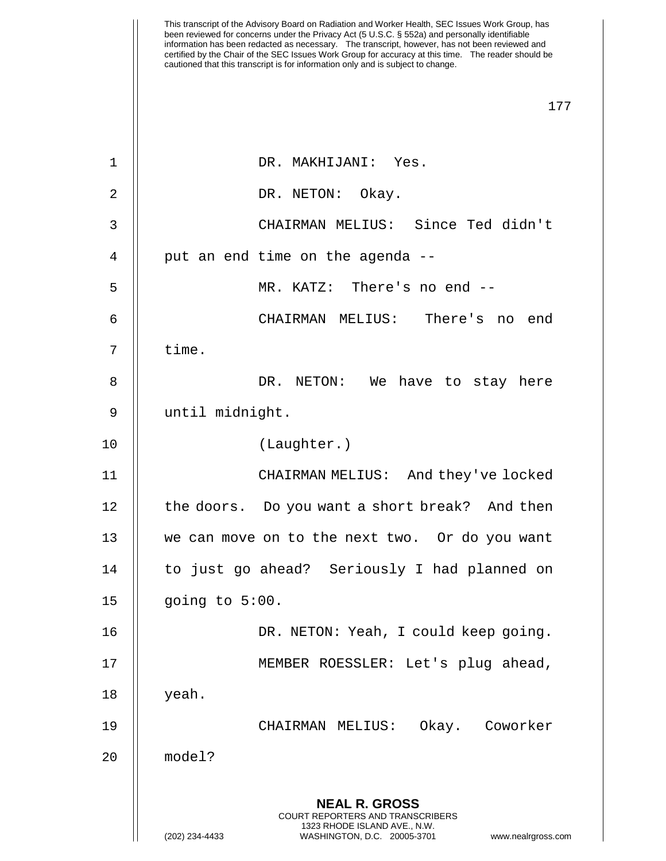| 1<br>DR. MAKHIJANI: Yes.<br>$\overline{2}$<br>DR. NETON: Okay.<br>3                                                                       | CHAIRMAN MELIUS: Since Ted didn't    |
|-------------------------------------------------------------------------------------------------------------------------------------------|--------------------------------------|
|                                                                                                                                           |                                      |
|                                                                                                                                           |                                      |
|                                                                                                                                           |                                      |
| put an end time on the agenda --<br>4                                                                                                     |                                      |
| 5<br>MR. KATZ: There's no end --                                                                                                          |                                      |
| 6                                                                                                                                         | CHAIRMAN MELIUS: There's no end      |
| time.<br>7                                                                                                                                |                                      |
| 8                                                                                                                                         | DR. NETON: We have to stay here      |
| 9<br>until midnight.                                                                                                                      |                                      |
| (Laughter.)<br>10                                                                                                                         |                                      |
| 11                                                                                                                                        | CHAIRMAN MELIUS: And they've locked  |
| the doors. Do you want a short break? And then<br>12                                                                                      |                                      |
| 13<br>we can move on to the next two. Or do you want                                                                                      |                                      |
| 14<br>to just go ahead? Seriously I had planned on                                                                                        |                                      |
| 15<br>going to 5:00.                                                                                                                      |                                      |
| 16                                                                                                                                        | DR. NETON: Yeah, I could keep going. |
| 17                                                                                                                                        | MEMBER ROESSLER: Let's plug ahead,   |
| yeah.<br>18                                                                                                                               |                                      |
| 19<br>CHAIRMAN MELIUS:                                                                                                                    | Okay. Coworker                       |
| model?<br>20                                                                                                                              |                                      |
| <b>NEAL R. GROSS</b><br>COURT REPORTERS AND TRANSCRIBERS<br>1323 RHODE ISLAND AVE., N.W.<br>(202) 234-4433<br>WASHINGTON, D.C. 20005-3701 | www.nealrgross.com                   |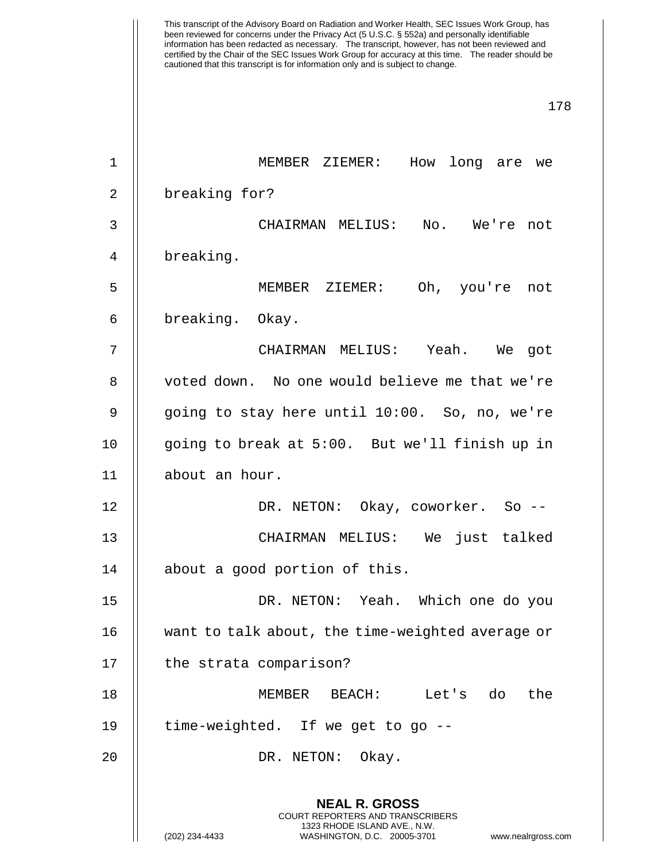This transcript of the Advisory Board on Radiation and Worker Health, SEC Issues Work Group, has been reviewed for concerns under the Privacy Act (5 U.S.C. § 552a) and personally identifiable information has been redacted as necessary. The transcript, however, has not been reviewed and certified by the Chair of the SEC Issues Work Group for accuracy at this time. The reader should be cautioned that this transcript is for information only and is subject to change. 178 **NEAL R. GROSS** COURT REPORTERS AND TRANSCRIBERS 1323 RHODE ISLAND AVE., N.W. (202) 234-4433 WASHINGTON, D.C. 20005-3701 www.nealrgross.com 1 MEMBER ZIEMER: How long are we 2 || breaking for? 3 CHAIRMAN MELIUS: No. We're not 4 breaking. 5 MEMBER ZIEMER: Oh, you're not 6 breaking. Okay. 7 CHAIRMAN MELIUS: Yeah. We got 8 || voted down. No one would believe me that we're 9 || going to stay here until 10:00. So, no, we're 10 going to break at 5:00. But we'll finish up in 11 about an hour. 12 DR. NETON: Okay, coworker. So -- 13 CHAIRMAN MELIUS: We just talked 14 about a good portion of this. 15 DR. NETON: Yeah. Which one do you 16 want to talk about, the time-weighted average or 17 | the strata comparison? 18 MEMBER BEACH: Let's do the 19 time-weighted. If we get to go -- 20 || DR. NETON: Okay.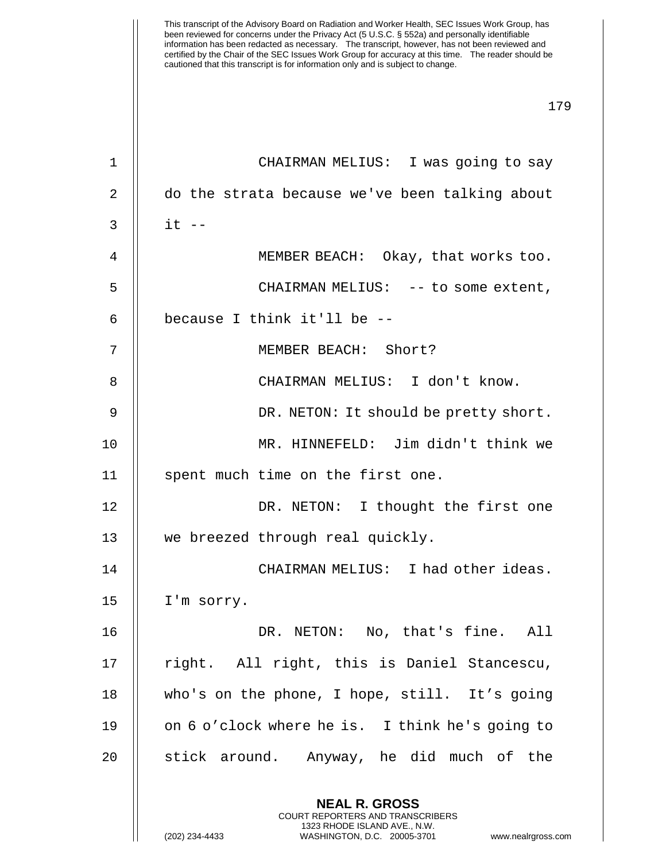**NEAL R. GROSS** COURT REPORTERS AND TRANSCRIBERS 1323 RHODE ISLAND AVE., N.W. 1 || CHAIRMAN MELIUS: I was going to say 2 | do the strata because we've been talking about  $3 \parallel$  it  $-$ 4 MEMBER BEACH: Okay, that works too. 5 CHAIRMAN MELIUS: -- to some extent, 6  $\parallel$  because I think it'll be --7 MEMBER BEACH: Short? 8 CHAIRMAN MELIUS: I don't know. 9 DR. NETON: It should be pretty short. 10 MR. HINNEFELD: Jim didn't think we 11 || spent much time on the first one. 12 DR. NETON: I thought the first one 13 || we breezed through real quickly. 14 CHAIRMAN MELIUS: I had other ideas. 15 | I'm sorry. 16 DR. NETON: No, that's fine. All 17 || right. All right, this is Daniel Stancescu, 18 who's on the phone, I hope, still. It's going 19 || on 6 o'clock where he is. I think he's going to 20 || stick around. Anyway, he did much of the

(202) 234-4433 WASHINGTON, D.C. 20005-3701 www.nealrgross.com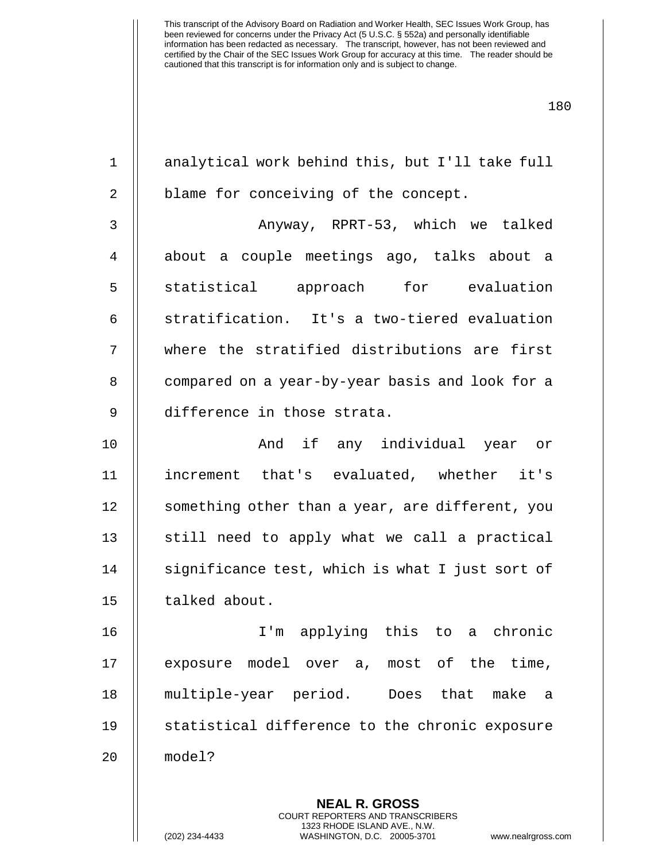| $\mathbf 1$    | analytical work behind this, but I'll take full          |
|----------------|----------------------------------------------------------|
| $\overline{2}$ | blame for conceiving of the concept.                     |
| 3              | Anyway, RPRT-53, which we talked                         |
| $\overline{4}$ | about a couple meetings ago, talks about a               |
| 5              | statistical approach for evaluation                      |
| 6              | stratification. It's a two-tiered evaluation             |
| 7              | where the stratified distributions are first             |
| 8              | compared on a year-by-year basis and look for a          |
| $\mathsf 9$    | difference in those strata.                              |
| 10             | And if any individual year or                            |
| 11             | increment that's evaluated, whether it's                 |
| 12             | something other than a year, are different, you          |
| 13             | still need to apply what we call a practical             |
| 14             | significance test, which is what I just sort of          |
| 15             | talked about.                                            |
| 16             | I'm applying this to a chronic                           |
| 17             | exposure model over a, most of the time,                 |
| 18             | multiple-year period. Does that<br>make<br>$\mathsf{a}$  |
| 19             | statistical difference to the chronic exposure           |
| 20             | model?                                                   |
|                |                                                          |
|                | <b>NEAL R. GROSS</b><br>COURT REPORTERS AND TRANSCRIBERS |

1323 RHODE ISLAND AVE., N.W.

 $\mathsf{I}$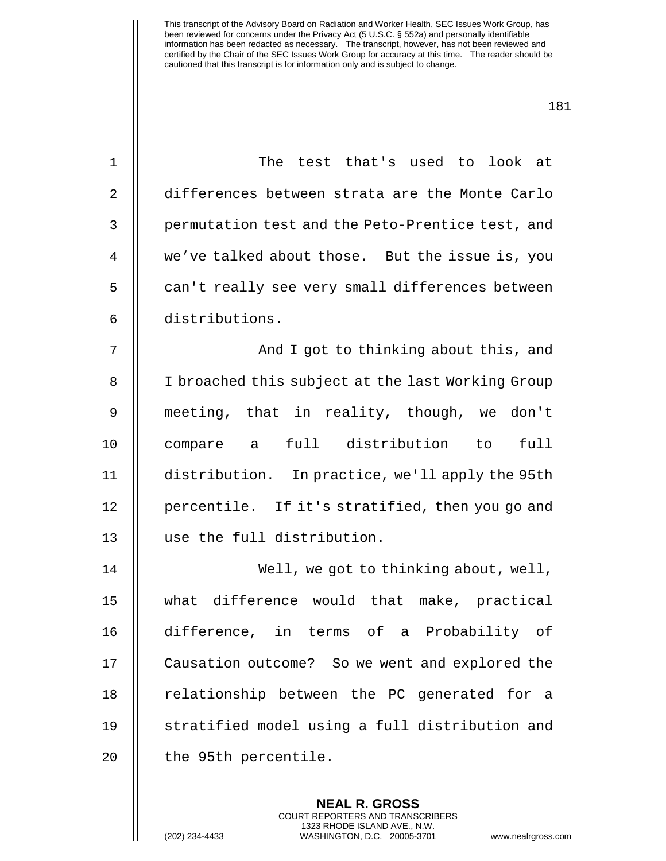| $\mathbf{1}$   | The test that's used to look at                   |
|----------------|---------------------------------------------------|
| 2              | differences between strata are the Monte Carlo    |
| 3              | permutation test and the Peto-Prentice test, and  |
| $\overline{4}$ | we've talked about those. But the issue is, you   |
| 5              | can't really see very small differences between   |
| 6              | distributions.                                    |
| 7              | And I got to thinking about this, and             |
| 8              | I broached this subject at the last Working Group |
| 9              | meeting, that in reality, though, we don't        |
| 10             | full distribution to<br>full<br>compare a         |
| 11             | distribution. In practice, we'll apply the 95th   |
| 12             | percentile. If it's stratified, then you go and   |
| 13             | use the full distribution.                        |
| 14             | Well, we got to thinking about, well,             |
| 15             | what difference would that make, practical        |
| 16             | difference, in terms of a Probability of          |
| 17             | Causation outcome? So we went and explored the    |
| 18             | relationship between the PC generated for a       |
| 19             | stratified model using a full distribution and    |
| 20             | the 95th percentile.                              |
|                |                                                   |

**NEAL R. GROSS** COURT REPORTERS AND TRANSCRIBERS 1323 RHODE ISLAND AVE., N.W.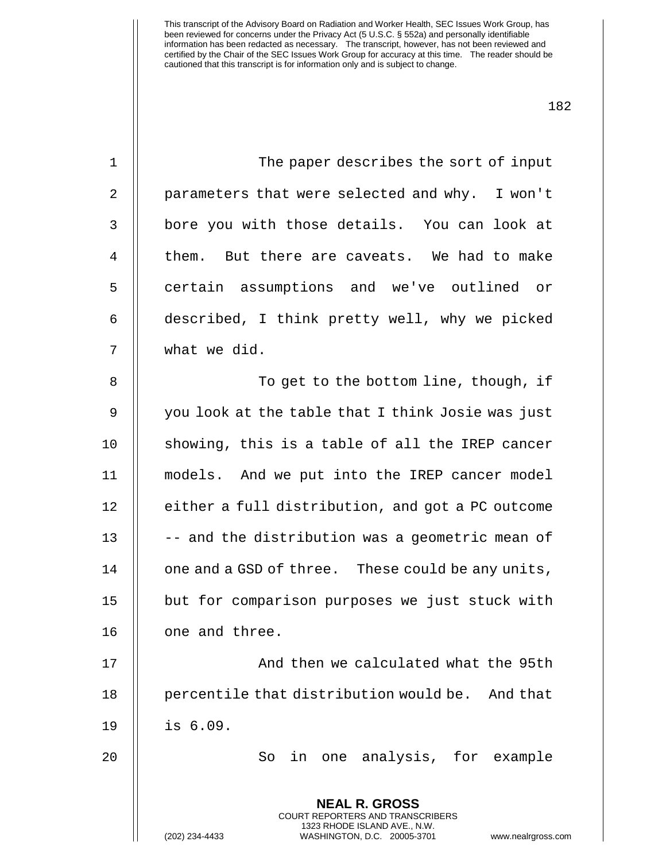| $\mathbf 1$ | The paper describes the sort of input                                                                                                                           |
|-------------|-----------------------------------------------------------------------------------------------------------------------------------------------------------------|
| 2           | parameters that were selected and why. I won't                                                                                                                  |
| 3           | bore you with those details. You can look at                                                                                                                    |
| 4           | them. But there are caveats. We had to make                                                                                                                     |
| 5           | certain assumptions and we've outlined or                                                                                                                       |
| 6           | described, I think pretty well, why we picked                                                                                                                   |
| 7           | what we did.                                                                                                                                                    |
| 8           | To get to the bottom line, though, if                                                                                                                           |
| 9           | you look at the table that I think Josie was just                                                                                                               |
| 10          | showing, this is a table of all the IREP cancer                                                                                                                 |
| 11          | models. And we put into the IREP cancer model                                                                                                                   |
| 12          | either a full distribution, and got a PC outcome                                                                                                                |
| 13          | -- and the distribution was a geometric mean of                                                                                                                 |
| 14          | one and a GSD of three. These could be any units,                                                                                                               |
| 15          | but for comparison purposes we just stuck with                                                                                                                  |
| 16          | one and three.                                                                                                                                                  |
| 17          | And then we calculated what the 95th                                                                                                                            |
| 18          | percentile that distribution would be.<br>And that                                                                                                              |
| 19          | is 6.09.                                                                                                                                                        |
| 20          | in one analysis, for example<br>So                                                                                                                              |
|             | <b>NEAL R. GROSS</b><br>COURT REPORTERS AND TRANSCRIBERS<br>1323 RHODE ISLAND AVE., N.W.<br>(202) 234-4433<br>WASHINGTON, D.C. 20005-3701<br>www.nealrgross.com |
|             |                                                                                                                                                                 |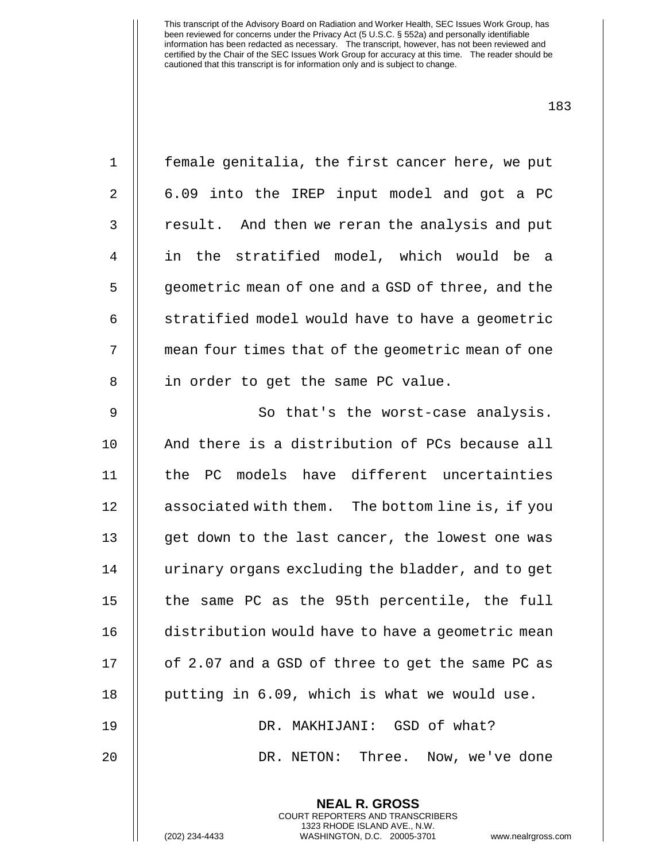| $\mathbf 1$    | female genitalia, the first cancer here, we put   |
|----------------|---------------------------------------------------|
| 2              | 6.09 into the IREP input model and got a PC       |
| 3              | result. And then we reran the analysis and put    |
| $\overline{4}$ | in the stratified model, which would be a         |
| 5              | geometric mean of one and a GSD of three, and the |
| 6              | stratified model would have to have a geometric   |
| 7              | mean four times that of the geometric mean of one |
| 8              | in order to get the same PC value.                |
| $\mathsf 9$    | So that's the worst-case analysis.                |
| 10             | And there is a distribution of PCs because all    |
| 11             | the PC models have different uncertainties        |
| 12             | associated with them. The bottom line is, if you  |
| 13             | get down to the last cancer, the lowest one was   |
| 14             | urinary organs excluding the bladder, and to get  |
| 15             | the same PC as the 95th percentile, the full      |
| 16             | distribution would have to have a geometric mean  |
| 17             | of 2.07 and a GSD of three to get the same PC as  |
| 18             | putting in 6.09, which is what we would use.      |
| 19             | DR. MAKHIJANI: GSD of what?                       |
| 20             | DR. NETON: Three. Now, we've done                 |
|                | <b>NEAL R. GROSS</b>                              |

COURT REPORTERS AND TRANSCRIBERS 1323 RHODE ISLAND AVE., N.W. (202) 234-4433 WASHINGTON, D.C. 20005-3701 www.nealrgross.com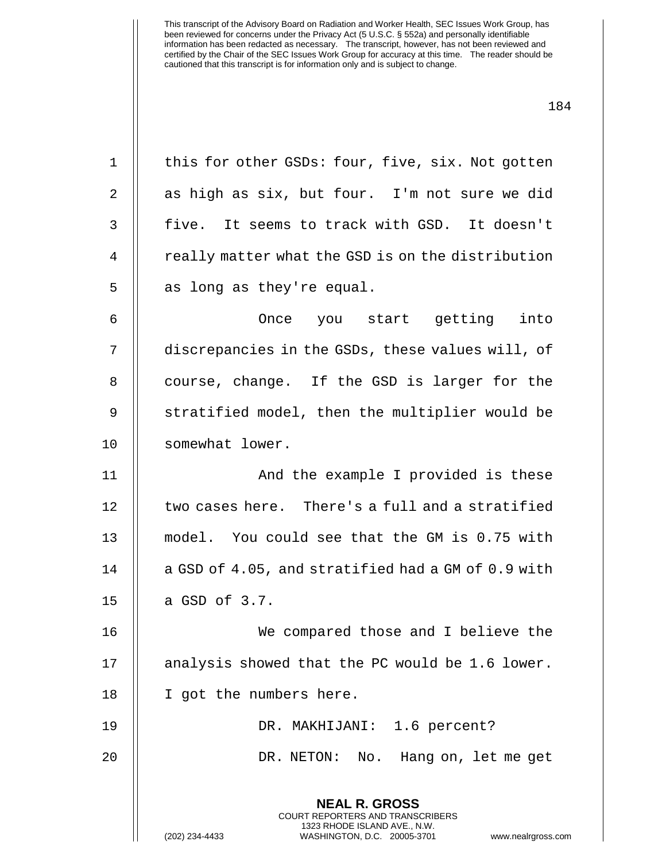**NEAL R. GROSS** COURT REPORTERS AND TRANSCRIBERS 1323 RHODE ISLAND AVE., N.W. 1 | this for other GSDs: four, five, six. Not gotten  $2 \parallel$  as high as six, but four. I'm not sure we did 3 || five. It seems to track with GSD. It doesn't 4 | really matter what the GSD is on the distribution  $5 \parallel$  as long as they're equal. 6 Once you start getting into 7 discrepancies in the GSDs, these values will, of 8 || course, change. If the GSD is larger for the 9 || stratified model, then the multiplier would be 10 || somewhat lower. 11 || And the example I provided is these 12 | two cases here. There's a full and a stratified 13 model. You could see that the GM is 0.75 with 14 || a GSD of 4.05, and stratified had a GM of 0.9 with  $15 \parallel$  a GSD of 3.7. 16 We compared those and I believe the 17 || analysis showed that the PC would be 1.6 lower. 18 || I got the numbers here. 19 DR. MAKHIJANI: 1.6 percent? 20 DR. NETON: No. Hang on, let me get

(202) 234-4433 WASHINGTON, D.C. 20005-3701 www.nealrgross.com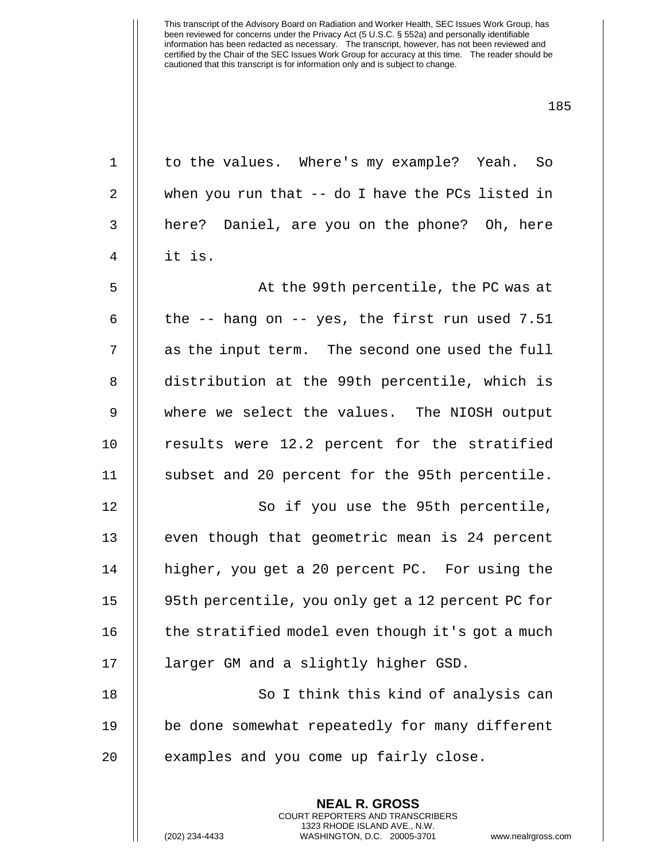| $\mathbf 1$    | to the values. Where's my example? Yeah. So              |
|----------------|----------------------------------------------------------|
| 2              | when you run that $-$ - do I have the PCs listed in      |
| $\mathfrak{Z}$ | here? Daniel, are you on the phone? Oh, here             |
| $\overline{4}$ | it is.                                                   |
| 5              | At the 99th percentile, the PC was at                    |
| 6              | the $-$ - hang on $-$ - yes, the first run used 7.51     |
| 7              | as the input term. The second one used the full          |
| 8              | distribution at the 99th percentile, which is            |
| $\overline{9}$ | where we select the values. The NIOSH output             |
| 10             | results were 12.2 percent for the stratified             |
| 11             | subset and 20 percent for the 95th percentile.           |
| 12             | So if you use the 95th percentile,                       |
| 13             | even though that geometric mean is 24 percent            |
| 14             | higher, you get a 20 percent PC. For using the           |
| 15             | 95th percentile, you only get a 12 percent PC for        |
| 16             | the stratified model even though it's got a much         |
| 17             | larger GM and a slightly higher GSD.                     |
| 18             | So I think this kind of analysis can                     |
| 19             | be done somewhat repeatedly for many different           |
| 20             | examples and you come up fairly close.                   |
|                |                                                          |
|                | <b>NEAL R. GROSS</b><br>COURT REPORTERS AND TRANSCRIBERS |

1323 RHODE ISLAND AVE., N.W.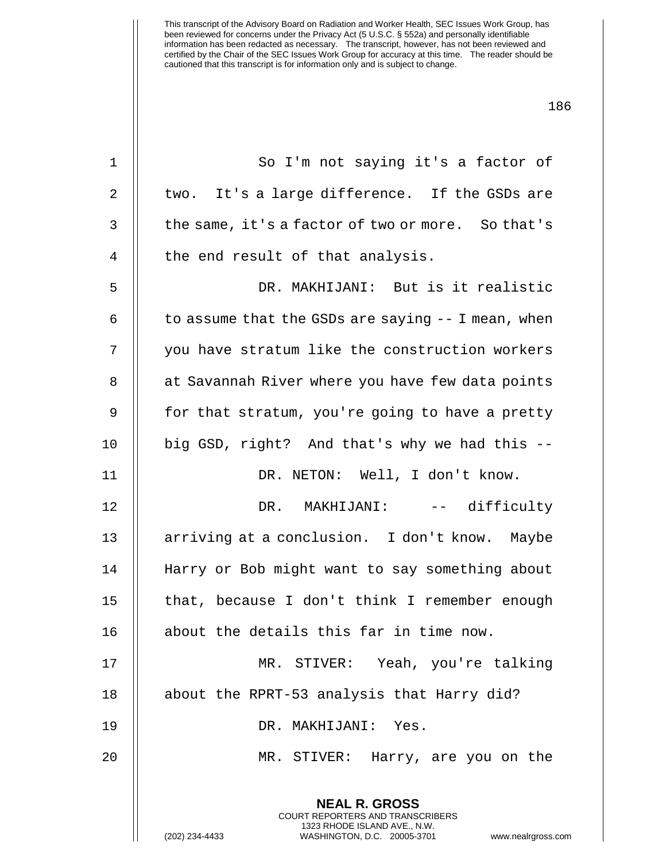| $\mathbf 1$  | So I'm not saying it's a factor of                                                                                                                             |
|--------------|----------------------------------------------------------------------------------------------------------------------------------------------------------------|
| $\mathbf{2}$ | two. It's a large difference. If the GSDs are                                                                                                                  |
| 3            | the same, it's a factor of two or more. So that's                                                                                                              |
| 4            | the end result of that analysis.                                                                                                                               |
| 5            | DR. MAKHIJANI: But is it realistic                                                                                                                             |
| 6            | to assume that the GSDs are saying $-$ I mean, when                                                                                                            |
| 7            | you have stratum like the construction workers                                                                                                                 |
| 8            | at Savannah River where you have few data points                                                                                                               |
| 9            | for that stratum, you're going to have a pretty                                                                                                                |
| 10           | big GSD, right? And that's why we had this --                                                                                                                  |
| 11           | DR. NETON: Well, I don't know.                                                                                                                                 |
| 12           | DR. MAKHIJANI: -- difficulty                                                                                                                                   |
| 13           | arriving at a conclusion. I don't know. Maybe                                                                                                                  |
| 14           | Harry or Bob might want to say something about                                                                                                                 |
| 15           | that, because I don't think I remember enough                                                                                                                  |
| 16           | about the details this far in time now.                                                                                                                        |
| 17           | MR. STIVER: Yeah, you're talking                                                                                                                               |
| 18           | about the RPRT-53 analysis that Harry did?                                                                                                                     |
| 19           | DR. MAKHIJANI: Yes.                                                                                                                                            |
| 20           | MR. STIVER:<br>Harry, are you on the                                                                                                                           |
|              | <b>NEAL R. GROSS</b><br>COURT REPORTERS AND TRANSCRIBERS<br>1323 RHODE ISLAND AVE., N.W.<br>(202) 234-4433<br>WASHINGTON, D.C. 20005-3701<br>www.nealrgross.co |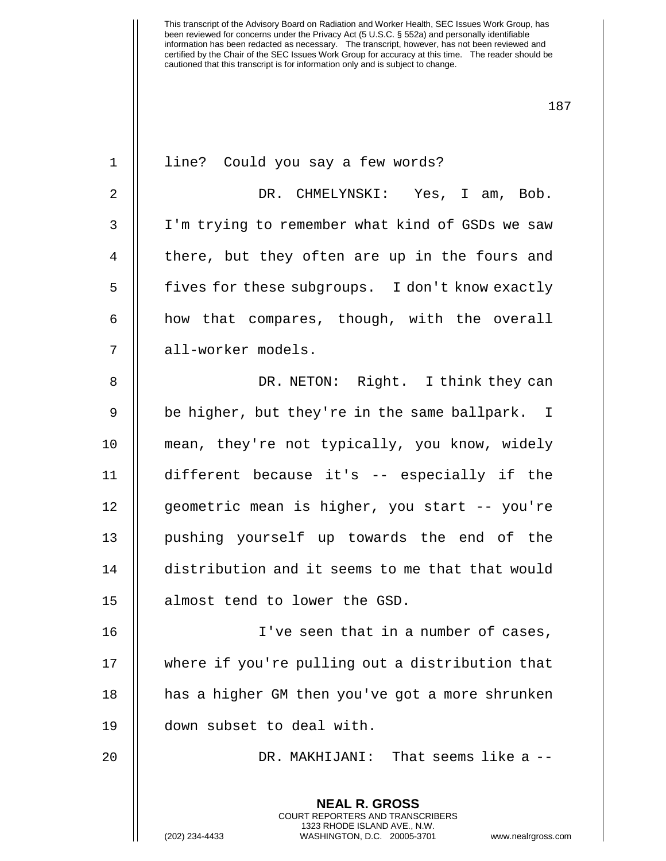| $\mathbf 1$    | line? Could you say a few words?                                                                                                                                      |
|----------------|-----------------------------------------------------------------------------------------------------------------------------------------------------------------------|
| $\overline{a}$ | DR. CHMELYNSKI: Yes, I am, Bob.                                                                                                                                       |
| 3              | I'm trying to remember what kind of GSDs we saw                                                                                                                       |
| 4              | there, but they often are up in the fours and                                                                                                                         |
| 5              | fives for these subgroups. I don't know exactly                                                                                                                       |
| 6              | how that compares, though, with the overall                                                                                                                           |
| 7              | all-worker models.                                                                                                                                                    |
| 8              | DR. NETON: Right. I think they can                                                                                                                                    |
| 9              | be higher, but they're in the same ballpark. I                                                                                                                        |
| 10             | mean, they're not typically, you know, widely                                                                                                                         |
| 11             | different because it's -- especially if the                                                                                                                           |
| 12             | geometric mean is higher, you start -- you're                                                                                                                         |
| 13             | pushing yourself up towards the end of the                                                                                                                            |
| 14             | distribution and it seems to me that that would                                                                                                                       |
| 15             | almost tend to lower the GSD.                                                                                                                                         |
| 16             | I've seen that in a number of cases,                                                                                                                                  |
| 17             | where if you're pulling out a distribution that                                                                                                                       |
| 18             | has a higher GM then you've got a more shrunken                                                                                                                       |
| 19             | down subset to deal with.                                                                                                                                             |
| 20             | DR. MAKHIJANI: That seems like a --                                                                                                                                   |
|                | <b>NEAL R. GROSS</b><br><b>COURT REPORTERS AND TRANSCRIBERS</b><br>1323 RHODE ISLAND AVE., N.W.<br>(202) 234-4433<br>WASHINGTON, D.C. 20005-3701<br>www.nealrgross.co |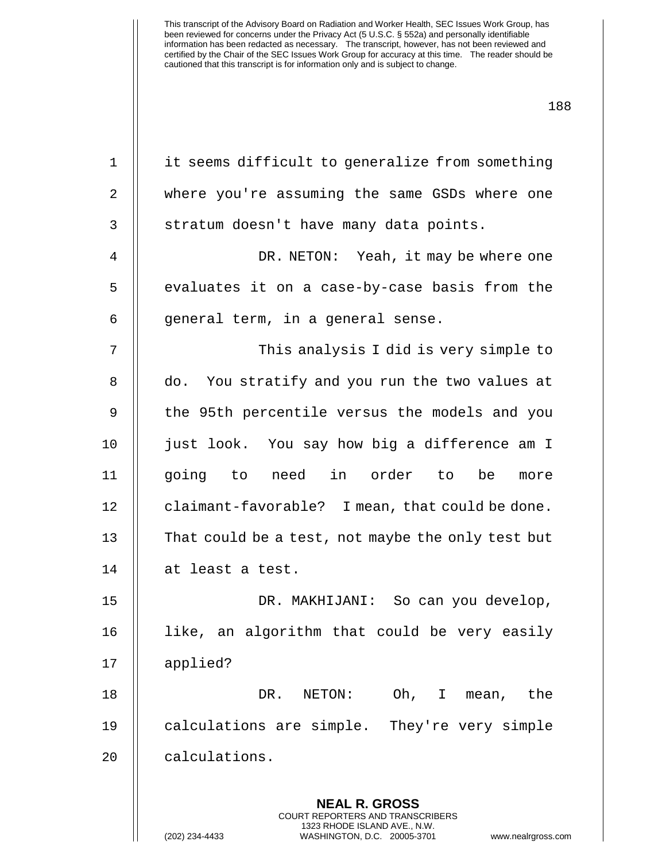| $\mathbf 1$ | it seems difficult to generalize from something          |
|-------------|----------------------------------------------------------|
| 2           | where you're assuming the same GSDs where one            |
| 3           | stratum doesn't have many data points.                   |
| 4           | DR. NETON: Yeah, it may be where one                     |
| 5           | evaluates it on a case-by-case basis from the            |
| 6           | general term, in a general sense.                        |
| 7           | This analysis I did is very simple to                    |
| 8           | do. You stratify and you run the two values at           |
| 9           | the 95th percentile versus the models and you            |
| 10          | just look. You say how big a difference am I             |
| 11          | going to need in order to<br>be<br>more                  |
| 12          | claimant-favorable? I mean, that could be done.          |
| 13          | That could be a test, not maybe the only test but        |
| 14          | at least a test.                                         |
| 15          | DR. MAKHIJANI: So can you develop,                       |
| 16          | like, an algorithm that could be very easily             |
| 17          | applied?                                                 |
| 18          | Oh, I mean,<br>DR.<br>NETON:<br>the                      |
| 19          | calculations are simple. They're very simple             |
| 20          | calculations.                                            |
|             |                                                          |
|             | <b>NEAL R. GROSS</b><br>COURT REPORTERS AND TRANSCRIBERS |

1323 RHODE ISLAND AVE., N.W.

 $\mathsf{I}$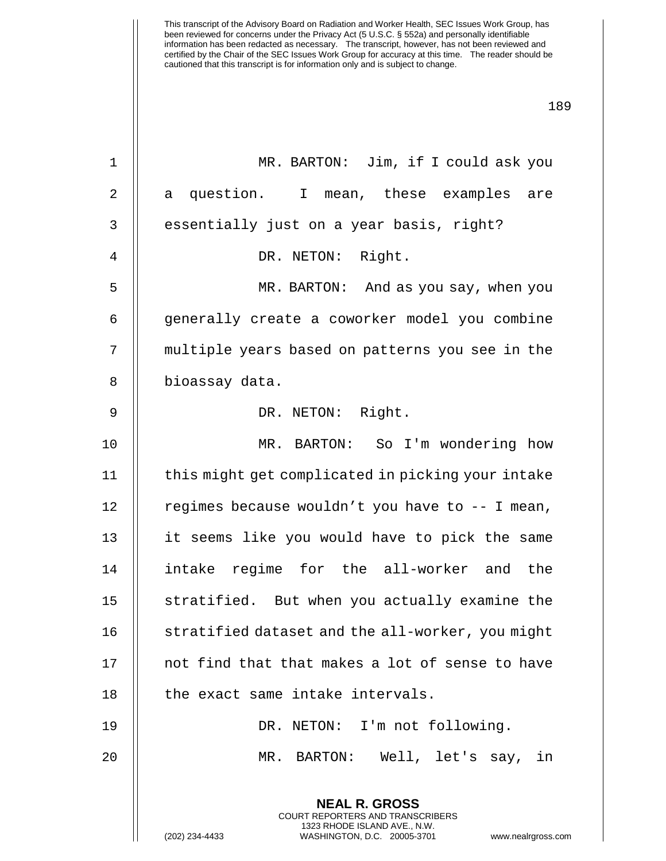**NEAL R. GROSS** 1 || MR. BARTON: Jim, if I could ask you 2 || a question. I mean, these examples are 3 || essentially just on a year basis, right? 4 || DR. NETON: Right. 5 MR. BARTON: And as you say, when you 6 | generally create a coworker model you combine 7 || multiple years based on patterns you see in the 8 | bioassay data. 9 || DR. NETON: Right. 10 MR. BARTON: So I'm wondering how 11 | this might get complicated in picking your intake 12  $\parallel$  regimes because wouldn't you have to  $-$ - I mean, 13 || it seems like you would have to pick the same 14 intake regime for the all-worker and the 15 || stratified. But when you actually examine the 16  $\parallel$  stratified dataset and the all-worker, you might 17 || not find that that makes a lot of sense to have  $18$   $\parallel$  the exact same intake intervals. 19 DR. NETON: I'm not following. 20 MR. BARTON: Well, let's say, in

> COURT REPORTERS AND TRANSCRIBERS 1323 RHODE ISLAND AVE., N.W.

(202) 234-4433 WASHINGTON, D.C. 20005-3701 www.nealrgross.com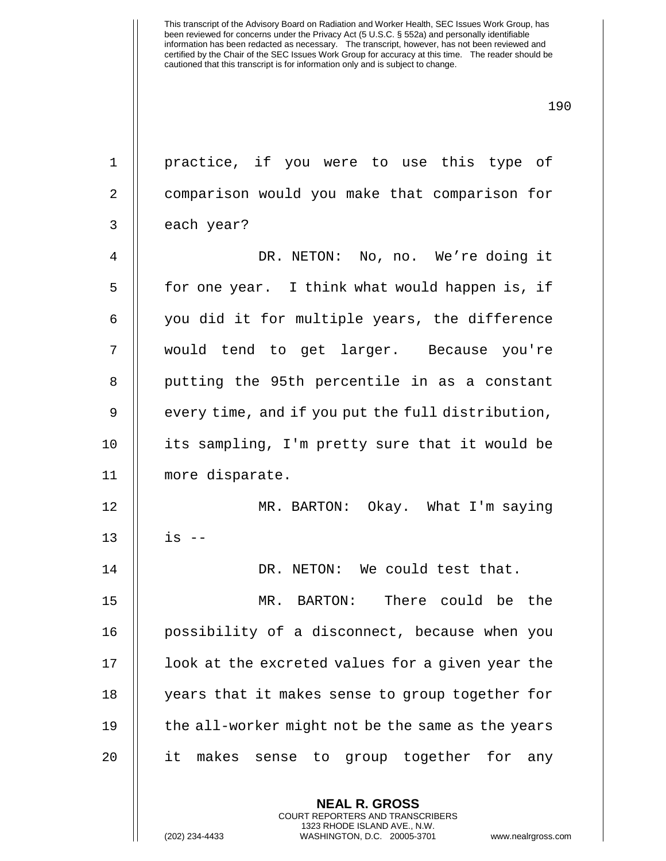| $\mathbf{1}$   | practice, if you were to use this type of         |
|----------------|---------------------------------------------------|
| $\overline{2}$ | comparison would you make that comparison for     |
| $\mathfrak{Z}$ | each year?                                        |
| $\overline{4}$ | DR. NETON: No, no. We're doing it                 |
| 5              | for one year. I think what would happen is, if    |
| 6              | you did it for multiple years, the difference     |
| 7              | would tend to get larger. Because you're          |
| 8              | putting the 95th percentile in as a constant      |
| $\mathsf 9$    | every time, and if you put the full distribution, |
| 10             | its sampling, I'm pretty sure that it would be    |
| 11             | more disparate.                                   |
| 12             | MR. BARTON: Okay. What I'm saying                 |
| 13             | $is$ $-$                                          |
| 14             | DR. NETON: We could test that.                    |
| 15             | There could be the<br>MR. BARTON:                 |
| 16             | possibility of a disconnect, because when you     |
| 17             | look at the excreted values for a given year the  |
| 18             | years that it makes sense to group together for   |
| 19             | the all-worker might not be the same as the years |
| 20             | it<br>makes sense to group together for any       |
|                | <b>NEAL R. GROSS</b>                              |

COURT REPORTERS AND TRANSCRIBERS 1323 RHODE ISLAND AVE., N.W.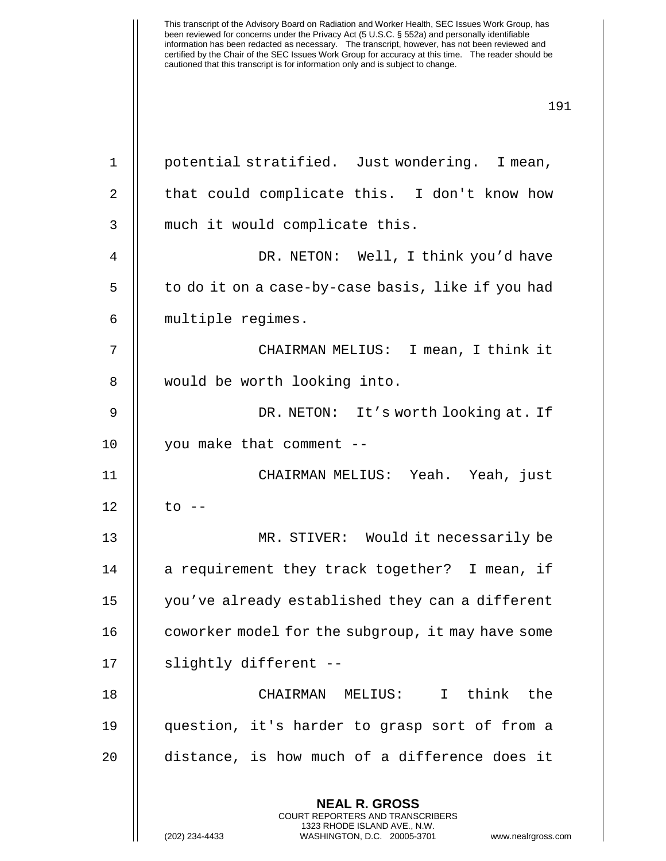| $1\,$          | potential stratified. Just wondering. I mean,                                                                                                                         |
|----------------|-----------------------------------------------------------------------------------------------------------------------------------------------------------------------|
| 2              | that could complicate this. I don't know how                                                                                                                          |
| 3              | much it would complicate this.                                                                                                                                        |
| $\overline{4}$ | DR. NETON: Well, I think you'd have                                                                                                                                   |
| 5              | to do it on a case-by-case basis, like if you had                                                                                                                     |
| 6              | multiple regimes.                                                                                                                                                     |
| 7              | CHAIRMAN MELIUS: I mean, I think it                                                                                                                                   |
| 8              | would be worth looking into.                                                                                                                                          |
| $\mathsf 9$    | DR. NETON: It's worth looking at. If                                                                                                                                  |
| 10             | you make that comment --                                                                                                                                              |
| 11             | CHAIRMAN MELIUS: Yeah. Yeah, just                                                                                                                                     |
| 12             | $to$ $--$                                                                                                                                                             |
| 13             | MR. STIVER: Would it necessarily be                                                                                                                                   |
| 14             | a requirement they track together? I mean, if                                                                                                                         |
| 15             | you've already established they can a different                                                                                                                       |
| 16             | coworker model for the subgroup, it may have some                                                                                                                     |
| 17             | slightly different --                                                                                                                                                 |
| 18             | CHAIRMAN MELIUS: I think the                                                                                                                                          |
| 19             | question, it's harder to grasp sort of from a                                                                                                                         |
| 20             | distance, is how much of a difference does it                                                                                                                         |
|                | <b>NEAL R. GROSS</b><br><b>COURT REPORTERS AND TRANSCRIBERS</b><br>1323 RHODE ISLAND AVE., N.W.<br>(202) 234-4433<br>WASHINGTON, D.C. 20005-3701<br>www.nealrgross.co |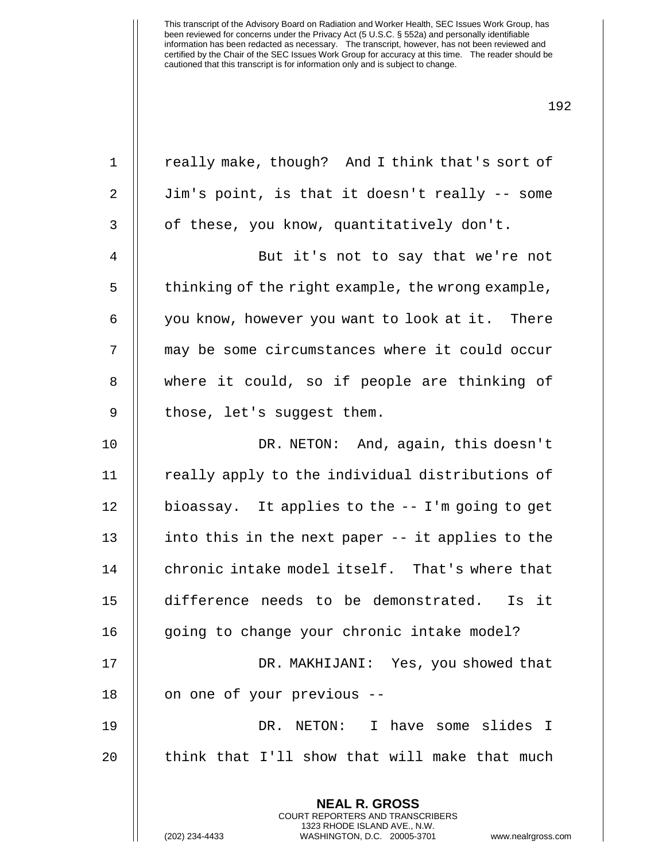1 | really make, though? And I think that's sort of 2 || Jim's point, is that it doesn't really -- some  $3 \parallel$  of these, you know, quantitatively don't. 4 || But it's not to say that we're not 5 | thinking of the right example, the wrong example, 6 | you know, however you want to look at it. There 7 may be some circumstances where it could occur 8 || where it could, so if people are thinking of  $9$  || those, let's suggest them. 10 DR. NETON: And, again, this doesn't 11 | really apply to the individual distributions of 12 bioassay. It applies to the -- I'm going to get 13  $\parallel$  into this in the next paper -- it applies to the 14 || chronic intake model itself. That's where that 15 difference needs to be demonstrated. Is it 16 || going to change your chronic intake model? 17 || DR. MAKHIJANI: Yes, you showed that 18 | on one of your previous --19 DR. NETON: I have some slides I

> **NEAL R. GROSS** COURT REPORTERS AND TRANSCRIBERS 1323 RHODE ISLAND AVE., N.W.

 $20$   $\parallel$  think that I'll show that will make that much

(202) 234-4433 WASHINGTON, D.C. 20005-3701 www.nealrgross.com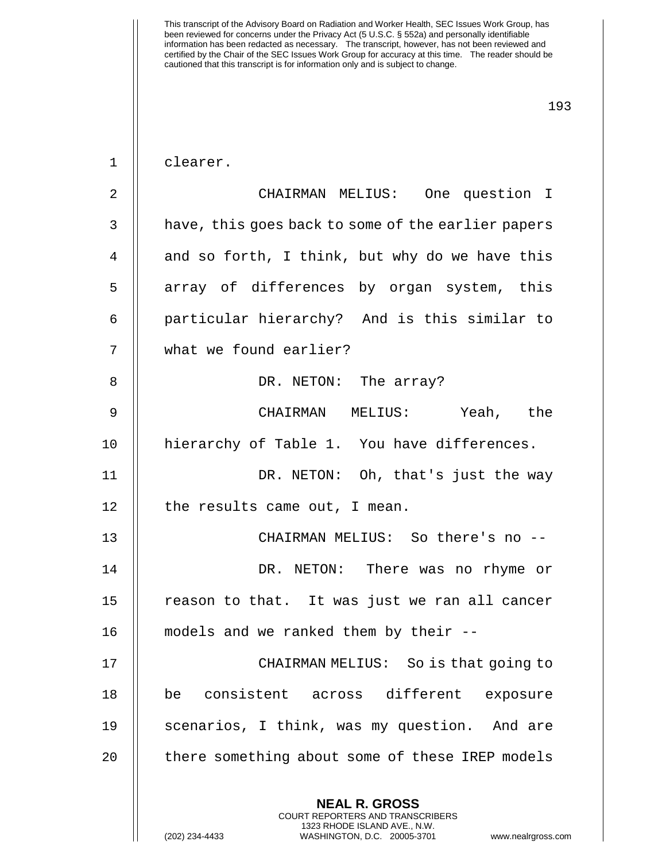| $\mathbf 1$    | clearer.                                                                                                                                                               |
|----------------|------------------------------------------------------------------------------------------------------------------------------------------------------------------------|
| $\overline{2}$ | CHAIRMAN MELIUS: One question I                                                                                                                                        |
| 3              | have, this goes back to some of the earlier papers                                                                                                                     |
| 4              | and so forth, I think, but why do we have this                                                                                                                         |
| 5              | array of differences by organ system, this                                                                                                                             |
| 6              | particular hierarchy? And is this similar to                                                                                                                           |
| 7              | what we found earlier?                                                                                                                                                 |
| 8              | DR. NETON: The array?                                                                                                                                                  |
| 9              | CHAIRMAN MELIUS: Yeah, the                                                                                                                                             |
| 10             | hierarchy of Table 1. You have differences.                                                                                                                            |
| 11             | DR. NETON: Oh, that's just the way                                                                                                                                     |
| 12             | the results came out, I mean.                                                                                                                                          |
| 13             | CHAIRMAN MELIUS: So there's no --                                                                                                                                      |
| 14             | DR. NETON: There was no rhyme or                                                                                                                                       |
| 15             | reason to that. It was just we ran all cancer                                                                                                                          |
| 16             | models and we ranked them by their --                                                                                                                                  |
| 17             | CHAIRMAN MELIUS: So is that going to                                                                                                                                   |
| 18             | consistent across different<br>be<br>exposure                                                                                                                          |
| 19             | scenarios, I think, was my question. And are                                                                                                                           |
| 20             | there something about some of these IREP models                                                                                                                        |
|                | <b>NEAL R. GROSS</b><br><b>COURT REPORTERS AND TRANSCRIBERS</b><br>1323 RHODE ISLAND AVE., N.W.<br>(202) 234-4433<br>WASHINGTON, D.C. 20005-3701<br>www.nealrgross.com |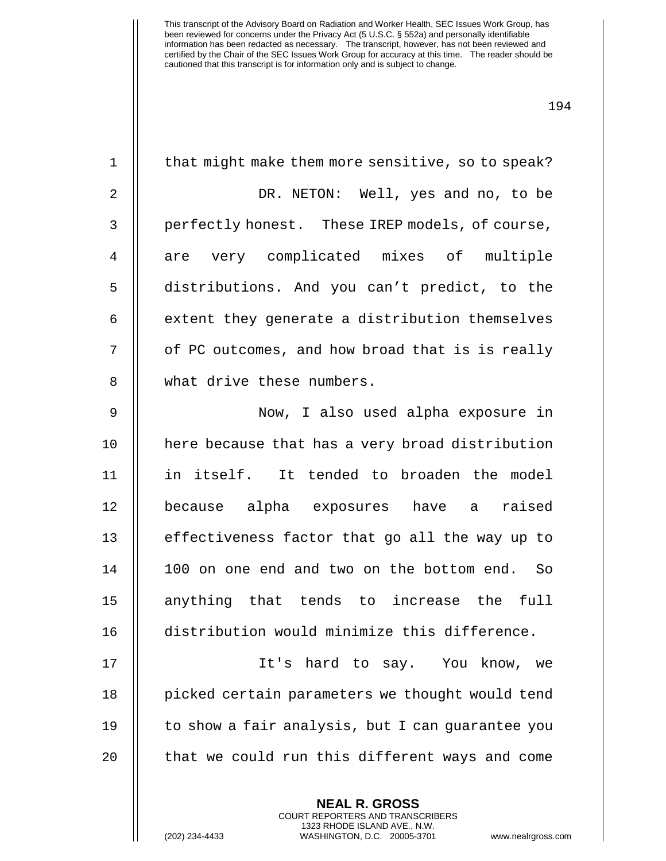| $\mathbf{1}$   | that might make them more sensitive, so to speak? |
|----------------|---------------------------------------------------|
| $\overline{2}$ | DR. NETON: Well, yes and no, to be                |
| $\mathfrak{Z}$ | perfectly honest. These IREP models, of course,   |
| 4              | are very complicated mixes of multiple            |
| 5              | distributions. And you can't predict, to the      |
| 6              | extent they generate a distribution themselves    |
| 7              | of PC outcomes, and how broad that is is really   |
| 8              | what drive these numbers.                         |
| $\mathsf 9$    | Now, I also used alpha exposure in                |
| 10             | here because that has a very broad distribution   |
| 11             | in itself. It tended to broaden the model         |
| 12             | because alpha exposures have a raised             |
| 13             | effectiveness factor that go all the way up to    |
| 14             | 100 on one end and two on the bottom end. So      |
| 15             | anything that tends to increase the<br>full       |
| 16             | distribution would minimize this difference.      |
| 17             | It's hard to say. You know,<br>we                 |
| 18             | picked certain parameters we thought would tend   |
| 19             | to show a fair analysis, but I can guarantee you  |
| 20             | that we could run this different ways and come    |
|                | <b>NEAL R. GROSS</b>                              |

COURT REPORTERS AND TRANSCRIBERS 1323 RHODE ISLAND AVE., N.W.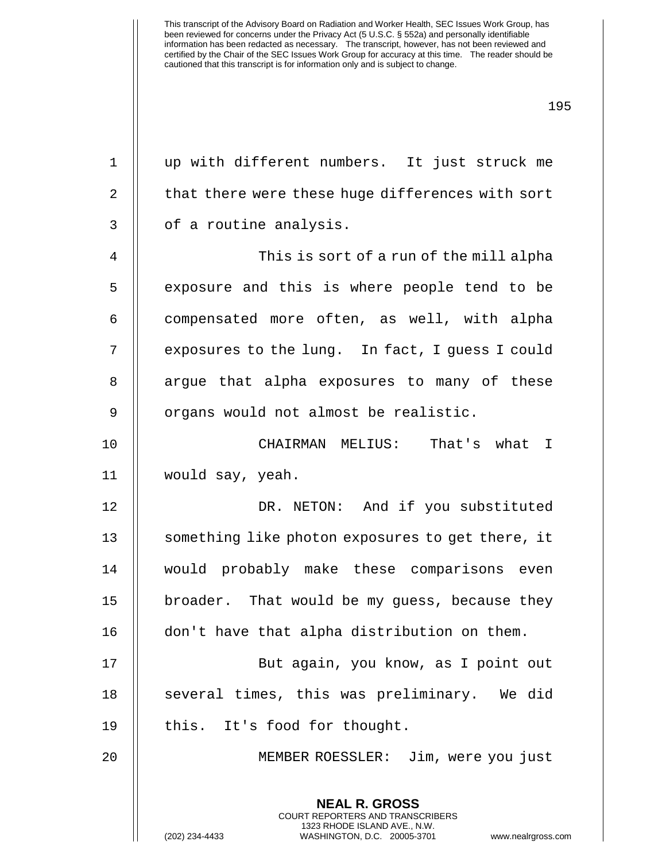| $\mathbf 1$    | up with different numbers. It just struck me                                                                                                                          |
|----------------|-----------------------------------------------------------------------------------------------------------------------------------------------------------------------|
| $\overline{2}$ | that there were these huge differences with sort                                                                                                                      |
| $\mathfrak{Z}$ | of a routine analysis.                                                                                                                                                |
| 4              | This is sort of a run of the mill alpha                                                                                                                               |
| 5              | exposure and this is where people tend to be                                                                                                                          |
| 6              | compensated more often, as well, with alpha                                                                                                                           |
| 7              | exposures to the lung. In fact, I guess I could                                                                                                                       |
| 8              | argue that alpha exposures to many of these                                                                                                                           |
| 9              | organs would not almost be realistic.                                                                                                                                 |
| 10             | CHAIRMAN MELIUS: That's what I                                                                                                                                        |
| 11             | would say, yeah.                                                                                                                                                      |
| 12             | DR. NETON: And if you substituted                                                                                                                                     |
| 13             | something like photon exposures to get there, it                                                                                                                      |
| 14             | would probably make these comparisons even                                                                                                                            |
| 15             | broader. That would be my guess, because they                                                                                                                         |
| 16             | don't have that alpha distribution on them.                                                                                                                           |
| 17             | But again, you know, as I point out                                                                                                                                   |
| 18             | several times, this was preliminary. We did                                                                                                                           |
| 19             | this. It's food for thought.                                                                                                                                          |
| 20             | MEMBER ROESSLER: Jim, were you just                                                                                                                                   |
|                | <b>NEAL R. GROSS</b><br><b>COURT REPORTERS AND TRANSCRIBERS</b><br>1323 RHODE ISLAND AVE., N.W.<br>(202) 234-4433<br>WASHINGTON, D.C. 20005-3701<br>www.nealrgross.co |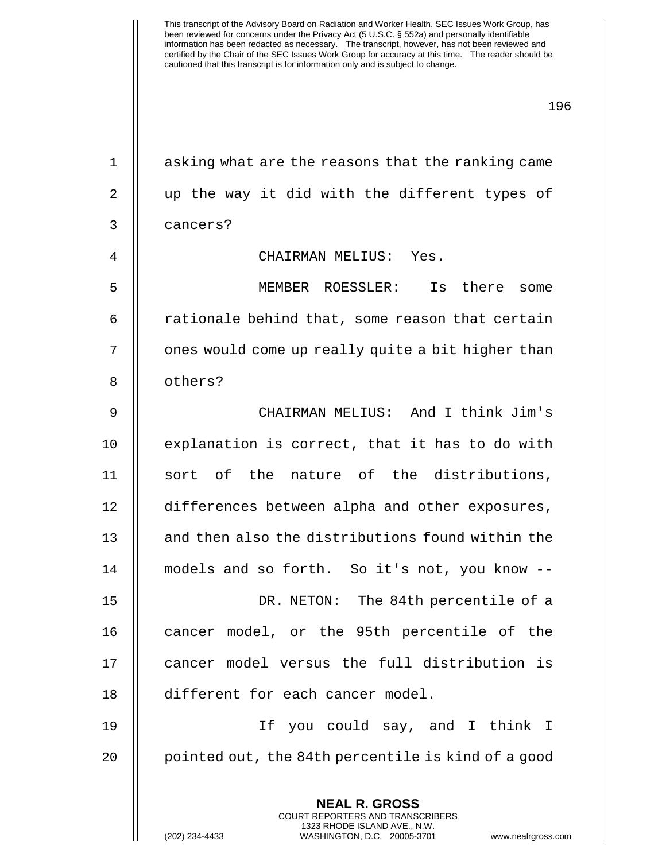1 || asking what are the reasons that the ranking came

**NEAL R. GROSS** 2 || up the way it did with the different types of 3 cancers? 4 CHAIRMAN MELIUS: Yes. 5 MEMBER ROESSLER: Is there some  $6$  || rationale behind that, some reason that certain 7 | | ones would come up really quite a bit higher than 8 || others? 9 CHAIRMAN MELIUS: And I think Jim's 10 || explanation is correct, that it has to do with 11 || sort of the nature of the distributions, 12 differences between alpha and other exposures, 13 || and then also the distributions found within the 14 models and so forth. So it's not, you know -- 15 DR. NETON: The 84th percentile of a 16 cancer model, or the 95th percentile of the 17 || cancer model versus the full distribution is 18 || different for each cancer model. 19 If you could say, and I think I 20 || pointed out, the 84th percentile is kind of a good

> COURT REPORTERS AND TRANSCRIBERS 1323 RHODE ISLAND AVE., N.W.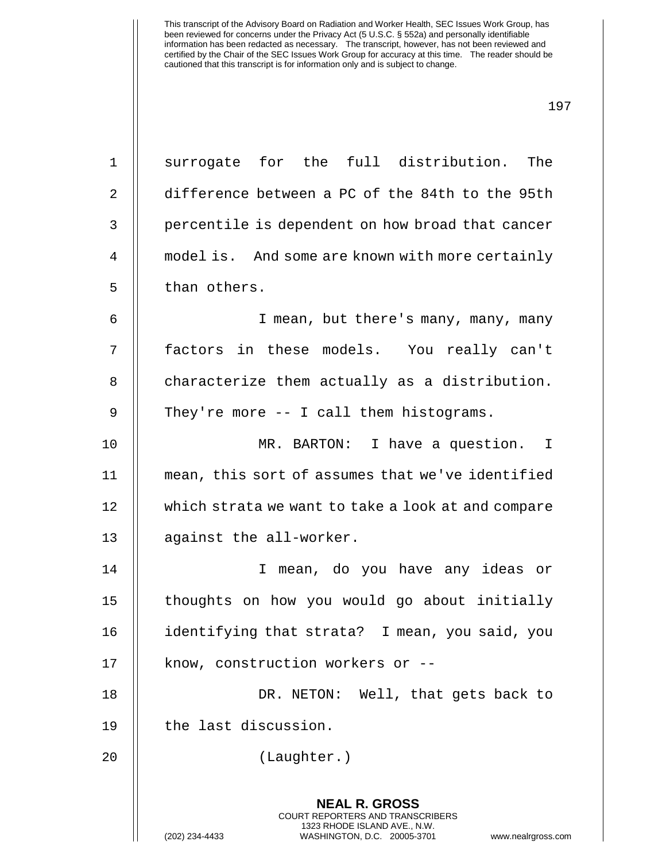| $\mathbf{1}$ | surrogate for the full distribution. The                                                                                                                        |
|--------------|-----------------------------------------------------------------------------------------------------------------------------------------------------------------|
| 2            | difference between a PC of the 84th to the 95th                                                                                                                 |
| 3            | percentile is dependent on how broad that cancer                                                                                                                |
| 4            | model is. And some are known with more certainly                                                                                                                |
| 5            | than others.                                                                                                                                                    |
| 6            | I mean, but there's many, many, many                                                                                                                            |
| 7            | factors in these models. You really can't                                                                                                                       |
| 8            | characterize them actually as a distribution.                                                                                                                   |
| 9            | They're more $-$ - I call them histograms.                                                                                                                      |
| 10           | MR. BARTON: I have a question. I                                                                                                                                |
| 11           | mean, this sort of assumes that we've identified                                                                                                                |
| 12           | which strata we want to take a look at and compare                                                                                                              |
| 13           | against the all-worker.                                                                                                                                         |
| 14           | I mean, do you have any ideas or                                                                                                                                |
| 15           | thoughts on how you would go about initially                                                                                                                    |
| 16           | identifying that strata? I mean, you said, you                                                                                                                  |
| 17           | know, construction workers or --                                                                                                                                |
| 18           | DR. NETON: Well, that gets back to                                                                                                                              |
| 19           | the last discussion.                                                                                                                                            |
| 20           | (Laughter.)                                                                                                                                                     |
|              | <b>NEAL R. GROSS</b><br>COURT REPORTERS AND TRANSCRIBERS<br>1323 RHODE ISLAND AVE., N.W.<br>(202) 234-4433<br>WASHINGTON, D.C. 20005-3701<br>www.nealrgross.com |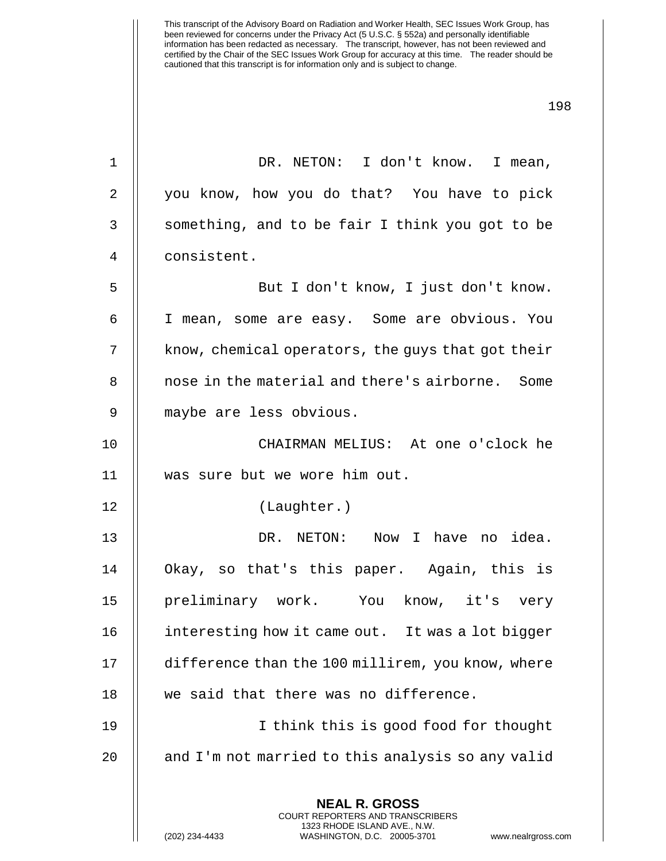**NEAL R. GROSS** COURT REPORTERS AND TRANSCRIBERS 1323 RHODE ISLAND AVE., N.W. (202) 234-4433 WASHINGTON, D.C. 20005-3701 www.nealrgross.com 1 || DR. NETON: I don't know. I mean, 2 | you know, how you do that? You have to pick  $3$  | something, and to be fair I think you got to be 4 | consistent. 5 But I don't know, I just don't know. 6 | I mean, some are easy. Some are obvious. You 7 | know, chemical operators, the guys that got their 8 || nose in the material and there's airborne. Some 9 maybe are less obvious. 10 CHAIRMAN MELIUS: At one o'clock he 11 was sure but we wore him out. 12 (Laughter.) 13 DR. NETON: Now I have no idea. 14 Okay, so that's this paper. Again, this is 15 preliminary work. You know, it's very 16 | interesting how it came out. It was a lot bigger 17 | difference than the 100 millirem, you know, where 18 || we said that there was no difference. 19 I think this is good food for thought 20  $\parallel$  and I'm not married to this analysis so any valid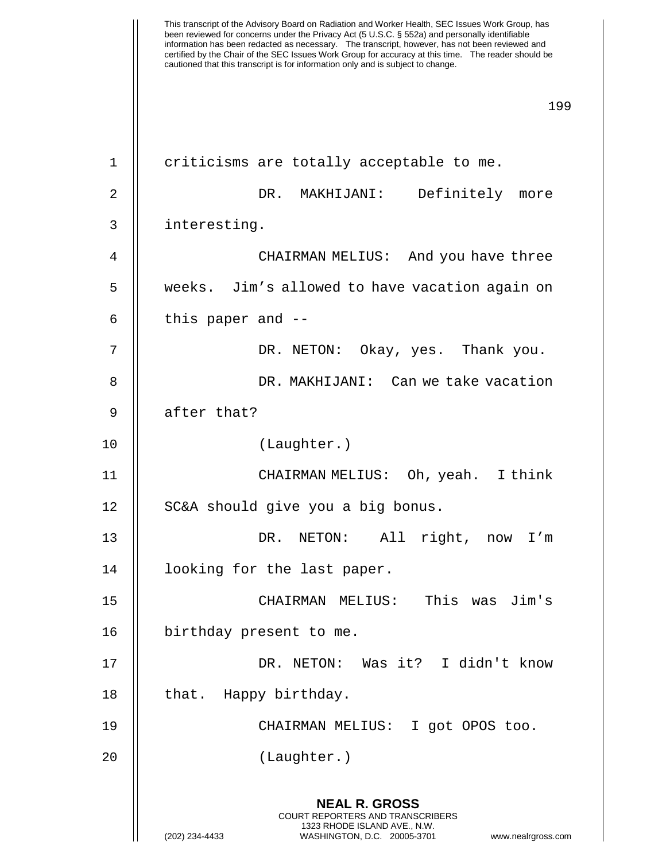This transcript of the Advisory Board on Radiation and Worker Health, SEC Issues Work Group, has been reviewed for concerns under the Privacy Act (5 U.S.C. § 552a) and personally identifiable information has been redacted as necessary. The transcript, however, has not been reviewed and certified by the Chair of the SEC Issues Work Group for accuracy at this time. The reader should be cautioned that this transcript is for information only and is subject to change. 199 **NEAL R. GROSS** COURT REPORTERS AND TRANSCRIBERS 1323 RHODE ISLAND AVE., N.W. (202) 234-4433 WASHINGTON, D.C. 20005-3701 www.nealrgross.com 1 || criticisms are totally acceptable to me. 2 DR. MAKHIJANI: Definitely more 3 interesting. 4 CHAIRMAN MELIUS: And you have three 5 weeks. Jim's allowed to have vacation again on  $6 \parallel$  this paper and  $-$ 7 DR. NETON: Okay, yes. Thank you. 8 DR. MAKHIJANI: Can we take vacation  $9$  | after that? 10 (Laughter.) 11 || CHAIRMAN MELIUS: Oh, yeah. I think 12 || SC&A should give you a big bonus. 13 || DR. NETON: All right, now I'm 14 || looking for the last paper. 15 CHAIRMAN MELIUS: This was Jim's 16 | birthday present to me. 17 DR. NETON: Was it? I didn't know 18 | that. Happy birthday. 19 CHAIRMAN MELIUS: I got OPOS too. 20 (Laughter.)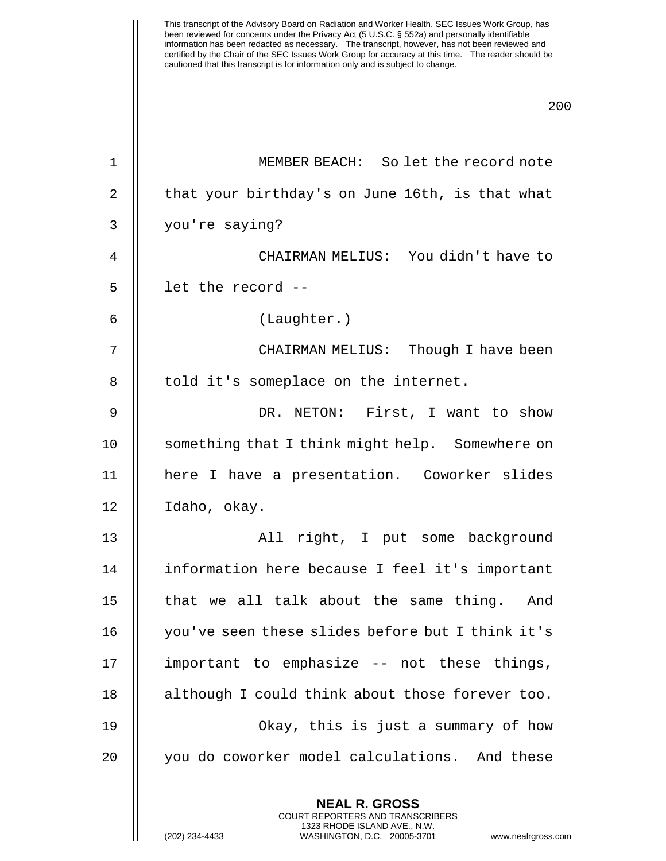information has been redacted as necessary. The transcript, however, has not been reviewed and certified by the Chair of the SEC Issues Work Group for accuracy at this time. The reader should be cautioned that this transcript is for information only and is subject to change. 200 **NEAL R. GROSS** COURT REPORTERS AND TRANSCRIBERS 1 | MEMBER BEACH: So let the record note 2 | that your birthday's on June 16th, is that what 3 you're saying? 4 CHAIRMAN MELIUS: You didn't have to  $5 \parallel$  let the record --6 (Laughter.) 7 CHAIRMAN MELIUS: Though I have been 8 || told it's someplace on the internet. 9 DR. NETON: First, I want to show 10 || something that I think might help. Somewhere on 11 here I have a presentation. Coworker slides 12 Idaho, okay. 13 All right, I put some background 14 information here because I feel it's important  $15$  || that we all talk about the same thing. And 16 you've seen these slides before but I think it's 17 || important to emphasize -- not these things, 18 || although I could think about those forever too. 19 Okay, this is just a summary of how 20 || you do coworker model calculations. And these

1323 RHODE ISLAND AVE., N.W.

This transcript of the Advisory Board on Radiation and Worker Health, SEC Issues Work Group, has been reviewed for concerns under the Privacy Act (5 U.S.C. § 552a) and personally identifiable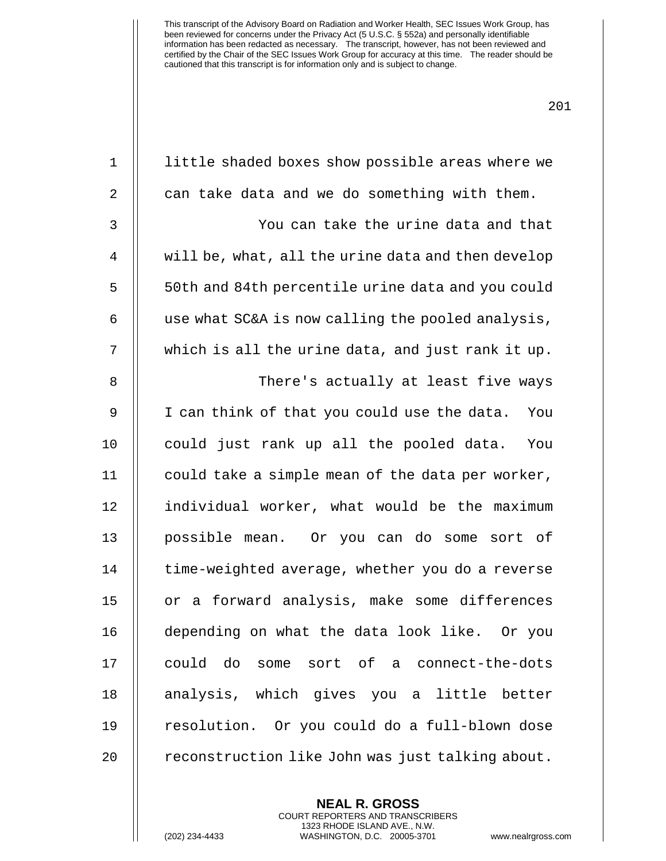| $\mathbf 1$ | little shaded boxes show possible areas where we   |
|-------------|----------------------------------------------------|
| 2           | can take data and we do something with them.       |
| 3           | You can take the urine data and that               |
| 4           | will be, what, all the urine data and then develop |
| 5           | 50th and 84th percentile urine data and you could  |
| 6           | use what SC&A is now calling the pooled analysis,  |
| 7           | which is all the urine data, and just rank it up.  |
| 8           | There's actually at least five ways                |
| 9           | I can think of that you could use the data.<br>You |
| 10          | could just rank up all the pooled data.<br>You     |
| 11          | could take a simple mean of the data per worker,   |
| 12          | individual worker, what would be the maximum       |
| 13          | possible mean. Or you can do some sort of          |
| 14          | time-weighted average, whether you do a reverse    |
| 15          | a forward analysis, make some differences<br>or    |
| 16          | depending on what the data look like. Or you       |
| 17          | could do<br>some sort of a connect-the-dots        |
| 18          | analysis, which gives you a little better          |
| 19          | resolution. Or you could do a full-blown dose      |
| 20          | reconstruction like John was just talking about.   |
|             |                                                    |

**NEAL R. GROSS** COURT REPORTERS AND TRANSCRIBERS 1323 RHODE ISLAND AVE., N.W.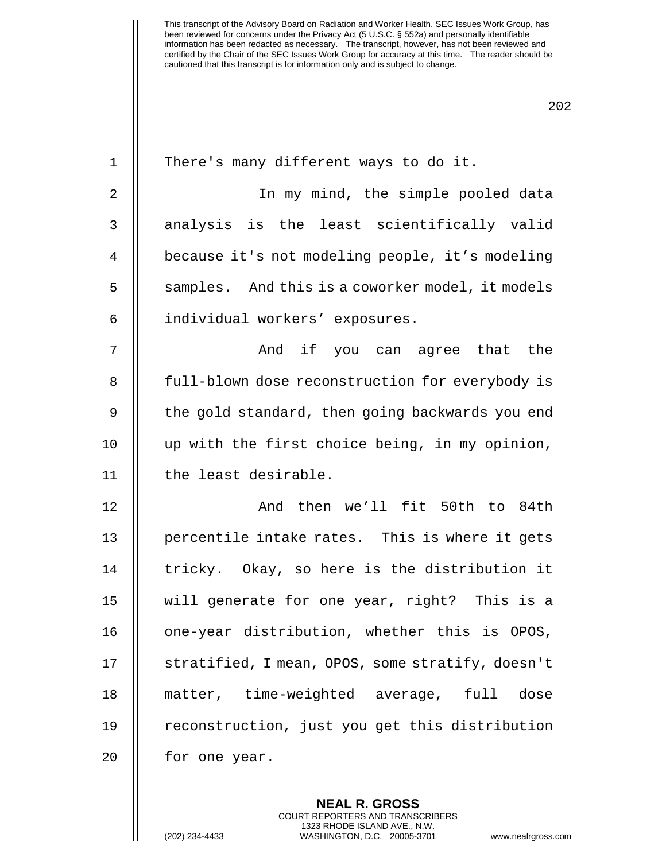| $\mathbf 1$    | There's many different ways to do it.            |
|----------------|--------------------------------------------------|
| $\overline{2}$ | In my mind, the simple pooled data               |
| 3              | analysis is the least scientifically valid       |
| $\overline{4}$ | because it's not modeling people, it's modeling  |
| 5              | samples. And this is a coworker model, it models |
| 6              | individual workers' exposures.                   |
| 7              | And if you can agree that the                    |
| 8              | full-blown dose reconstruction for everybody is  |
| $\mathsf 9$    | the gold standard, then going backwards you end  |
| 10             | up with the first choice being, in my opinion,   |
| 11             | the least desirable.                             |
| 12             | And then we'll fit 50th to 84th                  |
| 13             | percentile intake rates. This is where it gets   |
| 14             | tricky. Okay, so here is the distribution it     |
| 15             | will generate for one year, right? This is a     |
| 16             | one-year distribution, whether this is OPOS,     |
| 17             | stratified, I mean, OPOS, some stratify, doesn't |
| 18             | matter, time-weighted average, full<br>dose      |
| 19             | reconstruction, just you get this distribution   |
| 20             | for one year.                                    |
|                |                                                  |

**NEAL R. GROSS** COURT REPORTERS AND TRANSCRIBERS 1323 RHODE ISLAND AVE., N.W.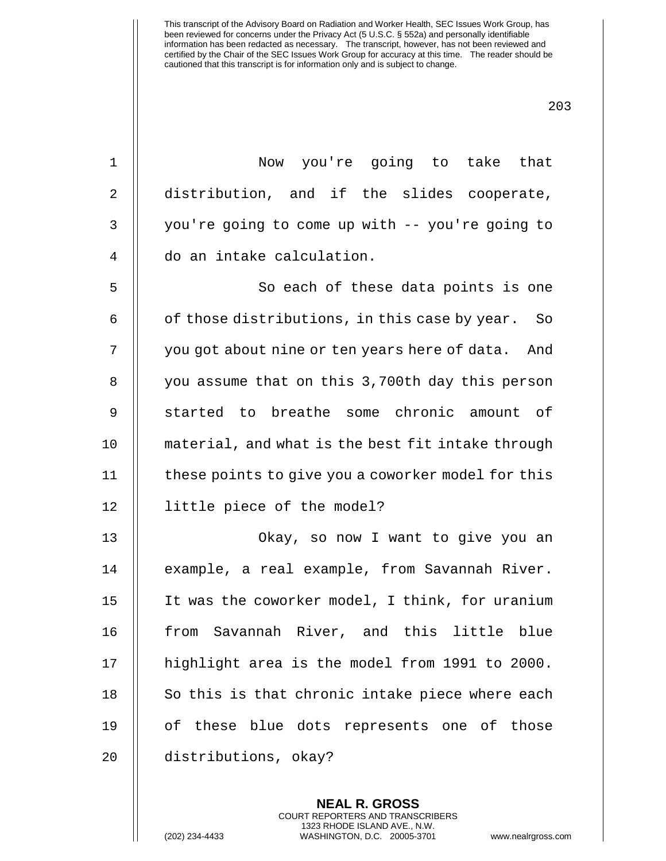203

1 Now you're going to take that 2 || distribution, and if the slides cooperate, 3 | you're going to come up with -- you're going to 4 | do an intake calculation. 5 || So each of these data points is one  $6 \parallel$  of those distributions, in this case by year. So 7 | you got about nine or ten years here of data. And 8 | you assume that on this 3,700th day this person 9 || started to breathe some chronic amount of 10 material, and what is the best fit intake through 11 | these points to give you a coworker model for this 12 little piece of the model? 13 Okay, so now I want to give you an 14 || example, a real example, from Savannah River. 15 It was the coworker model, I think, for uranium 16 || from Savannah River, and this little blue 17 || highlight area is the model from 1991 to 2000.  $18$   $\parallel$  So this is that chronic intake piece where each 19 || of these blue dots represents one of those 20 distributions, okay?

> **NEAL R. GROSS** COURT REPORTERS AND TRANSCRIBERS 1323 RHODE ISLAND AVE., N.W.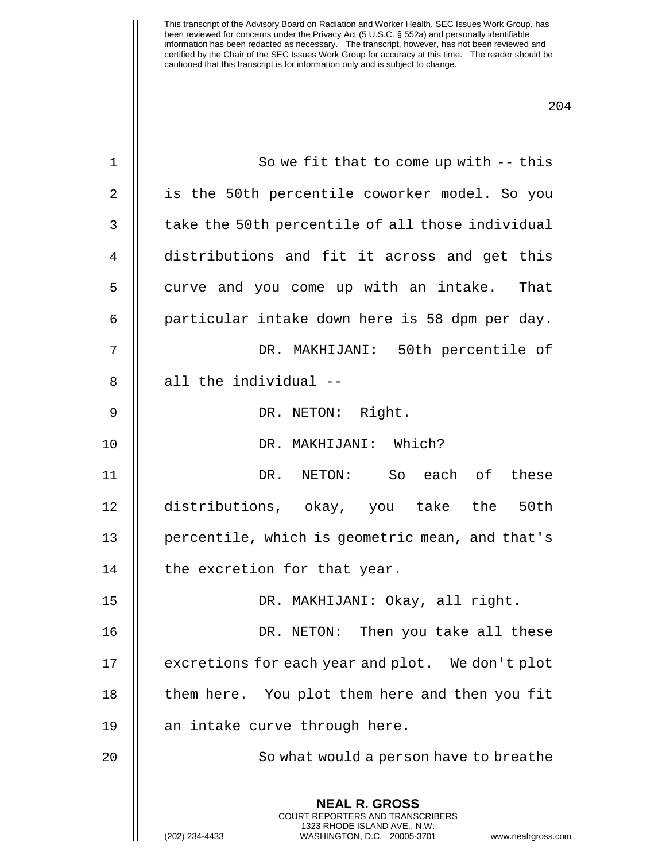| $\mathbf 1$  | So we fit that to come up with $-$ -this                                                                                                                        |
|--------------|-----------------------------------------------------------------------------------------------------------------------------------------------------------------|
| 2            | is the 50th percentile coworker model. So you                                                                                                                   |
| $\mathbf{3}$ | take the 50th percentile of all those individual                                                                                                                |
| 4            | distributions and fit it across and get this                                                                                                                    |
| 5            | curve and you come up with an intake. That                                                                                                                      |
| 6            | particular intake down here is 58 dpm per day.                                                                                                                  |
| 7            | DR. MAKHIJANI: 50th percentile of                                                                                                                               |
| 8            | all the individual --                                                                                                                                           |
| 9            | DR. NETON: Right.                                                                                                                                               |
| 10           | DR. MAKHIJANI: Which?                                                                                                                                           |
| 11           | DR. NETON: So each of these                                                                                                                                     |
| 12           | distributions, okay, you take the 50th                                                                                                                          |
| 13           | percentile, which is geometric mean, and that's                                                                                                                 |
| 14           | the excretion for that year.                                                                                                                                    |
| 15           | DR. MAKHIJANI: Okay, all right.                                                                                                                                 |
| 16           | DR. NETON: Then you take all these                                                                                                                              |
| 17           | excretions for each year and plot. We don't plot                                                                                                                |
| 18           | them here. You plot them here and then you fit                                                                                                                  |
| 19           | an intake curve through here.                                                                                                                                   |
| 20           | So what would a person have to breathe                                                                                                                          |
|              |                                                                                                                                                                 |
|              | <b>NEAL R. GROSS</b><br>COURT REPORTERS AND TRANSCRIBERS<br>1323 RHODE ISLAND AVE., N.W.<br>(202) 234-4433<br>WASHINGTON, D.C. 20005-3701<br>www.nealrgross.com |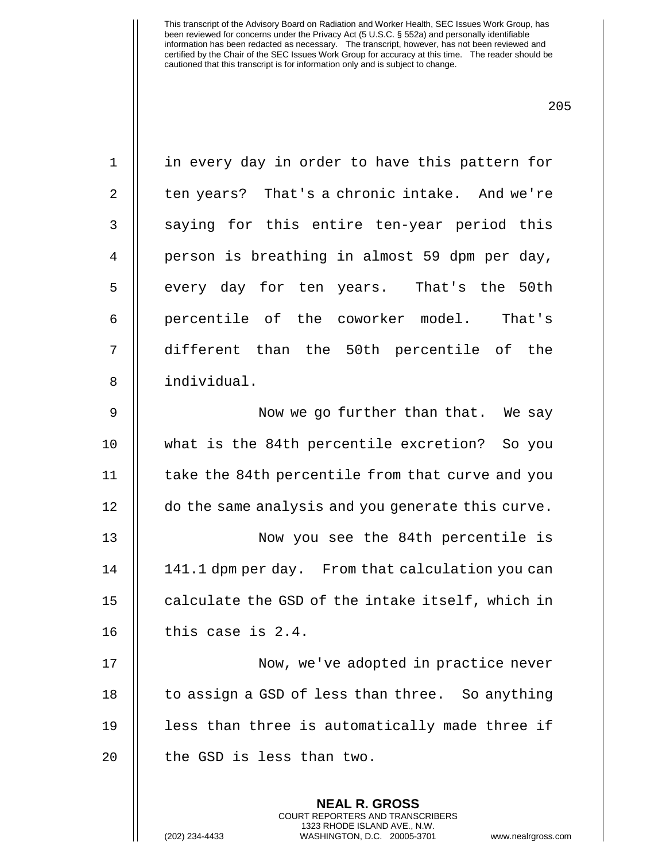| $\mathbf 1$    | in every day in order to have this pattern for           |
|----------------|----------------------------------------------------------|
| 2              | ten years? That's a chronic intake. And we're            |
| $\mathfrak{Z}$ | saying for this entire ten-year period this              |
| $\overline{4}$ | person is breathing in almost 59 dpm per day,            |
| 5              | every day for ten years. That's the 50th                 |
| 6              | percentile of the coworker model. That's                 |
| 7              | different than the 50th percentile of the                |
| 8              | individual.                                              |
| $\mathsf 9$    | Now we go further than that. We say                      |
| 10             | what is the 84th percentile excretion? So you            |
| 11             | take the 84th percentile from that curve and you         |
| 12             | do the same analysis and you generate this curve.        |
| 13             | Now you see the 84th percentile is                       |
| 14             | 141.1 dpm per day. From that calculation you can         |
| 15             | calculate the GSD of the intake itself, which in         |
| 16             | this case is $2.4$ .                                     |
| 17             | Now, we've adopted in practice never                     |
| 18             | to assign a GSD of less than three. So anything          |
| 19             | less than three is automatically made three if           |
| 20             | the GSD is less than two.                                |
|                | <b>NEAL R. GROSS</b><br>COURT REPORTERS AND TRANSCRIBERS |

1323 RHODE ISLAND AVE., N.W.

 $\mathsf{I}$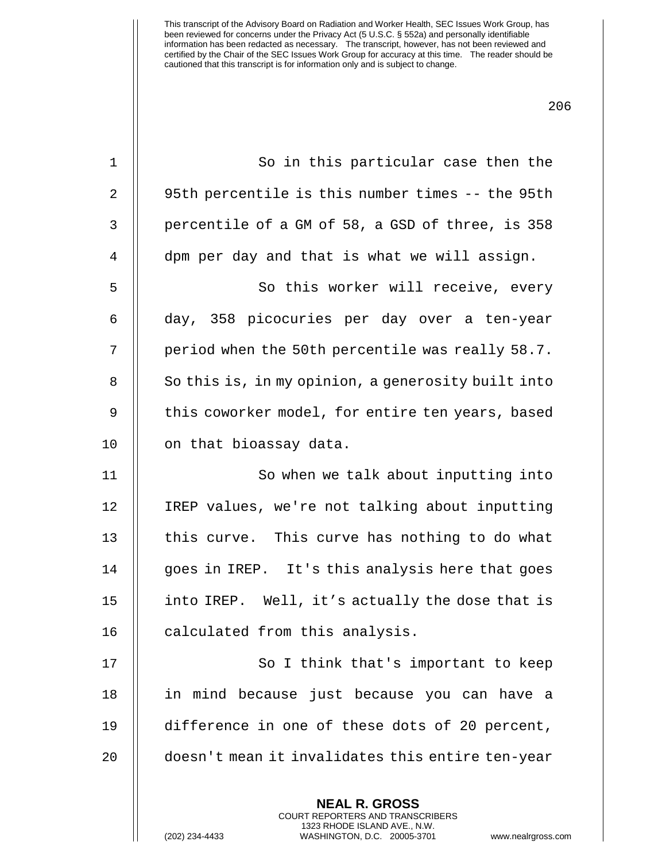| 1  | So in this particular case then the                                                                                                                             |
|----|-----------------------------------------------------------------------------------------------------------------------------------------------------------------|
| 2  | 95th percentile is this number times -- the 95th                                                                                                                |
| 3  | percentile of a GM of 58, a GSD of three, is 358                                                                                                                |
| 4  | dpm per day and that is what we will assign.                                                                                                                    |
| 5  | So this worker will receive, every                                                                                                                              |
| 6  | day, 358 picocuries per day over a ten-year                                                                                                                     |
| 7  | period when the 50th percentile was really 58.7.                                                                                                                |
| 8  | So this is, in my opinion, a generosity built into                                                                                                              |
| 9  | this coworker model, for entire ten years, based                                                                                                                |
| 10 | on that bioassay data.                                                                                                                                          |
| 11 | So when we talk about inputting into                                                                                                                            |
| 12 | IREP values, we're not talking about inputting                                                                                                                  |
| 13 | this curve. This curve has nothing to do what                                                                                                                   |
| 14 | goes in IREP. It's this analysis here that goes                                                                                                                 |
| 15 | into IREP. Well, it's actually the dose that is                                                                                                                 |
| 16 | calculated from this analysis.                                                                                                                                  |
| 17 | So I think that's important to keep                                                                                                                             |
| 18 | in mind because just because you can have a                                                                                                                     |
| 19 | difference in one of these dots of 20 percent,                                                                                                                  |
| 20 | doesn't mean it invalidates this entire ten-year                                                                                                                |
|    | <b>NEAL R. GROSS</b><br>COURT REPORTERS AND TRANSCRIBERS<br>1323 RHODE ISLAND AVE., N.W.<br>(202) 234-4433<br>WASHINGTON, D.C. 20005-3701<br>www.nealrgross.com |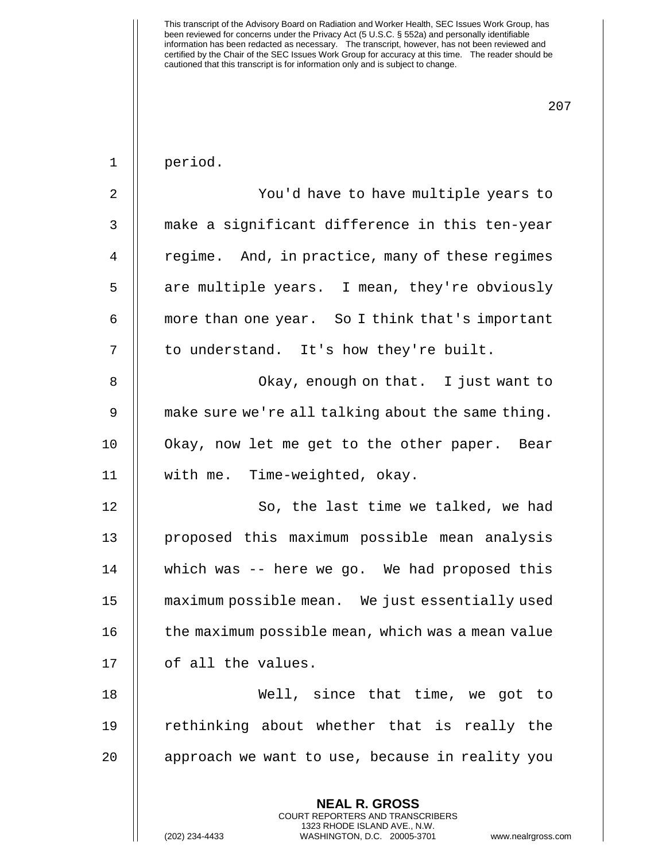| $\mathbf 1$    | period.                                                                                  |
|----------------|------------------------------------------------------------------------------------------|
| $\overline{2}$ | You'd have to have multiple years to                                                     |
| 3              | make a significant difference in this ten-year                                           |
| $\overline{4}$ | regime. And, in practice, many of these regimes                                          |
| 5              | are multiple years. I mean, they're obviously                                            |
| 6              | more than one year. So I think that's important                                          |
| 7              | to understand. It's how they're built.                                                   |
| 8              | Okay, enough on that. I just want to                                                     |
| 9              | make sure we're all talking about the same thing.                                        |
| 10             | Okay, now let me get to the other paper. Bear                                            |
| 11             | with me. Time-weighted, okay.                                                            |
| 12             | So, the last time we talked, we had                                                      |
| 13             | proposed this maximum possible mean analysis                                             |
| 14             | which was -- here we go. We had proposed this                                            |
| 15             | maximum possible mean. We just essentially used                                          |
| 16             | the maximum possible mean, which was a mean value                                        |
| 17             | of all the values.                                                                       |
| 18             | Well, since that time, we got to                                                         |
| 19             | rethinking about whether that is really the                                              |
| 20             | approach we want to use, because in reality you                                          |
|                | <b>NEAL R. GROSS</b><br>COURT REPORTERS AND TRANSCRIBERS<br>1323 RHODE ISLAND AVE., N.W. |

 $\parallel$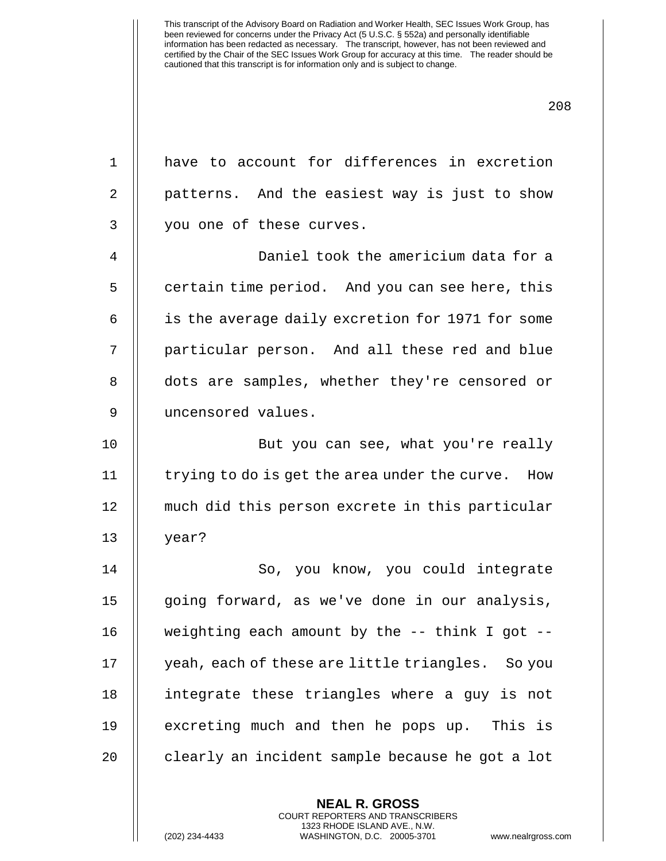| $\mathbf{1}$   | have to account for differences in excretion      |
|----------------|---------------------------------------------------|
| $\overline{2}$ | patterns. And the easiest way is just to show     |
| 3              | you one of these curves.                          |
| $\overline{4}$ | Daniel took the americium data for a              |
| 5              | certain time period. And you can see here, this   |
| 6              | is the average daily excretion for 1971 for some  |
| 7              | particular person. And all these red and blue     |
| 8              | dots are samples, whether they're censored or     |
| 9              | uncensored values.                                |
| 10             | But you can see, what you're really               |
| 11             | trying to do is get the area under the curve. How |
| 12             | much did this person excrete in this particular   |
| 13             | year?                                             |
| 14             | So, you know, you could integrate                 |
| 15             | going forward, as we've done in our analysis,     |
| 16             | weighting each amount by the -- think I got --    |
| 17             | yeah, each of these are little triangles. So you  |
| 18             | integrate these triangles where a guy is not      |
| 19             | excreting much and then he pops up. This is       |
| 20             | clearly an incident sample because he got a lot   |
|                |                                                   |

**NEAL R. GROSS** COURT REPORTERS AND TRANSCRIBERS 1323 RHODE ISLAND AVE., N.W.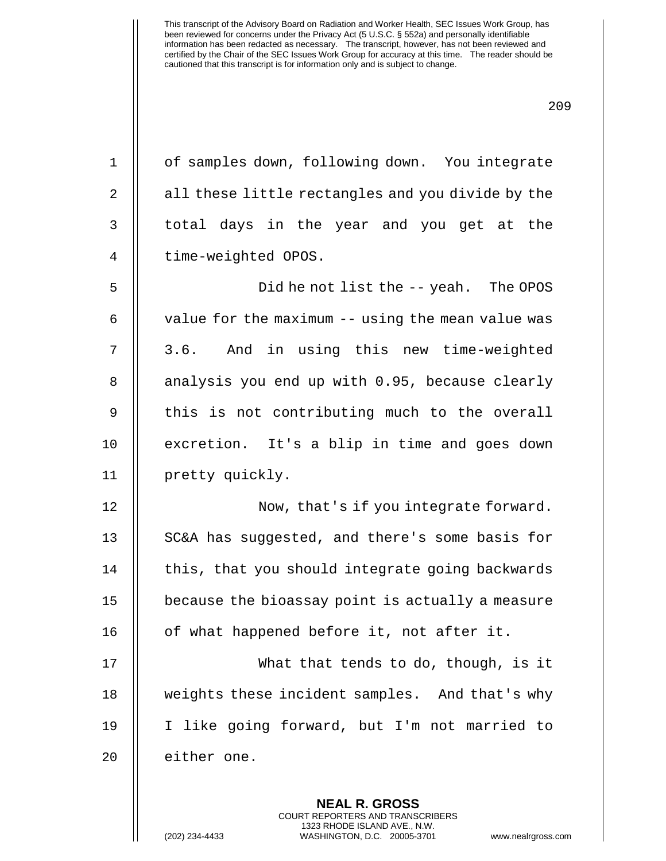| $\mathbf 1$    | of samples down, following down. You integrate    |
|----------------|---------------------------------------------------|
| $\overline{2}$ | all these little rectangles and you divide by the |
| $\mathsf{3}$   | total days in the year and you get at the         |
| $\overline{4}$ | time-weighted OPOS.                               |
| 5              | Did he not list the -- yeah. The OPOS             |
| 6              | value for the maximum -- using the mean value was |
| 7              | 3.6. And in using this new time-weighted          |
| 8              | analysis you end up with 0.95, because clearly    |
| $\mathsf 9$    | this is not contributing much to the overall      |
| 10             | excretion. It's a blip in time and goes down      |
| 11             | pretty quickly.                                   |
| 12             | Now, that's if you integrate forward.             |
| 13             | SC&A has suggested, and there's some basis for    |
| 14             | this, that you should integrate going backwards   |
| 15             | because the bioassay point is actually a measure  |
| 16             | of what happened before it, not after it.         |
| 17             | What that tends to do, though, is it              |
| 18             | weights these incident samples. And that's why    |
| 19             | I like going forward, but I'm not married to      |
| 20             | either one.                                       |
|                | <b>NEAL R. GROSS</b>                              |
|                | COURT REPORTERS AND TRANSCRIBERS                  |

1323 RHODE ISLAND AVE., N.W.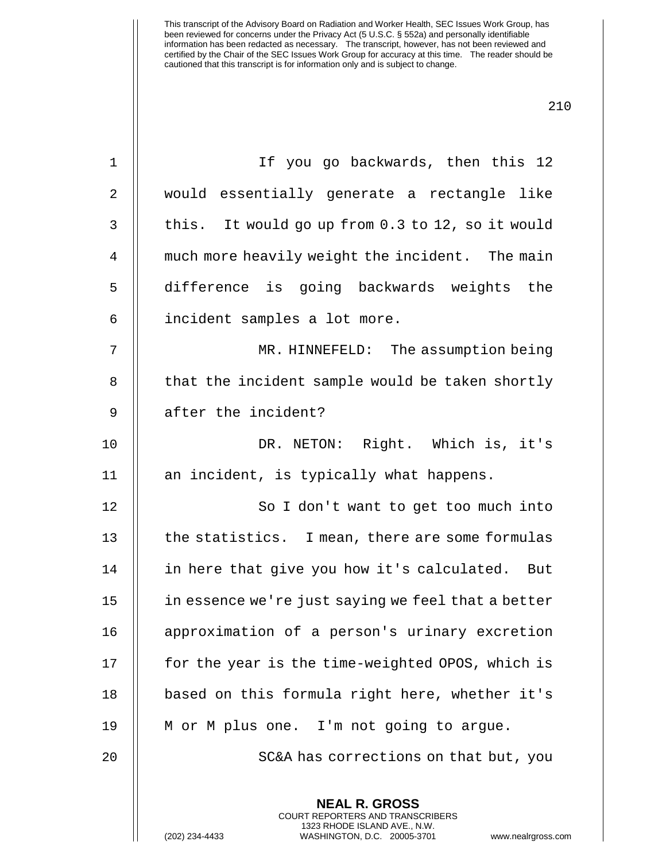| $\mathbf 1$    | If you go backwards, then this 12                                                                                                                              |
|----------------|----------------------------------------------------------------------------------------------------------------------------------------------------------------|
| 2              | would essentially generate a rectangle like                                                                                                                    |
| $\mathfrak{Z}$ | this. It would go up from 0.3 to 12, so it would                                                                                                               |
| $\overline{4}$ | much more heavily weight the incident. The main                                                                                                                |
| 5              | difference is going backwards weights the                                                                                                                      |
| 6              | incident samples a lot more.                                                                                                                                   |
| 7              | MR. HINNEFELD: The assumption being                                                                                                                            |
| 8              | that the incident sample would be taken shortly                                                                                                                |
| 9              | after the incident?                                                                                                                                            |
| 10             | DR. NETON: Right. Which is, it's                                                                                                                               |
| 11             | an incident, is typically what happens.                                                                                                                        |
| 12             | So I don't want to get too much into                                                                                                                           |
| 13             | the statistics. I mean, there are some formulas                                                                                                                |
| 14             | in here that give you how it's calculated. But                                                                                                                 |
| 15             | in essence we're just saying we feel that a better                                                                                                             |
| 16             | approximation of a person's urinary excretion                                                                                                                  |
| 17             | for the year is the time-weighted OPOS, which is                                                                                                               |
| 18             | based on this formula right here, whether it's                                                                                                                 |
| 19             | M or M plus one. I'm not going to argue.                                                                                                                       |
| 20             | SC&A has corrections on that but, you                                                                                                                          |
|                | <b>NEAL R. GROSS</b><br>COURT REPORTERS AND TRANSCRIBERS<br>1323 RHODE ISLAND AVE., N.W.<br>(202) 234-4433<br>WASHINGTON, D.C. 20005-3701<br>www.nealrgross.co |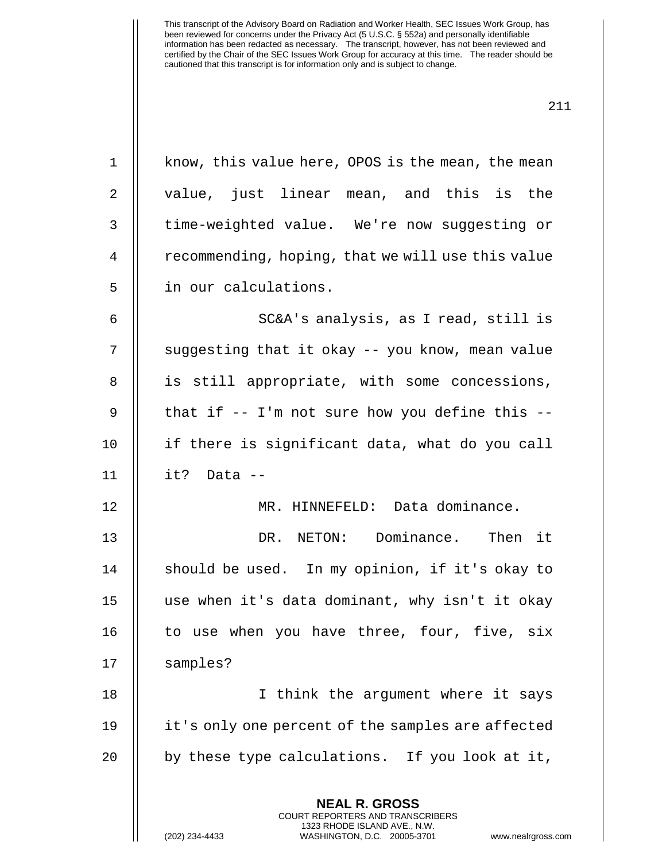1 || know, this value here, OPOS is the mean, the mean

2 || value, just linear mean, and this is the

3 | time-weighted value. We're now suggesting or 4 | recommending, hoping, that we will use this value 5 | in our calculations. 6 || SC&A's analysis, as I read, still is 7 || suggesting that it okay -- you know, mean value 8 || is still appropriate, with some concessions, 9  $\parallel$  that if -- I'm not sure how you define this --10 if there is significant data, what do you call 11 it? Data -- 12 || MR. HINNEFELD: Data dominance. 13 DR. NETON: Dominance. Then it 14  $\parallel$  should be used. In my opinion, if it's okay to 15 use when it's data dominant, why isn't it okay 16  $\parallel$  to use when you have three, four, five, six 17 | samples? 18 || I think the argument where it says 19 it's only one percent of the samples are affected 20  $\parallel$  by these type calculations. If you look at it,

> **NEAL R. GROSS** COURT REPORTERS AND TRANSCRIBERS 1323 RHODE ISLAND AVE., N.W.

(202) 234-4433 WASHINGTON, D.C. 20005-3701 www.nealrgross.com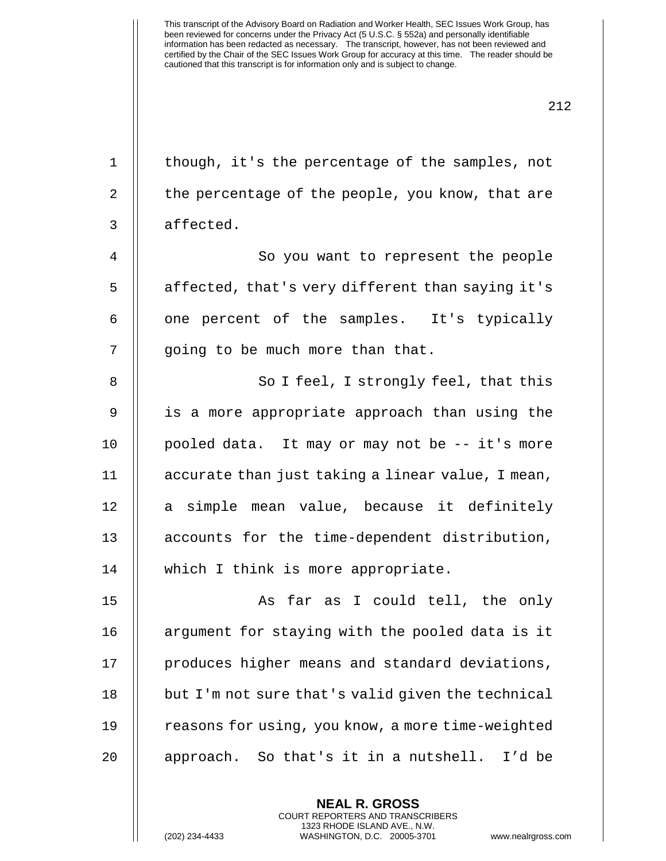| $\mathbf 1$    | though, it's the percentage of the samples, not   |
|----------------|---------------------------------------------------|
| 2              | the percentage of the people, you know, that are  |
| 3              | affected.                                         |
| $\overline{4}$ | So you want to represent the people               |
| 5              | affected, that's very different than saying it's  |
| 6              | one percent of the samples. It's typically        |
| 7              | going to be much more than that.                  |
| 8              | So I feel, I strongly feel, that this             |
| $\mathsf 9$    | is a more appropriate approach than using the     |
| 10             | pooled data. It may or may not be -- it's more    |
| 11             | accurate than just taking a linear value, I mean, |
| 12             | a simple mean value, because it definitely        |
| 13             | accounts for the time-dependent distribution,     |
| 14             | which I think is more appropriate.                |
| 15             | As far as I could tell, the only                  |
| 16             | argument for staying with the pooled data is it   |
| 17             | produces higher means and standard deviations,    |
| 18             | but I'm not sure that's valid given the technical |
| 19             | reasons for using, you know, a more time-weighted |
| 20             | approach. So that's it in a nutshell. I'd be      |
|                |                                                   |

**NEAL R. GROSS** COURT REPORTERS AND TRANSCRIBERS 1323 RHODE ISLAND AVE., N.W.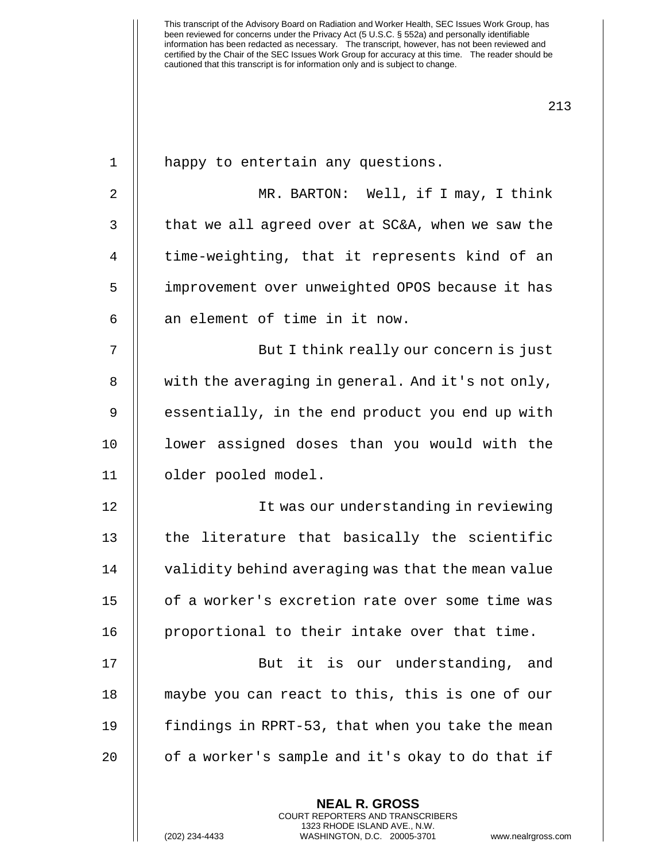| $\mathbf 1$ | happy to entertain any questions.                                                                                                                                     |
|-------------|-----------------------------------------------------------------------------------------------------------------------------------------------------------------------|
| 2           | MR. BARTON: Well, if I may, I think                                                                                                                                   |
| 3           | that we all agreed over at SC&A, when we saw the                                                                                                                      |
| 4           | time-weighting, that it represents kind of an                                                                                                                         |
| 5           | improvement over unweighted OPOS because it has                                                                                                                       |
| 6           | an element of time in it now.                                                                                                                                         |
| 7           | But I think really our concern is just                                                                                                                                |
| 8           | with the averaging in general. And it's not only,                                                                                                                     |
| 9           | essentially, in the end product you end up with                                                                                                                       |
| 10          | lower assigned doses than you would with the                                                                                                                          |
| 11          | older pooled model.                                                                                                                                                   |
| 12          | It was our understanding in reviewing                                                                                                                                 |
| 13          | the literature that basically the scientific                                                                                                                          |
| 14          | validity behind averaging was that the mean value                                                                                                                     |
| 15          | of a worker's excretion rate over some time was                                                                                                                       |
| 16          | proportional to their intake over that time.                                                                                                                          |
| 17          | But it is our understanding, and                                                                                                                                      |
| 18          | maybe you can react to this, this is one of our                                                                                                                       |
| 19          | findings in RPRT-53, that when you take the mean                                                                                                                      |
| 20          | of a worker's sample and it's okay to do that if                                                                                                                      |
|             | <b>NEAL R. GROSS</b><br><b>COURT REPORTERS AND TRANSCRIBERS</b><br>1323 RHODE ISLAND AVE., N.W.<br>(202) 234-4433<br>WASHINGTON, D.C. 20005-3701<br>www.nealrgross.co |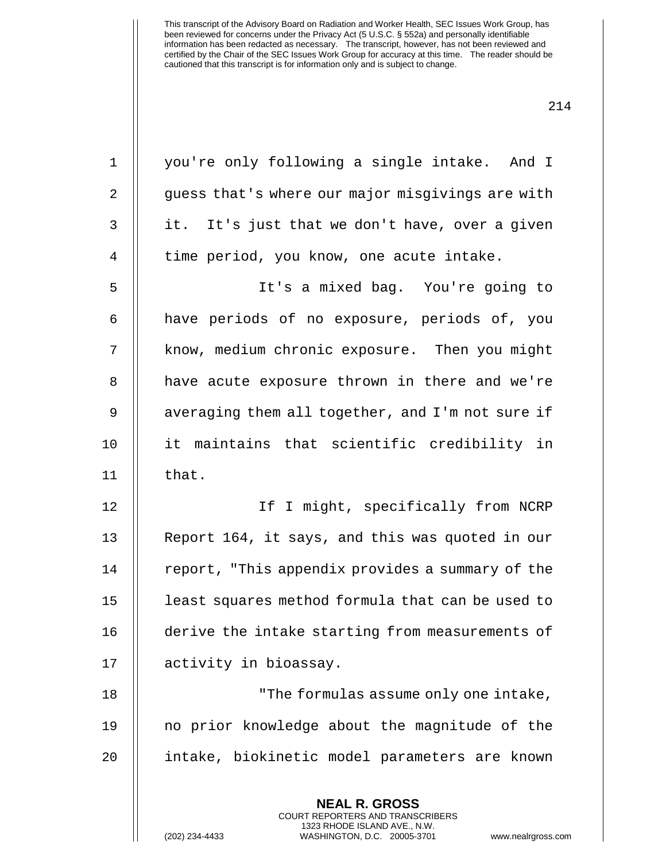| $\mathbf 1$    | you're only following a single intake. And I                                                                                                                          |
|----------------|-----------------------------------------------------------------------------------------------------------------------------------------------------------------------|
| $\overline{2}$ | guess that's where our major misgivings are with                                                                                                                      |
| $\mathfrak{Z}$ | it. It's just that we don't have, over a given                                                                                                                        |
| $\overline{4}$ | time period, you know, one acute intake.                                                                                                                              |
| 5              | It's a mixed bag. You're going to                                                                                                                                     |
| 6              | have periods of no exposure, periods of, you                                                                                                                          |
| 7              | know, medium chronic exposure. Then you might                                                                                                                         |
| $\, 8$         | have acute exposure thrown in there and we're                                                                                                                         |
| $\mathsf 9$    | averaging them all together, and I'm not sure if                                                                                                                      |
| 10             | it maintains that scientific credibility in                                                                                                                           |
| 11             | that.                                                                                                                                                                 |
| 12             | If I might, specifically from NCRP                                                                                                                                    |
| 13             | Report 164, it says, and this was quoted in our                                                                                                                       |
| 14             | report, "This appendix provides a summary of the                                                                                                                      |
| 15             | least squares method formula that can be used to                                                                                                                      |
| 16             | derive the intake starting from measurements of                                                                                                                       |
| 17             | activity in bioassay.                                                                                                                                                 |
| 18             | "The formulas assume only one intake,                                                                                                                                 |
| 19             | no prior knowledge about the magnitude of the                                                                                                                         |
| 20             | intake, biokinetic model parameters are known                                                                                                                         |
|                | <b>NEAL R. GROSS</b><br><b>COURT REPORTERS AND TRANSCRIBERS</b><br>1323 RHODE ISLAND AVE., N.W.<br>(202) 234-4433<br>WASHINGTON, D.C. 20005-3701<br>www.nealrgross.co |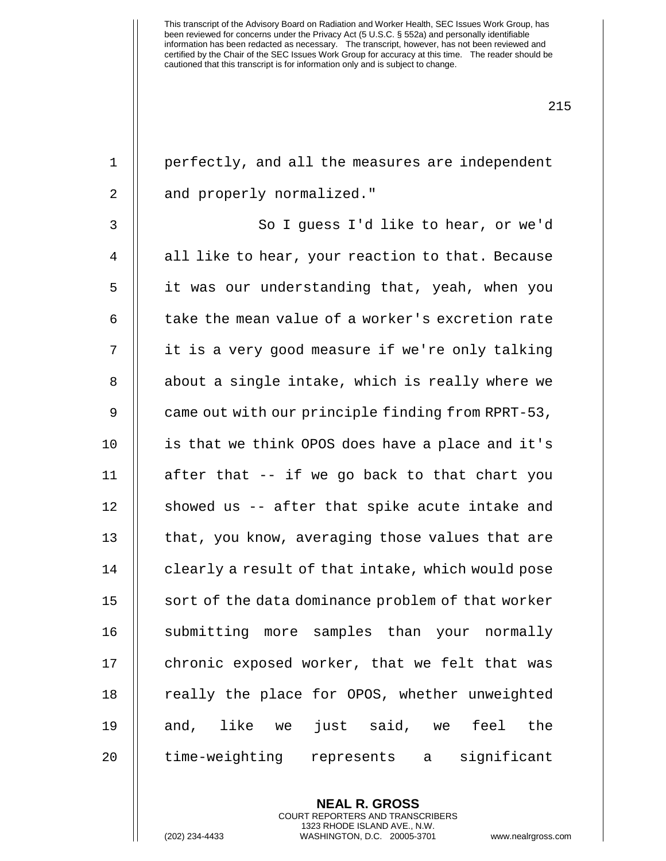| $\mathbf 1$    | perfectly, and all the measures are independent   |
|----------------|---------------------------------------------------|
| $\overline{2}$ | and properly normalized."                         |
| $\mathsf{3}$   | So I guess I'd like to hear, or we'd              |
| 4              | all like to hear, your reaction to that. Because  |
| 5              | it was our understanding that, yeah, when you     |
| 6              | take the mean value of a worker's excretion rate  |
| 7              | it is a very good measure if we're only talking   |
| 8              | about a single intake, which is really where we   |
| 9              | came out with our principle finding from RPRT-53, |
| 10             | is that we think OPOS does have a place and it's  |
| 11             | after that -- if we go back to that chart you     |
| 12             | showed us -- after that spike acute intake and    |
| 13             | that, you know, averaging those values that are   |
| 14             | clearly a result of that intake, which would pose |
| 15             | sort of the data dominance problem of that worker |
| 16             | submitting more samples than your normally        |
| 17             | chronic exposed worker, that we felt that was     |
| 18             | really the place for OPOS, whether unweighted     |
| 19             | and, like we just said, we feel<br>the            |
| 20             | time-weighting represents a significant           |
|                |                                                   |

**NEAL R. GROSS** COURT REPORTERS AND TRANSCRIBERS 1323 RHODE ISLAND AVE., N.W.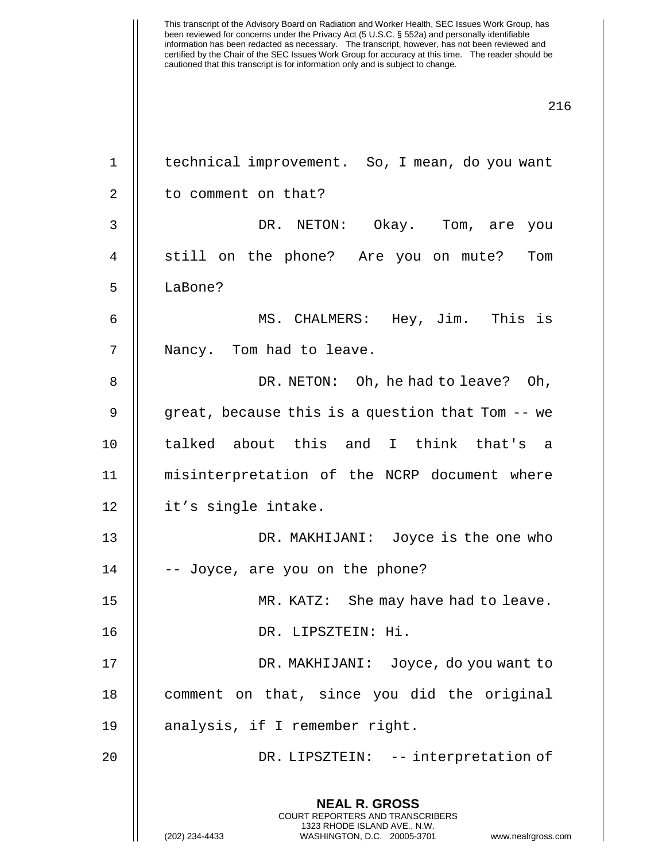| $\mathbf 1$    | technical improvement. So, I mean, do you want                                                                                                                  |
|----------------|-----------------------------------------------------------------------------------------------------------------------------------------------------------------|
| $\overline{2}$ | to comment on that?                                                                                                                                             |
| 3              | DR. NETON: Okay. Tom, are you                                                                                                                                   |
| $\overline{4}$ | still on the phone? Are you on mute?<br>Tom                                                                                                                     |
| 5              | LaBone?                                                                                                                                                         |
| 6              | MS. CHALMERS: Hey, Jim. This is                                                                                                                                 |
| 7              | Nancy. Tom had to leave.                                                                                                                                        |
| 8              | DR. NETON: Oh, he had to leave? Oh,                                                                                                                             |
| 9              | great, because this is a question that Tom -- we                                                                                                                |
| 10             | talked about this and I think that's a                                                                                                                          |
| 11             | misinterpretation of the NCRP document where                                                                                                                    |
| 12             | it's single intake.                                                                                                                                             |
| 13             | DR. MAKHIJANI: Joyce is the one who                                                                                                                             |
| 14             | -- Joyce, are you on the phone?                                                                                                                                 |
| 15             | MR. KATZ: She may have had to leave.                                                                                                                            |
| 16             | DR. LIPSZTEIN: Hi.                                                                                                                                              |
| 17             | DR. MAKHIJANI: Joyce, do you want to                                                                                                                            |
| 18             | comment on that, since you did the original                                                                                                                     |
| 19             | analysis, if I remember right.                                                                                                                                  |
| 20             | DR. LIPSZTEIN: -- interpretation of                                                                                                                             |
|                | <b>NEAL R. GROSS</b><br>COURT REPORTERS AND TRANSCRIBERS<br>1323 RHODE ISLAND AVE., N.W.<br>(202) 234-4433<br>WASHINGTON, D.C. 20005-3701<br>www.nealrgross.com |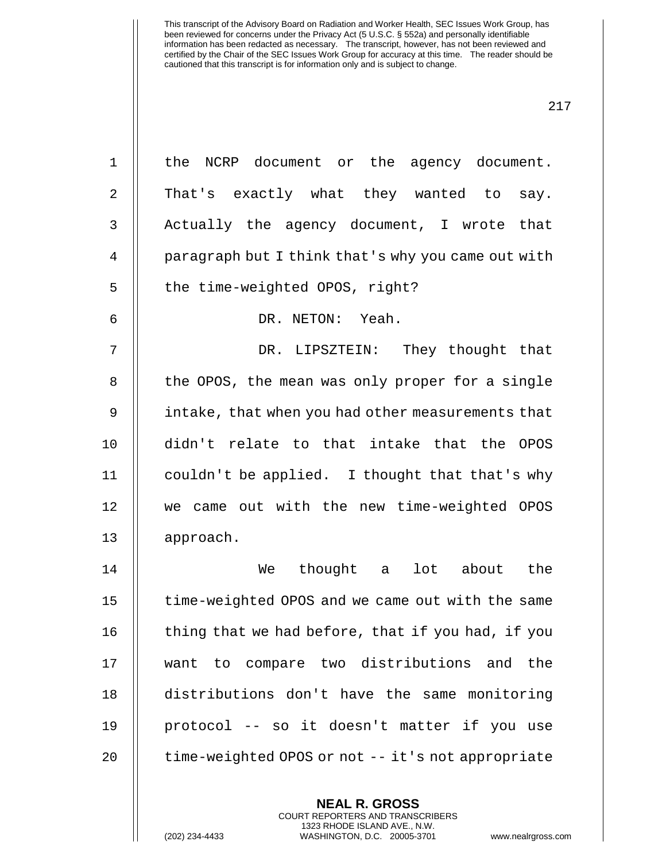| $\mathbf 1$    | the NCRP document or the agency document.          |
|----------------|----------------------------------------------------|
| $\overline{2}$ | That's exactly what they wanted to<br>say.         |
| $\mathfrak{Z}$ | Actually the agency document, I wrote that         |
| $\overline{4}$ | paragraph but I think that's why you came out with |
| 5              | the time-weighted OPOS, right?                     |
| 6              | DR. NETON: Yeah.                                   |
| 7              | DR. LIPSZTEIN: They thought that                   |
| 8              | the OPOS, the mean was only proper for a single    |
| $\mathsf 9$    | intake, that when you had other measurements that  |
| 10             | didn't relate to that intake that the OPOS         |
| 11             | couldn't be applied. I thought that that's why     |
| 12             | we came out with the new time-weighted OPOS        |
| 13             | approach.                                          |
| 14             | We thought a lot about<br>the                      |
| 15             | time-weighted OPOS and we came out with the same   |
| 16             | thing that we had before, that if you had, if you  |
| 17             | want to compare two distributions and the          |
| 18             | distributions don't have the same monitoring       |
| 19             | protocol -- so it doesn't matter if you use        |
| 20             | time-weighted OPOS or not -- it's not appropriate  |
|                | <b>NEAL R. GROSS</b>                               |

COURT REPORTERS AND TRANSCRIBERS 1323 RHODE ISLAND AVE., N.W.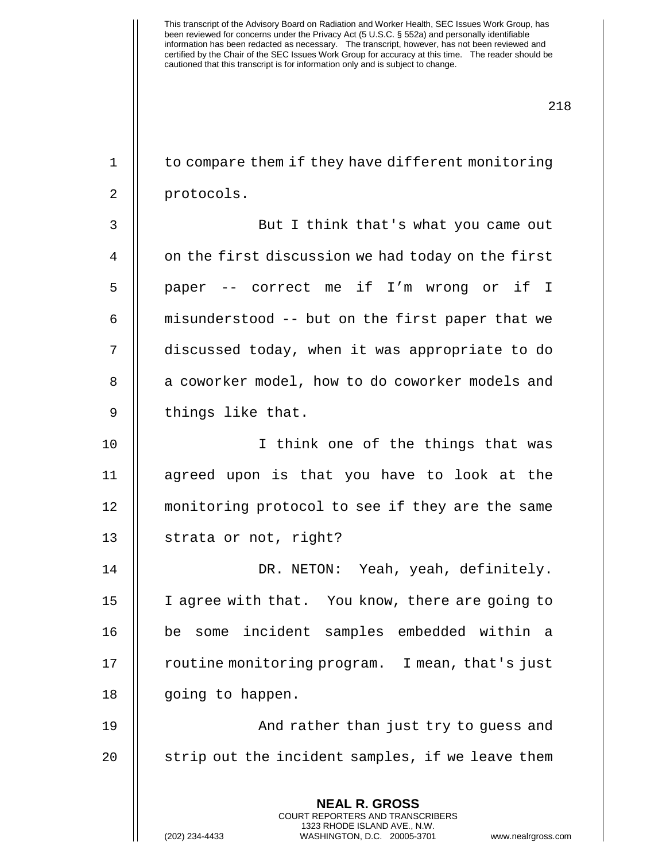**NEAL R. GROSS** 1 | to compare them if they have different monitoring 2 || protocols. 3 But I think that's what you came out  $4 \parallel$  on the first discussion we had today on the first 5 || paper -- correct me if I'm wrong or if I  $6$  || misunderstood  $-$  but on the first paper that we 7 discussed today, when it was appropriate to do 8 || a coworker model, how to do coworker models and  $9$  | things like that. 10 || I think one of the things that was 11 agreed upon is that you have to look at the 12 monitoring protocol to see if they are the same 13 | strata or not, right? 14 DR. NETON: Yeah, yeah, definitely. 15 || I agree with that. You know, there are going to 16 be some incident samples embedded within a 17 | routine monitoring program. I mean, that's just 18 || going to happen. 19 And rather than just try to guess and  $20$  || strip out the incident samples, if we leave them

> COURT REPORTERS AND TRANSCRIBERS 1323 RHODE ISLAND AVE., N.W.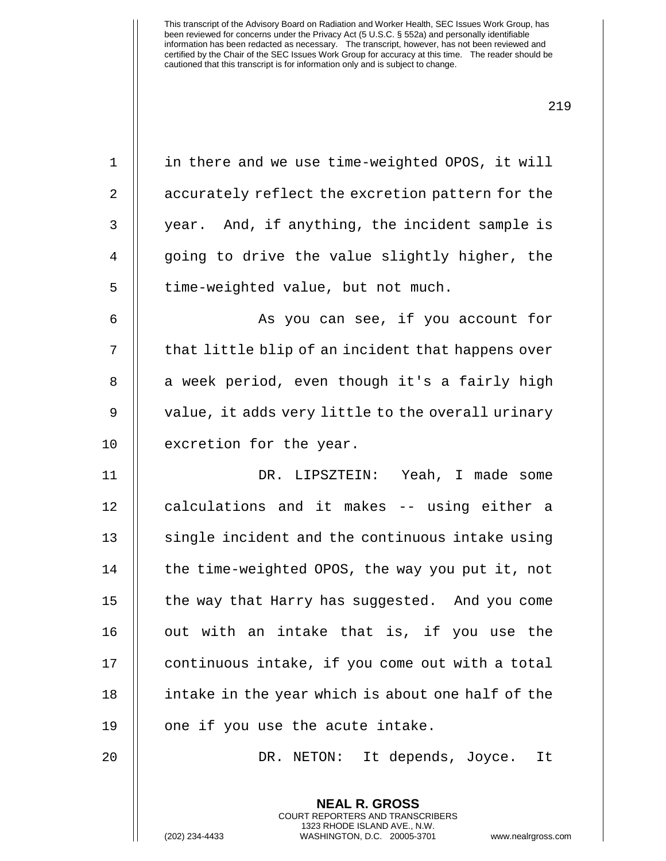219

1 || in there and we use time-weighted OPOS, it will 2 | accurately reflect the excretion pattern for the 3 || year. And, if anything, the incident sample is 4 || going to drive the value slightly higher, the  $5$  || time-weighted value, but not much. 6 || As you can see, if you account for 7 || that little blip of an incident that happens over 8 || a week period, even though it's a fairly high 9 || value, it adds very little to the overall urinary 10 | excretion for the year. 11 DR. LIPSZTEIN: Yeah, I made some 12 || calculations and it makes -- using either a  $13$   $\parallel$  single incident and the continuous intake using 14 | the time-weighted OPOS, the way you put it, not 15 | the way that Harry has suggested. And you come  $16$   $\parallel$  out with an intake that is, if you use the 17 | continuous intake, if you come out with a total 18 || intake in the year which is about one half of the 19 || one if you use the acute intake. 20 || DR. NETON: It depends, Joyce. It

> **NEAL R. GROSS** COURT REPORTERS AND TRANSCRIBERS 1323 RHODE ISLAND AVE., N.W.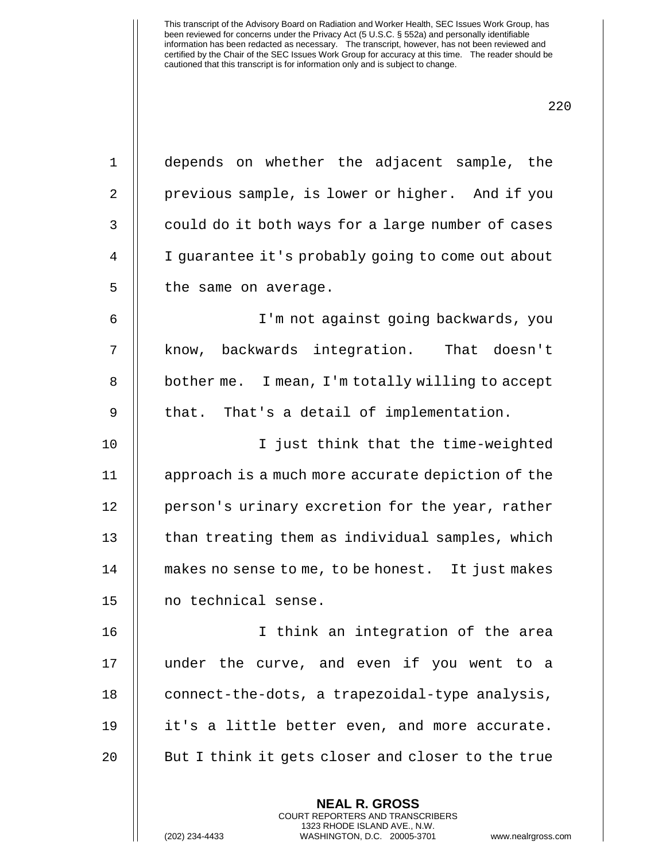|                | 44                                                |
|----------------|---------------------------------------------------|
| $\mathbf 1$    | depends on whether the adjacent sample, the       |
| $\overline{2}$ | previous sample, is lower or higher. And if you   |
| 3              | could do it both ways for a large number of cases |
| $\overline{4}$ | I guarantee it's probably going to come out about |
| 5              | the same on average.                              |
| 6              | I'm not against going backwards, you              |
| 7              | know, backwards integration. That doesn't         |
| 8              | bother me. I mean, I'm totally willing to accept  |
| 9              | that. That's a detail of implementation.          |
| 10             | I just think that the time-weighted               |
| 11             | approach is a much more accurate depiction of the |
| 12             | person's urinary excretion for the year, rather   |
| 13             | than treating them as individual samples, which   |
| 14             | makes no sense to me, to be honest. It just makes |
| 15             | no technical sense.                               |
| 16             | I think an integration of the area                |
| 17             | under the curve, and even if you went to a        |
| 18             | connect-the-dots, a trapezoidal-type analysis,    |
| 19             | it's a little better even, and more accurate.     |
| 20             | But I think it gets closer and closer to the true |
|                |                                                   |

**NEAL R. GROSS** COURT REPORTERS AND TRANSCRIBERS 1323 RHODE ISLAND AVE., N.W.

(202) 234-4433 WASHINGTON, D.C. 20005-3701 www.nealrgross.com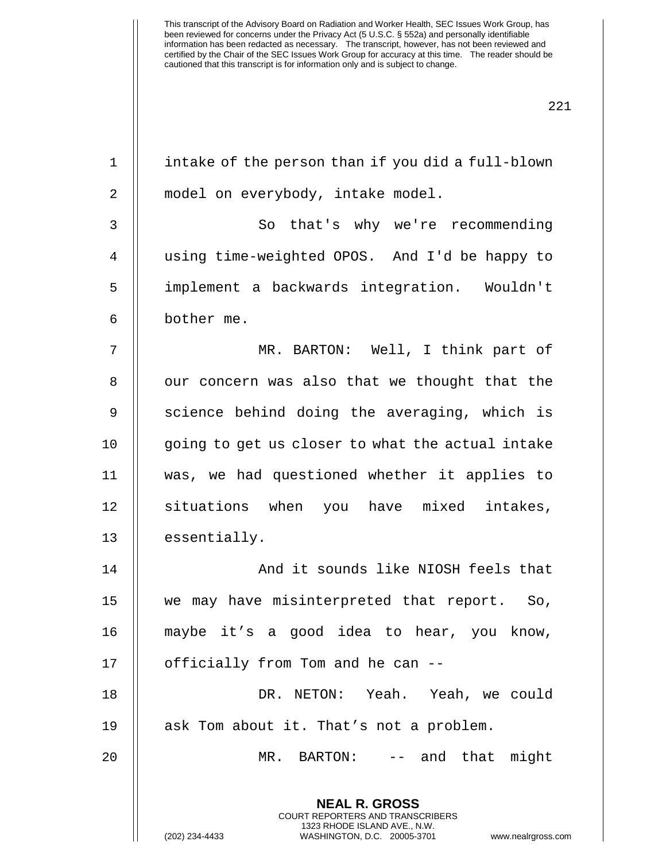| $\mathbf 1$    | intake of the person than if you did a full-blown                                                                                                                      |
|----------------|------------------------------------------------------------------------------------------------------------------------------------------------------------------------|
|                |                                                                                                                                                                        |
| 2              | model on everybody, intake model.                                                                                                                                      |
| 3              | So that's why we're recommending                                                                                                                                       |
| $\overline{4}$ | using time-weighted OPOS. And I'd be happy to                                                                                                                          |
| 5              | implement a backwards integration. Wouldn't                                                                                                                            |
| 6              | bother me.                                                                                                                                                             |
| 7              | MR. BARTON: Well, I think part of                                                                                                                                      |
| 8              | our concern was also that we thought that the                                                                                                                          |
| $\mathsf 9$    | science behind doing the averaging, which is                                                                                                                           |
| 10             | going to get us closer to what the actual intake                                                                                                                       |
| 11             | was, we had questioned whether it applies to                                                                                                                           |
| 12             | situations when you have mixed intakes,                                                                                                                                |
| 13             | essentially.                                                                                                                                                           |
| 14             | And it sounds like NIOSH feels that                                                                                                                                    |
| 15             | we may have misinterpreted that report. So,                                                                                                                            |
| 16             | maybe it's a good idea to hear, you know,                                                                                                                              |
| 17             | officially from Tom and he can --                                                                                                                                      |
| 18             | DR. NETON: Yeah. Yeah, we could                                                                                                                                        |
| 19             | ask Tom about it. That's not a problem.                                                                                                                                |
| 20             | MR. BARTON: -- and that might                                                                                                                                          |
|                | <b>NEAL R. GROSS</b><br><b>COURT REPORTERS AND TRANSCRIBERS</b><br>1323 RHODE ISLAND AVE., N.W.<br>(202) 234-4433<br>www.nealrgross.com<br>WASHINGTON, D.C. 20005-3701 |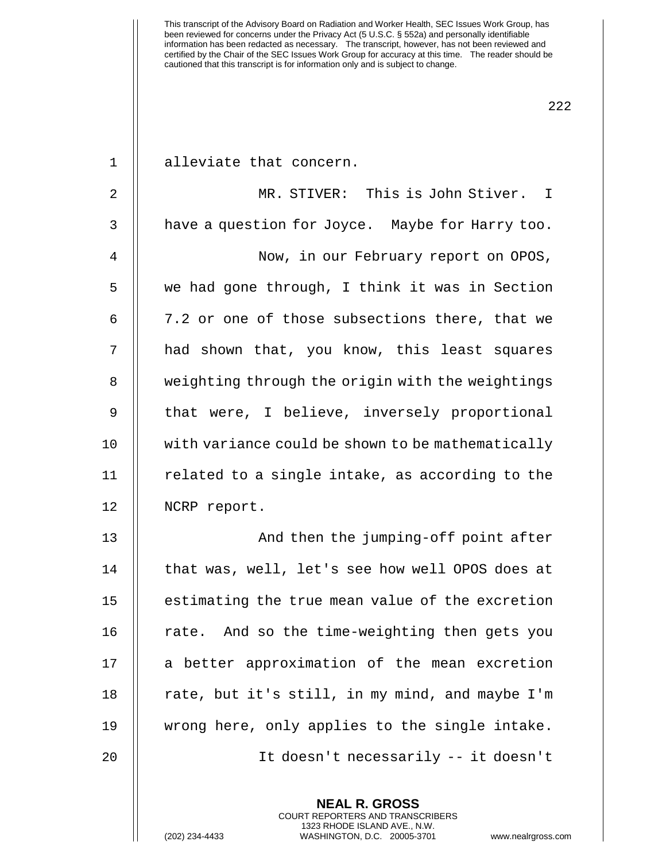1 || alleviate that concern. 2 MR. STIVER: This is John Stiver. I 3 | have a question for Joyce. Maybe for Harry too. 4 | Now, in our February report on OPOS, 5 we had gone through, I think it was in Section 6  $\parallel$  7.2 or one of those subsections there, that we 7 || had shown that, you know, this least squares 8 | weighting through the origin with the weightings 9 || that were, I believe, inversely proportional 10 with variance could be shown to be mathematically  $11$  | related to a single intake, as according to the

12 | NCRP report. 13 || And then the jumping-off point after 14 | that was, well, let's see how well OPOS does at 15 | estimating the true mean value of the excretion 16  $\parallel$  rate. And so the time-weighting then gets you 17 || a better approximation of the mean excretion 18 | rate, but it's still, in my mind, and maybe I'm 19 wrong here, only applies to the single intake. 20 It doesn't necessarily -- it doesn't

> **NEAL R. GROSS** COURT REPORTERS AND TRANSCRIBERS 1323 RHODE ISLAND AVE., N.W.

222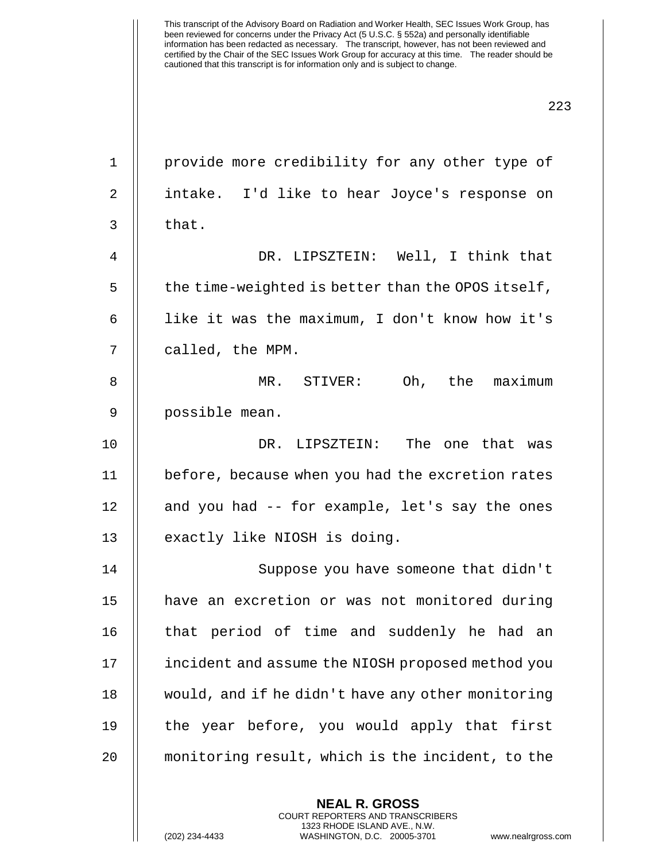| $\mathbf 1$ | provide more credibility for any other type of    |
|-------------|---------------------------------------------------|
| 2           | intake. I'd like to hear Joyce's response on      |
| 3           | that.                                             |
| 4           | DR. LIPSZTEIN: Well, I think that                 |
| 5           | the time-weighted is better than the OPOS itself, |
| 6           | like it was the maximum, I don't know how it's    |
| 7           | called, the MPM.                                  |
| 8           | Oh, the maximum<br>MR. STIVER:                    |
| 9           | possible mean.                                    |
| 10          | DR. LIPSZTEIN: The one that was                   |
| 11          | before, because when you had the excretion rates  |
| 12          | and you had -- for example, let's say the ones    |
| 13          | exactly like NIOSH is doing.                      |
| 14          | Suppose you have someone that didn't              |
| 15          | have an excretion or was not monitored during     |
| 16          | that period of time and suddenly he had an        |
| 17          | incident and assume the NIOSH proposed method you |
| 18          | would, and if he didn't have any other monitoring |
| 19          | the year before, you would apply that first       |
| 20          | monitoring result, which is the incident, to the  |
|             | <b>NEAL R. GROSS</b>                              |

COURT REPORTERS AND TRANSCRIBERS 1323 RHODE ISLAND AVE., N.W.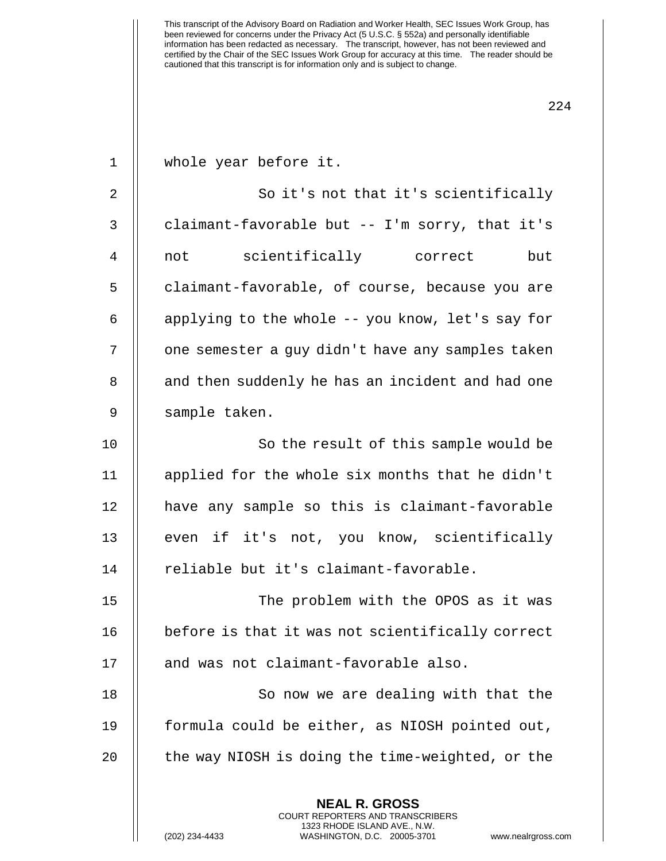| $\mathbf{1}$   | whole year before it.                            |
|----------------|--------------------------------------------------|
| 2              | So it's not that it's scientifically             |
| 3              | claimant-favorable but -- I'm sorry, that it's   |
| $\overline{4}$ | not scientifically correct<br>but                |
| 5              | claimant-favorable, of course, because you are   |
| 6              | applying to the whole -- you know, let's say for |
| 7              | one semester a guy didn't have any samples taken |
| 8              | and then suddenly he has an incident and had one |
| 9              | sample taken.                                    |
| 10             | So the result of this sample would be            |
| 11             | applied for the whole six months that he didn't  |
| 12             | have any sample so this is claimant-favorable    |
| 13             | even if it's not, you know, scientifically       |
| 14             | reliable but it's claimant-favorable.            |
| 15             | The problem with the OPOS as it was              |
| 16             | before is that it was not scientifically correct |
| 17             | and was not claimant-favorable also.             |
| 18             | So now we are dealing with that the              |
| 19             | formula could be either, as NIOSH pointed out,   |
| 20             | the way NIOSH is doing the time-weighted, or the |
|                |                                                  |
|                | <b>NEAL R. GROSS</b>                             |

COURT REPORTERS AND TRANSCRIBERS 1323 RHODE ISLAND AVE., N.W.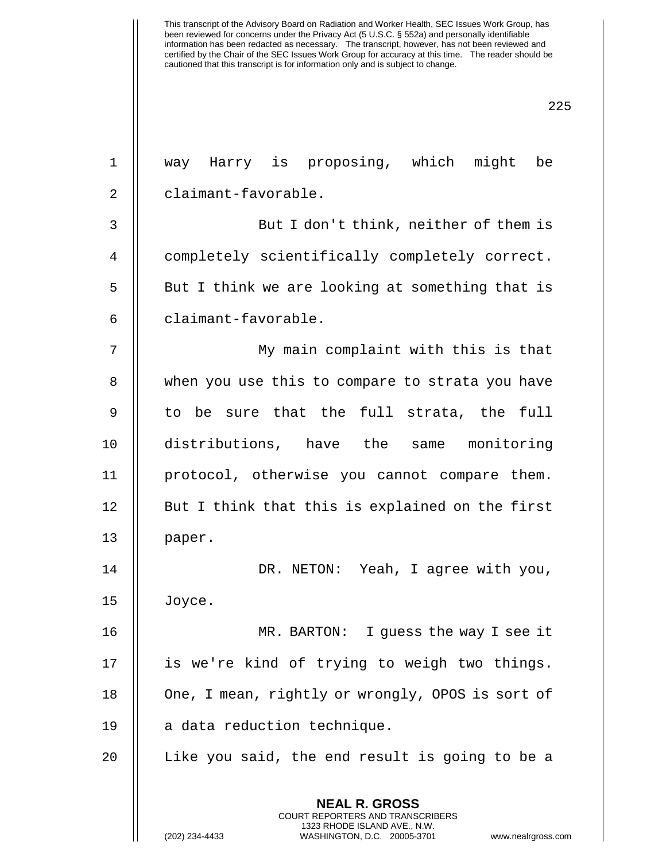| $\mathbf 1$    | way Harry is proposing, which might be                                                                                                                                |
|----------------|-----------------------------------------------------------------------------------------------------------------------------------------------------------------------|
| $\overline{2}$ | claimant-favorable.                                                                                                                                                   |
| 3              | But I don't think, neither of them is                                                                                                                                 |
| 4              | completely scientifically completely correct.                                                                                                                         |
| 5              | But I think we are looking at something that is                                                                                                                       |
| 6              | claimant-favorable.                                                                                                                                                   |
| 7              | My main complaint with this is that                                                                                                                                   |
| 8              | when you use this to compare to strata you have                                                                                                                       |
| 9              | to be sure that the full strata, the full                                                                                                                             |
| 10             | distributions, have the same monitoring                                                                                                                               |
| 11             | protocol, otherwise you cannot compare them.                                                                                                                          |
| 12             | But I think that this is explained on the first                                                                                                                       |
| 13             | paper.                                                                                                                                                                |
| 14             | DR. NETON: Yeah, I agree with you,                                                                                                                                    |
| 15             | Joyce.                                                                                                                                                                |
| 16             | MR. BARTON: I guess the way I see it                                                                                                                                  |
| 17             | is we're kind of trying to weigh two things.                                                                                                                          |
| 18             | One, I mean, rightly or wrongly, OPOS is sort of                                                                                                                      |
| 19             | a data reduction technique.                                                                                                                                           |
| 20             | Like you said, the end result is going to be a                                                                                                                        |
|                | <b>NEAL R. GROSS</b><br><b>COURT REPORTERS AND TRANSCRIBERS</b><br>1323 RHODE ISLAND AVE., N.W.<br>(202) 234-4433<br>WASHINGTON, D.C. 20005-3701<br>www.nealrgross.co |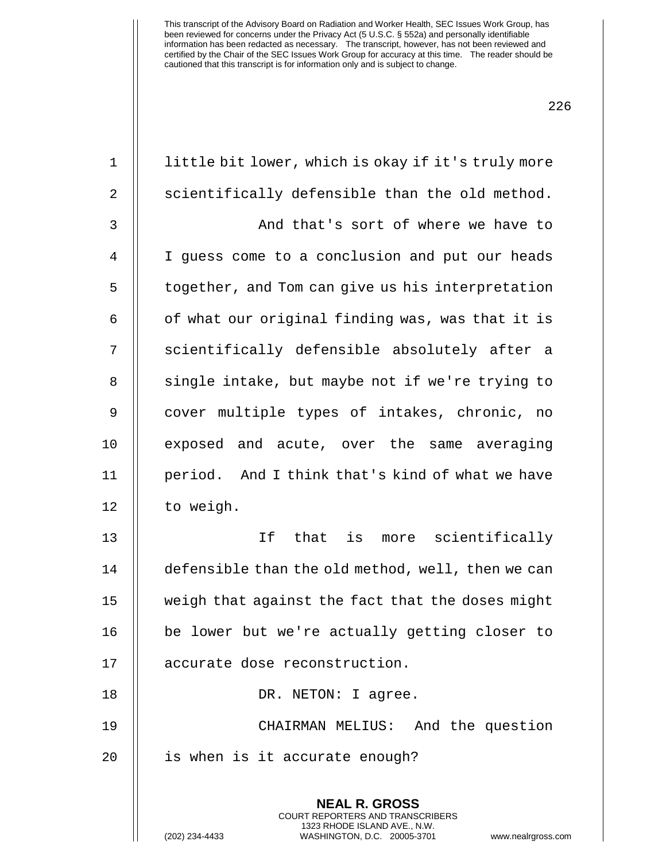| $1\,$          | little bit lower, which is okay if it's truly more                                                                                                                    |
|----------------|-----------------------------------------------------------------------------------------------------------------------------------------------------------------------|
| $\overline{2}$ | scientifically defensible than the old method.                                                                                                                        |
| 3              | And that's sort of where we have to                                                                                                                                   |
| $\overline{4}$ | I guess come to a conclusion and put our heads                                                                                                                        |
| 5              | together, and Tom can give us his interpretation                                                                                                                      |
| 6              | of what our original finding was, was that it is                                                                                                                      |
| 7              | scientifically defensible absolutely after a                                                                                                                          |
| 8              | single intake, but maybe not if we're trying to                                                                                                                       |
| $\mathsf 9$    | cover multiple types of intakes, chronic, no                                                                                                                          |
| 10             | exposed and acute, over the same averaging                                                                                                                            |
| 11             | period. And I think that's kind of what we have                                                                                                                       |
| 12             | to weigh.                                                                                                                                                             |
| 13             | If<br>that is more scientifically                                                                                                                                     |
| 14             | defensible than the old method, well, then we can                                                                                                                     |
| 15             | weigh that against the fact that the doses might                                                                                                                      |
| 16             | be lower but we're actually getting closer to                                                                                                                         |
| 17             | accurate dose reconstruction.                                                                                                                                         |
| 18             | DR. NETON: I agree.                                                                                                                                                   |
| 19             | CHAIRMAN MELIUS: And the question                                                                                                                                     |
| 20             | is when is it accurate enough?                                                                                                                                        |
|                | <b>NEAL R. GROSS</b><br><b>COURT REPORTERS AND TRANSCRIBERS</b><br>1323 RHODE ISLAND AVE., N.W.<br>(202) 234-4433<br>WASHINGTON, D.C. 20005-3701<br>www.nealrgross.co |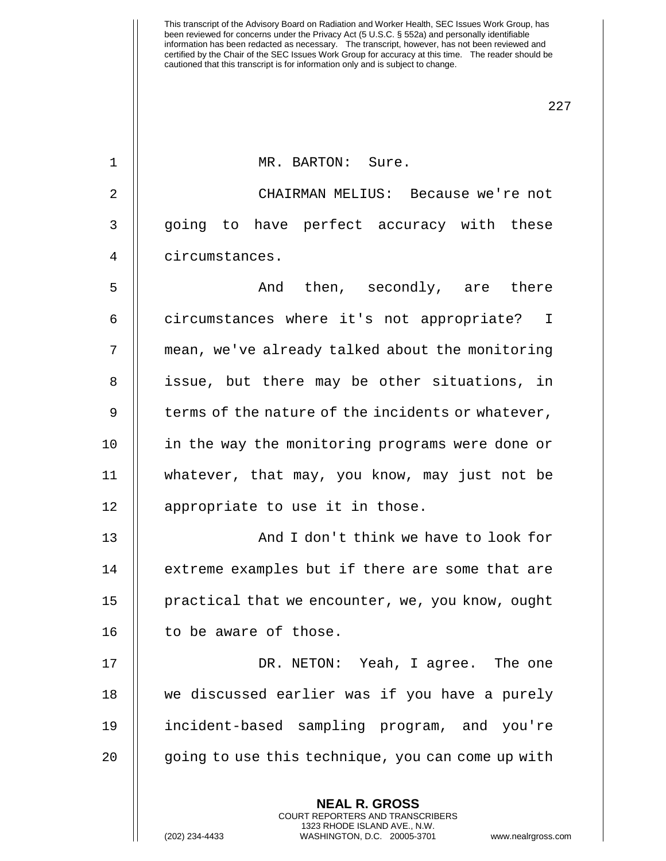227

1 || MR. BARTON: Sure.

2 CHAIRMAN MELIUS: Because we're not 3 || going to have perfect accuracy with these 4 circumstances.

5 And then, secondly, are there 6 | circumstances where it's not appropriate? I 7 | mean, we've already talked about the monitoring 8 || issue, but there may be other situations, in  $9 \parallel$  terms of the nature of the incidents or whatever, 10 || in the way the monitoring programs were done or 11 whatever, that may, you know, may just not be 12 || appropriate to use it in those.

13 || And I don't think we have to look for 14 || extreme examples but if there are some that are 15 | practical that we encounter, we, you know, ought 16 | to be aware of those.

17 || DR. NETON: Yeah, I agree. The one 18 we discussed earlier was if you have a purely 19 incident-based sampling program, and you're 20 || going to use this technique, you can come up with

> **NEAL R. GROSS** COURT REPORTERS AND TRANSCRIBERS 1323 RHODE ISLAND AVE., N.W.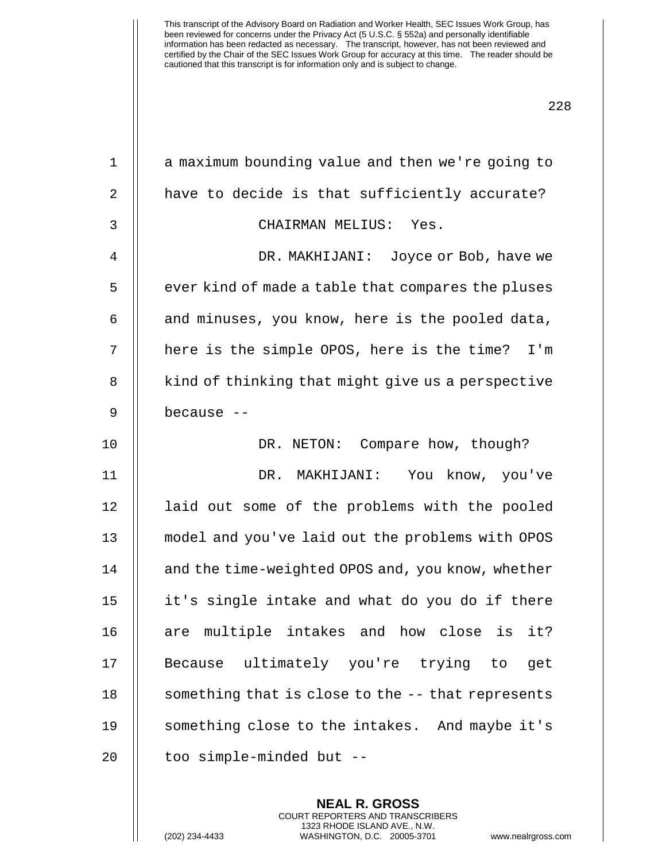| $\mathbf{1}$ | a maximum bounding value and then we're going to   |
|--------------|----------------------------------------------------|
| 2            | have to decide is that sufficiently accurate?      |
| 3            | CHAIRMAN MELIUS: Yes.                              |
| 4            | DR. MAKHIJANI: Joyce or Bob, have we               |
| 5            | ever kind of made a table that compares the pluses |
| 6            | and minuses, you know, here is the pooled data,    |
| 7            | here is the simple OPOS, here is the time? I'm     |
| 8            | kind of thinking that might give us a perspective  |
| 9            | because --                                         |
| 10           | DR. NETON: Compare how, though?                    |
| 11           | DR. MAKHIJANI: You know, you've                    |
| 12           | laid out some of the problems with the pooled      |
| 13           | model and you've laid out the problems with OPOS   |
| 14           | and the time-weighted OPOS and, you know, whether  |
| 15           | it's single intake and what do you do if there     |
| 16           | are multiple intakes and how close is<br>it?       |
| 17           | Because ultimately you're trying to<br>get         |
| 18           | something that is close to the -- that represents  |
| 19           | something close to the intakes. And maybe it's     |
| 20           | too simple-minded but --                           |
|              |                                                    |

**NEAL R. GROSS** COURT REPORTERS AND TRANSCRIBERS 1323 RHODE ISLAND AVE., N.W.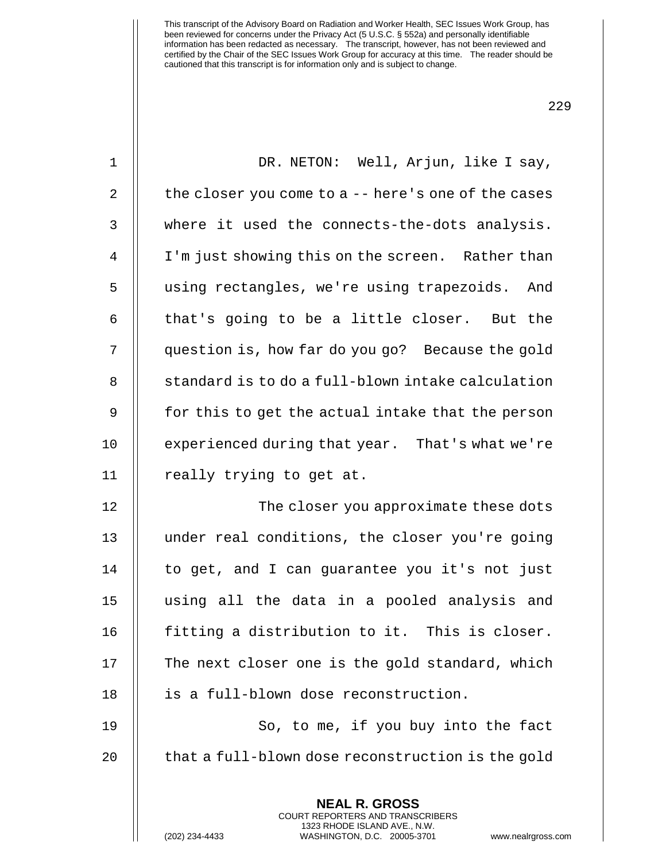|--|

| $\mathbf 1$    | DR. NETON: Well, Arjun, like I say,                                                                                                                                   |
|----------------|-----------------------------------------------------------------------------------------------------------------------------------------------------------------------|
| $\overline{a}$ | the closer you come to $a - -$ here's one of the cases                                                                                                                |
| 3              | where it used the connects-the-dots analysis.                                                                                                                         |
| $\overline{4}$ | I'm just showing this on the screen. Rather than                                                                                                                      |
| 5              | using rectangles, we're using trapezoids. And                                                                                                                         |
| 6              | that's going to be a little closer. But the                                                                                                                           |
| 7              | question is, how far do you go? Because the gold                                                                                                                      |
| 8              | standard is to do a full-blown intake calculation                                                                                                                     |
| $\mathsf 9$    | for this to get the actual intake that the person                                                                                                                     |
| 10             | experienced during that year. That's what we're                                                                                                                       |
| 11             | really trying to get at.                                                                                                                                              |
| 12             | The closer you approximate these dots                                                                                                                                 |
| 13             | under real conditions, the closer you're going                                                                                                                        |
| 14             | to get, and I can guarantee you it's not just                                                                                                                         |
| 15             | using all the data in a pooled analysis and                                                                                                                           |
| 16             | fitting a distribution to it. This is closer.                                                                                                                         |
| 17             | The next closer one is the gold standard, which                                                                                                                       |
| 18             | is a full-blown dose reconstruction.                                                                                                                                  |
| 19             | So, to me, if you buy into the fact                                                                                                                                   |
| 20             | that a full-blown dose reconstruction is the gold                                                                                                                     |
|                | <b>NEAL R. GROSS</b><br><b>COURT REPORTERS AND TRANSCRIBERS</b><br>1323 RHODE ISLAND AVE., N.W.<br>WASHINGTON, D.C. 20005-3701<br>(202) 234-4433<br>www.nealrgross.co |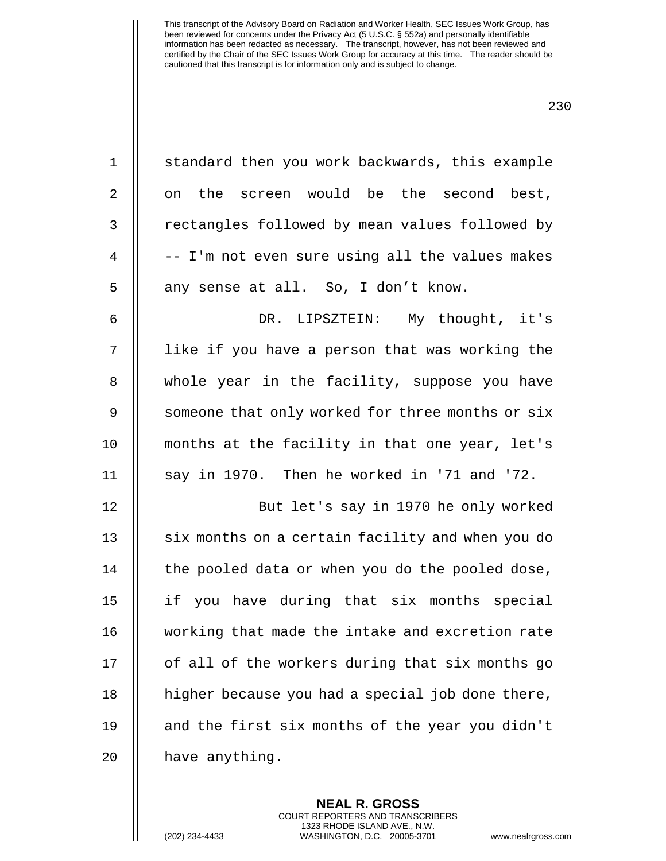| $\mathbf 1$    | standard then you work backwards, this example   |
|----------------|--------------------------------------------------|
| 2              | on the screen would be the second best,          |
| 3              | rectangles followed by mean values followed by   |
| $\overline{4}$ | -- I'm not even sure using all the values makes  |
| 5              | any sense at all. So, I don't know.              |
| 6              | DR. LIPSZTEIN: My thought, it's                  |
| 7              | like if you have a person that was working the   |
| 8              | whole year in the facility, suppose you have     |
| 9              | someone that only worked for three months or six |
| 10             | months at the facility in that one year, let's   |
| 11             | say in 1970. Then he worked in '71 and '72.      |
| 12             | But let's say in 1970 he only worked             |
| 13             | six months on a certain facility and when you do |
| 14             | the pooled data or when you do the pooled dose,  |
| 15             | if you have during that six months special       |
| 16             | working that made the intake and excretion rate  |
| 17             | of all of the workers during that six months go  |
| 18             | higher because you had a special job done there, |
| 19             | and the first six months of the year you didn't  |
| 20             | have anything.                                   |

**NEAL R. GROSS** COURT REPORTERS AND TRANSCRIBERS 1323 RHODE ISLAND AVE., N.W.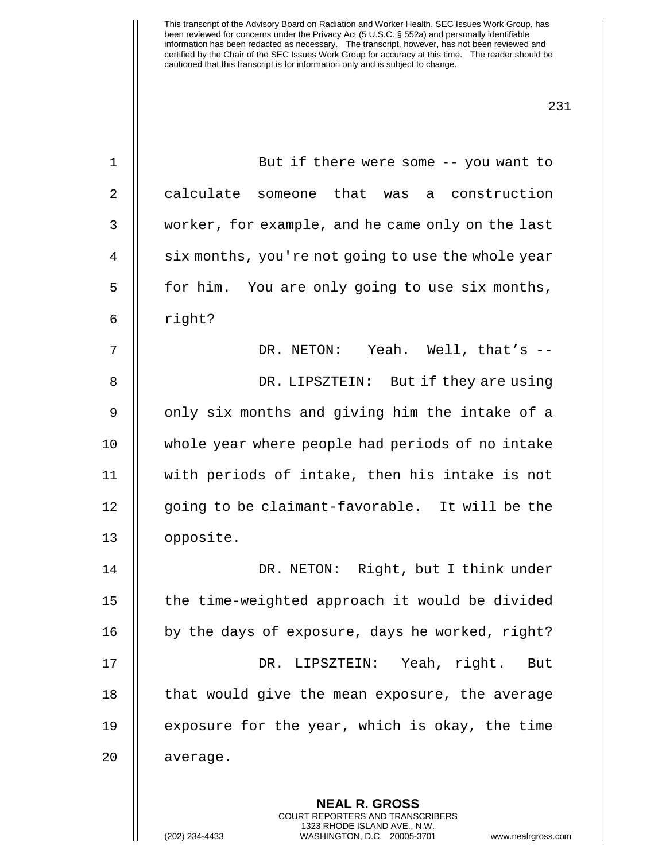| $\mathbf 1$    | But if there were some $-$ - you want to           |
|----------------|----------------------------------------------------|
| 2              | calculate someone that was a construction          |
| 3              | worker, for example, and he came only on the last  |
| $\overline{4}$ | six months, you're not going to use the whole year |
| 5              | for him. You are only going to use six months,     |
| 6              | right?                                             |
| 7              | DR. NETON: Yeah. Well, that's --                   |
| 8              | DR. LIPSZTEIN: But if they are using               |
| 9              | only six months and giving him the intake of a     |
| 10             | whole year where people had periods of no intake   |
| 11             | with periods of intake, then his intake is not     |
| 12             | going to be claimant-favorable. It will be the     |
| 13             | opposite.                                          |
| 14             | DR. NETON: Right, but I think under                |
| 15             | the time-weighted approach it would be divided     |
| 16             | by the days of exposure, days he worked, right?    |
| 17             | DR. LIPSZTEIN: Yeah, right.<br>But                 |
| 18             | that would give the mean exposure, the average     |
| 19             | exposure for the year, which is okay, the time     |
| 20             | average.                                           |
|                |                                                    |
|                | <b>NEAL R. GROSS</b>                               |

COURT REPORTERS AND TRANSCRIBERS 1323 RHODE ISLAND AVE., N.W.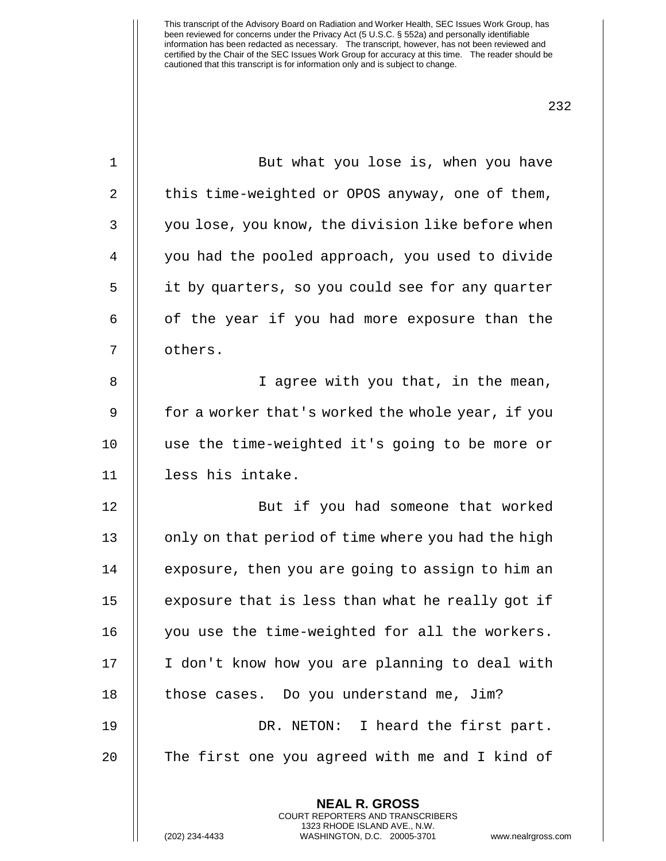| $\mathbf 1$    | But what you lose is, when you have                |
|----------------|----------------------------------------------------|
| $\overline{2}$ | this time-weighted or OPOS anyway, one of them,    |
| 3              | you lose, you know, the division like before when  |
| $\overline{4}$ | you had the pooled approach, you used to divide    |
| 5              | it by quarters, so you could see for any quarter   |
| 6              | of the year if you had more exposure than the      |
| 7              | others.                                            |
| 8              | I agree with you that, in the mean,                |
| 9              | for a worker that's worked the whole year, if you  |
| 10             | use the time-weighted it's going to be more or     |
| 11             | less his intake.                                   |
| 12             | But if you had someone that worked                 |
| 13             | only on that period of time where you had the high |
| 14             | exposure, then you are going to assign to him an   |
| 15             | exposure that is less than what he really got if   |
| 16             | you use the time-weighted for all the workers.     |
| 17             | I don't know how you are planning to deal with     |
| 18             | those cases. Do you understand me, Jim?            |
| 19             | DR. NETON: I heard the first part.                 |
| 20             | The first one you agreed with me and I kind of     |
|                |                                                    |
|                | <b>NEAL R. GROSS</b>                               |

COURT REPORTERS AND TRANSCRIBERS 1323 RHODE ISLAND AVE., N.W.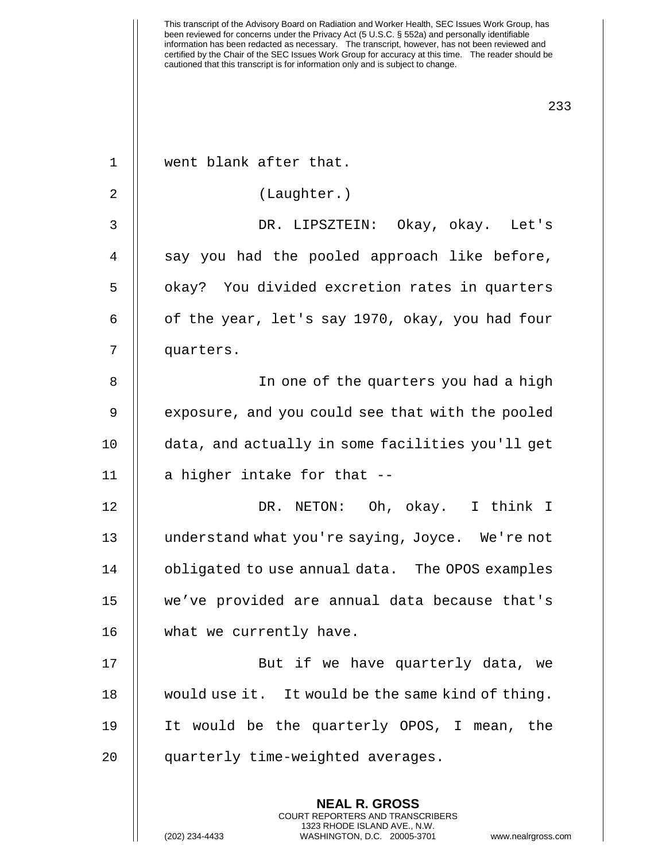**NEAL R. GROSS** COURT REPORTERS AND TRANSCRIBERS 1 || went blank after that. 2 | (Laughter.) 3 DR. LIPSZTEIN: Okay, okay. Let's 4 || say you had the pooled approach like before, 5 | | okay? You divided excretion rates in quarters 6  $\parallel$  of the year, let's say 1970, okay, you had four 7 quarters. 8 || In one of the quarters you had a high 9 || exposure, and you could see that with the pooled 10 data, and actually in some facilities you'll get  $11$  | a higher intake for that  $-$ 12 DR. NETON: Oh, okay. I think I 13 understand what you're saying, Joyce. We're not 14 || obligated to use annual data. The OPOS examples 15 we've provided are annual data because that's 16 | what we currently have. 17 || But if we have quarterly data, we 18 would use it. It would be the same kind of thing. 19 It would be the quarterly OPOS, I mean, the 20 quarterly time-weighted averages.

1323 RHODE ISLAND AVE., N.W.

(202) 234-4433 WASHINGTON, D.C. 20005-3701 www.nealrgross.com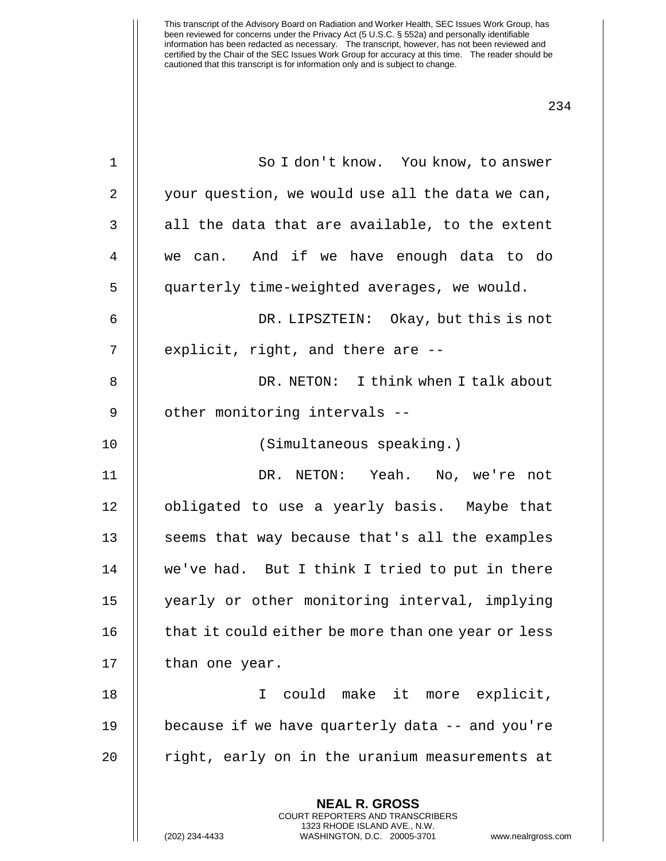| $\mathbf 1$ | So I don't know. You know, to answer                                                                                                                           |
|-------------|----------------------------------------------------------------------------------------------------------------------------------------------------------------|
| 2           | your question, we would use all the data we can,                                                                                                               |
| 3           | all the data that are available, to the extent                                                                                                                 |
| 4           | we can. And if we have enough data to do                                                                                                                       |
| 5           | quarterly time-weighted averages, we would.                                                                                                                    |
| 6           | DR. LIPSZTEIN: Okay, but this is not                                                                                                                           |
| 7           | explicit, right, and there are --                                                                                                                              |
| 8           | DR. NETON: I think when I talk about                                                                                                                           |
| 9           | other monitoring intervals --                                                                                                                                  |
| 10          | (Simultaneous speaking.)                                                                                                                                       |
| 11          | DR. NETON: Yeah. No, we're not                                                                                                                                 |
| 12          | obligated to use a yearly basis. Maybe that                                                                                                                    |
| 13          | seems that way because that's all the examples                                                                                                                 |
| 14          | we've had. But I think I tried to put in there                                                                                                                 |
| 15          | yearly or other monitoring interval, implying                                                                                                                  |
| 16          | that it could either be more than one year or less                                                                                                             |
| 17          | than one year.                                                                                                                                                 |
| 18          | could make it<br>more explicit,<br>T.                                                                                                                          |
| 19          | because if we have quarterly data -- and you're                                                                                                                |
| 20          | right, early on in the uranium measurements at                                                                                                                 |
|             | <b>NEAL R. GROSS</b><br>COURT REPORTERS AND TRANSCRIBERS<br>1323 RHODE ISLAND AVE., N.W.<br>(202) 234-4433<br>WASHINGTON, D.C. 20005-3701<br>www.nealrgross.co |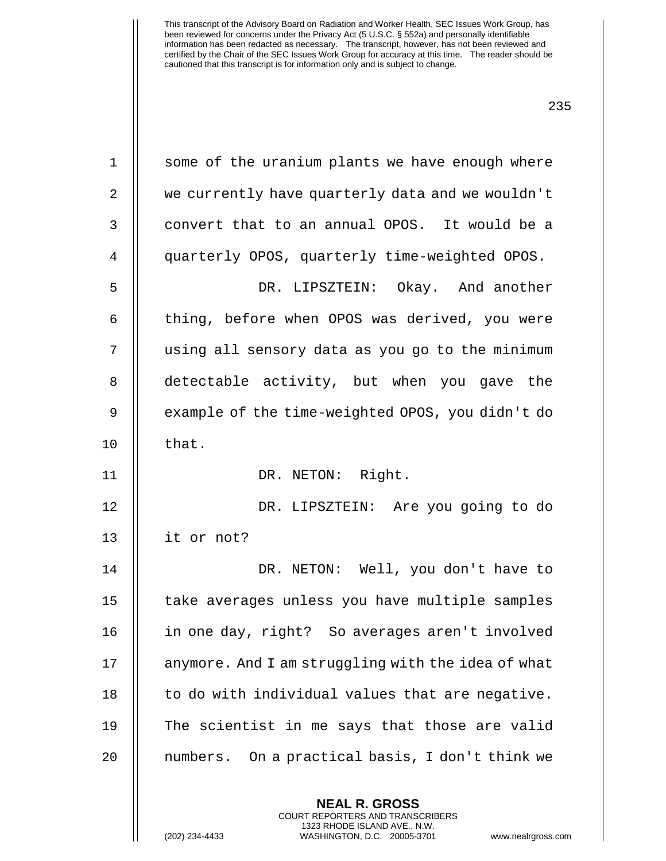| $\mathbf 1$    | some of the uranium plants we have enough where    |
|----------------|----------------------------------------------------|
| $\overline{2}$ | we currently have quarterly data and we wouldn't   |
| 3              | convert that to an annual OPOS. It would be a      |
| 4              | quarterly OPOS, quarterly time-weighted OPOS.      |
| 5              | DR. LIPSZTEIN: Okay. And another                   |
| 6              | thing, before when OPOS was derived, you were      |
| 7              | using all sensory data as you go to the minimum    |
| 8              | detectable activity, but when you gave the         |
| $\mathsf 9$    | example of the time-weighted OPOS, you didn't do   |
| 10             | that.                                              |
| 11             | DR. NETON: Right.                                  |
| 12             | DR. LIPSZTEIN: Are you going to do                 |
| 13             | it or not?                                         |
| 14             | DR. NETON: Well, you don't have to                 |
| 15             | take averages unless you have multiple samples     |
| 16             | in one day, right? So averages aren't involved     |
| 17             | anymore. And I am struggling with the idea of what |
| 18             | to do with individual values that are negative.    |
| 19             | The scientist in me says that those are valid      |
| 20             | numbers. On a practical basis, I don't think we    |
|                |                                                    |

**NEAL R. GROSS** COURT REPORTERS AND TRANSCRIBERS 1323 RHODE ISLAND AVE., N.W.

(202) 234-4433 WASHINGTON, D.C. 20005-3701 www.nealrgross.com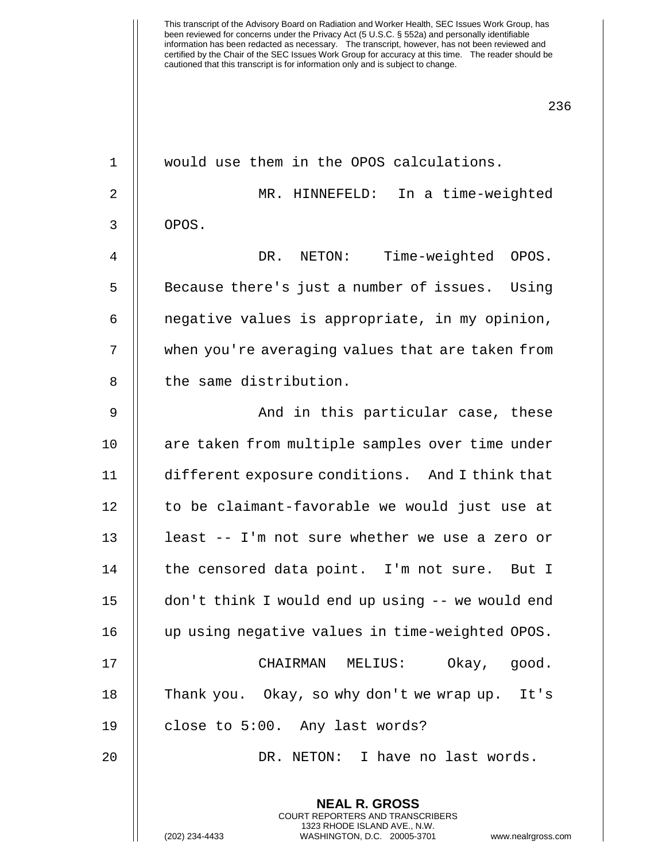| $\mathbf 1$    | would use them in the OPOS calculations.                                                                                                                       |
|----------------|----------------------------------------------------------------------------------------------------------------------------------------------------------------|
| $\overline{2}$ | MR. HINNEFELD: In a time-weighted                                                                                                                              |
| 3              | OPOS.                                                                                                                                                          |
| $\overline{4}$ | Time-weighted OPOS.<br>DR.<br>NETON:                                                                                                                           |
| 5              | Because there's just a number of issues. Using                                                                                                                 |
| 6              | negative values is appropriate, in my opinion,                                                                                                                 |
| 7              | when you're averaging values that are taken from                                                                                                               |
| 8              | the same distribution.                                                                                                                                         |
| $\mathsf 9$    | And in this particular case, these                                                                                                                             |
| 10             | are taken from multiple samples over time under                                                                                                                |
| 11             | different exposure conditions. And I think that                                                                                                                |
| 12             | to be claimant-favorable we would just use at                                                                                                                  |
| 13             | least -- I'm not sure whether we use a zero or                                                                                                                 |
| 14             | the censored data point. I'm not sure. But I                                                                                                                   |
| 15             | don't think I would end up using -- we would end                                                                                                               |
| 16             | up using negative values in time-weighted OPOS.                                                                                                                |
| 17             | CHAIRMAN MELIUS:<br>Okay, good.                                                                                                                                |
| 18             | Thank you. Okay, so why don't we wrap up. It's                                                                                                                 |
| 19             | close to 5:00. Any last words?                                                                                                                                 |
| 20             | DR. NETON: I have no last words.                                                                                                                               |
|                | <b>NEAL R. GROSS</b><br>COURT REPORTERS AND TRANSCRIBERS<br>1323 RHODE ISLAND AVE., N.W.<br>(202) 234-4433<br>www.nealrgross.co<br>WASHINGTON, D.C. 20005-3701 |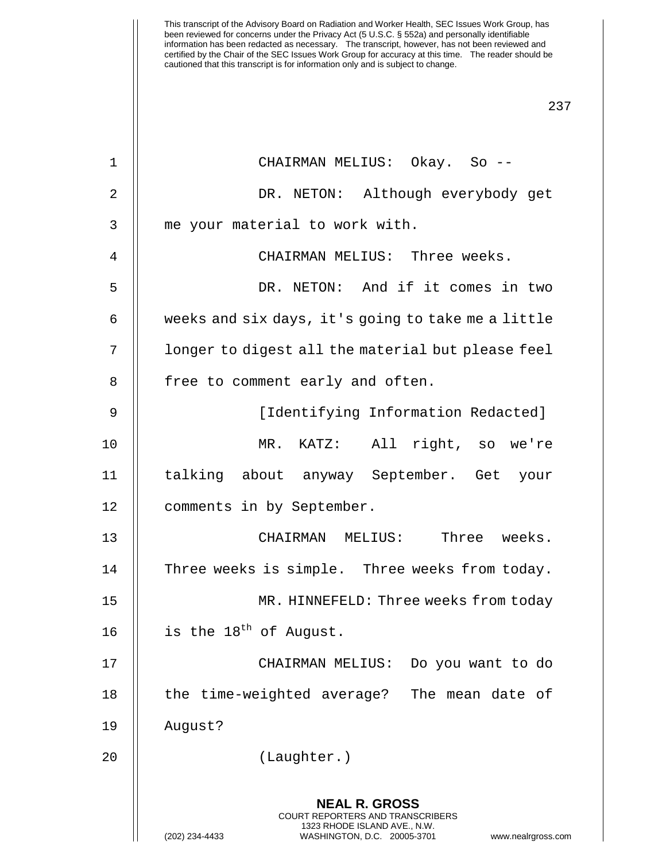**NEAL R. GROSS** COURT REPORTERS AND TRANSCRIBERS 1323 RHODE ISLAND AVE., N.W. (202) 234-4433 WASHINGTON, D.C. 20005-3701 www.nealrgross.com 1 CHAIRMAN MELIUS: Okay. So -- 2 DR. NETON: Although everybody get 3 || me your material to work with. 4 CHAIRMAN MELIUS: Three weeks. 5 DR. NETON: And if it comes in two  $6 \parallel$  weeks and six days, it's going to take me a little 7 | | longer to digest all the material but please feel 8 || free to comment early and often. 9 || [Identifying Information Redacted] 10 MR. KATZ: All right, so we're 11 talking about anyway September. Get your 12 | comments in by September. 13 CHAIRMAN MELIUS: Three weeks. 14 | Three weeks is simple. Three weeks from today. 15 MR. HINNEFELD: Three weeks from today 16  $\parallel$  is the 18<sup>th</sup> of August. 17 CHAIRMAN MELIUS: Do you want to do 18 || the time-weighted average? The mean date of 19 August? 20 (Laughter.)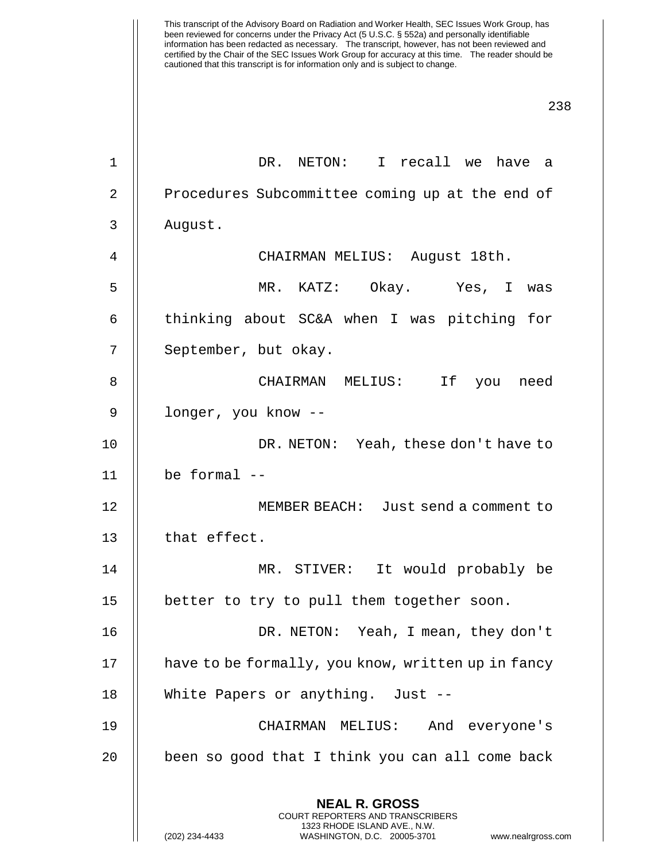This transcript of the Advisory Board on Radiation and Worker Health, SEC Issues Work Group, has been reviewed for concerns under the Privacy Act (5 U.S.C. § 552a) and personally identifiable information has been redacted as necessary. The transcript, however, has not been reviewed and certified by the Chair of the SEC Issues Work Group for accuracy at this time. The reader should be cautioned that this transcript is for information only and is subject to change. 238 **NEAL R. GROSS** COURT REPORTERS AND TRANSCRIBERS 1323 RHODE ISLAND AVE., N.W. (202) 234-4433 WASHINGTON, D.C. 20005-3701 www.nealrgross.com 1 DR. NETON: I recall we have a 2 | Procedures Subcommittee coming up at the end of 3 August. 4 CHAIRMAN MELIUS: August 18th. 5 MR. KATZ: Okay. Yes, I was 6  $\parallel$  thinking about SC&A when I was pitching for 7 || September, but okay. 8 CHAIRMAN MELIUS: If you need 9 || longer, you know --10 DR. NETON: Yeah, these don't have to 11  $\parallel$  be formal --12 MEMBER BEACH: Just send a comment to 13 | that effect. 14 MR. STIVER: It would probably be 15 || better to try to pull them together soon. 16 DR. NETON: Yeah, I mean, they don't 17 | have to be formally, you know, written up in fancy 18 || White Papers or anything. Just --19 CHAIRMAN MELIUS: And everyone's  $20$  | been so good that I think you can all come back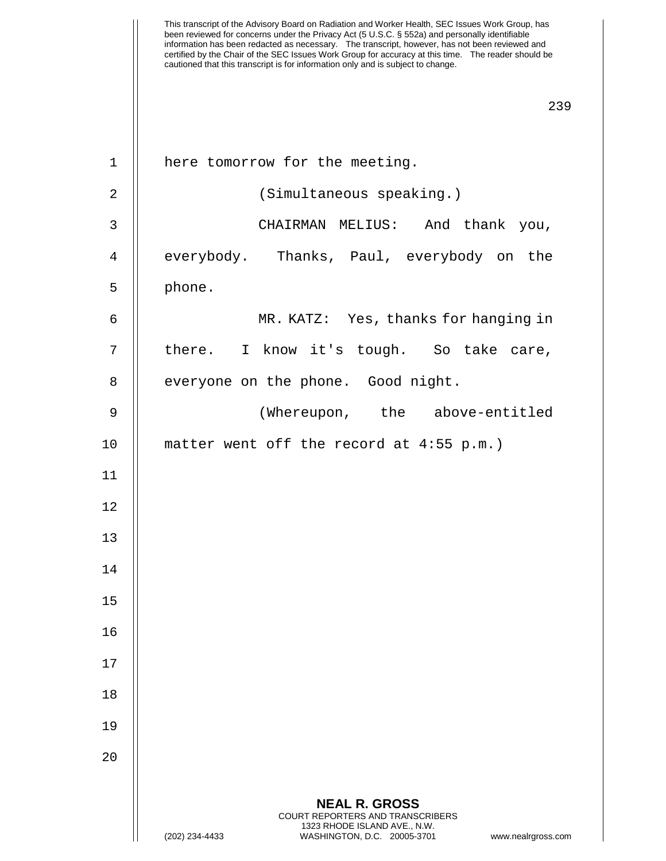This transcript of the Advisory Board on Radiation and Worker Health, SEC Issues Work Group, has been reviewed for concerns under the Privacy Act (5 U.S.C. § 552a) and personally identifiable information has been redacted as necessary. The transcript, however, has not been reviewed and certified by the Chair of the SEC Issues Work Group for accuracy at this time. The reader should be cautioned that this transcript is for information only and is subject to change. 239 1 | here tomorrow for the meeting. 2 | (Simultaneous speaking.) 3 CHAIRMAN MELIUS: And thank you, 4 || everybody. Thanks, Paul, everybody on the  $5 \parallel$  phone. 6 MR. KATZ: Yes, thanks for hanging in 7 || there. I know it's tough. So take care, 8 | everyone on the phone. Good night. 9 (Whereupon, the above-entitled 10 matter went off the record at 4:55 p.m.)

11

12

13

14

15

16

17

18

19